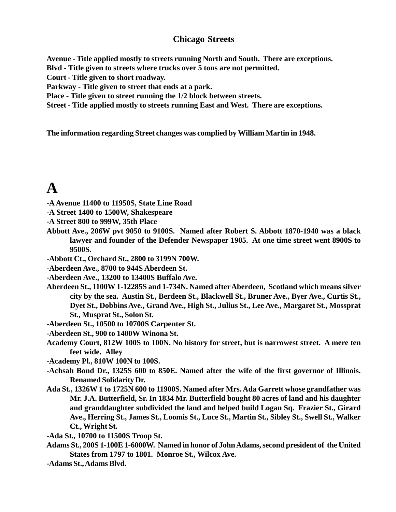### **Chicago Streets**

**Avenue - Title applied mostly to streets running North and South. There are exceptions.**

**Blvd - Title given to streets where trucks over 5 tons are not permitted.**

**Court - Title given to short roadway.**

**Parkway - Title given to street that ends at a park.**

**Place - Title given to street running the 1/2 block between streets.**

**Street - Title applied mostly to streets running East and West. There are exceptions.**

**The information regarding Street changes was complied by William Martin in 1948.**

# **A**

**-A Avenue 11400 to 11950S, State Line Road**

- **-A Street 1400 to 1500W, Shakespeare**
- **-A Street 800 to 999W, 35th Place**
- **Abbott Ave., 206W pvt 9050 to 9100S. Named after Robert S. Abbott 1870-1940 was a black lawyer and founder of the Defender Newspaper 1905. At one time street went 8900S to 9500S.**
- **-Abbott Ct., Orchard St., 2800 to 3199N 700W.**
- **-Aberdeen Ave., 8700 to 944S Aberdeen St.**
- **-Aberdeen Ave., 13200 to 13400S Buffalo Ave.**
- **Aberdeen St., 1100W 1-12285S and 1-734N. Named after Aberdeen, Scotland which means silver city by the sea. Austin St., Berdeen St., Blackwell St., Bruner Ave., Byer Ave., Curtis St., Dyet St., Dobbins Ave., Grand Ave., High St., Julius St., Lee Ave., Margaret St., Mossprat St., Musprat St., Solon St.**
- **-Aberdeen St., 10500 to 10700S Carpenter St.**
- **-Aberdeen St., 900 to 1400W Winona St.**
- **Academy Court, 812W 100S to 100N. No history for street, but is narrowest street. A mere ten feet wide. Alley**
- **-Academy Pl., 810W 100N to 100S.**
- **-Achsah Bond Dr., 1325S 600 to 850E. Named after the wife of the first governor of Illinois. Renamed Solidarity Dr.**
- **Ada St., 1326W 1 to 1725N 600 to 11900S. Named after Mrs. Ada Garrett whose grandfather was Mr. J.A. Butterfield, Sr. In 1834 Mr. Butterfield bought 80 acres of land and his daughter and granddaughter subdivided the land and helped build Logan Sq. Frazier St., Girard Ave., Herring St., James St., Loomis St., Luce St., Martin St., Sibley St., Swell St., Walker Ct., Wright St.**
- **-Ada St., 10700 to 11500S Troop St.**
- **Adams St., 200S 1-100E 1-6000W. Named in honor of John Adams, second president of the United States from 1797 to 1801. Monroe St., Wilcox Ave.**
- **-Adams St., Adams Blvd.**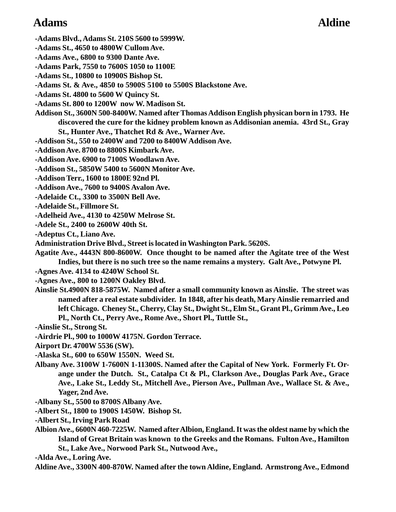### Adams **Adams** Aldine

**-Adams Blvd., Adams St. 210S 5600 to 5999W.**

**-Adams St., 4650 to 4800W Cullom Ave.**

**-Adams Ave., 6800 to 9300 Dante Ave.**

**-Adams Park, 7550 to 7600S 1050 to 1100E**

**-Adams St., 10800 to 10900S Bishop St.**

**-Adams St. & Ave., 4850 to 5900S 5100 to 5500S Blackstone Ave.**

**-Adams St. 4800 to 5600 W Quincy St.**

**-Adams St. 800 to 1200W now W. Madison St.**

**Addison St., 3600N 500-8400W. Named after Thomas Addison English physican born in 1793. He discovered the cure for the kidney problem known as Addisonian anemia. 43rd St., Gray**

**St., Hunter Ave., Thatchet Rd & Ave., Warner Ave.**

**-Addison St., 550 to 2400W and 7200 to 8400W Addison Ave.**

- **-Addison Ave. 8700 to 8800S Kimbark Ave.**
- **-Addison Ave. 6900 to 7100S Woodlawn Ave.**
- **-Addison St., 5850W 5400 to 5600N Monitor Ave.**
- **-Addison Terr., 1600 to 1800E 92nd Pl.**
- **-Addison Ave., 7600 to 9400S Avalon Ave.**
- **-Adelaide Ct., 3300 to 3500N Bell Ave.**
- **-Adelaide St., Fillmore St.**
- **-Adelheid Ave., 4130 to 4250W Melrose St.**
- **-Adele St., 2400 to 2600W 40th St.**

**-Adeptus Ct., Liano Ave.**

**Administration Drive Blvd., Street is located in Washington Park. 5620S.**

**Agatite Ave., 4443N 800-8600W. Once thought to be named after the Agitate tree of the West Indies, but there is no such tree so the name remains a mystery. Galt Ave., Potwyne Pl.**

**-Agnes Ave. 4134 to 4240W School St.**

**-Agnes Ave., 800 to 1200N Oakley Blvd.**

**Ainslie St.4900N 818-5875W. Named after a small community known as Ainslie. The street was named after a real estate subdivider. In 1848, after his death, Mary Ainslie remarried and left Chicago. Cheney St., Cherry, Clay St., Dwight St., Elm St., Grant Pl., Grimm Ave., Leo Pl., North Ct., Perry Ave., Rome Ave., Short Pl., Tuttle St.,**

**-Ainslie St., Strong St.**

- **-Airdrie Pl., 900 to 1000W 4175N. Gordon Terrace.**
- **Airport Dr. 4700W 5536 (SW).**
- **-Alaska St., 600 to 650W 1550N. Weed St.**
- **Albany Ave. 3100W 1-7600N 1-11300S. Named after the Capital of New York. Formerly Ft. Orange under the Dutch. St., Catalpa Ct & Pl., Clarkson Ave., Douglas Park Ave., Grace Ave., Lake St., Leddy St., Mitchell Ave., Pierson Ave., Pullman Ave., Wallace St. & Ave., Yager, 2nd Ave.**
- **-Albany St., 5500 to 8700S Albany Ave.**
- **-Albert St., 1800 to 1900S 1450W. Bishop St.**
- **-Albert St., Irving Park Road**
- **Albion Ave., 6600N 460-7225W. Named after Albion, England. It was the oldest name by which the Island of Great Britain was known to the Greeks and the Romans. Fulton Ave., Hamilton St., Lake Ave., Norwood Park St., Nutwood Ave.,**

**-Alda Ave., Loring Ave.**

**Aldine Ave., 3300N 400-870W. Named after the town Aldine, England. Armstrong Ave., Edmond**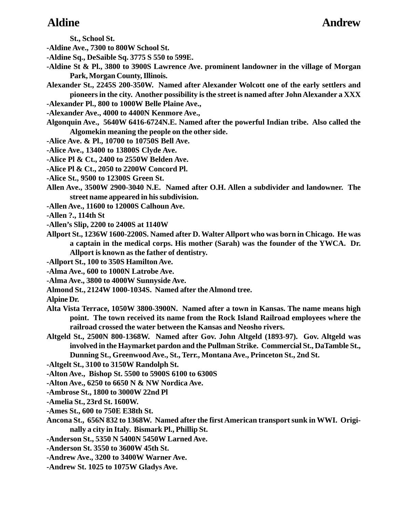**St., School St.**

- **-Aldine Ave., 7300 to 800W School St.**
- **-Aldine Sq., DeSaible Sq. 3775 S 550 to 599E.**
- **-Aldine St & Pl., 3800 to 3900S Lawrence Ave. prominent landowner in the village of Morgan Park, Morgan County, Illinois.**
- **Alexander St., 2245S 200-350W. Named after Alexander Wolcott one of the early settlers and pioneers in the city. Another possibility is the street is named after John Alexander a XXX**
- **-Alexander Pl., 800 to 1000W Belle Plaine Ave.,**
- **-Alexander Ave., 4000 to 4400N Kenmore Ave.,**
- **Algonquin Ave., 5640W 6416-6724N.E. Named after the powerful Indian tribe. Also called the Algomekin meaning the people on the other side.**
- **-Alice Ave. & Pl., 10700 to 10750S Bell Ave.**
- **-Alice Ave., 13400 to 13800S Clyde Ave.**
- **-Alice Pl & Ct., 2400 to 2550W Belden Ave.**
- **-Alice Pl & Ct., 2050 to 2200W Concord Pl.**
- **-Alice St., 9500 to 12300S Green St.**
- **Allen Ave., 3500W 2900-3040 N.E. Named after O.H. Allen a subdivider and landowner. The street name appeared in his subdivision.**
- **-Allen Ave., 11600 to 12000S Calhoun Ave.**
- **-Allen ?., 114th St**
- **-Allen's Slip, 2200 to 2400S at 1140W**
- **Allport St., 1236W 1600-2200S. Named after D. Walter Allport who was born in Chicago. He was a captain in the medical corps. His mother (Sarah) was the founder of the YWCA. Dr. Allport is known as the father of dentistry.**
- **-Allport St., 100 to 350S Hamilton Ave.**
- **-Alma Ave., 600 to 1000N Latrobe Ave.**
- **-Alma Ave., 3800 to 4000W Sunnyside Ave.**
- **Almond St., 2124W 1000-1034S. Named after the Almond tree.**
- **Alpine Dr.**
- **Alta Vista Terrace, 1050W 3800-3900N. Named after a town in Kansas. The name means high point. The town received its name from the Rock Island Railroad employees where the railroad crossed the water between the Kansas and Neosho rivers.**
- **Altgeld St., 2500N 800-1368W. Named after Gov. John Altgeld (1893-97). Gov. Altgeld was involved in the Haymarket pardon and the Pullman Strike. Commercial St., DaTamble St., Dunning St., Greenwood Ave., St., Terr., Montana Ave., Princeton St., 2nd St.**
- **-Altgelt St., 3100 to 3150W Randolph St.**
- **-Alton Ave., Bishop St. 5500 to 5900S 6100 to 6300S**
- **-Alton Ave., 6250 to 6650 N & NW Nordica Ave.**
- **-Ambrose St., 1800 to 3000W 22nd Pl**
- **-Amelia St., 23rd St. 1600W.**
- **-Ames St., 600 to 750E E38th St.**
- **Ancona St., 656N 832 to 1368W. Named after the first American transport sunk in WWI. Originally a city in Italy. Bismark Pl., Phillip St.**
- **-Anderson St., 5350 N 5400N 5450W Larned Ave.**
- **-Anderson St. 3550 to 3600W 45th St.**
- **-Andrew Ave., 3200 to 3400W Warner Ave.**
- **-Andrew St. 1025 to 1075W Gladys Ave.**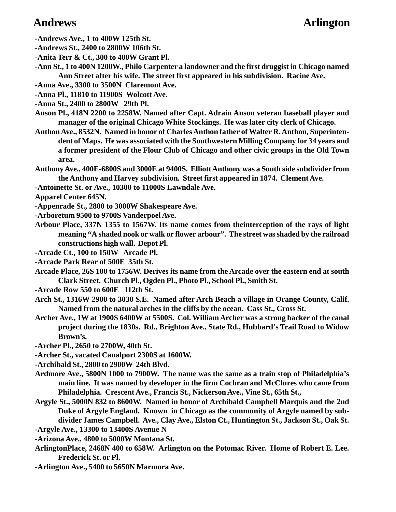### Andrews **Arlington**

**-Andrews Ave., 1 to 400W 125th St.**

**-Andrews St., 2400 to 2800W 106th St.**

**-Anita Terr & Ct., 300 to 400W Grant Pl.**

**-Ann St., 1 to 400N 1200W., Philo Carpenter a landowner and the first druggist in Chicago named Ann Street after his wife. The street first appeared in his subdivision. Racine Ave.**

**-Anna Ave., 3300 to 3500N Claremont Ave.**

**-Anna Pl., 11810 to 11900S Wolcott Ave.**

**-Anna St., 2400 to 2800W 29th Pl.**

**Anson Pl., 418N 2200 to 2258W. Named after Capt. Adrain Anson veteran baseball player and manager of the original Chicago White Stockings. He was later city clerk of Chicago.**

**Anthon Ave., 8532N. Named in honor of Charles Anthon father of Walter R. Anthon, Superintendent of Maps. He was associated with the Southwestern Milling Company for 34 years and a former president of the Flour Club of Chicago and other civic groups in the Old Town area.**

**Anthony Ave., 400E-6800S and 3000E at 9400S. Elliott Anthony was a South side subdivider from the Anthony and Harvey subdivision. Street first appeared in 1874. Clement Ave.**

**-Antoinette St. or Ave., 10300 to 11000S Lawndale Ave.**

**Apparel Center 645N.**

**-Appenrade St., 2800 to 3000W Shakespeare Ave.**

**-Arboretum 9500 to 9700S Vanderpoel Ave.**

**Arbour Place, 337N 1355 to 1567W. Its name comes from theinterception of the rays of light meaning "A shaded nook or walk or flower arbour". The street was shaded by the railroad constructions high wall. Depot Pl.**

**-Arcade Ct., 100 to 150W Arcade Pl.**

**-Arcade Park Rear of 500E 35th St.**

**Arcade Place, 26S 100 to 1756W. Derives its name from the Arcade over the eastern end at south Clark Street. Church Pl., Ogden Pl., Photo Pl., School Pl., Smith St.**

**-Arcade Row 550 to 600E 112th St.**

- **Arch St., 1316W 2900 to 3030 S.E. Named after Arch Beach a village in Orange County, Calif. Named from the natural arches in the cliffs by the ocean. Cass St., Cross St.**
- **Archer Ave., 1W at 1900S 6400W at 5500S. Col. William Archer was a strong backer of the canal project during the 1830s. Rd., Brighton Ave., State Rd., Hubbard's Trail Road to Widow Brown's.**

**-Archer Pl., 2650 to 2700W, 40th St.**

**-Archer St., vacated Canalport 2300S at 1600W.**

**-Archibald St., 2800 to 2900W 24th Blvd.**

- **Ardmore Ave., 5800N 1000 to 7900W. The name was the same as a train stop of Philadelphia's main line. It was named by developer in the firm Cochran and McClures who came from Philadelphia. Crescent Ave., Francis St., Nickerson Ave., Vine St., 65th St.,**
- **Argyle St., 5000N 832 to 8600W. Named in honor of Archibald Campbell Marquis and the 2nd Duke of Argyle England. Known in Chicago as the community of Argyle named by subdivider James Campbell. Ave., Clay Ave., Elston Ct., Huntington St., Jackson St., Oak St. -Argyle Ave., 13300 to 13400S Avenue N**
- **-Arizona Ave., 4800 to 5000W Montana St.**
- **ArlingtonPlace, 2468N 400 to 658W. Arlington on the Potomac River. Home of Robert E. Lee. Frederick St. or Pl.**
- **-Arlington Ave., 5400 to 5650N Marmora Ave.**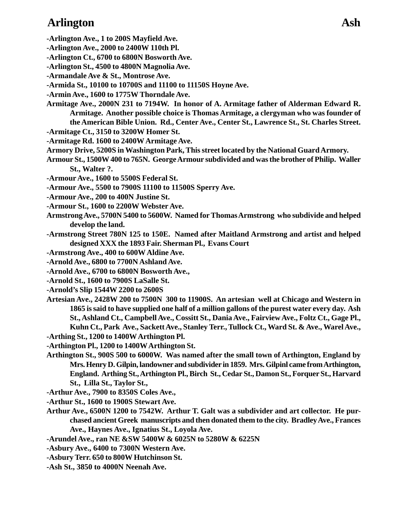## Arlington Ash

- **-Arlington Ave., 1 to 200S Mayfield Ave.**
- **-Arlington Ave., 2000 to 2400W 110th Pl.**
- **-Arlington Ct., 6700 to 6800N Bosworth Ave.**
- **-Arlington St., 4500 to 4800N Magnolia Ave.**
- **-Armandale Ave & St., Montrose Ave.**
- **-Armida St., 10100 to 10700S and 11100 to 11150S Hoyne Ave.**
- **-Armin Ave., 1600 to 1775W Thorndale Ave.**
- **Armitage Ave., 2000N 231 to 7194W. In honor of A. Armitage father of Alderman Edward R. Armitage. Another possible choice is Thomas Armitage, a clergyman who was founder of the American Bible Union. Rd., Center Ave., Center St., Lawrence St., St. Charles Street.**
- **-Armitage Ct., 3150 to 3200W Homer St.**
- **-Armitage Rd. 1600 to 2400W Armitage Ave.**
- **Armory Drive, 5200S in Washington Park, This street located by the National Guard Armory.**
- **Armour St., 1500W 400 to 765N. George Armour subdivided and was the brother of Philip. Waller St., Walter ?.**
- **-Armour Ave., 1600 to 5500S Federal St.**
- **-Armour Ave., 5500 to 7900S 11100 to 11500S Sperry Ave.**
- **-Armour Ave., 200 to 400N Justine St.**
- **-Armour St., 1600 to 2200W Webster Ave.**
- **Armstrong Ave., 5700N 5400 to 5600W. Named for Thomas Armstrong who subdivide and helped develop the land.**
- **-Armstrong Street 780N 125 to 150E. Named after Maitland Armstrong and artist and helped designed XXX the 1893 Fair. Sherman Pl., Evans Court**
- **-Armstrong Ave., 400 to 600W Aldine Ave.**
- **-Arnold Ave., 6800 to 7700N Ashland Ave.**
- **-Arnold Ave., 6700 to 6800N Bosworth Ave.,**
- **-Arnold St., 1600 to 7900S LaSalle St.**
- **-Arnold's Slip 1544W 2200 to 2600S**
- **Artesian Ave., 2428W 200 to 7500N 300 to 11900S. An artesian well at Chicago and Western in 1865 is said to have supplied one half of a million gallons of the purest water every day. Ash St., Ashland Ct., Campbell Ave., Cossitt St., Dania Ave., Fairview Ave., Foltz Ct., Gage Pl., Kuhn Ct., Park Ave., Sackett Ave., Stanley Terr., Tullock Ct., Ward St. & Ave., Warel Ave., -Arthing St., 1200 to 1400W Arthington Pl.**
- **-Arthington Pl., 1200 to 1400W Arthington St.**
- **Arthington St., 900S 500 to 6000W. Was named after the small town of Arthington, England by Mrs. Henry D. Gilpin, landowner and subdivider in 1859. Mrs. Gilpinl came from Arthington, England. Arthing St., Arthington Pl., Birch St., Cedar St., Damon St., Forquer St., Harvard St., Lilla St., Taylor St.,**
- **-Arthur Ave., 7900 to 8350S Coles Ave.,**
- **-Arthur St., 1600 to 1900S Stewart Ave.**
- **Arthur Ave., 6500N 1200 to 7542W. Arthur T. Galt was a subdivider and art collector. He purchased ancient Greek manuscripts and then donated them to the city. Bradley Ave., Frances Ave., Haynes Ave., Ignatius St., Loyola Ave.**
- **-Arundel Ave., ran NE &SW 5400W & 6025N to 5280W & 6225N**
- **-Asbury Ave., 6400 to 7300N Western Ave.**
- **-Asbury Terr. 650 to 800W Hutchinson St.**
- **-Ash St., 3850 to 4000N Neenah Ave.**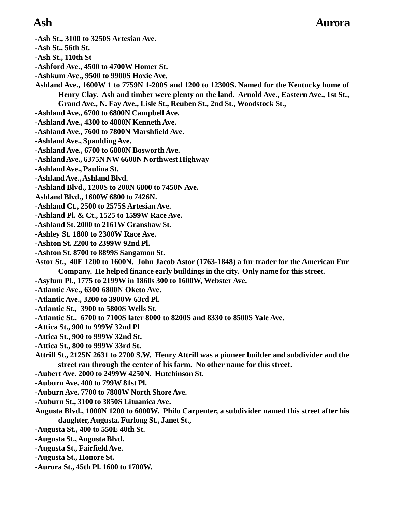- **-Ash St., 3100 to 3250S Artesian Ave.**
- **-Ash St., 56th St.**
- **-Ash St., 110th St**
- **-Ashford Ave., 4500 to 4700W Homer St.**
- **-Ashkum Ave., 9500 to 9900S Hoxie Ave.**
- **Ashland Ave., 1600W 1 to 7759N 1-200S and 1200 to 12300S. Named for the Kentucky home of Henry Clay. Ash and timber were plenty on the land. Arnold Ave., Eastern Ave., 1st St., Grand Ave., N. Fay Ave., Lisle St., Reuben St., 2nd St., Woodstock St.,**
- **-Ashland Ave., 6700 to 6800N Campbell Ave.**
- **-Ashland Ave., 4300 to 4800N Kenneth Ave.**
- **-Ashland Ave., 7600 to 7800N Marshfield Ave.**
- **-Ashland Ave., Spaulding Ave.**
- **-Ashland Ave., 6700 to 6800N Bosworth Ave.**
- **-Ashland Ave., 6375N NW 6600N Northwest Highway**
- **-Ashland Ave., Paulina St.**
- **-Ashland Ave., Ashland Blvd.**
- **-Ashland Blvd., 1200S to 200N 6800 to 7450N Ave.**
- **Ashland Blvd., 1600W 6800 to 7426N.**
- **-Ashland Ct., 2500 to 2575S Artesian Ave.**
- **-Ashland Pl. & Ct., 1525 to 1599W Race Ave.**
- **-Ashland St. 2000 to 2161W Granshaw St.**
- **-Ashley St. 1800 to 2300W Race Ave.**
- **-Ashton St. 2200 to 2399W 92nd Pl.**
- **-Ashton St. 8700 to 8899S Sangamon St.**
- **Astor St., 40E 1200 to 1600N. John Jacob Astor (1763-1848) a fur trader for the American Fur Company. He helped finance early buildings in the city. Only name for this street.**
- **-Asylum Pl., 1775 to 2199W in 1860s 300 to 1600W, Webster Ave.**
- **-Atlantic Ave., 6300 6800N Oketo Ave.**
- **-Atlantic Ave., 3200 to 3900W 63rd Pl.**
- **-Atlantic St., 3900 to 5800S Wells St.**
- **-Atlantic St., 6700 to 7100S later 8000 to 8200S and 8330 to 8500S Yale Ave.**
- **-Attica St., 900 to 999W 32nd Pl**
- **-Attica St., 900 to 999W 32nd St.**
- **-Attica St., 800 to 999W 33rd St.**
- **Attrill St., 2125N 2631 to 2700 S.W. Henry Attrill was a pioneer builder and subdivider and the street ran through the center of his farm. No other name for this street.**
- **-Aubert Ave. 2000 to 2499W 4250N. Hutchinson St.**
- **-Auburn Ave. 400 to 799W 81st Pl.**
- **-Auburn Ave. 7700 to 7800W North Shore Ave.**
- **-Auburn St., 3100 to 3850S Lituanica Ave.**
- **Augusta Blvd., 1000N 1200 to 6000W. Philo Carpenter, a subdivider named this street after his daughter, Augusta. Furlong St., Janet St.,**
- **-Augusta St., 400 to 550E 40th St.**
- **-Augusta St., Augusta Blvd.**
- **-Augusta St., Fairfield Ave.**
- **-Augusta St., Honore St.**
- **-Aurora St., 45th Pl. 1600 to 1700W.**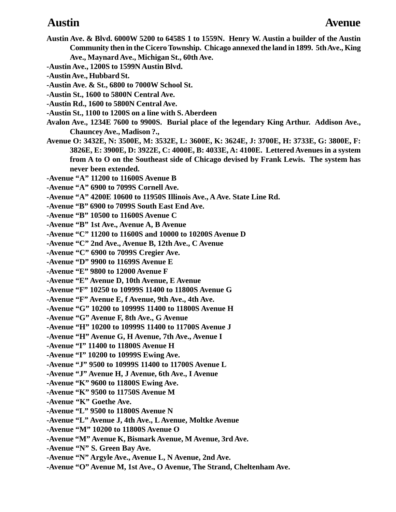- **Austin Ave. & Blvd. 6000W 5200 to 6458S 1 to 1559N. Henry W. Austin a builder of the Austin Community then in the Cicero Township. Chicago annexed the land in 1899. 5th Ave., King Ave., Maynard Ave., Michigan St., 60th Ave. -Austin Ave., 1200S to 1599N Austin Blvd. -Austin Ave., Hubbard St. -Austin Ave. & St., 6800 to 7000W School St. -Austin St., 1600 to 5800N Central Ave. -Austin Rd., 1600 to 5800N Central Ave. -Austin St., 1100 to 1200S on a line with S. Aberdeen Avalon Ave., 1234E 7600 to 9900S. Burial place of the legendary King Arthur. Addison Ave., Chauncey Ave., Madison ?., Avenue O: 3432E, N: 3500E, M: 3532E, L: 3600E, K: 3624E, J: 3700E, H: 3733E, G: 3800E, F: 3826E, E: 3900E, D: 3922E, C: 4000E, B: 4033E, A: 4100E. Lettered Avenues in a system from A to O on the Southeast side of Chicago devised by Frank Lewis. The system has never been extended. -Avenue "A" 11200 to 11600S Avenue B -Avenue "A" 6900 to 7099S Cornell Ave. -Avenue "A" 4200E 10600 to 11950S Illinois Ave., A Ave. State Line Rd. -Avenue "B" 6900 to 7099S South East End Ave. -Avenue "B" 10500 to 11600S Avenue C -Avenue "B" 1st Ave., Avenue A, B Avenue -Avenue "C" 11200 to 11600S and 10000 to 10200S Avenue D -Avenue "C" 2nd Ave., Avenue B, 12th Ave., C Avenue -Avenue "C" 6900 to 7099S Cregier Ave. -Avenue "D" 9900 to 11699S Avenue E -Avenue "E" 9800 to 12000 Avenue F -Avenue "E" Avenue D, 10th Avenue, E Avenue -Avenue "F" 10250 to 10999S 11400 to 11800S Avenue G -Avenue "F" Avenue E, f Avenue, 9th Ave., 4th Ave. -Avenue "G" 10200 to 10999S 11400 to 11800S Avenue H -Avenue "G" Avenue F, 8th Ave., G Avenue -Avenue "H" 10200 to 10999S 11400 to 11700S Avenue J -Avenue "H" Avenue G, H Avenue, 7th Ave., Avenue I -Avenue "I" 11400 to 11800S Avenue H -Avenue "I" 10200 to 10999S Ewing Ave. -Avenue "J" 9500 to 10999S 11400 to 11700S Avenue L -Avenue "J" Avenue H, J Avenue, 6th Ave., I Avenue -Avenue "K" 9600 to 11800S Ewing Ave. -Avenue "K" 9500 to 11750S Avenue M -Avenue "K" Goethe Ave. -Avenue "L" 9500 to 11800S Avenue N -Avenue "L" Avenue J, 4th Ave., L Avenue, Moltke Avenue -Avenue "M" 10200 to 11800S Avenue O -Avenue "M" Avenue K, Bismark Avenue, M Avenue, 3rd Ave. -Avenue "N" S. Green Bay Ave. -Avenue "N" Argyle Ave., Avenue L, N Avenue, 2nd Ave. Austin Avenue**
- **-Avenue "O" Avenue M, 1st Ave., O Avenue, The Strand, Cheltenham Ave.**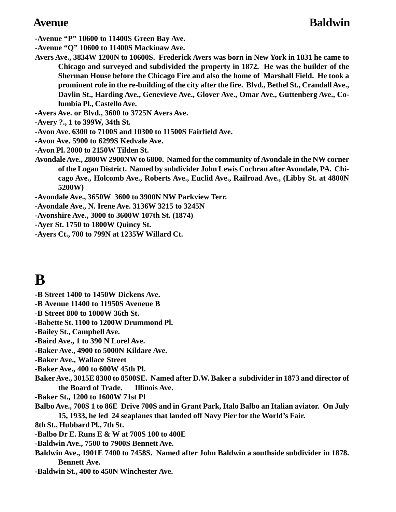**-Avenue "P" 10600 to 11400S Green Bay Ave.**

**-Avenue "Q" 10600 to 11400S Mackinaw Ave.**

- **Avers Ave., 3834W 1200N to 10600S. Frederick Avers was born in New York in 1831 he came to Chicago and surveyed and subdivided the property in 1872. He was the builder of the Sherman House before the Chicago Fire and also the home of Marshall Field. He took a prominent role in the re-building of the city after the fire. Blvd., Bethel St., Crandall Ave., Davlin St., Harding Ave., Genevieve Ave., Glover Ave., Omar Ave., Guttenberg Ave., Columbia Pl., Castello Ave.**
- **-Avers Ave. or Blvd., 3600 to 3725N Avers Ave.**
- **-Avery ?., 1 to 399W, 34th St.**
- **-Avon Ave. 6300 to 7100S and 10300 to 11500S Fairfield Ave.**
- **-Avon Ave. 5900 to 6299S Kedvale Ave.**
- **-Avon Pl. 2000 to 2150W Tilden St.**
- **Avondale Ave., 2800W 2900NW to 6800. Named for the community of Avondale in the NW corner of the Logan District. Named by subdivider John Lewis Cochran after Avondale, PA. Chicago Ave., Holcomb Ave., Roberts Ave., Euclid Ave., Railroad Ave., (Libby St. at 4800N 5200W)**
- **-Avondale Ave., 3650W 3600 to 3900N NW Parkview Terr.**
- **-Avondale Ave., N. Irene Ave. 3136W 3215 to 3245N**
- **-Avonshire Ave., 3000 to 3600W 107th St. (1874)**
- **-Ayer St. 1750 to 1800W Quincy St.**
- **-Ayers Ct., 700 to 799N at 1235W Willard Ct.**

# **B**

- **-B Street 1400 to 1450W Dickens Ave.**
- **-B Avenue 11400 to 11950S Aveneue B**
- **-B Street 800 to 1000W 36th St.**
- **-Babette St. 1100 to 1200W Drummond Pl.**
- **-Bailey St., Campbell Ave.**
- **-Baird Ave., 1 to 390 N Lorel Ave.**
- **-Baker Ave., 4900 to 5000N Kildare Ave.**
- **-Baker Ave., Wallace Street**
- **-Baker Ave., 400 to 600W 45th Pl.**
- **Baker Ave., 3015E 8300 to 8500SE. Named after D.W. Baker a subdivider in 1873 and director of the Board of Trade. Illinois Ave.**
- **-Baker St., 1200 to 1600W 71st Pl**
- **Balbo Ave., 700S 1 to 86E Drive 700S and in Grant Park, Italo Balbo an Italian aviator. On July 15, 1933, he led 24 seaplanes that landed off Navy Pier for the World's Fair.**
- **8th St., Hubbard Pl., 7th St.**
- **-Balbo Dr E. Runs E & W at 700S 100 to 400E**
- **-Baldwin Ave., 7500 to 7900S Bennett Ave.**
- **Baldwin Ave., 1901E 7400 to 7458S. Named after John Baldwin a southside subdivider in 1878. Bennett Ave.**
- **-Baldwin St., 400 to 450N Winchester Ave.**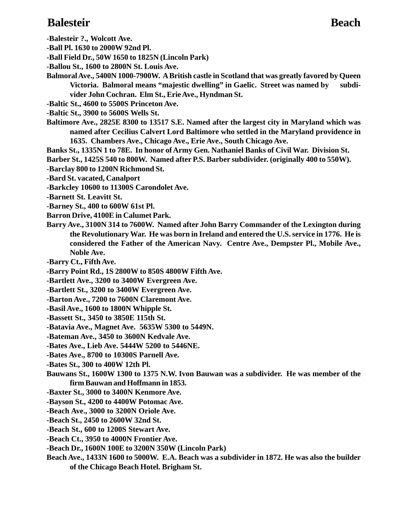### **Balesteir Beach**

**-Balesteir ?., Wolcott Ave.**

**-Ball Pl. 1630 to 2000W 92nd Pl.**

**-Ball Field Dr., 50W 1650 to 1825N (Lincoln Park)**

- **-Ballou St., 1600 to 2800N St. Louis Ave.**
- **Balmoral Ave., 5400N 1000-7900W. A British castle in Scotland that was greatly favored by Queen Victoria. Balmoral means "majestic dwelling" in Gaelic. Street was named by subdivider John Cochran. Elm St., Erie Ave., Hyndman St.**
- **-Baltic St., 4600 to 5500S Princeton Ave.**
- **-Baltic St., 3900 to 5600S Wells St.**
- **Baltimore Ave., 2825E 8300 to 13517 S.E. Named after the largest city in Maryland which was named after Cecilius Calvert Lord Baltimore who settled in the Maryland providence in 1635. Chambers Ave., Chicago Ave., Erie Ave., South Chicago Ave.**
- **Banks St., 1335N 1 to 78E. In honor of Army Gen. Nathaniel Banks of Civil War. Division St.**

**Barber St., 1425S 540 to 800W. Named after P.S. Barber subdivider. (originally 400 to 550W).**

**-Barclay 800 to 1200N Richmond St.**

**-Bard St. vacated, Canalport**

- **-Barkcley 10600 to 11300S Carondolet Ave.**
- **-Barnett St. Leavitt St.**
- **-Barney St., 400 to 600W 61st Pl.**
- **Barron Drive, 4100E in Calumet Park.**
- **Barry Ave., 3100N 314 to 7600W. Named after John Barry Commander of the Lexington during the Revolutionary War. He was born in Ireland and entered the U.S. service in 1776. He is considered the Father of the American Navy. Centre Ave., Dempster Pl., Mobile Ave., Noble Ave.**

**-Barry Ct., Fifth Ave.**

**-Barry Point Rd., 1S 2800W to 850S 4800W Fifth Ave.**

**-Bartlett Ave., 3200 to 3400W Evergreen Ave.**

- **-Bartlett St., 3200 to 3400W Evergreen Ave.**
- **-Barton Ave., 7200 to 7600N Claremont Ave.**
- **-Basil Ave., 1600 to 1800N Whipple St.**
- **-Bassett St., 3450 to 3850E 115th St.**
- **-Batavia Ave., Magnet Ave. 5635W 5300 to 5449N.**

**-Bateman Ave., 3450 to 3600N Kedvale Ave.**

- **-Bates Ave., Lieb Ave. 5444W 5200 to 5446NE.**
- **-Bates Ave., 8700 to 10300S Parnell Ave.**

**-Bates St., 300 to 400W 12th Pl.**

- **Bauwans St., 1600W 1300 to 1375 N.W. Ivon Bauwan was a subdivider. He was member of the firm Bauwan and Hoffmann in 1853.**
- **-Baxter St., 3000 to 3400N Kenmore Ave.**
- **-Bayson St., 4200 to 4400W Potomac Ave.**

**-Beach Ave., 3000 to 3200N Oriole Ave.**

**-Beach St., 2450 to 2600W 32nd St.**

- **-Beach St., 600 to 1200S Stewart Ave.**
- **-Beach Ct., 3950 to 4000N Frontier Ave.**
- **-Beach Dr., 1600N 100E to 3200N 350W (Lincoln Park)**
- **Beach Ave., 1433N 1600 to 5000W. E.A. Beach was a subdivider in 1872. He was also the builder of the Chicago Beach Hotel. Brigham St.**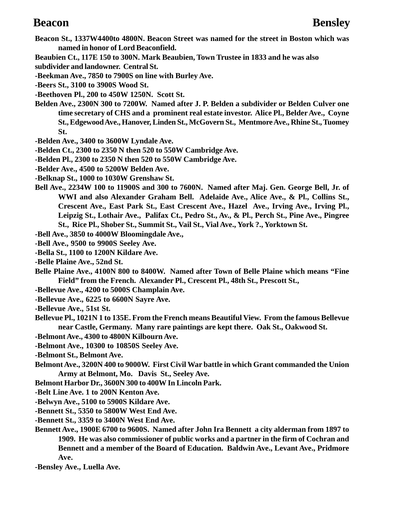- **Beacon St., 1337W4400to 4800N. Beacon Street was named for the street in Boston which was named in honor of Lord Beaconfield.**
- **Beaubien Ct., 117E 150 to 300N. Mark Beaubien, Town Trustee in 1833 and he was also subdivider and landowner. Central St.**
- **-Beekman Ave., 7850 to 7900S on line with Burley Ave.**
- **-Beers St., 3100 to 3900S Wood St.**
- **-Beethoven Pl., 200 to 450W 1250N. Scott St.**
- **Belden Ave., 2300N 300 to 7200W. Named after J. P. Belden a subdivider or Belden Culver one time secretary of CHS and a prominent real estate investor. Alice Pl., Belder Ave., Coyne St., Edgewood Ave., Hanover, Linden St., McGovern St., Mentmore Ave., Rhine St., Tuomey St.**
- **-Belden Ave., 3400 to 3600W Lyndale Ave.**
- **-Belden Ct., 2300 to 2350 N then 520 to 550W Cambridge Ave.**
- **-Belden Pl., 2300 to 2350 N then 520 to 550W Cambridge Ave.**
- **-Belder Ave., 4500 to 5200W Belden Ave.**
- **-Belknap St., 1000 to 1030W Grenshaw St.**
- **Bell Ave., 2234W 100 to 11900S and 300 to 7600N. Named after Maj. Gen. George Bell, Jr. of WWI and also Alexander Graham Bell. Adelaide Ave., Alice Ave., & Pl., Collins St., Crescent Ave., East Park St., East Crescent Ave., Hazel Ave., Irving Ave., Irving Pl., Leipzig St., Lothair Ave., Palifax Ct., Pedro St., Av., & Pl., Perch St., Pine Ave., Pingree St., Rice Pl., Shober St., Summit St., Vail St., Vial Ave., York ?., Yorktown St.**
- **-Bell Ave., 3850 to 4000W Bloomingdale Ave.,**
- **-Bell Ave., 9500 to 9900S Seeley Ave.**
- **-Bella St., 1100 to 1200N Kildare Ave.**
- **-Belle Plaine Ave., 52nd St.**
- **Belle Plaine Ave., 4100N 800 to 8400W. Named after Town of Belle Plaine which means "Fine Field" from the French. Alexander Pl., Crescent Pl., 48th St., Prescott St.,**
- **-Bellevue Ave., 4200 to 5000S Champlain Ave.**
- **-Bellevue Ave., 6225 to 6600N Sayre Ave.**
- **-Bellevue Ave., 51st St.**
- **Bellevue Pl., 1021N 1 to 135E. From the French means Beautiful View. From the famous Bellevue near Castle, Germany. Many rare paintings are kept there. Oak St., Oakwood St.**
- **-Belmont Ave., 4300 to 4800N Kilbourn Ave.**
- **-Belmont Ave., 10300 to 10850S Seeley Ave.**
- **-Belmont St., Belmont Ave.**
- **Belmont Ave., 3200N 400 to 9000W. First Civil War battle in which Grant commanded the Union Army at Belmont, Mo. Davis St., Seeley Ave.**
- **Belmont Harbor Dr., 3600N 300 to 400W In Lincoln Park.**
- **-Belt Line Ave. 1 to 200N Kenton Ave.**
- **-Belwyn Ave., 5100 to 5900S Kildare Ave.**
- **-Bennett St., 5350 to 5800W West End Ave.**
- **-Bennett St., 3359 to 3400N West End Ave.**
- **Bennett Ave., 1900E 6700 to 9600S. Named after John Ira Bennett a city alderman from 1897 to 1909. He was also commissioner of public works and a partner in the firm of Cochran and Bennett and a member of the Board of Education. Baldwin Ave., Levant Ave., Pridmore Ave.**
- **-Bensley Ave., Luella Ave.**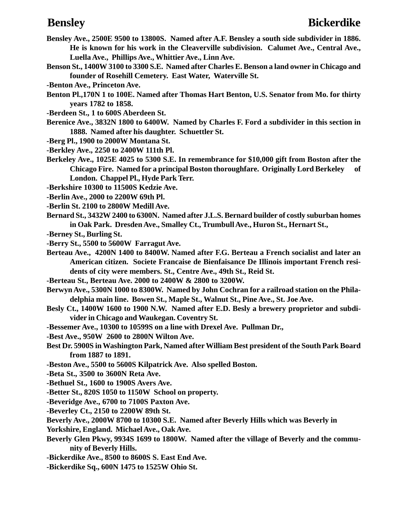- **Bensley Ave., 2500E 9500 to 13800S. Named after A.F. Bensley a south side subdivider in 1886. He is known for his work in the Cleaverville subdivision. Calumet Ave., Central Ave., Luella Ave., Phillips Ave., Whittier Ave., Linn Ave.**
- **Benson St., 1400W 3100 to 3300 S.E. Named after Charles E. Benson a land owner in Chicago and founder of Rosehill Cemetery. East Water, Waterville St.**
- **-Benton Ave., Princeton Ave.**
- **Benton Pl.,170N 1 to 100E. Named after Thomas Hart Benton, U.S. Senator from Mo. for thirty years 1782 to 1858.**
- **-Berdeen St., 1 to 600S Aberdeen St.**
- **Berenice Ave., 3832N 1800 to 6400W. Named by Charles F. Ford a subdivider in this section in 1888. Named after his daughter. Schuettler St.**
- **-Berg Pl., 1900 to 2000W Montana St.**
- **-Berkley Ave., 2250 to 2400W 111th Pl.**
- **Berkeley Ave., 1025E 4025 to 5300 S.E. In remembrance for \$10,000 gift from Boston after the Chicago Fire. Named for a principal Boston thoroughfare. Originally Lord Berkeley of London. Chappel Pl., Hyde Park Terr.**
- **-Berkshire 10300 to 11500S Kedzie Ave.**
- **-Berlin Ave., 2000 to 2200W 69th Pl.**
- **-Berlin St. 2100 to 2800W Medill Ave.**
- **Bernard St., 3432W 2400 to 6300N. Named after J.L.S. Bernard builder of costly suburban homes in Oak Park. Dresden Ave., Smalley Ct., Trumbull Ave., Huron St., Hernart St.,**
- **-Berney St., Burling St.**
- **-Berry St., 5500 to 5600W Farragut Ave.**
- **Berteau Ave., 4200N 1400 to 8400W. Named after F.G. Berteau a French socialist and later an American citizen. Societe Francaise de Bienfaisance De Illinois important French residents of city were members. St., Centre Ave., 49th St., Reid St.**
- **-Berteau St., Berteau Ave. 2000 to 2400W & 2800 to 3200W.**
- **Berwyn Ave., 5300N 1000 to 8300W. Named by John Cochran for a railroad station on the Philadelphia main line. Bowen St., Maple St., Walnut St., Pine Ave., St. Joe Ave.**
- **Besly Ct., 1400W 1600 to 1900 N.W. Named after E.D. Besly a brewery proprietor and subdivider in Chicago and Waukegan. Coventry St.**
- **-Bessemer Ave., 10300 to 10599S on a line with Drexel Ave. Pullman Dr.,**
- **-Best Ave., 950W 2600 to 2800N Wilton Ave.**
- **Best Dr. 5900S in Washington Park, Named after William Best president of the South Park Board from 1887 to 1891.**
- **-Beston Ave., 5500 to 5600S Kilpatrick Ave. Also spelled Boston.**
- **-Beta St., 3500 to 3600N Reta Ave.**
- **-Bethuel St., 1600 to 1900S Avers Ave.**
- **-Better St., 820S 1050 to 1150W School on property.**
- **-Beveridge Ave., 6700 to 7100S Paxton Ave.**
- **-Beverley Ct., 2150 to 2200W 89th St.**
- **Beverly Ave., 2000W 8700 to 10300 S.E. Named after Beverly Hills which was Beverly in**
- **Yorkshire, England. Michael Ave., Oak Ave.**
- **Beverly Glen Pkwy, 9934S 1699 to 1800W. Named after the village of Beverly and the community of Beverly Hills.**
- **-Bickerdike Ave., 8500 to 8600S S. East End Ave.**
- **-Bickerdike Sq., 600N 1475 to 1525W Ohio St.**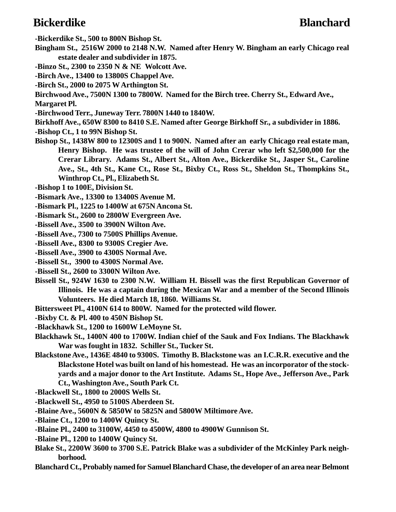## **Bickerdike Blanchard**

**-Bickerdike St., 500 to 800N Bishop St.**

- **Bingham St., 2516W 2000 to 2148 N.W. Named after Henry W. Bingham an early Chicago real estate dealer and subdivider in 1875.**
- **-Binzo St., 2300 to 2350 N & NE Wolcott Ave.**
- **-Birch Ave., 13400 to 13800S Chappel Ave.**
- **-Birch St., 2000 to 2075 W Arthington St.**
- **Birchwood Ave., 7500N 1300 to 7800W. Named for the Birch tree. Cherry St., Edward Ave., Margaret Pl.**
- **-Birchwood Terr., Juneway Terr. 7800N 1440 to 1840W.**
- **Birkhoff Ave., 650W 8300 to 8410 S.E. Named after George Birkhoff Sr., a subdivider in 1886.**
- **-Bishop Ct., 1 to 99N Bishop St.**
- **Bishop St., 1438W 800 to 12300S and 1 to 900N. Named after an early Chicago real estate man, Henry Bishop. He was trustee of the will of John Crerar who left \$2,500,000 for the Crerar Library. Adams St., Albert St., Alton Ave., Bickerdike St., Jasper St., Caroline Ave., St., 4th St., Kane Ct., Rose St., Bixby Ct., Ross St., Sheldon St., Thompkins St., Winthrop Ct., Pl., Elizabeth St.**
- **-Bishop 1 to 100E, Division St.**
- **-Bismark Ave., 13300 to 13400S Avenue M.**
- **-Bismark Pl., 1225 to 1400W at 675N Ancona St.**
- **-Bismark St., 2600 to 2800W Evergreen Ave.**
- **-Bissell Ave., 3500 to 3900N Wilton Ave.**
- **-Bissell Ave., 7300 to 7500S Phillips Avenue.**
- **-Bissell Ave., 8300 to 9300S Cregier Ave.**
- **-Bissell Ave., 3900 to 4300S Normal Ave.**
- **-Bissell St., 3900 to 4300S Normal Ave.**
- **-Bissell St., 2600 to 3300N Wilton Ave.**
- **Bissell St., 924W 1630 to 2300 N.W. William H. Bissell was the first Republican Governor of Illinois. He was a captain during the Mexican War and a member of the Second Illinois Volunteers. He died March 18, 1860. Williams St.**
- **Bittersweet Pl., 4100N 614 to 800W. Named for the protected wild flower.**
- **-Bixby Ct. & Pl. 400 to 450N Bishop St.**
- **-Blackhawk St., 1200 to 1600W LeMoyne St.**
- **Blackhawk St., 1400N 400 to 1700W. Indian chief of the Sauk and Fox Indians. The Blackhawk War was fought in 1832. Schiller St., Tucker St.**
- **Blackstone Ave., 1436E 4840 to 9300S. Timothy B. Blackstone was an I.C.R.R. executive and the Blackstone Hotel was built on land of his homestead. He was an incorporator of the stockyards and a major donor to the Art Institute. Adams St., Hope Ave., Jefferson Ave., Park Ct., Washington Ave., South Park Ct.**
- **-Blackwell St., 1800 to 2000S Wells St.**
- **-Blackwell St., 4950 to 5100S Aberdeen St.**
- **-Blaine Ave., 5600N & 5850W to 5825N and 5800W Miltimore Ave.**
- **-Blaine Ct., 1200 to 1400W Quincy St.**
- **-Blaine Pl., 2400 to 3100W, 4450 to 4500W, 4800 to 4900W Gunnison St.**
- **-Blaine Pl., 1200 to 1400W Quincy St.**
- **Blake St., 2200W 3600 to 3700 S.E. Patrick Blake was a subdivider of the McKinley Park neighborhood.**
- **Blanchard Ct., Probably named for Samuel Blanchard Chase, the developer of an area near Belmont**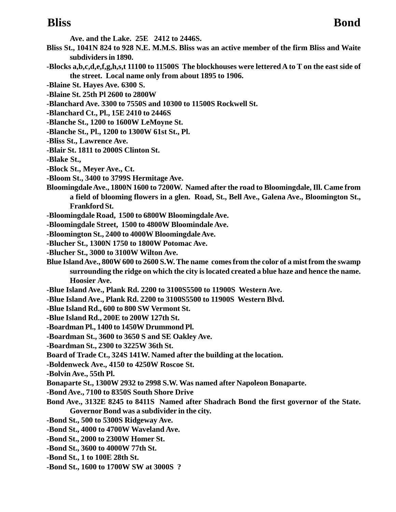**Ave. and the Lake. 25E 2412 to 2446S.**

- **Bliss St., 1041N 824 to 928 N.E. M.M.S. Bliss was an active member of the firm Bliss and Waite subdividers in 1890.**
- **-Blocks a,b,c,d,e,f,g,h,s,t 11100 to 11500S The blockhouses were lettered A to T on the east side of the street. Local name only from about 1895 to 1906.**
- **-Blaine St. Hayes Ave. 6300 S.**
- **-Blaine St. 25th Pl 2600 to 2800W**
- **-Blanchard Ave. 3300 to 7550S and 10300 to 11500S Rockwell St.**
- **-Blanchard Ct., Pl., 15E 2410 to 2446S**
- **-Blanche St., 1200 to 1600W LeMoyne St.**
- **-Blanche St., Pl., 1200 to 1300W 61st St., Pl.**
- **-Bliss St., Lawrence Ave.**
- **-Blair St. 1811 to 2000S Clinton St.**
- **-Blake St.,**
- **-Block St., Meyer Ave., Ct.**
- **-Bloom St., 3400 to 3799S Hermitage Ave.**
- **Bloomingdale Ave., 1800N 1600 to 7200W. Named after the road to Bloomingdale, Ill. Came from a field of blooming flowers in a glen. Road, St., Bell Ave., Galena Ave., Bloomington St., Frankford St.**
- **-Bloomingdale Road, 1500 to 6800W Bloomingdale Ave.**
- **-Bloomingdale Street, 1500 to 4800W Bloomindale Ave.**
- **-Bloomington St., 2400 to 4000W Bloomingdale Ave.**
- **-Blucher St., 1300N 1750 to 1800W Potomac Ave.**
- **-Blucher St., 3000 to 3100W Wilton Ave.**
- **Blue Island Ave., 800W 600 to 2600 S.W. The name comes from the color of a mist from the swamp surrounding the ridge on which the city is located created a blue haze and hence the name. Hoosier Ave.**
- **-Blue Island Ave., Plank Rd. 2200 to 3100S5500 to 11900S Western Ave.**
- **-Blue Island Ave., Plank Rd. 2200 to 3100S5500 to 11900S Western Blvd.**
- **-Blue Island Rd., 600 to 800 SW Vermont St.**
- **-Blue Island Rd., 200E to 200W 127th St.**
- **-Boardman Pl., 1400 to 1450W Drummond Pl.**
- **-Boardman St., 3600 to 3650 S and SE Oakley Ave.**
- **-Boardman St., 2300 to 3225W 36th St.**
- **Board of Trade Ct., 324S 141W. Named after the building at the location.**
- **-Boldenweck Ave., 4150 to 4250W Roscoe St.**
- **-Bolvin Ave., 55th Pl.**
- **Bonaparte St., 1300W 2932 to 2998 S.W. Was named after Napoleon Bonaparte.**
- **-Bond Ave., 7100 to 8350S South Shore Drive**
- **Bond Ave., 3132E 8245 to 8411S Named after Shadrach Bond the first governor of the State. Governor Bond was a subdivider in the city.**
- **-Bond St., 500 to 5300S Ridgeway Ave.**
- **-Bond St., 4000 to 4700W Waveland Ave.**
- **-Bond St., 2000 to 2300W Homer St.**
- **-Bond St., 3600 to 4000W 77th St.**
- **-Bond St., 1 to 100E 28th St.**
- **-Bond St., 1600 to 1700W SW at 3000S ?**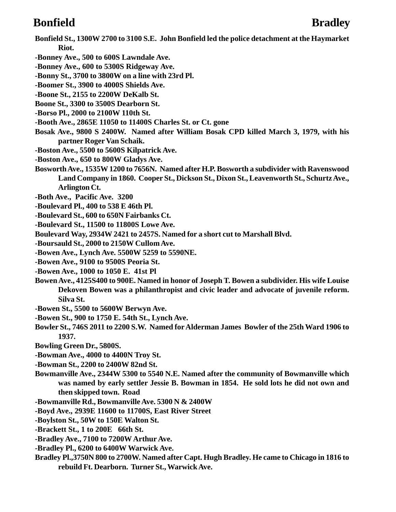# **Bonfield Bradley**

**Bonfield St., 1300W 2700 to 3100 S.E. John Bonfield led the police detachment at the Haymarket Riot.**

- **-Bonney Ave., 500 to 600S Lawndale Ave.**
- **-Bonney Ave., 600 to 5300S Ridgeway Ave.**
- **-Bonny St., 3700 to 3800W on a line with 23rd Pl.**
- **-Boomer St., 3900 to 4000S Shields Ave.**
- **-Boone St., 2155 to 2200W DeKalb St.**
- **Boone St., 3300 to 3500S Dearborn St.**
- **-Borso Pl., 2000 to 2100W 110th St.**
- **-Booth Ave., 2865E 11050 to 11400S Charles St. or Ct. gone**
- **Bosak Ave., 9800 S 2400W. Named after William Bosak CPD killed March 3, 1979, with his partner Roger Van Schaik.**
- **-Boston Ave., 5500 to 5600S Kilpatrick Ave.**
- **-Boston Ave., 650 to 800W Gladys Ave.**
- **Bosworth Ave., 1535W 1200 to 7656N. Named after H.P. Bosworth a subdivider with Ravenswood Land Company in 1860. Cooper St., Dickson St., Dixon St., Leavenworth St., Schurtz Ave., Arlington Ct.**
- **-Both Ave., Pacific Ave. 3200**
- **-Boulevard Pl., 400 to 538 E 46th Pl.**
- **-Boulevard St., 600 to 650N Fairbanks Ct.**
- **-Boulevard St., 11500 to 11800S Lowe Ave.**
- **Boulevard Way, 2934W 2421 to 2457S. Named for a short cut to Marshall Blvd.**
- **-Boursauld St., 2000 to 2150W Cullom Ave.**
- **-Bowen Ave., Lynch Ave. 5500W 5259 to 5590NE.**
- **-Bowen Ave., 9100 to 9500S Peoria St.**
- **-Bowen Ave., 1000 to 1050 E. 41st Pl**
- **Bowen Ave., 4125S400 to 900E. Named in honor of Joseph T. Bowen a subdivider. His wife Louise Dekoven Bowen was a philanthropist and civic leader and advocate of juvenile reform. Silva St.**
- **-Bowen St., 5500 to 5600W Berwyn Ave.**
- **-Bowen St., 900 to 1750 E. 54th St., Lynch Ave.**
- **Bowler St., 746S 2011 to 2200 S.W. Named for Alderman James Bowler of the 25th Ward 1906 to 1937.**
- **Bowling Green Dr., 5800S.**
- **-Bowman Ave., 4000 to 4400N Troy St.**
- **-Bowman St., 2200 to 2400W 82nd St.**
- **Bowmanville Ave., 2344W 5300 to 5540 N.E. Named after the community of Bowmanville which was named by early settler Jessie B. Bowman in 1854. He sold lots he did not own and then skipped town. Road**
- **-Bowmanville Rd., Bowmanville Ave. 5300 N & 2400W**
- **-Boyd Ave., 2939E 11600 to 11700S, East River Street**
- **-Boylston St., 50W to 150E Walton St.**
- **-Brackett St., 1 to 200E 66th St.**
- **-Bradley Ave., 7100 to 7200W Arthur Ave.**
- **-Bradley Pl., 6200 to 6400W Warwick Ave.**
- **Bradley Pl.,3750N 800 to 2700W. Named after Capt. Hugh Bradley. He came to Chicago in 1816 to rebuild Ft. Dearborn. Turner St., Warwick Ave.**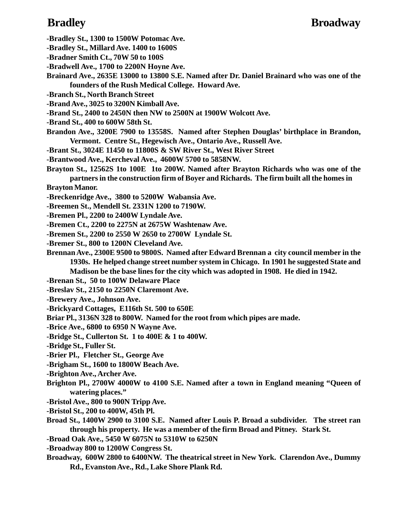### **Bradley Broadway**

- **-Bradley St., 1300 to 1500W Potomac Ave.**
- **-Bradley St., Millard Ave. 1400 to 1600S**
- **-Bradner Smith Ct., 70W 50 to 100S**
- **-Bradwell Ave., 1700 to 2200N Hoyne Ave.**
- **Brainard Ave., 2635E 13000 to 13800 S.E. Named after Dr. Daniel Brainard who was one of the founders of the Rush Medical College. Howard Ave.**
- **-Branch St., North Branch Street**
- **-Brand Ave., 3025 to 3200N Kimball Ave.**
- **-Brand St., 2400 to 2450N then NW to 2500N at 1900W Wolcott Ave.**
- **-Brand St., 400 to 600W 58th St.**
- **Brandon Ave., 3200E 7900 to 13558S. Named after Stephen Douglas' birthplace in Brandon, Vermont. Centre St., Hegewisch Ave., Ontario Ave., Russell Ave.**
- **-Brant St., 3024E 11450 to 11800S & SW River St., West River Street**
- **-Brantwood Ave., Kercheval Ave., 4600W 5700 to 5858NW.**
- **Brayton St., 12562S 1to 100E 1to 200W. Named after Brayton Richards who was one of the partners in the construction firm of Boyer and Richards. The firm built all the homes in**

**Brayton Manor.**

- **-Breckenridge Ave., 3800 to 5200W Wabansia Ave.**
- **-Breemen St., Mendell St. 2331N 1200 to 7190W.**
- **-Bremen Pl., 2200 to 2400W Lyndale Ave.**
- **-Bremen Ct., 2200 to 2275N at 2675W Washtenaw Ave.**
- **-Bremen St., 2200 to 2550 W 2650 to 2700W Lyndale St.**
- **-Bremer St., 800 to 1200N Cleveland Ave.**
- **Brennan Ave., 2300E 9500 to 9800S. Named after Edward Brennan a city council member in the 1930s. He helped change street number system in Chicago. In 1901 he suggested State and Madison be the base lines for the city which was adopted in 1908. He died in 1942.**
- **-Brenan St., 50 to 100W Delaware Place**
- **-Breslav St., 2150 to 2250N Claremont Ave.**
- **-Brewery Ave., Johnson Ave.**
- **-Brickyard Cottages, E116th St. 500 to 650E**
- **Briar Pl., 3136N 328 to 800W. Named for the root from which pipes are made.**
- **-Brice Ave., 6800 to 6950 N Wayne Ave.**
- **-Bridge St., Cullerton St. 1 to 400E & 1 to 400W.**
- **-Bridge St., Fuller St.**
- **-Brier Pl., Fletcher St., George Ave**
- **-Brigham St., 1600 to 1800W Beach Ave.**
- **-Brighton Ave., Archer Ave.**
- **Brighton Pl., 2700W 4000W to 4100 S.E. Named after a town in England meaning "Queen of watering places."**
- **-Bristol Ave., 800 to 900N Tripp Ave.**
- **-Bristol St., 200 to 400W, 45th Pl.**
- **Broad St., 1400W 2900 to 3100 S.E. Named after Louis P. Broad a subdivider. The street ran through his property. He was a member of the firm Broad and Pitney. Stark St.**
- **-Broad Oak Ave., 5450 W 6075N to 5310W to 6250N**
- **-Broadway 800 to 1200W Congress St.**
- **Broadway, 600W 2800 to 6400NW. The theatrical street in New York. Clarendon Ave., Dummy Rd., Evanston Ave., Rd., Lake Shore Plank Rd.**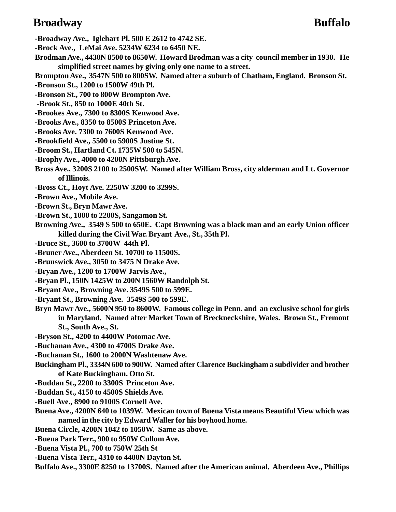### **Broadway Buffalo**

- **-Broadway Ave., Iglehart Pl. 500 E 2612 to 4742 SE.**
- **-Brock Ave., LeMai Ave. 5234W 6234 to 6450 NE.**
- **Brodman Ave., 4430N 8500 to 8650W. Howard Brodman was a city council member in 1930. He simplified street names by giving only one name to a street.**
- **Brompton Ave., 3547N 500 to 800SW. Named after a suburb of Chatham, England. Bronson St.**
- **-Bronson St., 1200 to 1500W 49th Pl.**
- **-Bronson St., 700 to 800W Brompton Ave.**
- **-Brook St., 850 to 1000E 40th St.**
- **-Brookes Ave., 7300 to 8300S Kenwood Ave.**
- **-Brooks Ave., 8350 to 8500S Princeton Ave.**
- **-Brooks Ave. 7300 to 7600S Kenwood Ave.**
- **-Brookfield Ave., 5500 to 5900S Justine St.**
- **-Broom St., Hartland Ct. 1735W 500 to 545N.**
- **-Brophy Ave., 4000 to 4200N Pittsburgh Ave.**
- **Bross Ave., 3200S 2100 to 2500SW. Named after William Bross, city alderman and Lt. Governor of Illinois.**
- **-Bross Ct., Hoyt Ave. 2250W 3200 to 3299S.**
- **-Brown Ave., Mobile Ave.**
- **-Brown St., Bryn Mawr Ave.**
- **-Brown St., 1000 to 2200S, Sangamon St.**
- **Browning Ave., 3549 S 500 to 650E. Capt Browning was a black man and an early Union officer killed during the Civil War. Bryant Ave., St., 35th Pl.**
- **-Bruce St., 3600 to 3700W 44th Pl.**
- **-Bruner Ave., Aberdeen St. 10700 to 11500S.**
- **-Brunswick Ave., 3050 to 3475 N Drake Ave.**
- **-Bryan Ave., 1200 to 1700W Jarvis Ave.,**
- **-Bryan Pl., 150N 1425W to 200N 1560W Randolph St.**
- **-Bryant Ave., Browning Ave. 3549S 500 to 599E.**
- **-Bryant St., Browning Ave. 3549S 500 to 599E.**
- **Bryn Mawr Ave., 5600N 950 to 8600W. Famous college in Penn. and an exclusive school for girls in Maryland. Named after Market Town of Breckneckshire, Wales. Brown St., Fremont St., South Ave., St.**
- **-Bryson St., 4200 to 4400W Potomac Ave.**
- **-Buchanan Ave., 4300 to 4700S Drake Ave.**
- **-Buchanan St., 1600 to 2000N Washtenaw Ave.**
- **Buckingham Pl., 3334N 600 to 900W. Named after Clarence Buckingham a subdivider and brother of Kate Buckingham. Otto St.**
- **-Buddan St., 2200 to 3300S Princeton Ave.**
- **-Buddan St., 4150 to 4500S Shields Ave.**
- **-Buell Ave., 8900 to 9100S Cornell Ave.**
- **Buena Ave., 4200N 640 to 1039W. Mexican town of Buena Vista means Beautiful View which was named in the city by Edward Waller for his boyhood home.**
- **Buena Circle, 4200N 1042 to 1050W. Same as above.**
- **-Buena Park Terr., 900 to 950W Cullom Ave.**
- **-Buena Vista Pl., 700 to 750W 25th St**
- **-Buena Vista Terr., 4310 to 4400N Dayton St.**
- **Buffalo Ave., 3300E 8250 to 13700S. Named after the American animal. Aberdeen Ave., Phillips**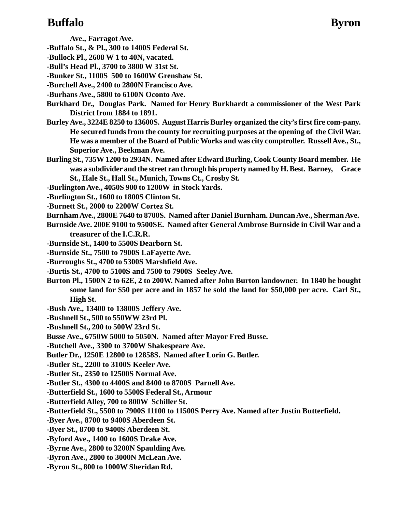## **Buffalo Byron**

**Ave., Farragot Ave.**

- **-Buffalo St., & Pl., 300 to 1400S Federal St.**
- **-Bullock Pl., 2608 W 1 to 40N, vacated.**
- **-Bull's Head Pl., 3700 to 3800 W 31st St.**
- **-Bunker St., 1100S 500 to 1600W Grenshaw St.**
- **-Burchell Ave., 2400 to 2800N Francisco Ave.**
- **-Burhans Ave., 5800 to 6100N Oconto Ave.**
- **Burkhard Dr., Douglas Park. Named for Henry Burkhardt a commissioner of the West Park District from 1884 to 1891.**
- **Burley Ave., 3224E 8250 to 13600S. August Harris Burley organized the city's first fire com-pany. He secured funds from the county for recruiting purposes at the opening of the Civil War. He was a member of the Board of Public Works and was city comptroller. Russell Ave., St., Superior Ave., Beekman Ave.**
- **Burling St., 735W 1200 to 2934N. Named after Edward Burling, Cook County Board member. He was a subdivider and the street ran through his property named by H. Best. Barney, Grace St., Hale St., Hall St., Munich, Towns Ct., Crosby St.**
- **-Burlington Ave., 4050S 900 to 1200W in Stock Yards.**
- **-Burlington St., 1600 to 1800S Clinton St.**
- **-Burnett St., 2000 to 2200W Cortez St.**
- **Burnham Ave., 2800E 7640 to 8700S. Named after Daniel Burnham. Duncan Ave., Sherman Ave.**
- **Burnside Ave. 200E 9100 to 9500SE. Named after General Ambrose Burnside in Civil War and a treasurer of the I.C.R.R.**
- **-Burnside St., 1400 to 5500S Dearborn St.**
- **-Burnside St., 7500 to 7900S LaFayette Ave.**
- **-Burroughs St., 4700 to 5300S Marshfield Ave.**
- **-Burtis St., 4700 to 5100S and 7500 to 7900S Seeley Ave.**
- **Burton Pl., 1500N 2 to 62E, 2 to 200W. Named after John Burton landowner. In 1840 he bought some land for \$50 per acre and in 1857 he sold the land for \$50,000 per acre. Carl St., High St.**
- **-Bush Ave., 13400 to 13800S Jeffery Ave.**
- **-Bushnell St., 500 to 550WW 23rd Pl.**
- **-Bushnell St., 200 to 500W 23rd St.**
- **Busse Ave., 6750W 5000 to 5050N. Named after Mayor Fred Busse.**
- **-Butchell Ave., 3300 to 3700W Shakespeare Ave.**
- **Butler Dr., 1250E 12800 to 12858S. Named after Lorin G. Butler.**
- **-Butler St., 2200 to 3100S Keeler Ave.**
- **-Butler St., 2350 to 12500S Normal Ave.**
- **-Butler St., 4300 to 4400S and 8400 to 8700S Parnell Ave.**
- **-Butterfield St., 1600 to 5500S Federal St., Armour**
- **-Butterfield Alley, 700 to 800W Schiller St.**
- **-Butterfield St., 5500 to 7900S 11100 to 11500S Perry Ave. Named after Justin Butterfield.**
- **-Byer Ave., 8700 to 9400S Aberdeen St.**
- **-Byer St., 8700 to 9400S Aberdeen St.**
- **-Byford Ave., 1400 to 1600S Drake Ave.**
- **-Byrne Ave., 2800 to 3200N Spaulding Ave.**
- **-Byron Ave., 2800 to 3000N McLean Ave.**
- **-Byron St., 800 to 1000W Sheridan Rd.**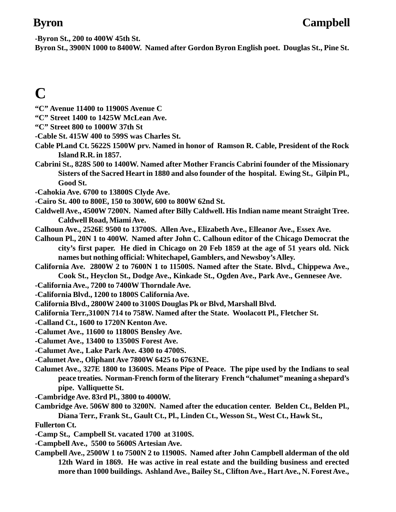**-Byron St., 200 to 400W 45th St.**

**Byron St., 3900N 1000 to 8400W. Named after Gordon Byron English poet. Douglas St., Pine St.**

# **C**

- **"C" Avenue 11400 to 11900S Avenue C**
- **"C" Street 1400 to 1425W McLean Ave.**
- **"C" Street 800 to 1000W 37th St**
- **-Cable St. 415W 400 to 599S was Charles St.**
- **Cable Pl.and Ct. 5622S 1500W prv. Named in honor of Ramson R. Cable, President of the Rock Island R.R. in 1857.**
- **Cabrini St., 828S 500 to 1400W. Named after Mother Francis Cabrini founder of the Missionary Sisters of the Sacred Heart in 1880 and also founder of the hospital. Ewing St., Gilpin Pl., Good St.**
- **-Cahokia Ave. 6700 to 13800S Clyde Ave.**
- **-Cairo St. 400 to 800E, 150 to 300W, 600 to 800W 62nd St.**
- **Caldwell Ave., 4500W 7200N. Named after Billy Caldwell. His Indian name meant Straight Tree. Caldwell Road, Miami Ave.**
- **Calhoun Ave., 2526E 9500 to 13700S. Allen Ave., Elizabeth Ave., Elleanor Ave., Essex Ave.**
- **Calhoun Pl., 20N 1 to 400W. Named after John C. Calhoun editor of the Chicago Democrat the city's first paper. He died in Chicago on 20 Feb 1859 at the age of 51 years old. Nick names but nothing official: Whitechapel, Gamblers, and Newsboy's Alley.**
- **California Ave. 2800W 2 to 7600N 1 to 11500S. Named after the State. Blvd., Chippewa Ave., Cook St., Heyclon St., Dodge Ave., Kinkade St., Ogden Ave., Park Ave., Gennesee Ave.**
- **-California Ave., 7200 to 7400W Thorndale Ave.**
- **-California Blvd., 1200 to 1800S California Ave.**
- **California Blvd., 2800W 2400 to 3100S Douglas Pk or Blvd, Marshall Blvd.**
- **California Terr.,3100N 714 to 758W. Named after the State. Woolacott Pl., Fletcher St.**
- **-Calland Ct., 1600 to 1720N Kenton Ave.**
- **-Calumet Ave., 11600 to 11800S Bensley Ave.**
- **-Calumet Ave., 13400 to 13500S Forest Ave.**
- **-Calumet Ave., Lake Park Ave. 4300 to 4700S.**
- **-Calumet Ave., Oliphant Ave 7800W 6425 to 6763NE.**
- **Calumet Ave., 327E 1800 to 13600S. Means Pipe of Peace. The pipe used by the Indians to seal peace treaties. Norman-French form of the literary French "chalumet" meaning a shepard's pipe. Valliquette St.**
- **-Cambridge Ave. 83rd Pl., 3800 to 4000W.**
- **Cambridge Ave. 506W 800 to 3200N. Named after the education center. Belden Ct., Belden Pl., Diana Terr., Frank St., Gault Ct., Pl., Linden Ct., Wesson St., West Ct., Hawk St.,**
- **Fullerton Ct.**
- **-Camp St., Campbell St. vacated 1700 at 3100S.**
- **-Campbell Ave., 5500 to 5600S Artesian Ave.**
- **Campbell Ave., 2500W 1 to 7500N 2 to 11900S. Named after John Campbell alderman of the old 12th Ward in 1869. He was active in real estate and the building business and erected more than 1000 buildings. Ashland Ave., Bailey St., Clifton Ave., Hart Ave., N. Forest Ave.,**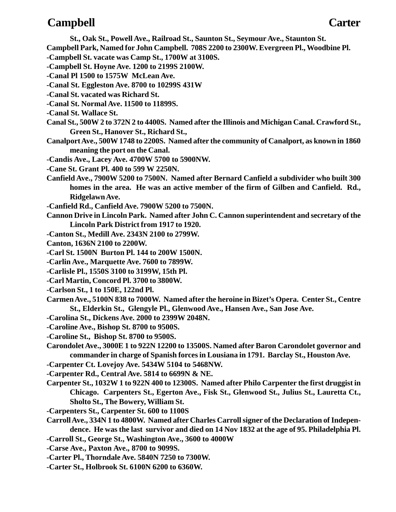### **Campbell Carter**

**St., Oak St., Powell Ave., Railroad St., Saunton St., Seymour Ave., Staunton St. Campbell Park, Named for John Campbell. 708S 2200 to 2300W. Evergreen Pl., Woodbine Pl. -Campbell St. vacate was Camp St., 1700W at 3100S. -Campbell St. Hoyne Ave. 1200 to 2199S 2100W. -Canal Pl 1500 to 1575W McLean Ave. -Canal St. Eggleston Ave. 8700 to 10299S 431W -Canal St. vacated was Richard St. -Canal St. Normal Ave. 11500 to 11899S. -Canal St. Wallace St. Canal St., 500W 2 to 372N 2 to 4400S. Named after the Illinois and Michigan Canal. Crawford St., Green St., Hanover St., Richard St., Canalport Ave., 500W 1748 to 2200S. Named after the community of Canalport, as known in 1860 meaning the port on the Canal. -Candis Ave., Lacey Ave. 4700W 5700 to 5900NW. -Cane St. Grant Pl. 400 to 599 W 2250N. Canfield Ave., 7900W 5200 to 7500N. Named after Bernard Canfield a subdivider who built 300 homes in the area. He was an active member of the firm of Gilben and Canfield. Rd., Ridgelawn Ave. -Canfield Rd., Canfield Ave. 7900W 5200 to 7500N. Cannon Drive in Lincoln Park. Named after John C. Cannon superintendent and secretary of the Lincoln Park District from 1917 to 1920. -Canton St., Medill Ave. 2343N 2100 to 2799W. Canton, 1636N 2100 to 2200W. -Carl St. 1500N Burton Pl. 144 to 200W 1500N. -Carlin Ave., Marquette Ave. 7600 to 7899W. -Carlisle Pl., 1550S 3100 to 3199W, 15th Pl. -Carl Martin, Concord Pl. 3700 to 3800W. -Carlson St., 1 to 150E, 122nd Pl.**

- **Carmen Ave., 5100N 838 to 7000W. Named after the heroine in Bizet's Opera. Center St., Centre St., Elderkin St., Glengyle Pl., Glenwood Ave., Hansen Ave., San Jose Ave.**
- **-Carolina St., Dickens Ave. 2000 to 2399W 2048N.**
- **-Caroline Ave., Bishop St. 8700 to 9500S.**
- **-Caroline St., Bishop St. 8700 to 9500S.**
- **Carondolet Ave., 3000E 1 to 922N 12200 to 13500S. Named after Baron Carondolet governor and commander in charge of Spanish forces in Lousiana in 1791. Barclay St., Houston Ave.**
- **-Carpenter Ct. Lovejoy Ave. 5434W 5104 to 5468NW.**
- **-Carpenter Rd., Central Ave. 5814 to 6699N & NE.**
- **Carpenter St., 1032W 1 to 922N 400 to 12300S. Named after Philo Carpenter the first druggist in Chicago. Carpenters St., Egerton Ave., Fisk St., Glenwood St., Julius St., Lauretta Ct., Sholto St., The Bowery, William St.**
- **-Carpenters St., Carpenter St. 600 to 1100S**
- **Carroll Ave., 334N 1 to 4800W. Named after Charles Carroll signer of the Declaration of Independence. He was the last survivor and died on 14 Nov 1832 at the age of 95. Philadelphia Pl.**
- **-Carroll St., George St., Washington Ave., 3600 to 4000W**
- **-Carse Ave., Paxton Ave., 8700 to 9099S.**
- **-Carter Pl., Thorndale Ave. 5840N 7250 to 7300W.**
- **-Carter St., Holbrook St. 6100N 6200 to 6360W.**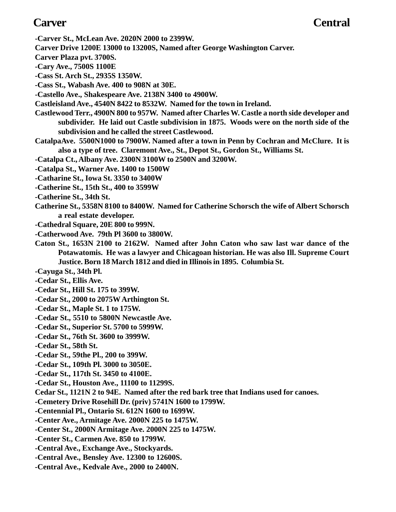- **-Carver St., McLean Ave. 2020N 2000 to 2399W.**
- **Carver Drive 1200E 13000 to 13200S, Named after George Washington Carver.**
- **Carver Plaza pvt. 3700S.**
- **-Cary Ave., 7500S 1100E**
- **-Cass St. Arch St., 2935S 1350W.**
- **-Cass St., Wabash Ave. 400 to 908N at 30E.**
- **-Castello Ave., Shakespeare Ave. 2138N 3400 to 4900W.**
- **Castleisland Ave., 4540N 8422 to 8532W. Named for the town in Ireland.**
- **Castlewood Terr., 4900N 800 to 957W. Named after Charles W. Castle a north side developer and subdivider. He laid out Castle subdivision in 1875. Woods were on the north side of the subdivision and he called the street Castlewood.**
- **CatalpaAve. 5500N1000 to 7900W. Named after a town in Penn by Cochran and McClure. It is also a type of tree. Claremont Ave., St., Depot St., Gordon St., Williams St.**
- **-Catalpa Ct., Albany Ave. 2300N 3100W to 2500N and 3200W.**
- **-Catalpa St., Warner Ave. 1400 to 1500W**
- **-Catharine St., Iowa St. 3350 to 3400W**
- **-Catherine St., 15th St., 400 to 3599W**
- **-Catherine St., 34th St.**
- **Catherine St., 5358N 8100 to 8400W. Named for Catherine Schorsch the wife of Albert Schorsch a real estate developer.**
- **-Cathedral Square, 20E 800 to 999N.**
- **-Catherwood Ave. 79th Pl 3600 to 3800W.**
- **Caton St., 1653N 2100 to 2162W. Named after John Caton who saw last war dance of the Potawatomis. He was a lawyer and Chicagoan historian. He was also Ill. Supreme Court Justice. Born 18 March 1812 and died in Illinois in 1895. Columbia St.**
- **-Cayuga St., 34th Pl.**
- **-Cedar St., Ellis Ave.**
- **-Cedar St., Hill St. 175 to 399W.**
- **-Cedar St., 2000 to 2075W Arthington St.**
- **-Cedar St., Maple St. 1 to 175W.**
- **-Cedar St., 5510 to 5800N Newcastle Ave.**
- **-Cedar St., Superior St. 5700 to 5999W.**
- **-Cedar St., 76th St. 3600 to 3999W.**
- **-Cedar St., 58th St.**
- **-Cedar St., 59the Pl., 200 to 399W.**
- **-Cedar St., 109th Pl. 3000 to 3050E.**
- **-Cedar St., 117th St. 3450 to 4100E.**
- **-Cedar St., Houston Ave., 11100 to 11299S.**
- **Cedar St., 1121N 2 to 94E. Named after the red bark tree that Indians used for canoes.**
- **-Cemetery Drive Rosehill Dr. (priv) 5741N 1600 to 1799W.**
- **-Centennial Pl., Ontario St. 612N 1600 to 1699W.**
- **-Center Ave., Armitage Ave. 2000N 225 to 1475W.**
- **-Center St., 2000N Armitage Ave. 2000N 225 to 1475W.**
- **-Center St., Carmen Ave. 850 to 1799W.**
- **-Central Ave., Exchange Ave., Stockyards.**
- **-Central Ave., Bensley Ave. 12300 to 12600S.**
- **-Central Ave., Kedvale Ave., 2000 to 2400N.**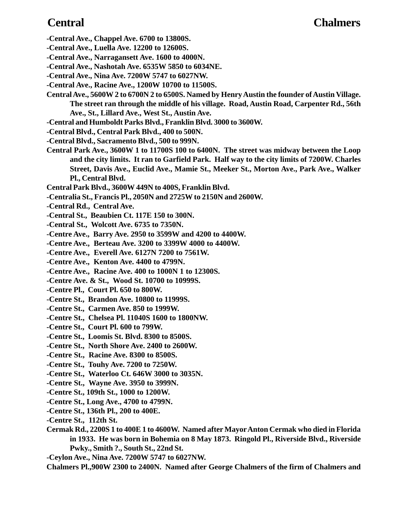### **Central Chalmers**

- **-Central Ave., Chappel Ave. 6700 to 13800S.**
- **-Central Ave., Luella Ave. 12200 to 12600S.**
- **-Central Ave., Narragansett Ave. 1600 to 4000N.**
- **-Central Ave., Nashotah Ave. 6535W 5850 to 6034NE.**
- **-Central Ave., Nina Ave. 7200W 5747 to 6027NW.**
- **-Central Ave., Racine Ave., 1200W 10700 to 11500S.**
- **Central Ave., 5600W 2 to 6700N 2 to 6500S. Named by Henry Austin the founder of Austin Village. The street ran through the middle of his village. Road, Austin Road, Carpenter Rd., 56th Ave., St., Lillard Ave., West St., Austin Ave.**
- **-Central and Humboldt Parks Blvd., Franklin Blvd. 3000 to 3600W.**
- **-Central Blvd., Central Park Blvd., 400 to 500N.**
- **-Central Blvd., Sacramento Blvd., 500 to 999N.**
- **Central Park Ave., 3600W 1 to 11700S 100 to 6400N. The street was midway between the Loop and the city limits. It ran to Garfield Park. Half way to the city limits of 7200W. Charles Street, Davis Ave., Euclid Ave., Mamie St., Meeker St., Morton Ave., Park Ave., Walker Pl., Central Blvd.**
- **Central Park Blvd., 3600W 449N to 400S, Franklin Blvd.**
- **-Centralia St., Francis Pl., 2050N and 2725W to 2150N and 2600W.**
- **-Central Rd., Central Ave.**
- **-Central St., Beaubien Ct. 117E 150 to 300N.**
- **-Central St., Wolcott Ave. 6735 to 7350N.**
- **-Centre Ave., Barry Ave. 2950 to 3599W and 4200 to 4400W.**
- **-Centre Ave., Berteau Ave. 3200 to 3399W 4000 to 4400W.**
- **-Centre Ave., Everell Ave. 6127N 7200 to 7561W.**
- **-Centre Ave., Kenton Ave. 4400 to 4799N.**
- **-Centre Ave., Racine Ave. 400 to 1000N 1 to 12300S.**
- **-Centre Ave. & St., Wood St. 10700 to 10999S.**
- **-Centre Pl., Court Pl. 650 to 800W.**
- **-Centre St., Brandon Ave. 10800 to 11999S.**
- **-Centre St., Carmen Ave. 850 to 1999W.**
- **-Centre St., Chelsea Pl. 11040S 1600 to 1800NW.**
- **-Centre St., Court Pl. 600 to 799W.**
- **-Centre St., Loomis St. Blvd. 8300 to 8500S.**
- **-Centre St., North Shore Ave. 2400 to 2600W.**
- **-Centre St., Racine Ave. 8300 to 8500S.**
- **-Centre St., Touhy Ave. 7200 to 7250W.**
- **-Centre St., Waterloo Ct. 646W 3000 to 3035N.**
- **-Centre St., Wayne Ave. 3950 to 3999N.**
- **-Centre St., 109th St., 1000 to 1200W.**
- **-Centre St., Long Ave., 4700 to 4799N.**
- **-Centre St., 136th Pl., 200 to 400E.**
- **-Centre St., 112th St.**
- **Cermak Rd., 2200S 1 to 400E 1 to 4600W. Named after Mayor Anton Cermak who died in Florida in 1933. He was born in Bohemia on 8 May 1873. Ringold Pl., Riverside Blvd., Riverside Pwky., Smith ?., South St., 22nd St.**
- **-Ceylon Ave., Nina Ave. 7200W 5747 to 6027NW.**
- **Chalmers Pl.,900W 2300 to 2400N. Named after George Chalmers of the firm of Chalmers and**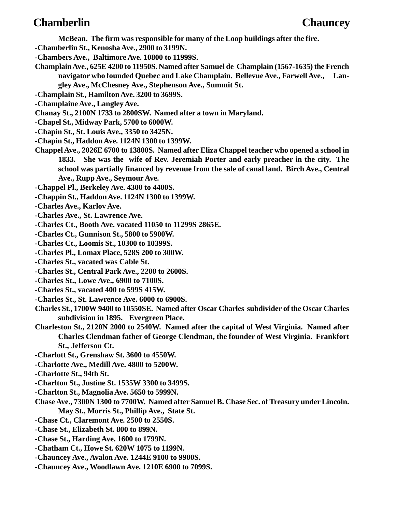### **Chamberlin Chauncey**

- **McBean. The firm was responsible for many of the Loop buildings after the fire.**
- **-Chamberlin St., Kenosha Ave., 2900 to 3199N.**
- **-Chambers Ave., Baltimore Ave. 10800 to 11999S.**
- **Champlain Ave., 625E 4200 to 11950S. Named after Samuel de Champlain (1567-1635) the French navigator who founded Quebec and Lake Champlain. Bellevue Ave., Farwell Ave., Langley Ave., McChesney Ave., Stephenson Ave., Summit St.**
- **-Champlain St., Hamilton Ave. 3200 to 3699S.**
- **-Champlaine Ave., Langley Ave.**
- **Chanay St., 2100N 1733 to 2800SW. Named after a town in Maryland.**
- **-Chapel St., Midway Park, 5700 to 6000W.**
- **-Chapin St., St. Louis Ave., 3350 to 3425N.**
- **-Chapin St., Haddon Ave. 1124N 1300 to 1399W.**
- **Chappel Ave., 2026E 6700 to 13800S. Named after Eliza Chappel teacher who opened a school in 1833. She was the wife of Rev. Jeremiah Porter and early preacher in the city. The school was partially financed by revenue from the sale of canal land. Birch Ave., Central Ave., Rupp Ave., Seymour Ave.**
- **-Chappel Pl., Berkeley Ave. 4300 to 4400S.**
- **-Chappin St., Haddon Ave. 1124N 1300 to 1399W.**
- **-Charles Ave., Karlov Ave.**
- **-Charles Ave., St. Lawrence Ave.**
- **-Charles Ct., Booth Ave. vacated 11050 to 11299S 2865E.**
- **-Charles Ct., Gunnison St., 5800 to 5900W.**
- **-Charles Ct., Loomis St., 10300 to 10399S.**
- **-Charles Pl., Lomax Place, 528S 200 to 300W.**
- **-Charles St., vacated was Cable St.**
- **-Charles St., Central Park Ave., 2200 to 2600S.**
- **-Charles St., Lowe Ave., 6900 to 7100S.**
- **-Charles St., vacated 400 to 599S 415W.**
- **-Charles St., St. Lawrence Ave. 6000 to 6900S.**
- **Charles St., 1700W 9400 to 10550SE. Named after Oscar Charles subdivider of the Oscar Charles subdivision in 1895. Evergreen Place.**
- **Charleston St., 2120N 2000 to 2540W. Named after the capital of West Virginia. Named after Charles Clendman father of George Clendman, the founder of West Virginia. Frankfort St., Jefferson Ct.**
- **-Charlott St., Grenshaw St. 3600 to 4550W.**
- **-Charlotte Ave., Medill Ave. 4800 to 5200W.**
- **-Charlotte St., 94th St.**
- **-Charlton St., Justine St. 1535W 3300 to 3499S.**
- **-Charlton St., Magnolia Ave. 5650 to 5999N.**
- **Chase Ave., 7300N 1300 to 7700W. Named after Samuel B. Chase Sec. of Treasury under Lincoln. May St., Morris St., Phillip Ave., State St.**
- **-Chase Ct., Claremont Ave. 2500 to 2550S.**
- **-Chase St., Elizabeth St. 800 to 899N.**
- **-Chase St., Harding Ave. 1600 to 1799N.**
- **-Chatham Ct., Howe St. 620W 1075 to 1199N.**
- **-Chauncey Ave., Avalon Ave. 1244E 9100 to 9900S.**
- **-Chauncey Ave., Woodlawn Ave. 1210E 6900 to 7099S.**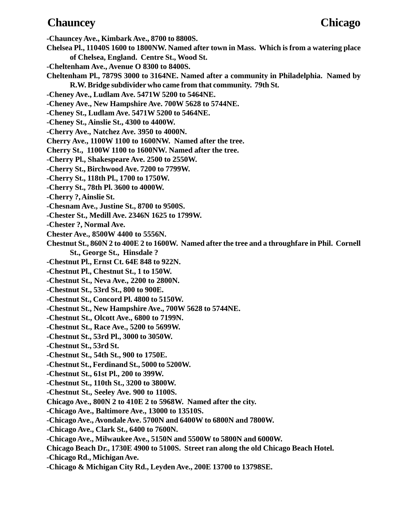### **Chauncey Chicago**

**-Chauncey Ave., Kimbark Ave., 8700 to 8800S.**

- **Chelsea Pl., 11040S 1600 to 1800NW. Named after town in Mass. Which is from a watering place of Chelsea, England. Centre St., Wood St.**
- **-Cheltenham Ave., Avenue O 8300 to 8400S.**
- **Cheltenham Pl., 7879S 3000 to 3164NE. Named after a community in Philadelphia. Named by R.W. Bridge subdivider who came from that community. 79th St.**
- **-Cheney Ave., Ludlam Ave. 5471W 5200 to 5464NE.**
- **-Cheney Ave., New Hampshire Ave. 700W 5628 to 5744NE.**
- **-Cheney St., Ludlam Ave. 5471W 5200 to 5464NE.**
- **-Cheney St., Ainslie St., 4300 to 4400W.**
- **-Cherry Ave., Natchez Ave. 3950 to 4000N.**
- **Cherry Ave., 1100W 1100 to 1600NW. Named after the tree.**
- **Cherry St., 1100W 1100 to 1600NW. Named after the tree.**
- **-Cherry Pl., Shakespeare Ave. 2500 to 2550W.**
- **-Cherry St., Birchwood Ave. 7200 to 7799W.**
- **-Cherry St., 118th Pl., 1700 to 1750W.**
- **-Cherry St., 78th Pl. 3600 to 4000W.**
- **-Cherry ?, Ainslie St.**
- **-Chesnam Ave., Justine St., 8700 to 9500S.**
- **-Chester St., Medill Ave. 2346N 1625 to 1799W.**
- **-Chester ?, Normal Ave.**
- **Chester Ave., 8500W 4400 to 5556N.**
- **Chestnut St., 860N 2 to 400E 2 to 1600W. Named after the tree and a throughfare in Phil. Cornell St., George St., Hinsdale ?**
- **-Chestnut Pl., Ernst Ct. 64E 848 to 922N.**
- **-Chestnut Pl., Chestnut St., 1 to 150W.**
- **-Chestnut St., Neva Ave., 2200 to 2800N.**
- **-Chestnut St., 53rd St., 800 to 900E.**
- **-Chestnut St., Concord Pl. 4800 to 5150W.**
- **-Chestnut St., New Hampshire Ave., 700W 5628 to 5744NE.**
- **-Chestnut St., Olcott Ave., 6800 to 7199N.**
- **-Chestnut St., Race Ave., 5200 to 5699W.**
- **-Chestnut St., 53rd Pl., 3000 to 3050W.**
- **-Chestnut St., 53rd St.**
- **-Chestnut St., 54th St., 900 to 1750E.**
- **-Chestnut St., Ferdinand St., 5000 to 5200W.**
- **-Chestnut St., 61st Pl., 200 to 399W.**
- **-Chestnut St., 110th St., 3200 to 3800W.**
- **-Chestnut St., Seeley Ave. 900 to 1100S.**
- **Chicago Ave., 800N 2 to 410E 2 to 5968W. Named after the city.**
- **-Chicago Ave., Baltimore Ave., 13000 to 13510S.**
- **-Chicago Ave., Avondale Ave. 5700N and 6400W to 6800N and 7800W.**
- **-Chicago Ave., Clark St., 6400 to 7600N.**
- **-Chicago Ave., Milwaukee Ave., 5150N and 5500W to 5800N and 6000W.**
- **Chicago Beach Dr., 1730E 4900 to 5100S. Street ran along the old Chicago Beach Hotel.**
- **-Chicago Rd., Michigan Ave.**
- **-Chicago & Michigan City Rd., Leyden Ave., 200E 13700 to 13798SE.**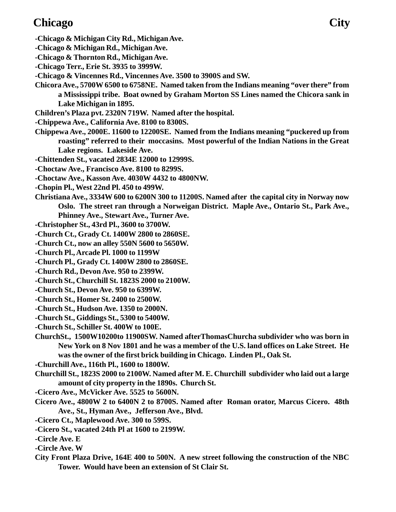## **Chicago City**

- **-Chicago & Michigan City Rd., Michigan Ave.**
- **-Chicago & Michigan Rd., Michigan Ave.**
- **-Chicago & Thornton Rd., Michigan Ave.**
- **-Chicago Terr., Erie St. 3935 to 3999W.**
- **-Chicago & Vincennes Rd., Vincennes Ave. 3500 to 3900S and SW.**
- **Chicora Ave., 5700W 6500 to 6758NE. Named taken from the Indians meaning "over there" from a Mississippi tribe. Boat owned by Graham Morton SS Lines named the Chicora sank in Lake Michigan in 1895.**
- **Children's Plaza pvt. 2320N 719W. Named after the hospital.**
- **-Chippewa Ave., California Ave. 8100 to 8300S.**
- **Chippewa Ave., 2000E. 11600 to 12200SE. Named from the Indians meaning "puckered up from roasting" referred to their moccasins. Most powerful of the Indian Nations in the Great Lake regions. Lakeside Ave.**
- **-Chittenden St., vacated 2834E 12000 to 12999S.**
- **-Choctaw Ave., Francisco Ave. 8100 to 8299S.**
- **-Choctaw Ave., Kasson Ave. 4030W 4432 to 4800NW.**
- **-Chopin Pl., West 22nd Pl. 450 to 499W.**
- **Christiana Ave., 3334W 600 to 6200N 300 to 11200S. Named after the capital city in Norway now Oslo. The street ran through a Norweigan District. Maple Ave., Ontario St., Park Ave., Phinney Ave., Stewart Ave., Turner Ave.**
- **-Christopher St., 43rd Pl., 3600 to 3700W.**
- **-Church Ct., Grady Ct. 1400W 2800 to 2860SE.**
- **-Church Ct., now an alley 550N 5600 to 5650W.**
- **-Church Pl., Arcade Pl. 1000 to 1199W**
- **-Church Pl., Grady Ct. 1400W 2800 to 2860SE.**
- **-Church Rd., Devon Ave. 950 to 2399W.**
- **-Church St., Churchill St. 1823S 2000 to 2100W.**
- **-Church St., Devon Ave. 950 to 6399W.**
- **-Church St., Homer St. 2400 to 2500W.**
- **-Church St., Hudson Ave. 1350 to 2000N.**
- **-Church St., Giddings St., 5300 to 5400W.**
- **-Church St., Schiller St. 400W to 100E.**
- **ChurchSt., 1500W10200to 11900SW. Named afterThomasChurcha subdivider who was born in New York on 8 Nov 1801 and he was a member of the U.S. land offices on Lake Street. He was the owner of the first brick building in Chicago. Linden Pl., Oak St.**
- **-Churchill Ave., 116th Pl., 1600 to 1800W.**
- **Churchill St., 1823S 2000 to 2100W. Named after M. E. Churchill subdivider who laid out a large amount of city property in the 1890s. Church St.**
- **-Cicero Ave., McVicker Ave. 5525 to 5600N.**
- **Cicero Ave., 4800W 2 to 6400N 2 to 8700S. Named after Roman orator, Marcus Cicero. 48th Ave., St., Hyman Ave., Jefferson Ave., Blvd.**
- **-Cicero Ct., Maplewood Ave. 300 to 599S.**
- **-Cicero St., vacated 24th Pl at 1600 to 2199W.**
- **-Circle Ave. E**
- **-Circle Ave. W**
- **City Front Plaza Drive, 164E 400 to 500N. A new street following the construction of the NBC Tower. Would have been an extension of St Clair St.**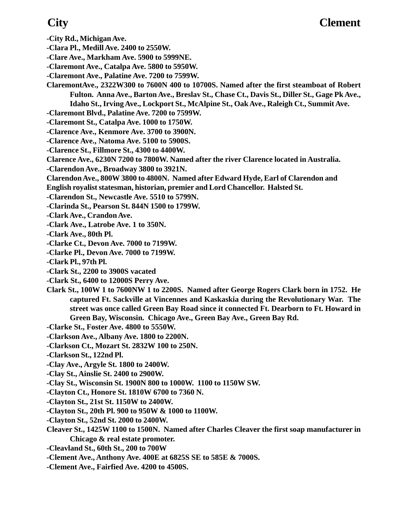- **-City Rd., Michigan Ave.**
- **-Clara Pl., Medill Ave. 2400 to 2550W.**
- **-Clare Ave., Markham Ave. 5900 to 5999NE.**
- **-Claremont Ave., Catalpa Ave. 5800 to 5950W.**
- **-Claremont Ave., Palatine Ave. 7200 to 7599W.**
- **ClaremontAve., 2322W300 to 7600N 400 to 10700S. Named after the first steamboat of Robert Fulton. Anna Ave., Barton Ave., Breslav St., Chase Ct., Davis St., Diller St., Gage Pk Ave., Idaho St., Irving Ave., Lockport St., McAlpine St., Oak Ave., Raleigh Ct., Summit Ave. -Claremont Blvd., Palatine Ave. 7200 to 7599W.**
- **-Claremont St., Catalpa Ave. 1000 to 1750W.**
- **-Clarence Ave., Kenmore Ave. 3700 to 3900N.**
- **-Clarence Ave., Natoma Ave. 5100 to 5900S.**
- **-Clarence St., Fillmore St., 4300 to 4400W.**
- **Clarence Ave., 6230N 7200 to 7800W. Named after the river Clarence located in Australia.**
- **-Clarendon Ave., Broadway 3800 to 3921N.**
- **Clarendon Ave., 800W 3800 to 4800N. Named after Edward Hyde, Earl of Clarendon and English royalist statesman, historian, premier and Lord Chancellor. Halsted St.**
- **-Clarendon St., Newcastle Ave. 5510 to 5799N.**
- **-Clarinda St., Pearson St. 844N 1500 to 1799W.**
- **-Clark Ave., Crandon Ave.**
- **-Clark Ave., Latrobe Ave. 1 to 350N.**
- **-Clark Ave., 80th Pl.**
- **-Clarke Ct., Devon Ave. 7000 to 7199W.**
- **-Clarke Pl., Devon Ave. 7000 to 7199W.**
- **-Clark Pl., 97th Pl.**
- **-Clark St., 2200 to 3900S vacated**
- **-Clark St., 6400 to 12000S Perry Ave.**
- **Clark St., 100W 1 to 7600NW 1 to 2200S. Named after George Rogers Clark born in 1752. He captured Ft. Sackville at Vincennes and Kaskaskia during the Revolutionary War. The street was once called Green Bay Road since it connected Ft. Dearborn to Ft. Howard in Green Bay, Wisconsin. Chicago Ave., Green Bay Ave., Green Bay Rd.**
- **-Clarke St., Foster Ave. 4800 to 5550W.**
- **-Clarkson Ave., Albany Ave. 1800 to 2200N.**
- **-Clarkson Ct., Mozart St. 2832W 100 to 250N.**
- **-Clarkson St., 122nd Pl.**
- **-Clay Ave., Argyle St. 1800 to 2400W.**
- **-Clay St., Ainslie St. 2400 to 2900W.**
- **-Clay St., Wisconsin St. 1900N 800 to 1000W. 1100 to 1150W SW.**
- **-Clayton Ct., Honore St. 1810W 6700 to 7360 N.**
- **-Clayton St., 21st St. 1150W to 2400W.**
- **-Clayton St., 20th Pl. 900 to 950W & 1000 to 1100W.**
- **-Clayton St., 52nd St. 2000 to 2400W.**
- **Cleaver St., 1425W 1100 to 1500N. Named after Charles Cleaver the first soap manufacturer in Chicago & real estate promoter.**
- **-Cleavland St., 60th St., 200 to 700W**
- **-Clement Ave., Anthony Ave. 400E at 6825S SE to 585E & 7000S.**
- **-Clement Ave., Fairfied Ave. 4200 to 4500S.**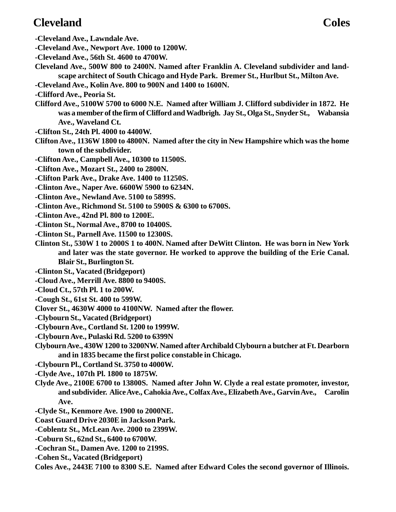## **Cleveland Coles**

- **-Cleveland Ave., Lawndale Ave.**
- **-Cleveland Ave., Newport Ave. 1000 to 1200W.**
- **-Cleveland Ave., 56th St. 4600 to 4700W.**
- **Cleveland Ave., 500W 800 to 2400N. Named after Franklin A. Cleveland subdivider and landscape architect of South Chicago and Hyde Park. Bremer St., Hurlbut St., Milton Ave.**
- **-Cleveland Ave., Kolin Ave. 800 to 900N and 1400 to 1600N.**
- **-Clifford Ave., Peoria St.**
- **Clifford Ave., 5100W 5700 to 6000 N.E. Named after William J. Clifford subdivider in 1872. He was a member of the firm of Clifford and Wadbrigh. Jay St., Olga St., Snyder St., Wabansia Ave., Waveland Ct.**
- **-Clifton St., 24th Pl. 4000 to 4400W.**
- **Clifton Ave., 1136W 1800 to 4800N. Named after the city in New Hampshire which was the home town of the subdivider.**
- **-Clifton Ave., Campbell Ave., 10300 to 11500S.**
- **-Clifton Ave., Mozart St., 2400 to 2800N.**
- **-Clifton Park Ave., Drake Ave. 1400 to 11250S.**
- **-Clinton Ave., Naper Ave. 6600W 5900 to 6234N.**
- **-Clinton Ave., Newland Ave. 5100 to 5899S.**
- **-Clinton Ave., Richmond St. 5100 to 5900S & 6300 to 6700S.**
- **-Clinton Ave., 42nd Pl. 800 to 1200E.**
- **-Clinton St., Normal Ave., 8700 to 10400S.**
- **-Clinton St., Parnell Ave. 11500 to 12300S.**
- **Clinton St., 530W 1 to 2000S 1 to 400N. Named after DeWitt Clinton. He was born in New York and later was the state governor. He worked to approve the building of the Erie Canal. Blair St., Burlington St.**
- **-Clinton St., Vacated (Bridgeport)**
- **-Cloud Ave., Merrill Ave. 8800 to 9400S.**
- **-Cloud Ct., 57th Pl. 1 to 200W.**
- **-Cough St., 61st St. 400 to 599W.**
- **Clover St., 4630W 4000 to 4100NW. Named after the flower.**
- **-Clybourn St., Vacated (Bridgeport)**
- **-Clybourn Ave., Cortland St. 1200 to 1999W.**
- **-Clybourn Ave., Pulaski Rd. 5200 to 6399N**
- **Clybourn Ave., 430W 1200 to 3200NW. Named after Archibald Clybourn a butcher at Ft. Dearborn and in 1835 became the first police constable in Chicago.**
- **-Clybourn Pl., Cortland St. 3750 to 4000W.**
- **-Clyde Ave., 107th Pl. 1800 to 1875W.**
- **Clyde Ave., 2100E 6700 to 13800S. Named after John W. Clyde a real estate promoter, investor, and subdivider. Alice Ave., Cahokia Ave., Colfax Ave., Elizabeth Ave., Garvin Ave., Carolin Ave.**
- **-Clyde St., Kenmore Ave. 1900 to 2000NE.**
- **Coast Guard Drive 2030E in Jackson Park.**
- **-Coblentz St., McLean Ave. 2000 to 2399W.**
- **-Coburn St., 62nd St., 6400 to 6700W.**
- **-Cochran St., Damen Ave. 1200 to 2199S.**
- **-Cohen St., Vacated (Bridgeport)**
- **Coles Ave., 2443E 7100 to 8300 S.E. Named after Edward Coles the second governor of Illinois.**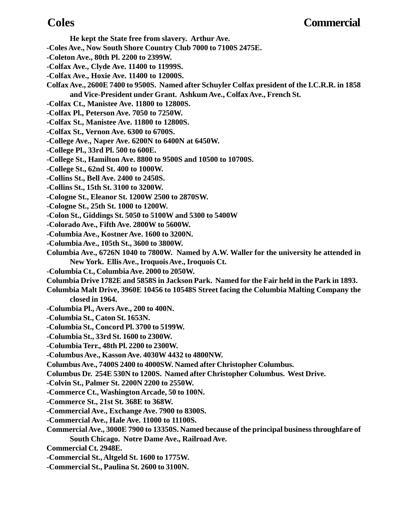- **He kept the State free from slavery. Arthur Ave.**
- **-Coles Ave., Now South Shore Country Club 7000 to 7100S 2475E.**
- **-Coleton Ave., 80th Pl. 2200 to 2399W.**
- **-Colfax Ave., Clyde Ave. 11400 to 11999S.**
- **-Colfax Ave., Hoxie Ave. 11400 to 12000S.**
- **Colfax Ave., 2600E 7400 to 9500S. Named after Schuyler Colfax president of the I.C.R.R. in 1858 and Vice-President under Grant. Ashkum Ave., Colfax Ave., French St.**
- **-Colfax Ct., Manistee Ave. 11800 to 12800S.**
- **-Colfax Pl., Peterson Ave. 7050 to 7250W.**
- **-Colfax St., Manistee Ave. 11800 to 12800S.**
- **-Colfax St., Vernon Ave. 6300 to 6700S.**
- **-College Ave., Naper Ave. 6200N to 6400N at 6450W.**
- **-College Pl., 33rd Pl. 500 to 600E.**
- **-College St., Hamilton Ave. 8800 to 9500S and 10500 to 10700S.**
- **-College St., 62nd St. 400 to 1000W.**
- **-Collins St., Bell Ave. 2400 to 2450S.**
- **-Collins St., 15th St. 3100 to 3200W.**
- **-Cologne St., Eleanor St. 1200W 2500 to 2870SW.**
- **-Cologne St., 25th St. 1000 to 1200W.**
- **-Colon St., Giddings St. 5050 to 5100W and 5300 to 5400W**
- **-Colorado Ave., Fifth Ave. 2800W to 5600W.**
- **-Columbia Ave., Kostner Ave. 1600 to 3200N.**
- **-Columbia Ave., 105th St., 3600 to 3800W.**
- **Columbia Ave., 6726N 1040 to 7800W. Named by A.W. Waller for the university he attended in New York. Ellis Ave., Iroquois Ave., Iroquois Ct.**
- **-Columbia Ct., Columbia Ave. 2000 to 2050W.**
- **Columbia Drive 1782E and 5858S in Jackson Park. Named for the Fair held in the Park in 1893.**
- **Columbia Malt Drive, 3960E 10456 to 10548S Street facing the Columbia Malting Company the closed in 1964.**
- **-Columbia Pl., Avers Ave., 200 to 400N.**
- **-Columbia St., Caton St. 1653N.**
- **-Columbia St., Concord Pl. 3700 to 5199W.**
- **-Columbia St., 33rd St. 1600 to 2300W.**
- **-Columbia Terr., 48th Pl. 2200 to 2300W.**
- **-Columbus Ave., Kasson Ave. 4030W 4432 to 4800NW.**
- **Columbus Ave., 7400S 2400 to 4000SW. Named after Christopher Columbus.**
- **Columbus Dr. 254E 530N to 1200S. Named after Christopher Columbus. West Drive.**
- **-Colvin St., Palmer St. 2200N 2200 to 2550W.**
- **-Commerce Ct., Washington Arcade, 50 to 100N.**
- **-Commerce St., 21st St. 368E to 368W.**
- **-Commercial Ave., Exchange Ave. 7900 to 8300S.**
- **-Commercial Ave., Hale Ave. 11000 to 11100S.**
- **Commercial Ave., 3000E 7900 to 13350S. Named because of the principal business throughfare of South Chicago. Notre Dame Ave., Railroad Ave.**
- **Commercial Ct. 2948E.**
- **-Commercial St., Altgeld St. 1600 to 1775W.**
- **-Commercial St., Paulina St. 2600 to 3100N.**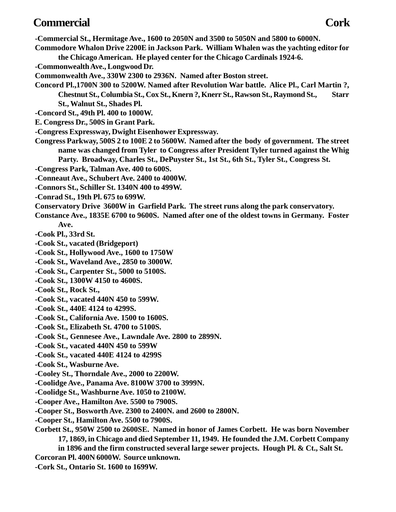## **Commercial Cork**

**-Commercial St., Hermitage Ave., 1600 to 2050N and 3500 to 5050N and 5800 to 6000N. Commodore Whalon Drive 2200E in Jackson Park. William Whalen was the yachting editor for the Chicago American. He played center for the Chicago Cardinals 1924-6. -Commonwealth Ave., Longwood Dr. Commonwealth Ave., 330W 2300 to 2936N. Named after Boston street. Concord Pl.,1700N 300 to 5200W. Named after Revolution War battle. Alice Pl., Carl Martin ?, Chestnut St., Columbia St., Cox St., Knern ?, Knerr St., Rawson St., Raymond St., Starr St., Walnut St., Shades Pl. -Concord St., 49th Pl. 400 to 1000W. E. Congress Dr., 500S in Grant Park. -Congress Expressway, Dwight Eisenhower Expressway. Congress Parkway, 500S 2 to 100E 2 to 5600W. Named after the body of government. The street name was changed from Tyler to Congress after President Tyler turned against the Whig Party. Broadway, Charles St., DePuyster St., 1st St., 6th St., Tyler St., Congress St. -Congress Park, Talman Ave. 400 to 600S. -Conneaut Ave., Schubert Ave. 2400 to 4000W. -Connors St., Schiller St. 1340N 400 to 499W. -Conrad St., 19th Pl. 675 to 699W. Conservatory Drive 3600W in Garfield Park. The street runs along the park conservatory. Constance Ave., 1835E 6700 to 9600S. Named after one of the oldest towns in Germany. Foster Ave. -Cook Pl., 33rd St. -Cook St., vacated (Bridgeport) -Cook St., Hollywood Ave., 1600 to 1750W -Cook St., Waveland Ave., 2850 to 3000W. -Cook St., Carpenter St., 5000 to 5100S. -Cook St., 1300W 4150 to 4600S. -Cook St., Rock St., -Cook St., vacated 440N 450 to 599W. -Cook St., 440E 4124 to 4299S. -Cook St., California Ave. 1500 to 1600S. -Cook St., Elizabeth St. 4700 to 5100S. -Cook St., Gennesee Ave., Lawndale Ave. 2800 to 2899N. -Cook St., vacated 440N 450 to 599W -Cook St., vacated 440E 4124 to 4299S -Cook St., Wasburne Ave. -Cooley St., Thorndale Ave., 2000 to 2200W. -Coolidge Ave., Panama Ave. 8100W 3700 to 3999N. -Coolidge St., Washburne Ave. 1050 to 2100W. -Cooper Ave., Hamilton Ave. 5500 to 7900S. -Cooper St., Bosworth Ave. 2300 to 2400N. and 2600 to 2800N. -Cooper St., Hamilton Ave. 5500 to 7900S. Corbett St., 950W 2500 to 2600SE. Named in honor of James Corbett. He was born November**

**17, 1869, in Chicago and died September 11, 1949. He founded the J.M. Corbett Company**

**in 1896 and the firm constructed several large sewer projects. Hough Pl. & Ct., Salt St.**

**Corcoran Pl. 400N 6000W. Source unknown.**

**-Cork St., Ontario St. 1600 to 1699W.**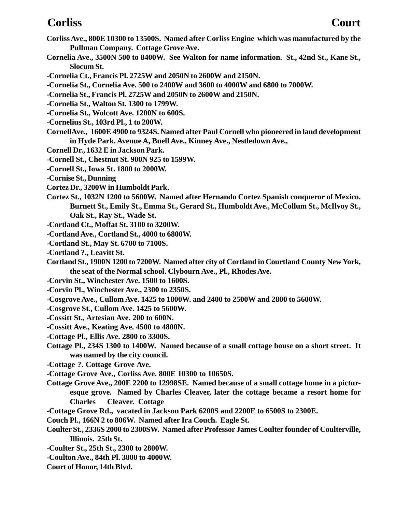### **Corliss Court**

- **Corliss Ave., 800E 10300 to 13500S. Named after Corliss Engine which was manufactured by the Pullman Company. Cottage Grove Ave.**
- **Cornelia Ave., 3500N 500 to 8400W. See Walton for name information. St., 42nd St., Kane St., Slocum St.**

**-Cornelia Ct., Francis Pl. 2725W and 2050N to 2600W and 2150N.**

- **-Cornelia St., Cornelia Ave. 500 to 2400W and 3600 to 4000W and 6800 to 7000W.**
- **-Cornelia St., Francis Pl. 2725W and 2050N to 2600W and 2150N.**
- **-Cornelia St., Walton St. 1300 to 1799W.**
- **-Cornelia St., Wolcott Ave. 1200N to 600S.**
- **-Cornelius St., 103rd Pl., 1 to 200W.**
- **CornellAve., 1600E 4900 to 9324S. Named after Paul Cornell who pioneered in land development in Hyde Park. Avenue A, Buell Ave., Kinney Ave., Nestledown Ave.,**
- **Cornell Dr., 1632 E in Jackson Park.**
- **-Cornell St., Chestnut St. 900N 925 to 1599W.**
- **-Cornell St., Iowa St. 1800 to 2000W.**
- **-Cornise St., Dunning**
- **Cortez Dr., 3200W in Humboldt Park.**
- **Cortez St., 1032N 1200 to 5600W. Named after Hernando Cortez Spanish conqueror of Mexico. Burnett St., Emily St., Emma St., Gerard St., Humboldt Ave., McCollum St., McIlvoy St., Oak St., Ray St., Wade St.**
- **-Cortland Ct., Moffat St. 3100 to 3200W.**
- **-Cortland Ave., Cortland St., 4000 to 6800W.**
- **-Cortland St., May St. 6700 to 7100S.**
- **-Cortland ?., Leavitt St.**
- **Cortland St., 1900N 1200 to 7200W. Named after city of Cortland in Courtland County New York, the seat of the Normal school. Clybourn Ave., Pl., Rhodes Ave.**
- **-Corvin St., Winchester Ave. 1500 to 1600S.**
- **-Corvin Pl., Winchester Ave., 2300 to 2350S.**
- **-Cosgrove Ave., Cullom Ave. 1425 to 1800W. and 2400 to 2500W and 2800 to 5600W.**
- **-Cosgrove St., Cullom Ave. 1425 to 5600W.**
- **-Cossitt St., Artesian Ave. 200 to 600N.**
- **-Cossitt Ave., Keating Ave. 4500 to 4800N.**
- **-Cottage Pl., Ellis Ave. 2800 to 3300S.**
- **Cottage Pl., 234S 1300 to 1400W. Named because of a small cottage house on a short street. It was named by the city council.**
- **-Cottage ?. Cottage Grove Ave.**
- **-Cottage Grove Ave., Corliss Ave. 800E 10300 to 10650S.**
- **Cottage Grove Ave., 200E 2200 to 12998SE. Named because of a small cottage home in a picturesque grove. Named by Charles Cleaver, later the cottage became a resort home for Charles Cleaver. Cottage**
- **-Cottage Grove Rd., vacated in Jackson Park 6200S and 2200E to 6500S to 2300E.**
- **Couch Pl., 166N 2 to 806W. Named after Ira Couch. Eagle St.**
- **Coulter St., 2336S 2000 to 2300SW. Named after Professor James Coulter founder of Coulterville, Illinois. 25th St.**
- **-Coulter St., 25th St., 2300 to 2800W.**
- **-Coulton Ave., 84th Pl. 3800 to 4000W.**
- **Court of Honor, 14th Blvd.**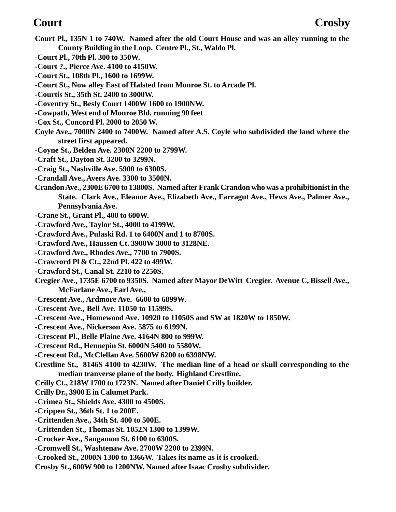- **Court Pl., 135N 1 to 740W. Named after the old Court House and was an alley running to the County Building in the Loop. Centre Pl., St., Waldo Pl.**
- **-Court Pl., 70th Pl. 300 to 350W.**
- **-Court ?., Pierce Ave. 4100 to 4150W.**
- **-Court St., 108th Pl., 1600 to 1699W.**
- **-Court St., Now alley East of Halsted from Monroe St. to Arcade Pl.**
- **-Courtis St., 35th St. 2400 to 3000W.**
- **-Coventry St., Besly Court 1400W 1600 to 1900NW.**
- **-Cowpath, West end of Monroe Bld. running 90 feet**
- **-Cox St., Concord Pl. 2000 to 2050 W.**
- **Coyle Ave., 7000N 2400 to 7400W. Named after A.S. Coyle who subdivided the land where the street first appeared.**
- **-Coyne St., Belden Ave. 2300N 2200 to 2799W.**
- **-Craft St., Dayton St. 3200 to 3299N.**
- **-Craig St., Nashville Ave. 5900 to 6300S.**
- **-Crandall Ave., Avers Ave. 3300 to 3500N.**
- **Crandon Ave., 2300E 6700 to 13800S. Named after Frank Crandon who was a prohibitionist in the State. Clark Ave., Eleanor Ave., Elizabeth Ave., Farragut Ave., Hews Ave., Palmer Ave., Pennsylvania Ave.**
- **-Crane St., Grant Pl., 400 to 600W.**
- **-Crawford Ave., Taylor St., 4000 to 4199W.**
- **-Crawford Ave., Pulaski Rd. 1 to 6400N and 1 to 8700S.**
- **-Crawford Ave., Haussen Ct. 3900W 3000 to 3128NE.**
- **-Crawford Ave., Rhodes Ave., 7700 to 7900S.**
- **-Crawrord Pl & Ct., 22nd Pl. 422 to 499W.**
- **-Crawford St., Canal St. 2210 to 2250S.**
- **Cregier Ave., 1735E 6700 to 9350S. Named after Mayor DeWitt Cregier. Avenue C, Bissell Ave., McFarlane Ave., Earl Ave.,**
- **-Crescent Ave., Ardmore Ave. 6600 to 6899W.**
- **-Crescent Ave., Bell Ave. 11050 to 11599S.**
- **-Crescent Ave., Homewood Ave. 10920 to 11050S and SW at 1820W to 1850W.**
- **-Crescent Ave., Nickerson Ave. 5875 to 6199N.**
- **-Crescent Pl., Belle Plaine Ave. 4164N 800 to 999W.**
- **-Crescent Rd., Hennepin St. 6000N 5400 to 5580W.**
- **-Crescent Rd., McClellan Ave. 5600W 6200 to 6398NW.**
- **Crestline St., 8146S 4100 to 4230W. The median line of a head or skull corresponding to the median tranverse plane of the body. Highland Crestline.**
- **Crilly Ct., 218W 1700 to 1723N. Named after Daniel Crilly builder.**
- **Crilly Dr., 3900 E in Calumet Park.**
- **-Crimea St., Shields Ave. 4300 to 4500S.**
- **-Crippen St., 36th St. 1 to 200E.**
- **-Crittenden Ave., 34th St. 400 to 500E.**
- **-Crittenden St., Thomas St. 1052N 1300 to 1399W.**
- **-Crocker Ave., Sangamon St. 6100 to 6300S.**
- **-Cromwell St., Washtenaw Ave. 2700W 2200 to 2399N.**
- **-Crooked St., 2000N 1300 to 1366W. Takes its name as it is crooked.**
- **Crosby St., 600W 900 to 1200NW. Named after Isaac Crosby subdivider.**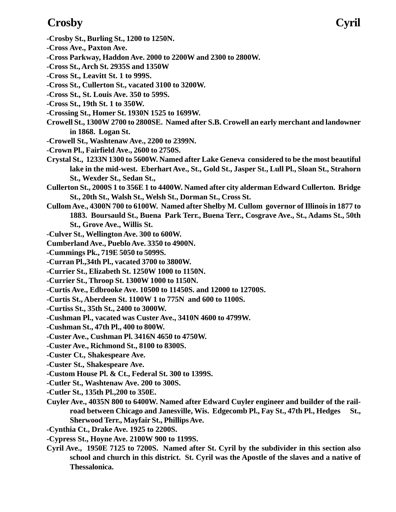## **Crosby Cyril**

- **-Crosby St., Burling St., 1200 to 1250N.**
- **-Cross Ave., Paxton Ave.**
- **-Cross Parkway, Haddon Ave. 2000 to 2200W and 2300 to 2800W.**
- **-Cross St., Arch St. 2935S and 1350W**
- **-Cross St., Leavitt St. 1 to 999S.**
- **-Cross St., Cullerton St., vacated 3100 to 3200W.**
- **-Cross St., St. Louis Ave. 350 to 599S.**
- **-Cross St., 19th St. 1 to 350W.**
- **-Crossing St., Homer St. 1930N 1525 to 1699W.**
- **Crowell St., 1300W 2700 to 2800SE. Named after S.B. Crowell an early merchant and landowner in 1868. Logan St.**
- **-Crowell St., Washtenaw Ave., 2200 to 2399N.**
- **-Crown Pl., Fairfield Ave., 2600 to 2750S.**
- **Crystal St., 1233N 1300 to 5600W. Named after Lake Geneva considered to be the most beautiful lake in the mid-west. Eberhart Ave., St., Gold St., Jasper St., Lull Pl., Sloan St., Strahorn St., Wexder St., Sedan St.,**
- **Cullerton St., 2000S 1 to 356E 1 to 4400W. Named after city alderman Edward Cullerton. Bridge St., 20th St., Walsh St., Welsh St., Dorman St., Cross St.**
- **Cullom Ave., 4300N 700 to 6100W. Named after Shelby M. Cullom governor of Illinois in 1877 to 1883. Boursauld St., Buena Park Terr., Buena Terr., Cosgrave Ave., St., Adams St., 50th St., Grove Ave., Willis St.**
- **-Culver St., Wellington Ave. 300 to 600W.**
- **Cumberland Ave., Pueblo Ave. 3350 to 4900N.**
- **-Cummings Pk., 719E 5050 to 5099S.**
- **-Curran Pl.,34th Pl., vacated 3700 to 3800W.**
- **-Currier St., Elizabeth St. 1250W 1000 to 1150N.**
- **-Currier St., Throop St. 1300W 1000 to 1150N.**
- **-Curtis Ave., Edbrooke Ave. 10500 to 11450S. and 12000 to 12700S.**
- **-Curtis St., Aberdeen St. 1100W 1 to 775N and 600 to 1100S.**
- **-Curtiss St., 35th St., 2400 to 3000W.**
- **-Cushman Pl., vacated was Custer Ave., 3410N 4600 to 4799W.**
- **-Cushman St., 47th Pl., 400 to 800W.**
- **-Custer Ave., Cushman Pl. 3416N 4650 to 4750W.**
- **-Custer Ave., Richmond St., 8100 to 8300S.**
- **-Custer Ct., Shakespeare Ave.**
- **-Custer St., Shakespeare Ave.**
- **-Custom House Pl. & Ct., Federal St. 300 to 1399S.**
- **-Cutler St., Washtenaw Ave. 200 to 300S.**
- **-Cutler St., 135th Pl.,200 to 350E.**
- **Cuyler Ave., 4035N 800 to 6400W. Named after Edward Cuyler engineer and builder of the railroad between Chicago and Janesville, Wis. Edgecomb Pl., Fay St., 47th Pl., Hedges St., Sherwood Terr., Mayfair St., Phillips Ave.**
- **-Cynthia Ct., Drake Ave. 1925 to 2200S.**
- **-Cypress St., Hoyne Ave. 2100W 900 to 1199S.**
- **Cyril Ave., 1950E 7125 to 7200S. Named after St. Cyril by the subdivider in this section also school and church in this district. St. Cyril was the Apostle of the slaves and a native of Thessalonica.**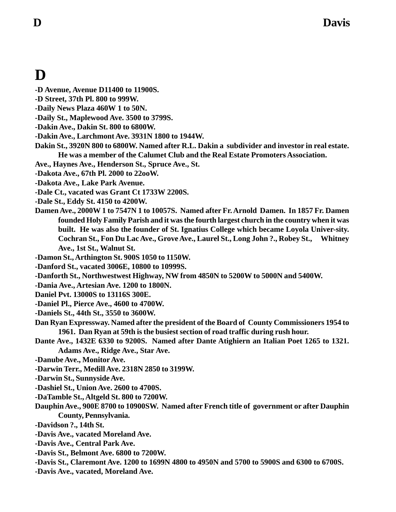# **D**

- **-D Avenue, Avenue D11400 to 11900S.**
- **-D Street, 37th Pl. 800 to 999W.**
- **-Daily News Plaza 460W 1 to 50N.**
- **-Daily St., Maplewood Ave. 3500 to 3799S.**
- **-Dakin Ave., Dakin St. 800 to 6800W.**
- **-Dakin Ave., Larchmont Ave. 3931N 1800 to 1944W.**
- **Dakin St., 3920N 800 to 6800W. Named after R.L. Dakin a subdivider and investor in real estate. He was a member of the Calumet Club and the Real Estate Promoters Association.**
- **Ave., Haynes Ave., Henderson St., Spruce Ave., St.**
- **-Dakota Ave., 67th Pl. 2000 to 22ooW.**
- **-Dakota Ave., Lake Park Avenue.**
- **-Dale Ct., vacated was Grant Ct 1733W 2200S.**
- **-Dale St., Eddy St. 4150 to 4200W.**
- **Damen Ave., 2000W 1 to 7547N 1 to 10057S. Named after Fr. Arnold Damen. In 1857 Fr. Damen founded Holy Family Parish and it was the fourth largest church in the country when it was built. He was also the founder of St. Ignatius College which became Loyola Univer-sity. Cochran St., Fon Du Lac Ave., Grove Ave., Laurel St., Long John ?., Robey St., Whitney Ave., 1st St., Walnut St.**
- **-Damon St., Arthington St. 900S 1050 to 1150W.**
- **-Danford St., vacated 3006E, 10800 to 10999S.**
- **-Danforth St., Northwestwest Highway, NW from 4850N to 5200W to 5000N and 5400W.**
- **-Dania Ave., Artesian Ave. 1200 to 1800N.**
- **Daniel Pvt. 13000S to 13116S 300E.**
- **-Daniel Pl., Pierce Ave., 4600 to 4700W.**
- **-Daniels St., 44th St., 3550 to 3600W.**
- **Dan Ryan Expressway. Named after the president of the Board of County Commissioners 1954 to 1961. Dan Ryan at 59th is the busiest section of road traffic during rush hour.**
- **Dante Ave., 1432E 6330 to 9200S. Named after Dante Atighiern an Italian Poet 1265 to 1321. Adams Ave., Ridge Ave., Star Ave.**
- **-Danube Ave., Monitor Ave.**
- **-Darwin Terr., Medill Ave. 2318N 2850 to 3199W.**
- **-Darwin St., Sunnyside Ave.**
- **-Dashiel St., Union Ave. 2600 to 4700S.**
- **-DaTamble St., Altgeld St. 800 to 7200W.**
- **Dauphin Ave., 900E 8700 to 10900SW. Named after French title of government or after Dauphin County, Pennsylvania.**
- **-Davidson ?., 14th St.**
- **-Davis Ave., vacated Moreland Ave.**
- **-Davis Ave., Central Park Ave.**
- **-Davis St., Belmont Ave. 6800 to 7200W.**
- **-Davis St., Claremont Ave. 1200 to 1699N 4800 to 4950N and 5700 to 5900S and 6300 to 6700S.**
- **-Davis Ave., vacated, Moreland Ave.**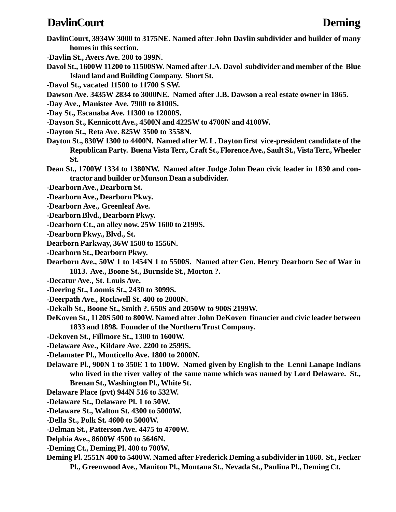### **DavlinCourt Deming**

- **DavlinCourt, 3934W 3000 to 3175NE. Named after John Davlin subdivider and builder of many homes in this section.**
- **-Davlin St., Avers Ave. 200 to 399N.**
- **Davol St., 1600W 11200 to 11500SW. Named after J.A. Davol subdivider and member of the Blue Island land and Building Company. Short St.**
- **-Davol St., vacated 11500 to 11700 S SW.**
- **Dawson Ave. 3435W 2834 to 3000NE. Named after J.B. Dawson a real estate owner in 1865.**
- **-Day Ave., Manistee Ave. 7900 to 8100S.**
- **-Day St., Escanaba Ave. 11300 to 12000S.**
- **-Dayson St., Kennicott Ave., 4500N and 4225W to 4700N and 4100W.**
- **-Dayton St., Reta Ave. 825W 3500 to 3558N.**
- **Dayton St., 830W 1300 to 4400N. Named after W. L. Dayton first vice-president candidate of the Republican Party. Buena Vista Terr., Craft St., Florence Ave., Sault St., Vista Terr., Wheeler St.**
- **Dean St., 1700W 1334 to 1380NW. Named after Judge John Dean civic leader in 1830 and contractor and builder or Munson Dean a subdivider.**
- **-Dearborn Ave., Dearborn St.**
- **-Dearborn Ave., Dearborn Pkwy.**
- **-Dearborn Ave., Greenleaf Ave.**
- **-Dearborn Blvd., Dearborn Pkwy.**
- **-Dearborn Ct., an alley now. 25W 1600 to 2199S.**
- **-Dearborn Pkwy., Blvd., St.**
- **Dearborn Parkway, 36W 1500 to 1556N.**
- **-Dearborn St., Dearborn Pkwy.**
- **Dearborn Ave., 50W 1 to 1454N 1 to 5500S. Named after Gen. Henry Dearborn Sec of War in 1813. Ave., Boone St., Burnside St., Morton ?.**
- **-Decatur Ave., St. Louis Ave.**
- **-Deering St., Loomis St., 2430 to 3099S.**
- **-Deerpath Ave., Rockwell St. 400 to 2000N.**
- **-Dekalb St., Boone St., Smith ?. 650S and 2050W to 900S 2199W.**
- **DeKoven St., 1120S 500 to 800W. Named after John DeKoven financier and civic leader between 1833 and 1898. Founder of the Northern Trust Company.**
- **-Dekoven St., Fillmore St., 1300 to 1600W.**
- **-Delaware Ave., Kildare Ave. 2200 to 2599S.**
- **-Delamater Pl., Monticello Ave. 1800 to 2000N.**
- **Delaware Pl., 900N 1 to 350E 1 to 100W. Named given by English to the Lenni Lanape Indians who lived in the river valley of the same name which was named by Lord Delaware. St., Brenan St., Washington Pl., White St.**
- **Delaware Place (pvt) 944N 516 to 532W.**
- **-Delaware St., Delaware Pl. 1 to 50W.**
- **-Delaware St., Walton St. 4300 to 5000W.**
- **-Della St., Polk St. 4600 to 5000W.**
- **-Delman St., Patterson Ave. 4475 to 4700W.**
- **Delphia Ave., 8600W 4500 to 5646N.**
- **-Deming Ct., Deming Pl. 400 to 700W.**
- **Deming Pl. 2551N 400 to 5400W. Named after Frederick Deming a subdivider in 1860. St., Fecker Pl., Greenwood Ave., Manitou Pl., Montana St., Nevada St., Paulina Pl., Deming Ct.**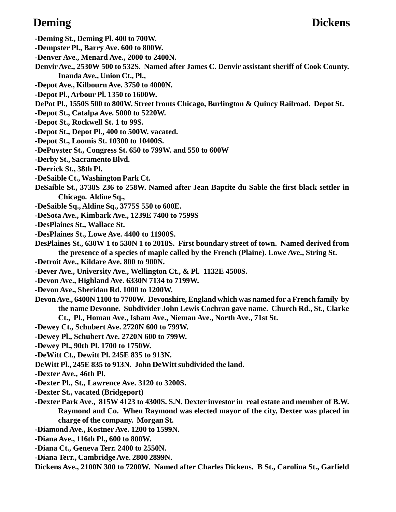- **-Deming St., Deming Pl. 400 to 700W.**
- **-Dempster Pl., Barry Ave. 600 to 800W.**
- **-Denver Ave., Menard Ave., 2000 to 2400N.**
- **Denvir Ave., 2530W 500 to 532S. Named after James C. Denvir assistant sheriff of Cook County. Inanda Ave., Union Ct., Pl.,**
- **-Depot Ave., Kilbourn Ave. 3750 to 4000N.**
- **-Depot Pl., Arbour Pl. 1350 to 1600W.**
- **DePot Pl., 1550S 500 to 800W. Street fronts Chicago, Burlington & Quincy Railroad. Depot St.**
- **-Depot St., Catalpa Ave. 5000 to 5220W.**
- **-Depot St., Rockwell St. 1 to 99S.**
- **-Depot St., Depot Pl., 400 to 500W. vacated.**
- **-Depot St., Loomis St. 10300 to 10400S.**
- **-DePuyster St., Congress St. 650 to 799W. and 550 to 600W**
- **-Derby St., Sacramento Blvd.**
- **-Derrick St., 38th Pl.**
- **-DeSaible Ct., Washington Park Ct.**
- **DeSaible St., 3738S 236 to 258W. Named after Jean Baptite du Sable the first black settler in Chicago. Aldine Sq.,**
- **-DeSaible Sq., Aldine Sq., 3775S 550 to 600E.**
- **-DeSota Ave., Kimbark Ave., 1239E 7400 to 7599S**
- **-DesPlaines St., Wallace St.**
- **-DesPlaines St., Lowe Ave. 4400 to 11900S.**
- **DesPlaines St., 630W 1 to 530N 1 to 2018S. First boundary street of town. Named derived from the presence of a species of maple called by the French (Plaine). Lowe Ave., String St.**
- **-Detroit Ave., Kildare Ave. 800 to 900N.**
- **-Dever Ave., University Ave., Wellington Ct., & Pl. 1132E 4500S.**
- **-Devon Ave., Highland Ave. 6330N 7134 to 7199W.**
- **-Devon Ave., Sheridan Rd. 1000 to 1200W.**
- **Devon Ave., 6400N 1100 to 7700W. Devonshire, England which was named for a French family by the name Devonne. Subdivider John Lewis Cochran gave name. Church Rd., St., Clarke Ct., Pl., Homan Ave., Isham Ave., Nieman Ave., North Ave., 71st St.**
- **-Dewey Ct., Schubert Ave. 2720N 600 to 799W.**
- **-Dewey Pl., Schubert Ave. 2720N 600 to 799W.**
- **-Dewey Pl., 90th Pl. 1700 to 1750W.**
- **-DeWitt Ct., Dewitt Pl. 245E 835 to 913N.**
- **DeWitt Pl., 245E 835 to 913N. John DeWitt subdivided the land.**
- **-Dexter Ave., 46th Pl.**
- **-Dexter Pl., St., Lawrence Ave. 3120 to 3200S.**
- **-Dexter St., vacated (Bridgeport)**
- **-Dexter Park Ave., 815W 4123 to 4300S. S.N. Dexter investor in real estate and member of B.W. Raymond and Co. When Raymond was elected mayor of the city, Dexter was placed in charge of the company. Morgan St.**
- **-Diamond Ave., Kostner Ave. 1200 to 1599N.**
- **-Diana Ave., 116th Pl., 600 to 800W.**
- **-Diana Ct., Geneva Terr. 2400 to 2550N.**
- **-Diana Terr., Cambridge Ave. 2800 2899N.**
- **Dickens Ave., 2100N 300 to 7200W. Named after Charles Dickens. B St., Carolina St., Garfield**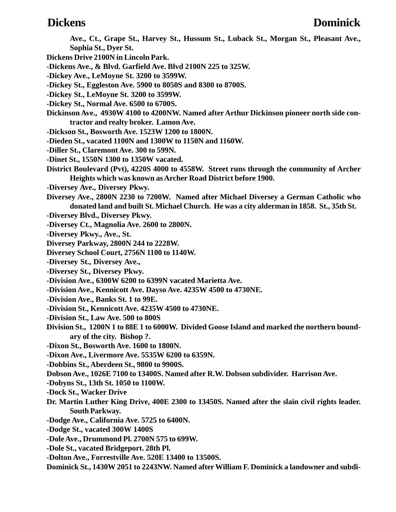- **Ave., Ct., Grape St., Harvey St., Hussum St., Luback St., Morgan St., Pleasant Ave., Sophia St., Dyer St.**
- **Dickens Drive 2100N in Lincoln Park.**
- **-Dickens Ave., & Blvd. Garfield Ave. Blvd 2100N 225 to 325W.**
- **-Dickey Ave., LeMoyne St. 3200 to 3599W.**
- **-Dickey St., Eggleston Ave. 5900 to 8050S and 8300 to 8700S.**
- **-Dickey St., LeMoyne St. 3200 to 3599W.**
- **-Dickey St., Normal Ave. 6500 to 6700S.**
- **Dickinson Ave., 4930W 4100 to 4200NW. Named after Arthur Dickinson pioneer north side contractor and realty broker. Lamon Ave.**
- **-Dickson St., Bosworth Ave. 1523W 1200 to 1800N.**
- **-Dieden St., vacated 1100N and 1300W to 1150N and 1160W.**
- **-Diller St., Claremont Ave. 300 to 599N.**
- **-Dinet St., 1550N 1300 to 1350W vacated.**
- **District Boulevard (Pvt), 4220S 4000 to 4558W. Street runs through the community of Archer Heights which was known as Archer Road District before 1900.**
- **-Diversey Ave., Diversey Pkwy.**
- **Diversey Ave., 2800N 2230 to 7200W. Named after Michael Diversey a German Catholic who donated land and built St. Michael Church. He was a city alderman in 1858. St., 35th St.**
- **-Diversey Blvd., Diversey Pkwy.**
- **-Diversey Ct., Magnolia Ave. 2600 to 2800N.**
- **-Diversey Pkwy., Ave., St.**
- **Diversey Parkway, 2800N 244 to 2228W.**
- **Diversey School Court, 2756N 1100 to 1140W.**
- **-Diversey St., Diversey Ave.,**
- **-Diversey St., Diversey Pkwy.**
- **-Division Ave., 6300W 6200 to 6399N vacated Marietta Ave.**
- **-Division Ave., Kennicott Ave. Dayso Ave. 4235W 4500 to 4730NE.**
- **-Division Ave., Banks St. 1 to 99E.**
- **-Division St., Kennicott Ave. 4235W 4500 to 4730NE.**
- **-Division St., Law Ave. 500 to 800S**
- **Division St., 1200N 1 to 88E 1 to 6000W. Divided Goose Island and marked the northern boundary of the city. Bishop ?.**
- **-Dixon St., Bosworth Ave. 1600 to 1800N.**
- **-Dixon Ave., Livermore Ave. 5535W 6200 to 6359N.**
- **-Dobbins St., Aberdeen St., 9800 to 9900S.**
- **Dobson Ave., 1026E 7100 to 13400S. Named after R.W. Dobson subdivider. Harrison Ave.**
- **-Dobyns St., 13th St. 1050 to 1100W.**
- **-Dock St., Wacker Drive**
- **Dr. Martin Luther King Drive, 400E 2300 to 13450S. Named after the slain civil rights leader. South Parkway.**
- **-Dodge Ave., California Ave. 5725 to 6400N.**
- **-Dodge St., vacated 300W 1400S**
- **-Dole Ave., Drummond Pl. 2700N 575 to 699W.**
- **-Dole St., vacated Bridgeport. 28th Pl.**
- **-Dolton Ave., Forrestville Ave. 520E 13400 to 13500S.**
- **Dominick St., 1430W 2051 to 2243NW. Named after William F. Dominick a landowner and subdi-**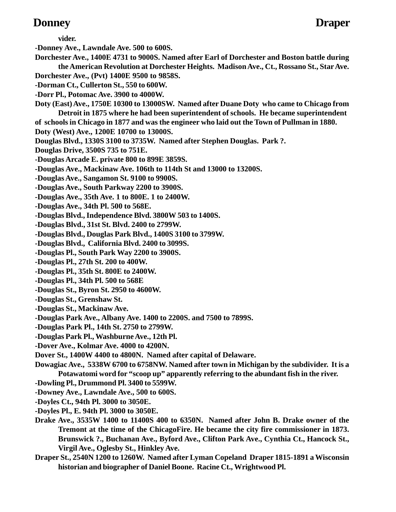### **Donney Draper**

**vider.**

**-Donney Ave., Lawndale Ave. 500 to 600S.**

- **Dorchester Ave., 1400E 4731 to 9000S. Named after Earl of Dorchester and Boston battle during the American Revolution at Dorchester Heights. Madison Ave., Ct., Rossano St., Star Ave.**
- **Dorchester Ave., (Pvt) 1400E 9500 to 9858S.**
- **-Dorman Ct., Cullerton St., 550 to 600W.**
- **-Dorr Pl., Potomac Ave. 3900 to 4000W.**
- **Doty (East) Ave., 1750E 10300 to 13000SW. Named after Duane Doty who came to Chicago from Detroit in 1875 where he had been superintendent of schools. He became superintendent**

**of schools in Chicago in 1877 and was the engineer who laid out the Town of Pullman in 1880.**

**Doty (West) Ave., 1200E 10700 to 13000S.**

**Douglas Blvd., 1330S 3100 to 3735W. Named after Stephen Douglas. Park ?.**

**Douglas Drive, 3500S 735 to 751E.**

- **-Douglas Arcade E. private 800 to 899E 3859S.**
- **-Douglas Ave., Mackinaw Ave. 106th to 114th St and 13000 to 13200S.**
- **-Douglas Ave., Sangamon St. 9100 to 9900S.**
- **-Douglas Ave., South Parkway 2200 to 3900S.**
- **-Douglas Ave., 35th Ave. 1 to 800E. 1 to 2400W.**
- **-Douglas Ave., 34th Pl. 500 to 568E.**
- **-Douglas Blvd., Independence Blvd. 3800W 503 to 1400S.**
- **-Douglas Blvd., 31st St. Blvd. 2400 to 2799W.**
- **-Douglas Blvd., Douglas Park Blvd., 1400S 3100 to 3799W.**
- **-Douglas Blvd., California Blvd. 2400 to 3099S.**
- **-Douglas Pl., South Park Way 2200 to 3900S.**
- **-Douglas Pl., 27th St. 200 to 400W.**
- **-Douglas Pl., 35th St. 800E to 2400W.**
- **-Douglas Pl., 34th Pl. 500 to 568E**
- **-Douglas St., Byron St. 2950 to 4600W.**
- **-Douglas St., Grenshaw St.**
- **-Douglas St., Mackinaw Ave.**
- **-Douglas Park Ave., Albany Ave. 1400 to 2200S. and 7500 to 7899S.**
- **-Douglas Park Pl., 14th St. 2750 to 2799W.**
- **-Douglas Park Pl., Washburne Ave., 12th Pl.**
- **-Dover Ave., Kolmar Ave. 4000 to 4200N.**
- **Dover St., 1400W 4400 to 4800N. Named after capital of Delaware.**
- **Dowagiac Ave., 5338W 6700 to 6758NW. Named after town in Michigan by the subdivider. It is a Potawatomi word for "scoop up" apparently referring to the abundant fish in the river.**
- **-Dowling Pl., Drummond Pl. 3400 to 5599W.**
- **-Downey Ave., Lawndale Ave., 500 to 600S.**
- **-Doyles Ct., 94th Pl. 3000 to 3050E.**
- **-Doyles Pl., E. 94th Pl. 3000 to 3050E.**
- **Drake Ave., 3535W 1400 to 11400S 400 to 6350N. Named after John B. Drake owner of the Tremont at the time of the ChicagoFire. He became the city fire commissioner in 1873. Brunswick ?., Buchanan Ave., Byford Ave., Clifton Park Ave., Cynthia Ct., Hancock St., Virgil Ave., Oglesby St., Hinkley Ave.**
- **Draper St., 2540N 1200 to 1260W. Named after Lyman Copeland Draper 1815-1891 a Wisconsin historian and biographer of Daniel Boone. Racine Ct., Wrightwood Pl.**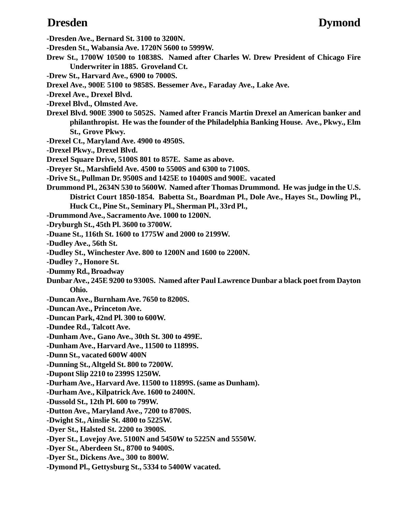**-Dresden Ave., Bernard St. 3100 to 3200N.**

**-Dresden St., Wabansia Ave. 1720N 5600 to 5999W.**

- **Drew St., 1700W 10500 to 10838S. Named after Charles W. Drew President of Chicago Fire Underwriter in 1885. Groveland Ct.**
- **-Drew St., Harvard Ave., 6900 to 7000S.**
- **Drexel Ave., 900E 5100 to 9858S. Bessemer Ave., Faraday Ave., Lake Ave.**
- **-Drexel Ave., Drexel Blvd.**
- **-Drexel Blvd., Olmsted Ave.**
- **Drexel Blvd. 900E 3900 to 5052S. Named after Francis Martin Drexel an American banker and philanthropist. He was the founder of the Philadelphia Banking House. Ave., Pkwy., Elm St., Grove Pkwy.**
- **-Drexel Ct., Maryland Ave. 4900 to 4950S.**
- **-Drexel Pkwy., Drexel Blvd.**
- **Drexel Square Drive, 5100S 801 to 857E. Same as above.**
- **-Dreyer St., Marshfield Ave. 4500 to 5500S and 6300 to 7100S.**
- **-Drive St., Pullman Dr. 9500S and 1425E to 10400S and 900E. vacated**
- **Drummond Pl., 2634N 530 to 5600W. Named after Thomas Drummond. He was judge in the U.S. District Court 1850-1854. Babetta St., Boardman Pl., Dole Ave., Hayes St., Dowling Pl., Huck Ct., Pine St., Seminary Pl., Sherman Pl., 33rd Pl.,**
- **-Drummond Ave., Sacramento Ave. 1000 to 1200N.**
- **-Dryburgh St., 45th Pl. 3600 to 3700W.**
- **-Duane St., 116th St. 1600 to 1775W and 2000 to 2199W.**
- **-Dudley Ave., 56th St.**
- **-Dudley St., Winchester Ave. 800 to 1200N and 1600 to 2200N.**
- **-Dudley ?., Honore St.**
- **-Dummy Rd., Broadway**
- **Dunbar Ave., 245E 9200 to 9300S. Named after Paul Lawrence Dunbar a black poet from Dayton Ohio.**
- **-Duncan Ave., Burnham Ave. 7650 to 8200S.**
- **-Duncan Ave., Princeton Ave.**
- **-Duncan Park, 42nd Pl. 300 to 600W.**
- **-Dundee Rd., Talcott Ave.**
- **-Dunham Ave., Gano Ave., 30th St. 300 to 499E.**
- **-Dunham Ave., Harvard Ave., 11500 to 11899S.**
- **-Dunn St., vacated 600W 400N**
- **-Dunning St., Altgeld St. 800 to 7200W.**
- **-Dupont Slip 2210 to 2399S 1250W.**
- **-Durham Ave., Harvard Ave. 11500 to 11899S. (same as Dunham).**
- **-Durham Ave., Kilpatrick Ave. 1600 to 2400N.**
- **-Dussold St., 12th Pl. 600 to 799W.**
- **-Dutton Ave., Maryland Ave., 7200 to 8700S.**
- **-Dwight St., Ainslie St. 4800 to 5225W.**
- **-Dyer St., Halsted St. 2200 to 3900S.**
- **-Dyer St., Lovejoy Ave. 5100N and 5450W to 5225N and 5550W.**
- **-Dyer St., Aberdeen St., 8700 to 9400S.**
- **-Dyer St., Dickens Ave., 300 to 800W.**
- **-Dymond Pl., Gettysburg St., 5334 to 5400W vacated.**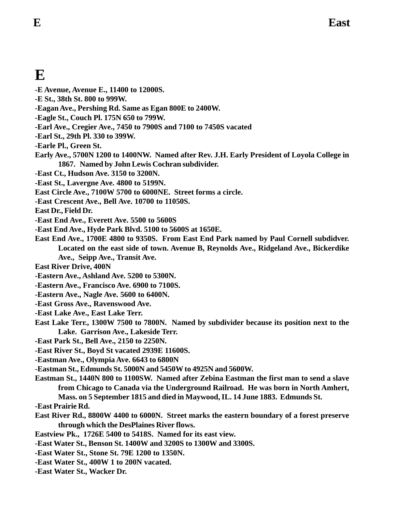# **E**

- **-E Avenue, Avenue E., 11400 to 12000S.**
- **-E St., 38th St. 800 to 999W.**
- **-Eagan Ave., Pershing Rd. Same as Egan 800E to 2400W.**
- **-Eagle St., Couch Pl. 175N 650 to 799W.**
- **-Earl Ave., Cregier Ave., 7450 to 7900S and 7100 to 7450S vacated**
- **-Earl St., 29th Pl. 330 to 399W.**
- **-Earle Pl., Green St.**
- **Early Ave., 5700N 1200 to 1400NW. Named after Rev. J.H. Early President of Loyola College in 1867. Named by John Lewis Cochran subdivider.**
- **-East Ct., Hudson Ave. 3150 to 3200N.**
- **-East St., Lavergne Ave. 4800 to 5199N.**
- **East Circle Ave., 7100W 5700 to 6000NE. Street forms a circle.**
- **-East Crescent Ave., Bell Ave. 10700 to 11050S.**

**East Dr., Field Dr.**

- **-East End Ave., Everett Ave. 5500 to 5600S**
- **-East End Ave., Hyde Park Blvd. 5100 to 5600S at 1650E.**
- **East End Ave., 1700E 4800 to 9350S. From East End Park named by Paul Cornell subdidver. Located on the east side of town. Avenue B, Reynolds Ave., Ridgeland Ave., Bickerdike Ave., Seipp Ave., Transit Ave.**

**East River Drive, 400N**

- **-Eastern Ave., Ashland Ave. 5200 to 5300N.**
- **-Eastern Ave., Francisco Ave. 6900 to 7100S.**
- **-Eastern Ave., Nagle Ave. 5600 to 6400N.**
- **-East Gross Ave., Ravenswood Ave.**
- **-East Lake Ave., East Lake Terr.**
- **East Lake Terr., 1300W 7500 to 7800N. Named by subdivider because its position next to the Lake. Garrison Ave., Lakeside Terr.**
- **-East Park St., Bell Ave., 2150 to 2250N.**
- **-East River St., Boyd St vacated 2939E 11600S.**
- **-Eastman Ave., Olympia Ave. 6643 to 6800N**
- **-Eastman St., Edmunds St. 5000N and 5450W to 4925N and 5600W.**
- **Eastman St., 1440N 800 to 1100SW. Named after Zebina Eastman the first man to send a slave from Chicago to Canada via the Underground Railroad. He was born in North Amhert, Mass. on 5 September 1815 and died in Maywood, IL. 14 June 1883. Edmunds St.**
- **-East Prairie Rd.**
- **East River Rd., 8800W 4400 to 6000N. Street marks the eastern boundary of a forest preserve through which the DesPlaines River flows.**
- **Eastview Pk., 1726E 5400 to 5418S. Named for its east view.**
- **-East Water St., Benson St. 1400W and 3200S to 1300W and 3300S.**
- **-East Water St., Stone St. 79E 1200 to 1350N.**
- **-East Water St., 400W 1 to 200N vacated.**
- **-East Water St., Wacker Dr.**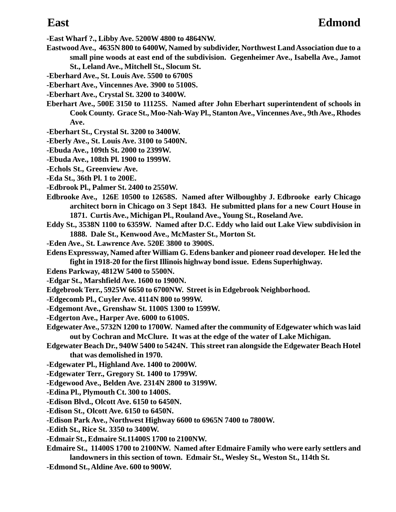**-East Wharf ?., Libby Ave. 5200W 4800 to 4864NW.**

- **Eastwood Ave., 4635N 800 to 6400W, Named by subdivider, Northwest Land Association due to a small pine woods at east end of the subdivision. Gegenheimer Ave., Isabella Ave., Jamot St., Leland Ave., Mitchell St., Slocum St.**
- **-Eberhard Ave., St. Louis Ave. 5500 to 6700S**
- **-Eberhart Ave., Vincennes Ave. 3900 to 5100S.**
- **-Eberhart Ave., Crystal St. 3200 to 3400W.**
- **Eberhart Ave., 500E 3150 to 11125S. Named after John Eberhart superintendent of schools in Cook County. Grace St., Moo-Nah-Way Pl., Stanton Ave., Vincennes Ave., 9th Ave., Rhodes Ave.**
- **-Eberhart St., Crystal St. 3200 to 3400W.**
- **-Eberly Ave., St. Louis Ave. 3100 to 5400N.**
- **-Ebuda Ave., 109th St. 2000 to 2399W.**
- **-Ebuda Ave., 108th Pl. 1900 to 1999W.**
- **-Echols St., Greenview Ave.**
- **-Eda St., 36th Pl. 1 to 200E.**
- **-Edbrook Pl., Palmer St. 2400 to 2550W.**
- **Edbrooke Ave., 126E 10500 to 12658S. Named after Wilboughby J. Edbrooke early Chicago architect born in Chicago on 3 Sept 1843. He submitted plans for a new Court House in 1871. Curtis Ave., Michigan Pl., Rouland Ave., Young St., Roseland Ave.**
- **Eddy St., 3538N 1100 to 6359W. Named after D.C. Eddy who laid out Lake View subdivision in 1888. Dale St., Kenwood Ave., McMaster St., Morton St.**
- **-Eden Ave., St. Lawrence Ave. 520E 3800 to 3900S.**
- **Edens Expressway, Named after William G. Edens banker and pioneer road developer. He led the fight in 1918-20 for the first Illinois highway bond issue. Edens Superhighway.**
- **Edens Parkway, 4812W 5400 to 5500N.**
- **-Edgar St., Marshfield Ave. 1600 to 1900N.**
- **Edgebrook Terr., 5925W 6650 to 6700NW. Street is in Edgebrook Neighborhood.**
- **-Edgecomb Pl., Cuyler Ave. 4114N 800 to 999W.**
- **-Edgemont Ave., Grenshaw St. 1100S 1300 to 1599W.**
- **-Edgerton Ave., Harper Ave. 6000 to 6100S.**
- **Edgewater Ave., 5732N 1200 to 1700W. Named after the community of Edgewater which was laid out by Cochran and McClure. It was at the edge of the water of Lake Michigan.**
- **Edgewater Beach Dr., 940W 5400 to 5424N. This street ran alongside the Edgewater Beach Hotel that was demolished in 1970.**
- **-Edgewater Pl., Highland Ave. 1400 to 2000W.**
- **-Edgewater Terr., Gregory St. 1400 to 1799W.**
- **-Edgewood Ave., Belden Ave. 2314N 2800 to 3199W.**
- **-Edina Pl., Plymouth Ct. 300 to 1400S.**
- **-Edison Blvd., Olcott Ave. 6150 to 6450N.**
- **-Edison St., Olcott Ave. 6150 to 6450N.**
- **-Edison Park Ave., Northwest Highway 6600 to 6965N 7400 to 7800W.**
- **-Edith St., Rice St. 3350 to 3400W.**
- **-Edmair St., Edmaire St.11400S 1700 to 2100NW.**
- **Edmaire St., 11400S 1700 to 2100NW. Named after Edmaire Family who were early settlers and landowners in this section of town. Edmair St., Wesley St., Weston St., 114th St.**
- **-Edmond St., Aldine Ave. 600 to 900W.**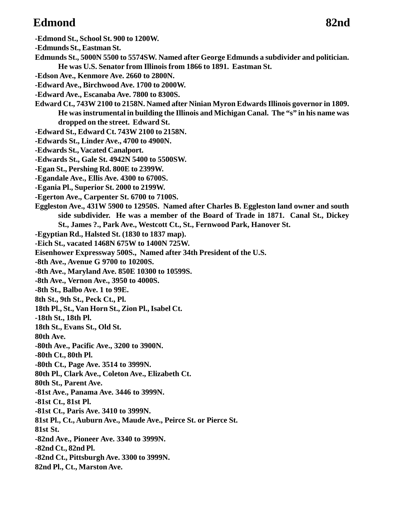# **Edmond 82nd**

- **-Edmond St., School St. 900 to 1200W.**
- **-Edmunds St., Eastman St.**
- **Edmunds St., 5000N 5500 to 5574SW. Named after George Edmunds a subdivider and politician. He was U.S. Senator from Illinois from 1866 to 1891. Eastman St.**
- **-Edson Ave., Kenmore Ave. 2660 to 2800N.**
- **-Edward Ave., Birchwood Ave. 1700 to 2000W.**
- **-Edward Ave., Escanaba Ave. 7800 to 8300S.**
- **Edward Ct., 743W 2100 to 2158N. Named after Ninian Myron Edwards Illinois governor in 1809. He was instrumental in building the Illinois and Michigan Canal. The "s" in his name was dropped on the street. Edward St.**
- **-Edward St., Edward Ct. 743W 2100 to 2158N.**
- **-Edwards St., Linder Ave., 4700 to 4900N.**
- **-Edwards St., Vacated Canalport.**
- **-Edwards St., Gale St. 4942N 5400 to 5500SW.**
- **-Egan St., Pershing Rd. 800E to 2399W.**
- **-Egandale Ave., Ellis Ave. 4300 to 6700S.**
- **-Egania Pl., Superior St. 2000 to 2199W.**
- **-Egerton Ave., Carpenter St. 6700 to 7100S.**
- **Eggleston Ave., 431W 5900 to 12950S. Named after Charles B. Eggleston land owner and south side subdivider. He was a member of the Board of Trade in 1871. Canal St., Dickey St., James ?., Park Ave., Westcott Ct., St., Fernwood Park, Hanover St.**
- **-Egyptian Rd., Halsted St. (1830 to 1837 map).**
- **-Eich St., vacated 1468N 675W to 1400N 725W.**
- **Eisenhower Expressway 500S., Named after 34th President of the U.S.**
- **-8th Ave., Avenue G 9700 to 10200S.**
- **-8th Ave., Maryland Ave. 850E 10300 to 10599S.**
- **-8th Ave., Vernon Ave., 3950 to 4000S.**
- **-8th St., Balbo Ave. 1 to 99E.**
- **8th St., 9th St., Peck Ct., Pl.**
- **18th Pl., St., Van Horn St., Zion Pl., Isabel Ct.**
- **-18th St., 18th Pl.**
- **18th St., Evans St., Old St.**
- **80th Ave.**
- **-80th Ave., Pacific Ave., 3200 to 3900N.**
- **-80th Ct., 80th Pl.**
- **-80th Ct., Page Ave. 3514 to 3999N.**
- **80th Pl., Clark Ave., Coleton Ave., Elizabeth Ct.**
- **80th St., Parent Ave.**
- **-81st Ave., Panama Ave. 3446 to 3999N.**
- **-81st Ct., 81st Pl.**
- **-81st Ct., Paris Ave. 3410 to 3999N.**
- **81st Pl., Ct., Auburn Ave., Maude Ave., Peirce St. or Pierce St.**
- **81st St.**
- **-82nd Ave., Pioneer Ave. 3340 to 3999N.**
- **-82nd Ct., 82nd Pl.**
- **-82nd Ct., Pittsburgh Ave. 3300 to 3999N.**
- **82nd Pl., Ct., Marston Ave.**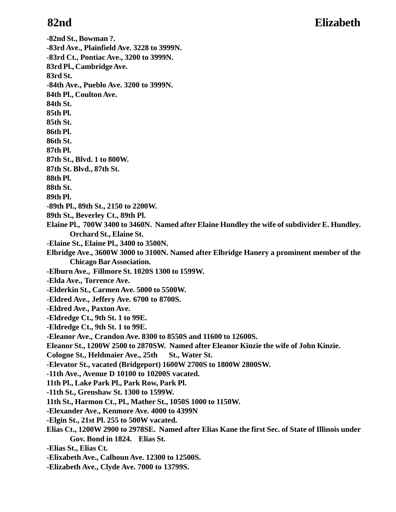### **82nd Elizabeth**

**-82nd St., Bowman ?. -83rd Ave., Plainfield Ave. 3228 to 3999N. -83rd Ct., Pontiac Ave., 3200 to 3999N. 83rd Pl., Cambridge Ave. 83rd St. -84th Ave., Pueblo Ave. 3200 to 3999N. 84th Pl., Coulton Ave. 84th St. 85th Pl. 85th St. 86th Pl. 86th St. 87th Pl. 87th St., Blvd. 1 to 800W. 87th St. Blvd., 87th St. 88th Pl. 88th St. 89th Pl. -89th Pl., 89th St., 2150 to 2200W. 89th St., Beverley Ct., 89th Pl. Elaine Pl., 700W 3400 to 3460N. Named after Elaine Hundley the wife of subdivider E. Hundley. Orchard St., Elaine St. -Elaine St., Elaine Pl., 3400 to 3500N. Elbridge Ave., 3600W 3000 to 3100N. Named after Elbridge Hanery a prominent member of the Chicago Bar Association. -Elburn Ave., Fillmore St. 1020S 1300 to 1599W. -Elda Ave., Torrence Ave. -Elderkin St., Carmen Ave. 5000 to 5500W. -Eldred Ave., Jeffery Ave. 6700 to 8700S. -Eldred Ave., Paxton Ave. -Eldredge Ct., 9th St. 1 to 99E. -Eldredge Ct., 9th St. 1 to 99E. -Eleanor Ave., Crandon Ave. 8300 to 8550S and 11600 to 12600S. Eleanor St., 1200W 2500 to 2870SW. Named after Eleanor Kinzie the wife of John Kinzie.** Cologne St., Heldmaier Ave., 25th St., Water St. **-Elevator St., vacated (Bridgeport) 1600W 2700S to 1800W 2800SW. -11th Ave., Avenue D 10100 to 10200S vacated. 11th Pl., Lake Park Pl., Park Row, Park Pl. -11th St., Grenshaw St. 1300 to 1599W. 11th St., Harmon Ct., Pl., Mather St., 1050S 1000 to 1150W. -Elexander Ave., Kenmore Ave. 4000 to 4399N -Elgin St., 21st Pl. 255 to 500W vacated. Elias Ct., 1200W 2900 to 2978SE. Named after Elias Kane the first Sec. of State of Illinois under Gov. Bond in 1824. Elias St. -Elias St., Elias Ct. -Elixabeth Ave., Calhoun Ave. 12300 to 12500S. -Elizabeth Ave., Clyde Ave. 7000 to 13799S.**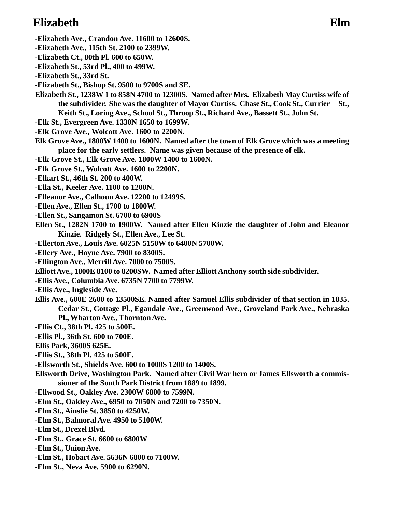# **Elizabeth Elm**

- **-Elizabeth Ave., Crandon Ave. 11600 to 12600S.**
- **-Elizabeth Ave., 115th St. 2100 to 2399W.**
- **-Elizabeth Ct., 80th Pl. 600 to 650W.**
- **-Elizabeth St., 53rd Pl., 400 to 499W.**
- **-Elizabeth St., 33rd St.**
- **-Elizabeth St., Bishop St. 9500 to 9700S and SE.**
- **Elizabeth St., 1238W 1 to 858N 4700 to 12300S. Named after Mrs. Elizabeth May Curtiss wife of the subdivider. She was the daughter of Mayor Curtiss. Chase St., Cook St., Currier St., Keith St., Loring Ave., School St., Throop St., Richard Ave., Bassett St., John St.**
- **-Elk St., Evergreen Ave. 1330N 1650 to 1699W.**
- **-Elk Grove Ave., Wolcott Ave. 1600 to 2200N.**
- **Elk Grove Ave., 1800W 1400 to 1600N. Named after the town of Elk Grove which was a meeting place for the early settlers. Name was given because of the presence of elk.**
- **-Elk Grove St., Elk Grove Ave. 1800W 1400 to 1600N.**
- **-Elk Grove St., Wolcott Ave. 1600 to 2200N.**
- **-Elkart St., 46th St. 200 to 400W.**
- **-Ella St., Keeler Ave. 1100 to 1200N.**
- **-Elleanor Ave., Calhoun Ave. 12200 to 12499S.**
- **-Ellen Ave., Ellen St., 1700 to 1800W.**
- **-Ellen St., Sangamon St. 6700 to 6900S**
- **Ellen St., 1282N 1700 to 1900W. Named after Ellen Kinzie the daughter of John and Eleanor Kinzie. Ridgely St., Ellen Ave., Lee St.**
- **-Ellerton Ave., Louis Ave. 6025N 5150W to 6400N 5700W.**
- **-Ellery Ave., Hoyne Ave. 7900 to 8300S.**
- **-Ellington Ave., Merrill Ave. 7000 to 7500S.**
- **Elliott Ave., 1800E 8100 to 8200SW. Named after Elliott Anthony south side subdivider.**
- **-Ellis Ave., Columbia Ave. 6735N 7700 to 7799W.**
- **-Ellis Ave., Ingleside Ave.**
- **Ellis Ave., 600E 2600 to 13500SE. Named after Samuel Ellis subdivider of that section in 1835. Cedar St., Cottage Pl., Egandale Ave., Greenwood Ave., Groveland Park Ave., Nebraska Pl., Wharton Ave., Thornton Ave.**
- **-Ellis Ct., 38th Pl. 425 to 500E.**
- **-Ellis Pl., 36th St. 600 to 700E.**
- **Ellis Park, 3600S 625E.**
- **-Ellis St., 38th Pl. 425 to 500E.**
- **-Ellsworth St., Shields Ave. 600 to 1000S 1200 to 1400S.**
- **Ellsworth Drive, Washington Park. Named after Civil War hero or James Ellsworth a commissioner of the South Park District from 1889 to 1899.**
- **-Ellwood St., Oakley Ave. 2300W 6800 to 7599N.**
- **-Elm St., Oakley Ave., 6950 to 7050N and 7200 to 7350N.**
- **-Elm St., Ainslie St. 3850 to 4250W.**
- **-Elm St., Balmoral Ave. 4950 to 5100W.**
- **-Elm St., Drexel Blvd.**
- **-Elm St., Grace St. 6600 to 6800W**
- **-Elm St., Union Ave.**
- **-Elm St., Hobart Ave. 5636N 6800 to 7100W.**
- **-Elm St., Neva Ave. 5900 to 6290N.**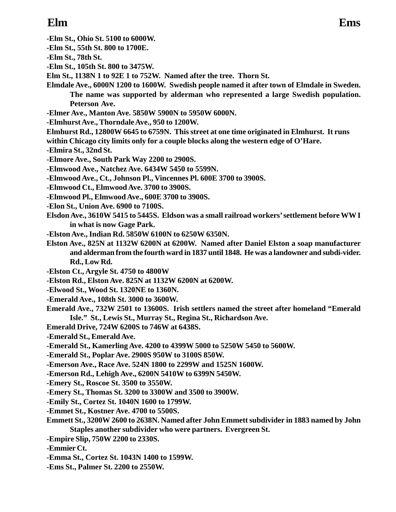- **-Elm St., Ohio St. 5100 to 6000W.**
- **-Elm St., 55th St. 800 to 1700E.**
- **-Elm St., 78th St.**
- **-Elm St., 105th St. 800 to 3475W.**
- **Elm St., 1138N 1 to 92E 1 to 752W. Named after the tree. Thorn St.**
- **Elmdale Ave., 6000N 1200 to 1600W. Swedish people named it after town of Elmdale in Sweden. The name was supported by alderman who represented a large Swedish population. Peterson Ave.**
- **-Elmer Ave., Manton Ave. 5850W 5900N to 5950W 6000N.**
- **-Elmhurst Ave., Thorndale Ave., 950 to 1200W.**
- **Elmhurst Rd., 12800W 6645 to 6759N. This street at one time originated in Elmhurst. It runs**
- **within Chicago city limits only for a couple blocks along the western edge of O'Hare.**
- **-Elmira St., 32nd St.**
- **-Elmore Ave., South Park Way 2200 to 2900S.**
- **-Elmwood Ave., Natchez Ave. 6434W 5450 to 5599N.**
- **-Elmwood Ave., Ct., Johnson Pl., Vincennes Pl. 600E 3700 to 3900S.**
- **-Elmwood Ct., Elmwood Ave. 3700 to 3900S.**
- **-Elmwood Pl., Elmwood Ave., 600E 3700 to 3900S.**
- **-Elon St., Union Ave. 6900 to 7100S.**
- **Elsdon Ave., 3610W 5415 to 5445S. Eldson was a small railroad workers' settlement before WW I in what is now Gage Park.**
- **-Elston Ave., Indian Rd. 5850W 6100N to 6250W 6350N.**
- **Elston Ave., 825N at 1132W 6200N at 6200W. Named after Daniel Elston a soap manufacturer and alderman from the fourth ward in 1837 until 1848. He was a landowner and subdi-vider. Rd., Low Rd.**
- **-Elston Ct., Argyle St. 4750 to 4800W**
- **-Elston Rd., Elston Ave. 825N at 1132W 6200N at 6200W.**
- **-Elwood St., Wood St. 1320NE to 1360N.**
- **-Emerald Ave., 108th St. 3000 to 3600W.**
- **Emerald Ave., 732W 2501 to 13600S. Irish settlers named the street after homeland "Emerald Isle." St., Lewis St., Murray St., Regina St., Richardson Ave.**
- **Emerald Drive, 724W 6200S to 746W at 6438S.**
- **-Emerald St., Emerald Ave.**
- **-Emerald St., Kamerling Ave. 4200 to 4399W 5000 to 5250W 5450 to 5600W.**
- **-Emerald St., Poplar Ave. 2900S 950W to 3100S 850W.**
- **-Emerson Ave., Race Ave. 524N 1800 to 2299W and 1525N 1600W.**
- **-Emerson Rd., Lehigh Ave., 6200N 5410W to 6399N 5450W.**
- **-Emery St., Roscoe St. 3500 to 3550W.**
- **-Emery St., Thomas St. 3200 to 3300W and 3500 to 3900W.**
- **-Emily St., Cortez St. 1040N 1600 to 1799W.**
- **-Emmet St., Kostner Ave. 4700 to 5500S.**
- **Emmett St., 3200W 2600 to 2638N. Named after John Emmett subdivider in 1883 named by John Staples another subdivider who were partners. Evergreen St.**
- **-Empire Slip, 750W 2200 to 2330S.**
- **-Emmier Ct.**
- **-Emma St., Cortez St. 1043N 1400 to 1599W.**
- **-Ems St., Palmer St. 2200 to 2550W.**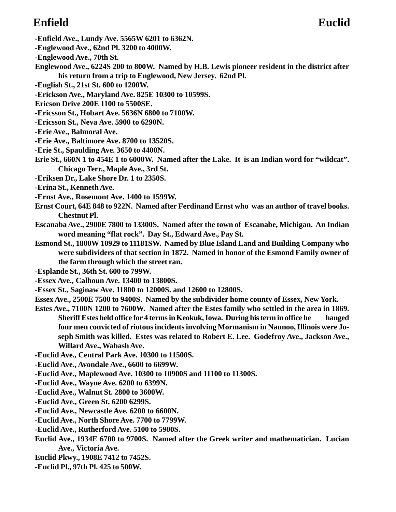# **Enfield Euclid**

- **-Enfield Ave., Lundy Ave. 5565W 6201 to 6362N.**
- **-Englewood Ave., 62nd Pl. 3200 to 4000W.**
- **-Englewood Ave., 70th St.**
- **Englewood Ave., 6224S 200 to 800W. Named by H.B. Lewis pioneer resident in the district after his return from a trip to Englewood, New Jersey. 62nd Pl.**
- **-English St., 21st St. 600 to 1200W.**
- **-Erickson Ave., Maryland Ave. 825E 10300 to 10599S.**
- **Ericson Drive 200E 1100 to 5500SE.**
- **-Ericsson St., Hobart Ave. 5636N 6800 to 7100W.**
- **-Ericsson St., Neva Ave. 5900 to 6290N.**
- **-Erie Ave., Balmoral Ave.**
- **-Erie Ave., Baltimore Ave. 8700 to 13520S.**
- **-Erie St., Spaulding Ave. 3650 to 4400N.**
- **Erie St., 660N 1 to 454E 1 to 6000W. Named after the Lake. It is an Indian word for "wildcat". Chicago Terr., Maple Ave., 3rd St.**
- **-Eriksen Dr., Lake Shore Dr. 1 to 2350S.**
- **-Erina St., Kenneth Ave.**
- **-Ernst Ave., Rosemont Ave. 1400 to 1599W.**
- **Ernst Court, 64E 848 to 922N. Named after Ferdinand Ernst who was an author of travel books. Chestnut Pl.**
- **Escanaba Ave., 2900E 7800 to 13300S. Named after the town of Escanabe, Michigan. An Indian word meaning "flat rock". Day St., Edward Ave., Pay St.**
- **Esmond St., 1800W 10929 to 11181SW. Named by Blue Island Land and Building Company who were subdividers of that section in 1872. Named in honor of the Esmond Family owner of the farm through which the street ran.**
- **-Esplande St., 36th St. 600 to 799W.**
- **-Essex Ave., Calhoun Ave. 13400 to 13800S.**
- **-Essex St., Saginaw Ave. 11800 to 12000S. and 12600 to 12800S.**
- **Essex Ave., 2500E 7500 to 9400S. Named by the subdivider home county of Essex, New York.**
- **Estes Ave., 7100N 1200 to 7600W. Named after the Estes family who settled in the area in 1869. Sheriff Estes held office for 4 terms in Keokuk, Iowa. During his term in office he hanged four men convicted of riotous incidents involving Mormanism in Naunoo, Illinois were Joseph Smith was killed. Estes was related to Robert E. Lee. Godefroy Ave., Jackson Ave., Willard Ave., Wabash Ave.**
- **-Euclid Ave., Central Park Ave. 10300 to 11500S.**
- **-Euclid Ave., Avondale Ave., 6600 to 6699W.**
- **-Euclid Ave., Maplewood Ave. 10300 to 10900S and 11100 to 11300S.**
- **-Euclid Ave., Wayne Ave. 6200 to 6399N.**
- **-Euclid Ave., Walnut St. 2800 to 3600W.**
- **-Euclid Ave., Green St. 6200 6299S.**
- **-Euclid Ave., Newcastle Ave. 6200 to 6600N.**
- **-Euclid Ave., North Shore Ave. 7700 to 7799W.**
- **-Euclid Ave., Rutherford Ave. 5100 to 5900S.**
- **Euclid Ave., 1934E 6700 to 9700S. Named after the Greek writer and mathematician. Lucian Ave., Victoria Ave.**
- **Euclid Pkwy., 1908E 7412 to 7452S.**
- **-Euclid Pl., 97th Pl. 425 to 500W.**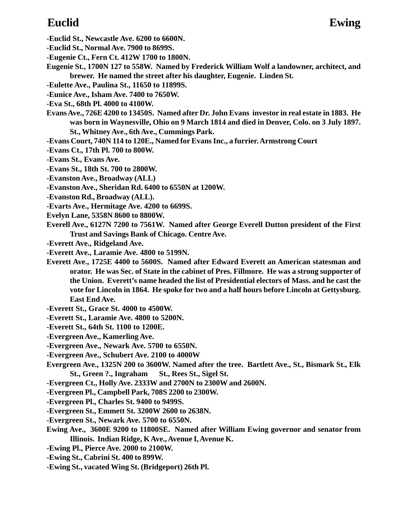- **-Euclid St., Newcastle Ave. 6200 to 6600N.**
- **-Euclid St., Normal Ave. 7900 to 8699S.**
- **-Eugenie Ct., Fern Ct. 412W 1700 to 1800N.**
- **Eugenie St., 1700N 127 to 558W. Named by Frederick William Wolf a landowner, architect, and brewer. He named the street after his daughter, Eugenie. Linden St.**
- **-Eulette Ave., Paulina St., 11650 to 11899S.**
- **-Eunice Ave., Isham Ave. 7400 to 7650W.**
- **-Eva St., 68th Pl. 4000 to 4100W.**
- **Evans Ave., 726E 4200 to 13450S. Named after Dr. John Evans investor in real estate in 1883. He was born in Waynesville, Ohio on 9 March 1814 and died in Denver, Colo. on 3 July 1897. St., Whitney Ave., 6th Ave., Cummings Park.**
- **-Evans Court, 740N 114 to 120E., Named for Evans Inc., a furrier. Armstrong Court**
- **-Evans Ct., 17th Pl. 700 to 800W.**
- **-Evans St., Evans Ave.**
- **-Evans St., 18th St. 700 to 2800W.**
- **-Evanston Ave., Broadway (ALL)**
- **-Evanston Ave., Sheridan Rd. 6400 to 6550N at 1200W.**
- **-Evanston Rd., Broadway (ALL).**
- **-Evarts Ave., Hermitage Ave. 4200 to 6699S.**
- **Evelyn Lane, 5358N 8600 to 8800W.**
- **Everell Ave., 6127N 7200 to 7561W. Named after George Everell Dutton president of the First Trust and Savings Bank of Chicago. Centre Ave.**
- **-Everett Ave., Ridgeland Ave.**
- **-Everett Ave., Laramie Ave. 4800 to 5199N.**
- **Everett Ave., 1725E 4400 to 5600S. Named after Edward Everett an American statesman and orator. He was Sec. of State in the cabinet of Pres. Fillmore. He was a strong supporter of the Union. Everett's name headed the list of Presidential electors of Mass. and he cast the vote for Lincoln in 1864. He spoke for two and a half hours before Lincoln at Gettysburg. East End Ave.**
- **-Everett St., Grace St. 4000 to 4500W.**
- **-Everett St., Laramie Ave. 4800 to 5200N.**
- **-Everett St., 64th St. 1100 to 1200E.**
- **-Evergreen Ave., Kamerling Ave.**
- **-Evergreen Ave., Newark Ave. 5700 to 6550N.**
- **-Evergreen Ave., Schubert Ave. 2100 to 4000W**
- **Evergreen Ave., 1325N 200 to 3600W. Named after the tree. Bartlett Ave., St., Bismark St., Elk St., Green ?., Ingraham St., Rees St., Sigel St.**
- **-Evergreen Ct., Holly Ave. 2333W and 2700N to 2300W and 2600N.**
- **-Evergreen Pl., Campbell Park, 708S 2200 to 2300W.**
- **-Evergreen Pl., Charles St. 9400 to 9499S.**
- **-Evergreen St., Emmett St. 3200W 2600 to 2638N.**
- **-Evergreen St., Newark Ave. 5700 to 6550N.**
- **Ewing Ave., 3600E 9200 to 11800SE. Named after William Ewing governor and senator from Illinois. Indian Ridge, K Ave., Avenue I, Avenue K.**
- **-Ewing Pl., Pierce Ave. 2000 to 2100W.**
- **-Ewing St., Cabrini St. 400 to 899W.**
- **-Ewing St., vacated Wing St. (Bridgeport) 26th Pl.**

# **Euclid Ewing**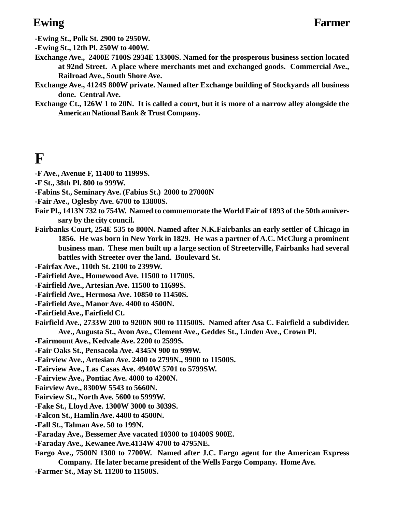**-Ewing St., Polk St. 2900 to 2950W.**

**-Ewing St., 12th Pl. 250W to 400W.**

- **Exchange Ave., 2400E 7100S 2934E 13300S. Named for the prosperous business section located at 92nd Street. A place where merchants met and exchanged goods. Commercial Ave., Railroad Ave., South Shore Ave.**
- **Exchange Ave., 4124S 800W private. Named after Exchange building of Stockyards all business done. Central Ave.**
- **Exchange Ct., 126W 1 to 20N. It is called a court, but it is more of a narrow alley alongside the American National Bank & Trust Company.**

# **F**

- **-F Ave., Avenue F, 11400 to 11999S.**
- **-F St., 38th Pl. 800 to 999W.**
- **-Fabins St., Seminary Ave. (Fabius St.) 2000 to 27000N**
- **-Fair Ave., Oglesby Ave. 6700 to 13800S.**
- **Fair Pl., 1413N 732 to 754W. Named to commemorate the World Fair of 1893 of the 50th anniversary by the city council.**
- **Fairbanks Court, 254E 535 to 800N. Named after N.K.Fairbanks an early settler of Chicago in 1856. He was born in New York in 1829. He was a partner of A.C. McClurg a prominent business man. These men built up a large section of Streeterville, Fairbanks had several battles with Streeter over the land. Boulevard St.**

**-Fairfax Ave., 110th St. 2100 to 2399W.**

- **-Fairfield Ave., Homewood Ave. 11500 to 11700S.**
- **-Fairfield Ave., Artesian Ave. 11500 to 11699S.**
- **-Fairfield Ave., Hermosa Ave. 10850 to 11450S.**

**-Fairfield Ave., Manor Ave. 4400 to 4500N.**

**-Fairfield Ave., Fairfield Ct.**

- **Fairfield Ave., 2733W 200 to 9200N 900 to 111500S. Named after Asa C. Fairfield a subdivider. Ave., Augusta St., Avon Ave., Clement Ave., Geddes St., Linden Ave., Crown Pl.**
- **-Fairmount Ave., Kedvale Ave. 2200 to 2599S.**
- **-Fair Oaks St., Pensacola Ave. 4345N 900 to 999W.**
- **-Fairview Ave., Artesian Ave. 2400 to 2799N., 9900 to 11500S.**
- **-Fairview Ave., Las Casas Ave. 4940W 5701 to 5799SW.**
- **-Fairview Ave., Pontiac Ave. 4000 to 4200N.**
- **Fairview Ave., 8300W 5543 to 5660N.**
- **Fairview St., North Ave. 5600 to 5999W.**
- **-Fake St., Lloyd Ave. 1300W 3000 to 3039S.**
- **-Falcon St., Hamlin Ave. 4400 to 4500N.**
- **-Fall St., Talman Ave. 50 to 199N.**
- **-Faraday Ave., Bessemer Ave vacated 10300 to 10400S 900E.**
- **-Faraday Ave., Kewanee Ave.4134W 4700 to 4795NE.**
- **Fargo Ave., 7500N 1300 to 7700W. Named after J.C. Fargo agent for the American Express**
- **Company. He later became president of the Wells Fargo Company. Home Ave.**
- **-Farmer St., May St. 11200 to 11500S.**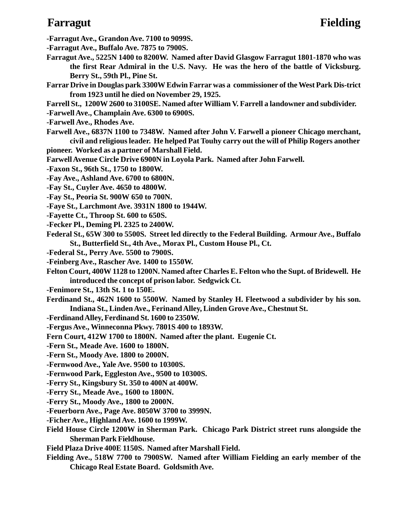# **Farragut Fielding**

**-Farragut Ave., Grandon Ave. 7100 to 9099S.**

**-Farragut Ave., Buffalo Ave. 7875 to 7900S.**

- **Farragut Ave., 5225N 1400 to 8200W. Named after David Glasgow Farragut 1801-1870 who was the first Rear Admiral in the U.S. Navy. He was the hero of the battle of Vicksburg. Berry St., 59th Pl., Pine St.**
- **Farrar Drive in Douglas park 3300W Edwin Farrar was a commissioner of the West Park Dis-trict from 1923 until he died on November 29, 1925.**
- **Farrell St., 1200W 2600 to 3100SE. Named after William V. Farrell a landowner and subdivider.**
- **-Farwell Ave., Champlain Ave. 6300 to 6900S.**
- **-Farwell Ave., Rhodes Ave.**
- **Farwell Ave., 6837N 1100 to 7348W. Named after John V. Farwell a pioneer Chicago merchant, civil and religious leader. He helped Pat Touhy carry out the will of Philip Rogers another**
- **pioneer. Worked as a partner of Marshall Field.**

**Farwell Avenue Circle Drive 6900N in Loyola Park. Named after John Farwell.**

**-Faxon St., 96th St., 1750 to 1800W.**

- **-Fay Ave., Ashland Ave. 6700 to 6800N.**
- **-Fay St., Cuyler Ave. 4650 to 4800W.**
- **-Fay St., Peoria St. 900W 650 to 700N.**
- **-Faye St., Larchmont Ave. 3931N 1800 to 1944W.**
- **-Fayette Ct., Throop St. 600 to 650S.**
- **-Fecker Pl., Deming Pl. 2325 to 2400W.**
- **Federal St., 65W 300 to 5500S. Street led directly to the Federal Building. Armour Ave., Buffalo St., Butterfield St., 4th Ave., Morax Pl., Custom House Pl., Ct.**
- **-Federal St., Perry Ave. 5500 to 7900S.**
- **-Feinberg Ave., Rascher Ave. 1400 to 1550W.**
- **Felton Court, 400W 1128 to 1200N. Named after Charles E. Felton who the Supt. of Bridewell. He introduced the concept of prison labor. Sedgwick Ct.**
- **-Fenimore St., 13th St. 1 to 150E.**
- **Ferdinand St., 462N 1600 to 5500W. Named by Stanley H. Fleetwood a subdivider by his son. Indiana St., Linden Ave., Ferinand Alley, Linden Grove Ave., Chestnut St.**
- **-Ferdinand Alley, Ferdinand St. 1600 to 2350W.**
- **-Fergus Ave., Winneconna Pkwy. 7801S 400 to 1893W.**
- **Fern Court, 412W 1700 to 1800N. Named after the plant. Eugenie Ct.**
- **-Fern St., Meade Ave. 1600 to 1800N.**
- **-Fern St., Moody Ave. 1800 to 2000N.**
- **-Fernwood Ave., Yale Ave. 9500 to 10300S.**
- **-Fernwood Park, Eggleston Ave., 9500 to 10300S.**
- **-Ferry St., Kingsbury St. 350 to 400N at 400W.**
- **-Ferry St., Meade Ave., 1600 to 1800N.**
- **-Ferry St., Moody Ave., 1800 to 2000N.**
- **-Feuerborn Ave., Page Ave. 8050W 3700 to 3999N.**
- **-Ficher Ave., Highland Ave. 1600 to 1999W.**
- **Field House Circle 1200W in Sherman Park. Chicago Park District street runs alongside the Sherman Park Fieldhouse.**
- **Field Plaza Drive 400E 1150S. Named after Marshall Field.**
- **Fielding Ave., 518W 7700 to 7900SW. Named after William Fielding an early member of the Chicago Real Estate Board. Goldsmith Ave.**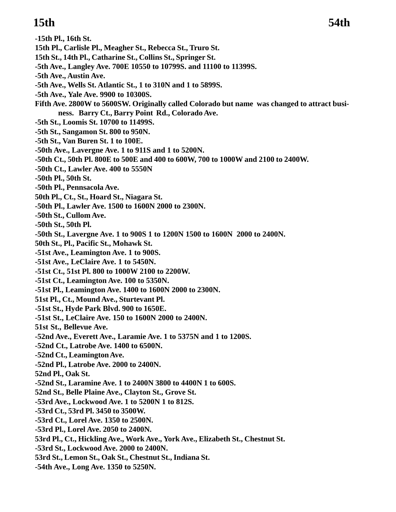# **15th 54th**

- **-15th Pl., 16th St. 15th Pl., Carlisle Pl., Meagher St., Rebecca St., Truro St. 15th St., 14th Pl., Catharine St., Collins St., Springer St. -5th Ave., Langley Ave. 700E 10550 to 10799S. and 11100 to 11399S. -5th Ave., Austin Ave. -5th Ave., Wells St. Atlantic St., 1 to 310N and 1 to 5899S. -5th Ave., Yale Ave. 9900 to 10300S. Fifth Ave. 2800W to 5600SW. Originally called Colorado but name was changed to attract business. Barry Ct., Barry Point Rd., Colorado Ave. -5th St., Loomis St. 10700 to 11499S. -5th St., Sangamon St. 800 to 950N. -5th St., Van Buren St. 1 to 100E. -50th Ave., Lavergne Ave. 1 to 911S and 1 to 5200N. -50th Ct., 50th Pl. 800E to 500E and 400 to 600W, 700 to 1000W and 2100 to 2400W. -50th Ct., Lawler Ave. 400 to 5550N -50th Pl., 50th St. -50th Pl., Pennsacola Ave. 50th Pl., Ct., St., Hoard St., Niagara St. -50th Pl., Lawler Ave. 1500 to 1600N 2000 to 2300N. -50th St., Cullom Ave. -50th St., 50th Pl. -50th St., Lavergne Ave. 1 to 900S 1 to 1200N 1500 to 1600N 2000 to 2400N. 50th St., Pl., Pacific St., Mohawk St. -51st Ave., Leamington Ave. 1 to 900S. -51st Ave., LeClaire Ave. 1 to 5450N. -51st Ct., 51st Pl. 800 to 1000W 2100 to 2200W. -51st Ct., Leamington Ave. 100 to 5350N. -51st Pl., Leamington Ave. 1400 to 1600N 2000 to 2300N. 51st Pl., Ct., Mound Ave., Sturtevant Pl. -51st St., Hyde Park Blvd. 900 to 1650E. -51st St., LeClaire Ave. 150 to 1600N 2000 to 2400N. 51st St., Bellevue Ave. -52nd Ave., Everett Ave., Laramie Ave. 1 to 5375N and 1 to 1200S. -52nd Ct., Latrobe Ave. 1400 to 6500N. -52nd Ct., Leamington Ave. -52nd Pl., Latrobe Ave. 2000 to 2400N. 52nd Pl., Oak St. -52nd St., Laramine Ave. 1 to 2400N 3800 to 4400N 1 to 600S. 52nd St., Belle Plaine Ave., Clayton St., Grove St. -53rd Ave., Lockwood Ave. 1 to 5200N 1 to 812S. -53rd Ct., 53rd Pl. 3450 to 3500W. -53rd Ct., Lorel Ave. 1350 to 2500N. -53rd Pl., Lorel Ave. 2050 to 2400N. 53rd Pl., Ct., Hickling Ave., Work Ave., York Ave., Elizabeth St., Chestnut St. -53rd St., Lockwood Ave. 2000 to 2400N. 53rd St., Lemon St., Oak St., Chestnut St., Indiana St.**
- **-54th Ave., Long Ave. 1350 to 5250N.**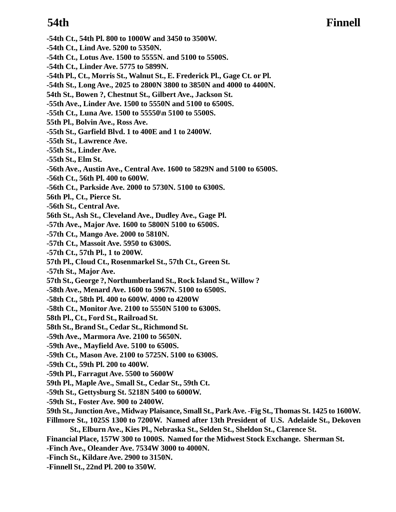# **54th Finnell**

- **-54th Ct., 54th Pl. 800 to 1000W and 3450 to 3500W.**
- **-54th Ct., Lind Ave. 5200 to 5350N.**
- **-54th Ct., Lotus Ave. 1500 to 5555N. and 5100 to 5500S.**
- **-54th Ct., Linder Ave. 5775 to 5899N.**
- **-54th Pl., Ct., Morris St., Walnut St., E. Frederick Pl., Gage Ct. or Pl.**
- **-54th St., Long Ave., 2025 to 2800N 3800 to 3850N and 4000 to 4400N.**
- **54th St., Bowen ?, Chestnut St., Gilbert Ave., Jackson St.**
- **-55th Ave., Linder Ave. 1500 to 5550N and 5100 to 6500S.**
- **-55th Ct., Luna Ave. 1500 to 55550\n 5100 to 5500S.**
- **55th Pl., Bolvin Ave., Ross Ave.**
- **-55th St., Garfield Blvd. 1 to 400E and 1 to 2400W.**
- **-55th St., Lawrence Ave.**
- **-55th St., Linder Ave.**
- **-55th St., Elm St.**
- **-56th Ave., Austin Ave., Central Ave. 1600 to 5829N and 5100 to 6500S.**
- **-56th Ct., 56th Pl. 400 to 600W.**
- **-56th Ct., Parkside Ave. 2000 to 5730N. 5100 to 6300S.**
- **56th Pl., Ct., Pierce St.**
- **-56th St., Central Ave.**
- **56th St., Ash St., Cleveland Ave., Dudley Ave., Gage Pl.**
- **-57th Ave., Major Ave. 1600 to 5800N 5100 to 6500S.**
- **-57th Ct., Mango Ave. 2000 to 5810N.**
- **-57th Ct., Massoit Ave. 5950 to 6300S.**
- **-57th Ct., 57th Pl., 1 to 200W.**
- **57th Pl., Cloud Ct., Rosenmarkel St., 57th Ct., Green St.**
- **-57th St., Major Ave.**
- **57th St., George ?, Northumberland St., Rock Island St., Willow ?**
- **-58th Ave., Menard Ave. 1600 to 5967N. 5100 to 6500S.**
- **-58th Ct., 58th Pl. 400 to 600W. 4000 to 4200W**
- **-58th Ct., Monitor Ave. 2100 to 5550N 5100 to 6300S.**
- **58th Pl., Ct., Ford St., Railroad St.**
- **58th St., Brand St., Cedar St., Richmond St.**
- **-59th Ave., Marmora Ave. 2100 to 5650N.**
- **-59th Ave., Mayfield Ave. 5100 to 6500S.**
- **-59th Ct., Mason Ave. 2100 to 5725N. 5100 to 6300S.**
- **-59th Ct., 59th Pl. 200 to 400W.**
- **-59th Pl., Farragut Ave. 5500 to 5600W**
- **59th Pl., Maple Ave., Small St., Cedar St., 59th Ct.**
- **-59th St., Gettysburg St. 5218N 5400 to 6000W.**
- **-59th St., Foster Ave. 900 to 2400W.**
- **59th St., Junction Ave., Midway Plaisance, Small St., Park Ave. -Fig St., Thomas St. 1425 to 1600W.**
- **Fillmore St., 1025S 1300 to 7200W. Named after 13th President of U.S. Adelaide St., Dekoven St., Elburn Ave., Kies Pl., Nebraska St., Selden St., Sheldon St., Clarence St.**
- **Financial Place, 157W 300 to 1000S. Named for the Midwest Stock Exchange. Sherman St.**
- **-Finch Ave., Oleander Ave. 7534W 3000 to 4000N.**
- **-Finch St., Kildare Ave. 2900 to 3150N.**
- **-Finnell St., 22nd Pl. 200 to 350W.**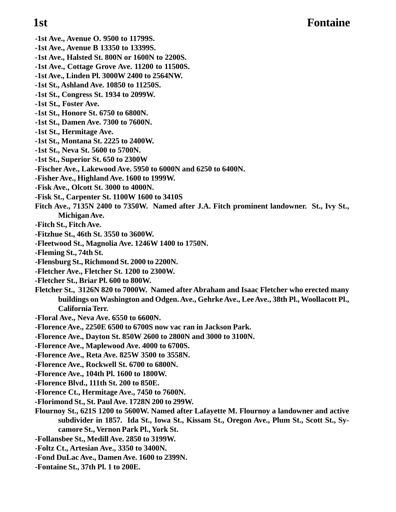### **1st Fontaine**

- **-1st Ave., Avenue O. 9500 to 11799S.**
- **-1st Ave., Avenue B 13350 to 13399S.**
- **-1st Ave., Halsted St. 800N or 1600N to 2200S.**
- **-1st Ave., Cottage Grove Ave. 11200 to 11500S.**
- **-1st Ave., Linden Pl. 3000W 2400 to 2564NW.**
- **-1st St., Ashland Ave. 10850 to 11250S.**
- **-1st St., Congress St. 1934 to 2099W.**
- **-1st St., Foster Ave.**
- **-1st St., Honore St. 6750 to 6800N.**
- **-1st St., Damen Ave. 7300 to 7600N.**
- **-1st St., Hermitage Ave.**
- **-1st St., Montana St. 2225 to 2400W.**
- **-1st St., Neva St. 5600 to 5700N.**
- **-1st St., Superior St. 650 to 2300W**
- **-Fischer Ave., Lakewood Ave. 5950 to 6000N and 6250 to 6400N.**
- **-Fisher Ave., Highland Ave. 1600 to 1999W.**
- **-Fisk Ave., Olcott St. 3000 to 4000N.**
- **-Fisk St., Carpenter St. 1100W 1600 to 3410S**
- **Fitch Ave., 7135N 2400 to 7350W. Named after J.A. Fitch prominent landowner. St., Ivy St., Michigan Ave.**
- **-Fitch St., Fitch Ave.**
- **-Fitzhue St., 46th St. 3550 to 3600W.**
- **-Fleetwood St., Magnolia Ave. 1246W 1400 to 1750N.**
- **-Fleming St., 74th St.**
- **-Flensburg St., Richmond St. 2000 to 2200N.**
- **-Fletcher Ave., Fletcher St. 1200 to 2300W.**
- **-Fletcher St., Briar Pl. 600 to 800W.**
- **Fletcher St., 3126N 820 to 7000W. Named after Abraham and Isaac Fletcher who erected many buildings on Washington and Odgen. Ave., Gehrke Ave., Lee Ave., 38th Pl., Woollacott Pl., California Terr.**
- **-Floral Ave., Neva Ave. 6550 to 6600N.**
- **-Florence Ave., 2250E 6500 to 6700S now vac ran in Jackson Park.**
- **-Florence Ave., Dayton St. 850W 2600 to 2800N and 3000 to 3100N.**
- **-Florence Ave., Maplewood Ave. 4000 to 6700S.**
- **-Florence Ave., Reta Ave. 825W 3500 to 3558N.**
- **-Florence Ave., Rockwell St. 6700 to 6800N.**
- **-Florence Ave., 104th Pl. 1600 to 1800W.**
- **-Florence Blvd., 111th St. 200 to 850E.**
- **-Florence Ct., Hermitage Ave., 7450 to 7600N.**
- **-Florimond St., St. Paul Ave. 1728N 200 to 299W.**
- **Flournoy St., 621S 1200 to 5600W. Named after Lafayette M. Flournoy a landowner and active subdivider in 1857. Ida St., Iowa St., Kissam St., Oregon Ave., Plum St., Scott St., Sycamore St., Vernon Park Pl., York St.**
- **-Follansbee St., Medill Ave. 2850 to 3199W.**
- **-Foltz Ct., Artesian Ave., 3350 to 3400N.**
- **-Fond DuLac Ave., Damen Ave. 1600 to 2399N.**
- **-Fontaine St., 37th Pl. 1 to 200E.**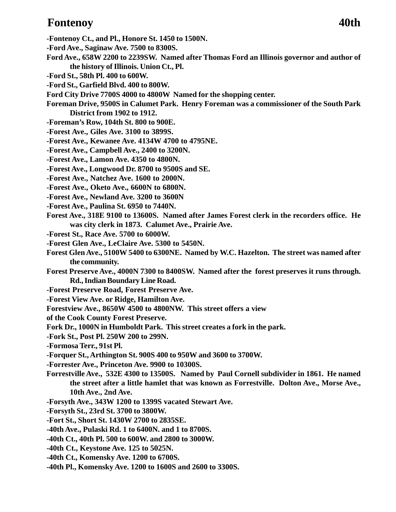### **Fontenoy 40th**

- **-Fontenoy Ct., and Pl., Honore St. 1450 to 1500N.**
- **-Ford Ave., Saginaw Ave. 7500 to 8300S.**
- **Ford Ave., 658W 2200 to 2239SW. Named after Thomas Ford an Illinois governor and author of the history of Illinois. Union Ct., Pl.**
- **-Ford St., 58th Pl. 400 to 600W.**
- **-Ford St., Garfield Blvd. 400 to 800W.**
- **Ford City Drive 7700S 4000 to 4800W Named for the shopping center.**
- **Foreman Drive, 9500S in Calumet Park. Henry Foreman was a commissioner of the South Park District from 1902 to 1912.**
- **-Foreman's Row, 104th St. 800 to 900E.**
- **-Forest Ave., Giles Ave. 3100 to 3899S.**
- **-Forest Ave., Kewanee Ave. 4134W 4700 to 4795NE.**
- **-Forest Ave., Campbell Ave., 2400 to 3200N.**
- **-Forest Ave., Lamon Ave. 4350 to 4800N.**
- **-Forest Ave., Longwood Dr. 8700 to 9500S and SE.**
- **-Forest Ave., Natchez Ave. 1600 to 2000N.**
- **-Forest Ave., Oketo Ave., 6600N to 6800N.**
- **-Forest Ave., Newland Ave. 3200 to 3600N**
- **-Forest Ave., Paulina St. 6950 to 7440N.**
- **Forest Ave., 318E 9100 to 13600S. Named after James Forest clerk in the recorders office. He was city clerk in 1873. Calumet Ave., Prairie Ave.**
- **-Forest St., Race Ave. 5700 to 6000W.**
- **-Forest Glen Ave., LeClaire Ave. 5300 to 5450N.**
- **Forest Glen Ave., 5100W 5400 to 6300NE. Named by W.C. Hazelton. The street was named after the community.**
- **Forest Preserve Ave., 4000N 7300 to 8400SW. Named after the forest preserves it runs through. Rd., Indian Boundary Line Road.**
- **-Forest Preserve Road, Forest Preserve Ave.**
- **-Forest View Ave. or Ridge, Hamilton Ave.**
- **Forestview Ave., 8650W 4500 to 4800NW. This street offers a view**
- **of the Cook County Forest Preserve.**
- **Fork Dr., 1000N in Humboldt Park. This street creates a fork in the park.**
- **-Fork St., Post Pl. 250W 200 to 299N.**
- **-Formosa Terr., 91st Pl.**
- **-Forquer St., Arthington St. 900S 400 to 950W and 3600 to 3700W.**
- **-Forrester Ave., Princeton Ave. 9900 to 10300S.**
- **Forrestville Ave., 532E 4300 to 13500S. Named by Paul Cornell subdivider in 1861. He named the street after a little hamlet that was known as Forrestville. Dolton Ave., Morse Ave., 10th Ave., 2nd Ave.**
- **-Forsyth Ave., 343W 1200 to 1399S vacated Stewart Ave.**
- **-Forsyth St., 23rd St. 3700 to 3800W.**
- **-Fort St., Short St. 1430W 2700 to 2835SE.**
- **-40th Ave., Pulaski Rd. 1 to 6400N. and 1 to 8700S.**
- **-40th Ct., 40th Pl. 500 to 600W. and 2800 to 3000W.**
- **-40th Ct., Keystone Ave. 125 to 5025N.**
- **-40th Ct., Komensky Ave. 1200 to 6700S.**
- **-40th Pl., Komensky Ave. 1200 to 1600S and 2600 to 3300S.**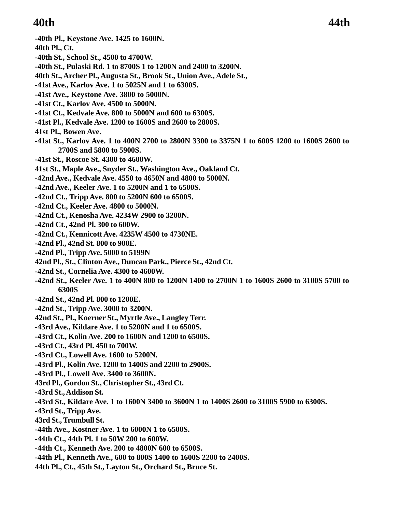# **40th 44th**

**-40th Pl., Keystone Ave. 1425 to 1600N.**

**40th Pl., Ct.**

- **-40th St., School St., 4500 to 4700W.**
- **-40th St., Pulaski Rd. 1 to 8700S 1 to 1200N and 2400 to 3200N.**
- **40th St., Archer Pl., Augusta St., Brook St., Union Ave., Adele St.,**
- **-41st Ave., Karlov Ave. 1 to 5025N and 1 to 6300S.**
- **-41st Ave., Keystone Ave. 3800 to 5000N.**
- **-41st Ct., Karlov Ave. 4500 to 5000N.**
- **-41st Ct., Kedvale Ave. 800 to 5000N and 600 to 6300S.**
- **-41st Pl., Kedvale Ave. 1200 to 1600S and 2600 to 2800S.**
- **41st Pl., Bowen Ave.**
- **-41st St., Karlov Ave. 1 to 400N 2700 to 2800N 3300 to 3375N 1 to 600S 1200 to 1600S 2600 to 2700S and 5800 to 5900S.**
- **-41st St., Roscoe St. 4300 to 4600W.**
- **41st St., Maple Ave., Snyder St., Washington Ave., Oakland Ct.**
- **-42nd Ave., Kedvale Ave. 4550 to 4650N and 4800 to 5000N.**
- **-42nd Ave., Keeler Ave. 1 to 5200N and 1 to 6500S.**
- **-42nd Ct., Tripp Ave. 800 to 5200N 600 to 6500S.**
- **-42nd Ct., Keeler Ave. 4800 to 5000N.**
- **-42nd Ct., Kenosha Ave. 4234W 2900 to 3200N.**
- **-42nd Ct., 42nd Pl. 300 to 600W.**
- **-42nd Ct., Kennicott Ave. 4235W 4500 to 4730NE.**
- **-42nd Pl., 42nd St. 800 to 900E.**
- **-42nd Pl., Tripp Ave. 5000 to 5199N**
- **42nd Pl., St., Clinton Ave., Duncan Park., Pierce St., 42nd Ct.**
- **-42nd St., Cornelia Ave. 4300 to 4600W.**
- **-42nd St., Keeler Ave. 1 to 400N 800 to 1200N 1400 to 2700N 1 to 1600S 2600 to 3100S 5700 to 6300S**
- **-42nd St., 42nd Pl. 800 to 1200E.**
- **-42nd St., Tripp Ave. 3000 to 3200N.**
- **42nd St., Pl., Koerner St., Myrtle Ave., Langley Terr.**
- **-43rd Ave., Kildare Ave. 1 to 5200N and 1 to 6500S.**
- **-43rd Ct., Kolin Ave. 200 to 1600N and 1200 to 6500S.**
- **-43rd Ct., 43rd Pl. 450 to 700W.**
- **-43rd Ct., Lowell Ave. 1600 to 5200N.**
- **-43rd Pl., Kolin Ave. 1200 to 1400S and 2200 to 2900S.**
- **-43rd Pl., Lowell Ave. 3400 to 3600N.**
- **43rd Pl., Gordon St., Christopher St., 43rd Ct.**
- **-43rd St., Addison St.**
- **-43rd St., Kildare Ave. 1 to 1600N 3400 to 3600N 1 to 1400S 2600 to 3100S 5900 to 6300S.**
- **-43rd St., Tripp Ave.**
- **43rd St., Trumbull St.**
- **-44th Ave., Kostner Ave. 1 to 6000N 1 to 6500S.**
- **-44th Ct., 44th Pl. 1 to 50W 200 to 600W.**
- **-44th Ct., Kenneth Ave. 200 to 4800N 600 to 6500S.**
- **-44th Pl., Kenneth Ave., 600 to 800S 1400 to 1600S 2200 to 2400S.**
- **44th Pl., Ct., 45th St., Layton St., Orchard St., Bruce St.**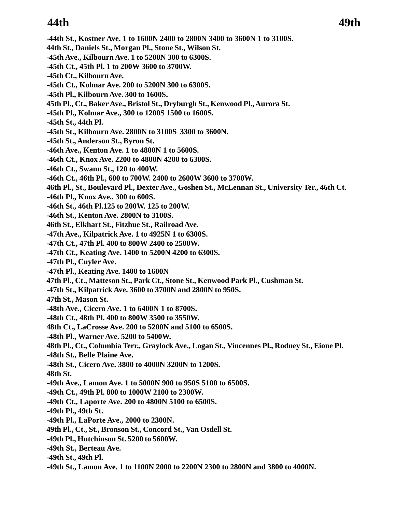# **44th 49th**

- **-44th St., Kostner Ave. 1 to 1600N 2400 to 2800N 3400 to 3600N 1 to 3100S.**
- **44th St., Daniels St., Morgan Pl., Stone St., Wilson St.**
- **-45th Ave., Kilbourn Ave. 1 to 5200N 300 to 6300S.**
- **-45th Ct., 45th Pl. 1 to 200W 3600 to 3700W.**
- **-45th Ct., Kilbourn Ave.**
- **-45th Ct., Kolmar Ave. 200 to 5200N 300 to 6300S.**
- **-45th Pl., Kilbourn Ave. 300 to 1600S.**
- **45th Pl., Ct., Baker Ave., Bristol St., Dryburgh St., Kenwood Pl., Aurora St.**
- **-45th Pl., Kolmar Ave., 300 to 1200S 1500 to 1600S.**
- **-45th St., 44th Pl.**
- **-45th St., Kilbourn Ave. 2800N to 3100S 3300 to 3600N.**
- **-45th St., Anderson St., Byron St.**
- **-46th Ave., Kenton Ave. 1 to 4800N 1 to 5600S.**
- **-46th Ct., Knox Ave. 2200 to 4800N 4200 to 6300S.**
- **-46th Ct., Swann St., 120 to 400W.**
- **-46th Ct., 46th Pl., 600 to 700W. 2400 to 2600W 3600 to 3700W.**
- **46th Pl., St., Boulevard Pl., Dexter Ave., Goshen St., McLennan St., University Ter., 46th Ct.**
- **-46th Pl., Knox Ave., 300 to 600S.**
- **-46th St., 46th Pl.125 to 200W. 125 to 200W.**
- **-46th St., Kenton Ave. 2800N to 3100S.**
- **46th St., Elkhart St., Fitzhue St., Railroad Ave.**
- **-47th Ave., Kilpatrick Ave. 1 to 4925N 1 to 6300S.**
- **-47th Ct., 47th Pl. 400 to 800W 2400 to 2500W.**
- **-47th Ct., Keating Ave. 1400 to 5200N 4200 to 6300S.**
- **-47th Pl., Cuyler Ave.**
- **-47th Pl., Keating Ave. 1400 to 1600N**
- **47th Pl., Ct., Matteson St., Park Ct., Stone St., Kenwood Park Pl., Cushman St.**
- **-47th St., Kilpatrick Ave. 3600 to 3700N and 2800N to 950S.**
- **47th St., Mason St.**
- **-48th Ave., Cicero Ave. 1 to 6400N 1 to 8700S.**
- **-48th Ct., 48th Pl. 400 to 800W 3500 to 3550W.**
- **48th Ct., LaCrosse Ave. 200 to 5200N and 5100 to 6500S.**
- **-48th Pl., Warner Ave. 5200 to 5400W.**
- **48th Pl., Ct., Columbia Terr., Graylock Ave., Logan St., Vincennes Pl., Rodney St., Eione Pl.**
- **-48th St., Belle Plaine Ave.**
- **-48th St., Cicero Ave. 3800 to 4000N 3200N to 1200S.**
- **48th St.**
- **-49th Ave., Lamon Ave. 1 to 5000N 900 to 950S 5100 to 6500S.**
- **-49th Ct., 49th Pl. 800 to 1000W 2100 to 2300W.**
- **-49th Ct., Laporte Ave. 200 to 4800N 5100 to 6500S.**
- **-49th Pl., 49th St.**
- **-49th Pl., LaPorte Ave., 2000 to 2300N.**
- **49th Pl., Ct., St., Bronson St., Concord St., Van Osdell St.**
- **-49th Pl., Hutchinson St. 5200 to 5600W.**
- **-49th St., Berteau Ave.**
- **-49th St., 49th Pl.**
- **-49th St., Lamon Ave. 1 to 1100N 2000 to 2200N 2300 to 2800N and 3800 to 4000N.**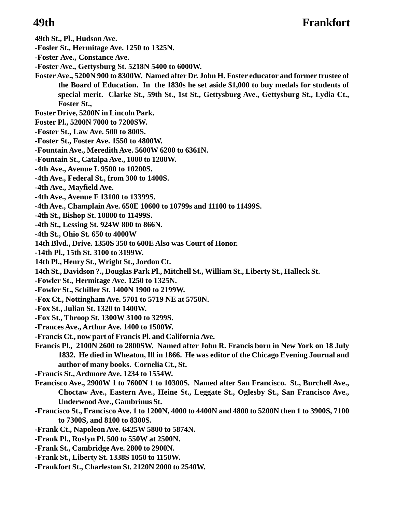**49th St., Pl., Hudson Ave.**

- **-Fosler St., Hermitage Ave. 1250 to 1325N.**
- **-Foster Ave., Constance Ave.**
- **-Foster Ave., Gettysburg St. 5218N 5400 to 6000W.**
- **Foster Ave., 5200N 900 to 8300W. Named after Dr. John H. Foster educator and former trustee of the Board of Education. In the 1830s he set aside \$1,000 to buy medals for students of special merit. Clarke St., 59th St., 1st St., Gettysburg Ave., Gettysburg St., Lydia Ct., Foster St.,**
- **Foster Drive, 5200N in Lincoln Park.**
- **Foster Pl., 5200N 7000 to 7200SW.**
- **-Foster St., Law Ave. 500 to 800S.**
- **-Foster St., Foster Ave. 1550 to 4800W.**
- **-Fountain Ave., Meredith Ave. 5600W 6200 to 6361N.**
- **-Fountain St., Catalpa Ave., 1000 to 1200W.**
- **-4th Ave., Avenue L 9500 to 10200S.**
- **-4th Ave., Federal St., from 300 to 1400S.**
- **-4th Ave., Mayfield Ave.**
- **-4th Ave., Avenue F 13100 to 13399S.**
- **-4th Ave., Champlain Ave. 650E 10600 to 10799s and 11100 to 11499S.**
- **-4th St., Bishop St. 10800 to 11499S.**
- **-4th St., Lessing St. 924W 800 to 866N.**
- **-4th St., Ohio St. 650 to 4000W**
- **14th Blvd., Drive. 1350S 350 to 600E Also was Court of Honor.**
- **-14th Pl., 15th St. 3100 to 3199W.**
- **14th Pl., Henry St., Wright St., Jordon Ct.**
- **14th St., Davidson ?., Douglas Park Pl., Mitchell St., William St., Liberty St., Halleck St.**
- **-Fowler St., Hermitage Ave. 1250 to 1325N.**
- **-Fowler St., Schiller St. 1400N 1900 to 2199W.**
- **-Fox Ct., Nottingham Ave. 5701 to 5719 NE at 5750N.**
- **-Fox St., Julian St. 1320 to 1400W.**
- **-Fox St., Throop St. 1300W 3100 to 3299S.**
- **-Frances Ave., Arthur Ave. 1400 to 1500W.**
- **-Francis Ct., now part of Francis Pl. and California Ave.**
- **Francis Pl., 2100N 2600 to 2800SW. Named after John R. Francis born in New York on 18 July 1832. He died in Wheaton, Ill in 1866. He was editor of the Chicago Evening Journal and author of many books. Cornelia Ct., St.**
- **-Francis St., Ardmore Ave. 1234 to 1554W.**
- **Francisco Ave., 2900W 1 to 7600N 1 to 10300S. Named after San Francisco. St., Burchell Ave., Choctaw Ave., Eastern Ave., Heine St., Leggate St., Oglesby St., San Francisco Ave., Underwood Ave., Gambrinus St.**
- **-Francisco St., Francisco Ave. 1 to 1200N, 4000 to 4400N and 4800 to 5200N then 1 to 3900S, 7100 to 7300S, and 8100 to 8300S.**
- **-Frank Ct., Napoleon Ave. 6425W 5800 to 5874N.**
- **-Frank Pl., Roslyn Pl. 500 to 550W at 2500N.**
- **-Frank St., Cambridge Ave. 2800 to 2900N.**
- **-Frank St., Liberty St. 1338S 1050 to 1150W.**
- **-Frankfort St., Charleston St. 2120N 2000 to 2540W.**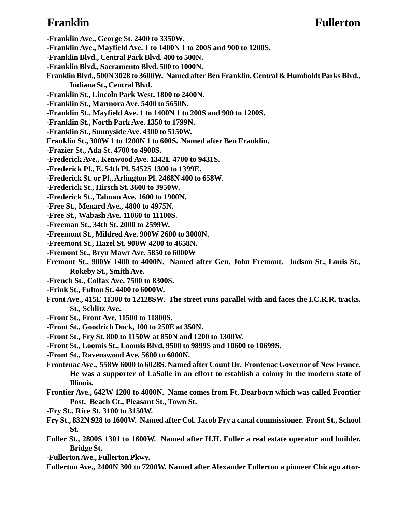### **Franklin Fullerton**

**-Franklin Ave., George St. 2400 to 3350W.**

- **-Franklin Ave., Mayfield Ave. 1 to 1400N 1 to 200S and 900 to 1200S.**
- **-Franklin Blvd., Central Park Blvd. 400 to 500N.**
- **-Franklin Blvd., Sacramento Blvd. 500 to 1000N.**
- **Franklin Blvd., 500N 3028 to 3600W. Named after Ben Franklin. Central & Humboldt Parks Blvd., Indiana St., Central Blvd.**
- **-Franklin St., Lincoln Park West, 1800 to 2400N.**
- **-Franklin St., Marmora Ave. 5400 to 5650N.**
- **-Franklin St., Mayfield Ave. 1 to 1400N 1 to 200S and 900 to 1200S.**
- **-Franklin St., North Park Ave. 1350 to 1799N.**
- **-Franklin St., Sunnyside Ave. 4300 to 5150W.**
- **Franklin St., 300W 1 to 1200N 1 to 600S. Named after Ben Franklin.**
- **-Frazier St., Ada St. 4700 to 4900S.**
- **-Frederick Ave., Kenwood Ave. 1342E 4700 to 9431S.**
- **-Frederick Pl., E. 54th Pl. 5452S 1300 to 1399E.**
- **-Frederick St. or Pl., Arlington Pl. 2468N 400 to 658W.**
- **-Frederick St., Hirsch St. 3600 to 3950W.**
- **-Frederick St., Talman Ave. 1600 to 1900N.**
- **-Free St., Menard Ave., 4800 to 4975N.**
- **-Free St., Wabash Ave. 11060 to 11100S.**
- **-Freeman St., 34th St. 2000 to 2599W.**
- **-Freemont St., Mildred Ave. 900W 2600 to 3000N.**
- **-Freemont St., Hazel St. 900W 4200 to 4658N.**
- **-Fremont St., Bryn Mawr Ave. 5850 to 6000W**
- **Fremont St., 900W 1400 to 4000N. Named after Gen. John Fremont. Judson St., Louis St., Rokeby St., Smith Ave.**
- **-French St., Colfax Ave. 7500 to 8300S.**
- **-Frink St., Fulton St. 4400 to 6000W.**
- **Front Ave., 415E 11300 to 12128SW. The street runs parallel with and faces the I.C.R.R. tracks. St., Schlitz Ave.**
- **-Front St., Front Ave. 11500 to 11800S.**
- **-Front St., Goodrich Dock, 100 to 250E at 350N.**
- **-Front St., Fry St. 800 to 1150W at 850N and 1200 to 1300W.**
- **-Front St., Loomis St., Loomis Blvd. 9500 to 9899S and 10600 to 10699S.**
- **-Front St., Ravenswood Ave. 5600 to 6000N.**
- **Frontenac Ave., 558W 6000 to 6028S. Named after Count Dr. Frontenac Governor of New France. He was a supporter of LaSalle in an effort to establish a colony in the modern state of Illinois.**
- **Frontier Ave., 642W 1200 to 4000N. Name comes from Ft. Dearborn which was called Frontier Post. Beach Ct., Pleasant St., Town St.**
- **-Fry St., Rice St. 3100 to 3150W.**
- **Fry St., 832N 928 to 1600W. Named after Col. Jacob Fry a canal commissioner. Front St., School St.**
- **Fuller St., 2800S 1301 to 1600W. Named after H.H. Fuller a real estate operator and builder. Bridge St.**
- **-Fullerton Ave., Fullerton Pkwy.**
- **Fullerton Ave., 2400N 300 to 7200W. Named after Alexander Fullerton a pioneer Chicago attor-**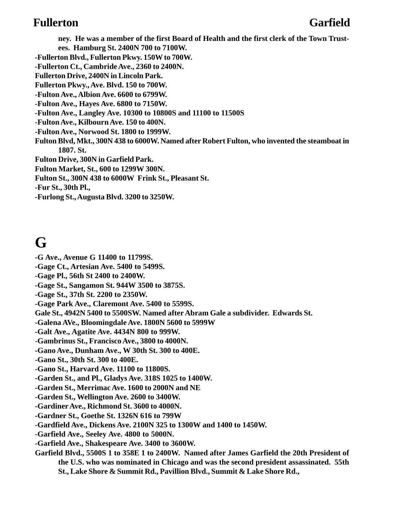### **Fullerton Garfield**

**ney. He was a member of the first Board of Health and the first clerk of the Town Trustees. Hamburg St. 2400N 700 to 7100W. -Fullerton Blvd., Fullerton Pkwy. 150W to 700W. -Fullerton Ct., Cambride Ave., 2360 to 2400N. Fullerton Drive, 2400N in Lincoln Park. Fullerton Pkwy., Ave. Blvd. 150 to 700W. -Fulton Ave., Albion Ave. 6600 to 6799W. -Fulton Ave., Hayes Ave. 6800 to 7150W. -Fulton Ave., Langley Ave. 10300 to 10800S and 11100 to 11500S -Fulton Ave., Kilbourn Ave. 150 to 400N. -Fulton Ave., Norwood St. 1800 to 1999W. Fulton Blvd, Mkt., 300N 438 to 6000W. Named after Robert Fulton, who invented the steamboat in 1807. St. Fulton Drive, 300N in Garfield Park. Fulton Market, St., 600 to 1299W 300N. Fulton St., 300N 438 to 6000W Frink St., Pleasant St. -Fur St., 30th Pl., -Furlong St., Augusta Blvd. 3200 to 3250W.**

# **G**

- **-G Ave., Avenue G 11400 to 11799S.**
- **-Gage Ct., Artesian Ave. 5400 to 5499S.**
- **-Gage Pl., 56th St 2400 to 2400W.**
- **-Gage St., Sangamon St. 944W 3500 to 3875S.**
- **-Gage St., 37th St. 2200 to 2350W.**
- **-Gage Park Ave., Claremont Ave. 5400 to 5599S.**
- **Gale St., 4942N 5400 to 5500SW. Named after Abram Gale a subdivider. Edwards St.**
- **-Galena AVe., Bloomingdale Ave. 1800N 5600 to 5999W**
- **-Galt Ave., Agatite Ave. 4434N 800 to 999W.**
- **-Gambrinus St., Francisco Ave., 3800 to 4000N.**
- **-Gano Ave., Dunham Ave., W 30th St. 300 to 400E.**
- **-Gano St., 30th St. 300 to 400E.**
- **-Gano St., Harvard Ave. 11100 to 11800S.**
- **-Garden St., and Pl., Gladys Ave. 318S 1025 to 1400W.**
- **-Garden St., Merrimac Ave. 1600 to 2000N and NE**
- **-Garden St., Wellington Ave. 2600 to 3400W.**
- **-Gardiner Ave., Richmond St. 3600 to 4000N.**
- **-Gardner St., Goethe St. 1326N 616 to 799W**
- **-Gardfield Ave., Dickens Ave. 2100N 325 to 1300W and 1400 to 1450W.**
- **-Garfield Ave., Seeley Ave. 4800 to 5000N.**
- **-Garfield Ave., Shakespeare Ave. 3400 to 3600W.**
- **Garfield Blvd., 5500S 1 to 358E 1 to 2400W. Named after James Garfield the 20th President of the U.S. who was nominated in Chicago and was the second president assassinated. 55th St., Lake Shore & Summit Rd., Pavillion Blvd., Summit & Lake Shore Rd.,**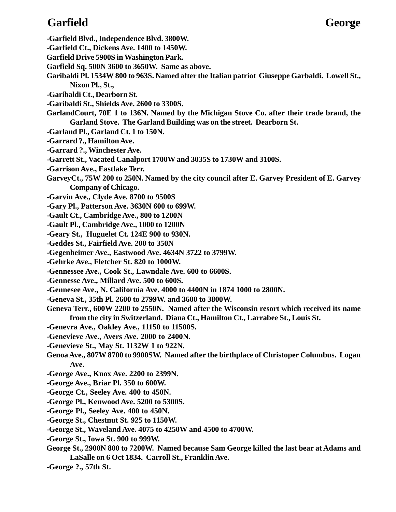# **Garfield George**

- **-Garfield Blvd., Independence Blvd. 3800W.**
- **-Garfield Ct., Dickens Ave. 1400 to 1450W.**
- **Garfield Drive 5900S in Washington Park.**
- **Garfield Sq. 500N 3600 to 3650W. Same as above.**
- **Garibaldi Pl. 1534W 800 to 963S. Named after the Italian patriot Giuseppe Garbaldi. Lowell St., Nixon Pl., St.,**
- **-Garibaldi Ct., Dearborn St.**
- **-Garibaldi St., Shields Ave. 2600 to 3300S.**
- **GarlandCourt, 70E 1 to 136N. Named by the Michigan Stove Co. after their trade brand, the Garland Stove. The Garland Building was on the street. Dearborn St.**
- **-Garland Pl., Garland Ct. 1 to 150N.**
- **-Garrard ?., Hamilton Ave.**
- **-Garrard ?., Winchester Ave.**
- **-Garrett St., Vacated Canalport 1700W and 3035S to 1730W and 3100S.**
- **-Garrison Ave., Eastlake Terr.**
- **GarveyCt., 75W 200 to 250N. Named by the city council after E. Garvey President of E. Garvey Company of Chicago.**
- **-Garvin Ave., Clyde Ave. 8700 to 9500S**
- **-Gary Pl., Patterson Ave. 3630N 600 to 699W.**
- **-Gault Ct., Cambridge Ave., 800 to 1200N**
- **-Gault Pl., Cambridge Ave., 1000 to 1200N**
- **-Geary St., Huguelet Ct. 124E 900 to 930N.**
- **-Geddes St., Fairfield Ave. 200 to 350N**
- **-Gegenheimer Ave., Eastwood Ave. 4634N 3722 to 3799W.**
- **-Gehrke Ave., Fletcher St. 820 to 1000W.**
- **-Gennessee Ave., Cook St., Lawndale Ave. 600 to 6600S.**
- **-Gennesse Ave., Millard Ave. 500 to 600S.**
- **-Gennesee Ave., N. California Ave. 4000 to 4400N in 1874 1000 to 2800N.**
- **-Geneva St., 35th Pl. 2600 to 2799W. and 3600 to 3800W.**
- **Geneva Terr., 600W 2200 to 2550N. Named after the Wisconsin resort which received its name from the city in Switzerland. Diana Ct., Hamilton Ct., Larrabee St., Louis St.**
- **-Genevra Ave., Oakley Ave., 11150 to 11500S.**
- **-Genevieve Ave., Avers Ave. 2000 to 2400N.**
- **-Genevieve St., May St. 1132W 1 to 922N.**
- **Genoa Ave., 807W 8700 to 9900SW. Named after the birthplace of Christoper Columbus. Logan Ave.**
- **-George Ave., Knox Ave. 2200 to 2399N.**
- **-George Ave., Briar Pl. 350 to 600W.**
- **-George Ct., Seeley Ave. 400 to 450N.**
- **-George Pl., Kenwood Ave. 5200 to 5300S.**
- **-George Pl., Seeley Ave. 400 to 450N.**
- **-George St., Chestnut St. 925 to 1150W.**
- **-George St., Waveland Ave. 4075 to 4250W and 4500 to 4700W.**
- **-George St., Iowa St. 900 to 999W.**
- **George St., 2900N 800 to 7200W. Named because Sam George killed the last bear at Adams and LaSalle on 6 Oct 1834. Carroll St., Franklin Ave.**
- **-George ?., 57th St.**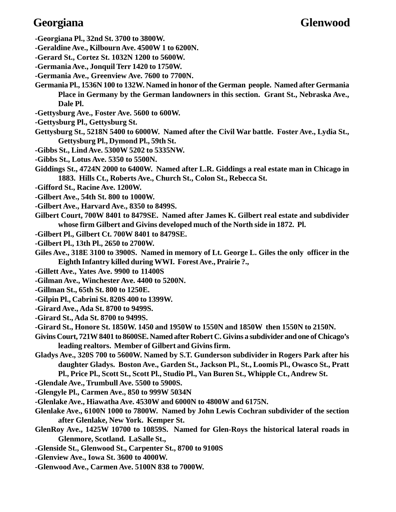# **Georgiana Glenwood**

- **-Georgiana Pl., 32nd St. 3700 to 3800W.**
- **-Geraldine Ave., Kilbourn Ave. 4500W 1 to 6200N.**
- **-Gerard St., Cortez St. 1032N 1200 to 5600W.**
- **-Germania Ave., Jonquil Terr 1420 to 1750W.**
- **-Germania Ave., Greenview Ave. 7600 to 7700N.**
- **Germania Pl., 1536N 100 to 132W. Named in honor of the German people. Named after Germania Place in Germany by the German landowners in this section. Grant St., Nebraska Ave., Dale Pl.**
- **-Gettysburg Ave., Foster Ave. 5600 to 600W.**
- **-Gettysburg Pl., Gettysburg St.**
- **Gettysburg St., 5218N 5400 to 6000W. Named after the Civil War battle. Foster Ave., Lydia St., Gettysburg Pl., Dymond Pl., 59th St.**
- **-Gibbs St., Lind Ave. 5300W 5202 to 5335NW.**
- **-Gibbs St., Lotus Ave. 5350 to 5500N.**
- **Giddings St., 4724N 2000 to 6400W. Named after L.R. Giddings a real estate man in Chicago in 1883. Hills Ct., Roberts Ave., Church St., Colon St., Rebecca St.**
- **-Gifford St., Racine Ave. 1200W.**
- **-Gilbert Ave., 54th St. 800 to 1000W.**
- **-Gilbert Ave., Harvard Ave., 8350 to 8499S.**
- **Gilbert Court, 700W 8401 to 8479SE. Named after James K. Gilbert real estate and subdivider whose firm Gilbert and Givins developed much of the North side in 1872. Pl.**
- **-Gilbert Pl., Gilbert Ct. 700W 8401 to 8479SE.**
- **-Gilbert Pl., 13th Pl., 2650 to 2700W.**
- **Giles Ave., 318E 3100 to 3900S. Named in memory of Lt. George L. Giles the only officer in the Eighth Infantry killed during WWI. Forest Ave., Prairie ?.,**
- **-Gillett Ave., Yates Ave. 9900 to 11400S**
- **-Gilman Ave., Winchester Ave. 4400 to 5200N.**
- **-Gillman St., 65th St. 800 to 1250E.**
- **-Gilpin Pl., Cabrini St. 820S 400 to 1399W.**
- **-Girard Ave., Ada St. 8700 to 9499S.**
- **-Girard St., Ada St. 8700 to 9499S.**
- **-Girard St., Honore St. 1850W. 1450 and 1950W to 1550N and 1850W then 1550N to 2150N.**
- **Givins Court, 721W 8401 to 8600SE. Named after Robert C. Givins a subdivider and one of Chicago's leading realtors. Member of Gilbert and Givins firm.**
- **Gladys Ave., 320S 700 to 5600W. Named by S.T. Gunderson subdivider in Rogers Park after his daughter Gladys. Boston Ave., Garden St., Jackson Pl., St., Loomis Pl., Owasco St., Pratt Pl., Price Pl., Scott St., Scott Pl., Studio Pl., Van Buren St., Whipple Ct., Andrew St.**
- **-Glendale Ave., Trumbull Ave. 5500 to 5900S.**
- **-Glengyle Pl., Carmen Ave., 850 to 999W 5034N**
- **-Glenlake Ave., Hiawatha Ave. 4530W and 6000N to 4800W and 6175N.**
- **Glenlake Ave., 6100N 1000 to 7800W. Named by John Lewis Cochran subdivider of the section after Glenlake, New York. Kemper St.**
- **GlenRoy Ave., 1425W 10700 to 10859S. Named for Glen-Roys the historical lateral roads in Glenmore, Scotland. LaSalle St.,**
- **-Glenside St., Glenwood St., Carpenter St., 8700 to 9100S**
- **-Glenview Ave., Iowa St. 3600 to 4000W.**
- **-Glenwood Ave., Carmen Ave. 5100N 838 to 7000W.**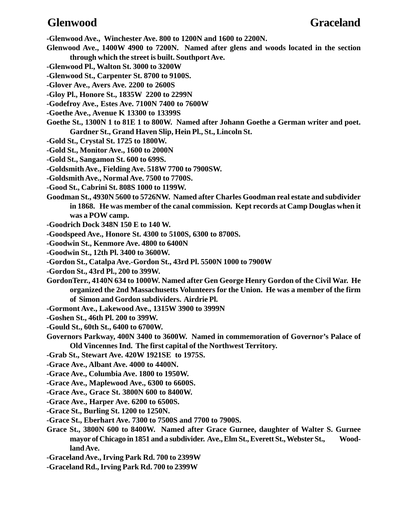**-Glenwood Ave., Winchester Ave. 800 to 1200N and 1600 to 2200N.**

- **Glenwood Ave., 1400W 4900 to 7200N. Named after glens and woods located in the section through which the street is built. Southport Ave.**
- **-Glenwood Pl., Walton St. 3000 to 3200W**
- **-Glenwood St., Carpenter St. 8700 to 9100S.**
- **-Glover Ave., Avers Ave. 2200 to 2600S**
- **-Gloy Pl., Honore St., 1835W 2200 to 2299N**
- **-Godefroy Ave., Estes Ave. 7100N 7400 to 7600W**
- **-Goethe Ave., Avenue K 13300 to 13399S**
- **Goethe St., 1300N 1 to 81E 1 to 800W. Named after Johann Goethe a German writer and poet. Gardner St., Grand Haven Slip, Hein Pl., St., Lincoln St.**
- **-Gold St., Crystal St. 1725 to 1800W.**
- **-Gold St., Monitor Ave., 1600 to 2000N**
- **-Gold St., Sangamon St. 600 to 699S.**
- **-Goldsmith Ave., Fielding Ave. 518W 7700 to 7900SW.**
- **-Goldsmith Ave., Normal Ave. 7500 to 7700S.**
- **-Good St., Cabrini St. 808S 1000 to 1199W.**
- **Goodman St., 4930N 5600 to 5726NW. Named after Charles Goodman real estate and subdivider in 1868. He was member of the canal commission. Kept records at Camp Douglas when it was a POW camp.**
- **-Goodrich Dock 348N 150 E to 140 W.**
- **-Goodspeed Ave., Honore St. 4300 to 5100S, 6300 to 8700S.**
- **-Goodwin St., Kenmore Ave. 4800 to 6400N**
- **-Goodwin St., 12th Pl. 3400 to 3600W.**
- **-Gordon St., Catalpa Ave.-Gordon St., 43rd Pl. 5500N 1000 to 7900W**
- **-Gordon St., 43rd Pl., 200 to 399W.**
- **GordonTerr., 4140N 634 to 1000W. Named after Gen George Henry Gordon of the Civil War. He organized the 2nd Massachusetts Volunteers for the Union. He was a member of the firm of Simon and Gordon subdividers. Airdrie Pl.**
- **-Gormont Ave., Lakewood Ave., 1315W 3900 to 3999N**
- **-Goshen St., 46th Pl. 200 to 399W.**
- **-Gould St., 60th St., 6400 to 6700W.**
- **Governors Parkway, 400N 3400 to 3600W. Named in commemoration of Governor's Palace of Old Vincennes Ind. The first capital of the Northwest Territory.**
- **-Grab St., Stewart Ave. 420W 1921SE to 1975S.**
- **-Grace Ave., Albant Ave. 4000 to 4400N.**
- **-Grace Ave., Columbia Ave. 1800 to 1950W.**
- **-Grace Ave., Maplewood Ave., 6300 to 6600S.**
- **-Grace Ave., Grace St. 3800N 600 to 8400W.**
- **-Grace Ave., Harper Ave. 6200 to 6500S.**
- **-Grace St., Burling St. 1200 to 1250N.**
- **-Grace St., Eberhart Ave. 7300 to 7500S and 7700 to 7900S.**
- **Grace St., 3800N 600 to 8400W. Named after Grace Gurnee, daughter of Walter S. Gurnee** mayor of Chicago in 1851 and a subdivider. Ave., Elm St., Everett St., Webster St., Wood**land Ave.**
- **-Graceland Ave., Irving Park Rd. 700 to 2399W**
- **-Graceland Rd., Irving Park Rd. 700 to 2399W**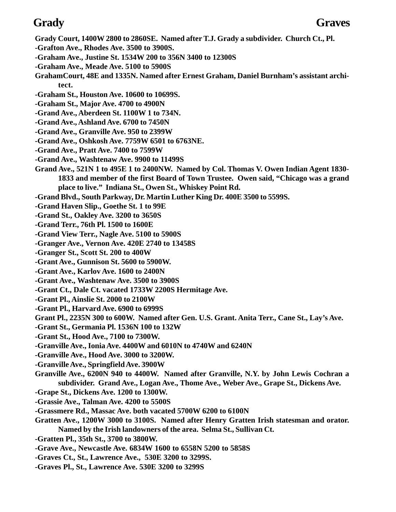- **Grady Court, 1400W 2800 to 2860SE. Named after T.J. Grady a subdivider. Church Ct., Pl.**
- **-Grafton Ave., Rhodes Ave. 3500 to 3900S.**
- **-Graham Ave., Justine St. 1534W 200 to 356N 3400 to 12300S**
- **-Graham Ave., Meade Ave. 5100 to 5900S**
- **GrahamCourt, 48E and 1335N. Named after Ernest Graham, Daniel Burnham's assistant architect.**
- **-Graham St., Houston Ave. 10600 to 10699S.**
- **-Graham St., Major Ave. 4700 to 4900N**
- **-Grand Ave., Aberdeen St. 1100W 1 to 734N.**
- **-Grand Ave., Ashland Ave. 6700 to 7450N**
- **-Grand Ave., Granville Ave. 950 to 2399W**
- **-Grand Ave., Oshkosh Ave. 7759W 6501 to 6763NE.**
- **-Grand Ave., Pratt Ave. 7400 to 7599W**
- **-Grand Ave., Washtenaw Ave. 9900 to 11499S**
- **Grand Ave., 521N 1 to 495E 1 to 2400NW. Named by Col. Thomas V. Owen Indian Agent 1830- 1833 and member of the first Board of Town Trustee. Owen said, "Chicago was a grand place to live." Indiana St., Owen St., Whiskey Point Rd.**
- **-Grand Blvd., South Parkway, Dr. Martin Luther King Dr. 400E 3500 to 5599S.**
- **-Grand Haven Slip., Goethe St. 1 to 99E**
- **-Grand St., Oakley Ave. 3200 to 3650S**
- **-Grand Terr., 76th Pl. 1500 to 1600E**
- **-Grand View Terr., Nagle Ave. 5100 to 5900S**
- **-Granger Ave., Vernon Ave. 420E 2740 to 13458S**
- **-Granger St., Scott St. 200 to 400W**
- **-Grant Ave., Gunnison St. 5600 to 5900W.**
- **-Grant Ave., Karlov Ave. 1600 to 2400N**
- **-Grant Ave., Washtenaw Ave. 3500 to 3900S**
- **-Grant Ct., Dale Ct. vacated 1733W 2200S Hermitage Ave.**
- **-Grant Pl., Ainslie St. 2000 to 2100W**
- **-Grant Pl., Harvard Ave. 6900 to 6999S**
- **Grant Pl., 2235N 300 to 600W. Named after Gen. U.S. Grant. Anita Terr., Cane St., Lay's Ave.**
- **-Grant St., Germania Pl. 1536N 100 to 132W**
- **-Grant St., Hood Ave., 7100 to 7300W.**
- **-Granville Ave., Ionia Ave. 4400W and 6010N to 4740W and 6240N**
- **-Granville Ave., Hood Ave. 3000 to 3200W.**
- **-Granville Ave., Springfield Ave. 3900W**
- **Granville Ave., 6200N 940 to 4400W. Named after Granville, N.Y. by John Lewis Cochran a subdivider. Grand Ave., Logan Ave., Thome Ave., Weber Ave., Grape St., Dickens Ave.**
- **-Grape St., Dickens Ave. 1200 to 1300W.**
- **-Grassie Ave., Talman Ave. 4200 to 5500S**
- **-Grassmere Rd., Massac Ave. both vacated 5700W 6200 to 6100N**
- **Gratten Ave., 1200W 3000 to 3100S. Named after Henry Gratten Irish statesman and orator. Named by the Irish landowners of the area. Selma St., Sullivan Ct.**
- **-Gratten Pl., 35th St., 3700 to 3800W.**
- **-Grave Ave., Newcastle Ave. 6834W 1600 to 6558N 5200 to 5858S**
- **-Graves Ct., St., Lawrence Ave., 530E 3200 to 3299S.**
- **-Graves Pl., St., Lawrence Ave. 530E 3200 to 3299S**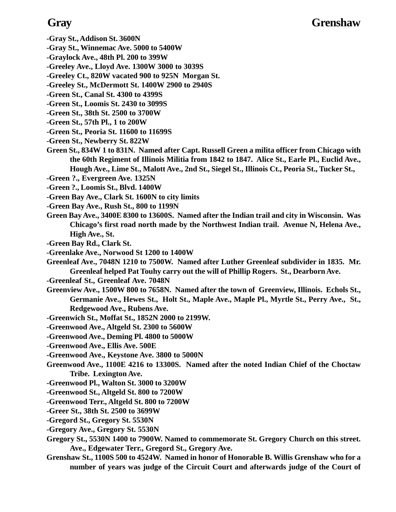### **Gray Grenshaw**

- **-Gray St., Addison St. 3600N**
- **-Gray St., Winnemac Ave. 5000 to 5400W**
- **-Graylock Ave., 48th Pl. 200 to 399W**
- **-Greeley Ave., Lloyd Ave. 1300W 3000 to 3039S**
- **-Greeley Ct., 820W vacated 900 to 925N Morgan St.**
- **-Greeley St., McDermott St. 1400W 2900 to 2940S**
- **-Green St., Canal St. 4300 to 4399S**
- **-Green St., Loomis St. 2430 to 3099S**
- **-Green St., 38th St. 2500 to 3700W**
- **-Green St., 57th Pl., 1 to 200W**
- **-Green St., Peoria St. 11600 to 11699S**
- **-Green St., Newberry St. 822W**
- **Green St., 834W 1 to 831N. Named after Capt. Russell Green a milita officer from Chicago with the 60th Regiment of Illinois Militia from 1842 to 1847. Alice St., Earle Pl., Euclid Ave., Hough Ave., Lime St., Malott Ave., 2nd St., Siegel St., Illinois Ct., Peoria St., Tucker St.,**
- **-Green ?., Evergreen Ave. 1325N**
- **-Green ?., Loomis St., Blvd. 1400W**
- **-Green Bay Ave., Clark St. 1600N to city limits**
- **-Green Bay Ave., Rush St., 800 to 1199N**
- **Green Bay Ave., 3400E 8300 to 13600S. Named after the Indian trail and city in Wisconsin. Was Chicago's first road north made by the Northwest Indian trail. Avenue N, Helena Ave., High Ave., St.**
- **-Green Bay Rd., Clark St.**
- **-Greenlake Ave., Norwood St 1200 to 1400W**
- **Greenleaf Ave., 7048N 1210 to 7500W. Named after Luther Greenleaf subdivider in 1835. Mr. Greenleaf helped Pat Touhy carry out the will of Phillip Rogers. St., Dearborn Ave.**
- **-Greenleaf St., Greenleaf Ave. 7048N**
- **Greenview Ave., 1500W 800 to 7658N. Named after the town of Greenview, Illinois. Echols St., Germanie Ave., Hewes St., Holt St., Maple Ave., Maple Pl., Myrtle St., Perry Ave., St., Redgewood Ave., Rubens Ave.**
- **-Greenwich St., Moffat St., 1852N 2000 to 2199W.**
- **-Greenwood Ave., Altgeld St. 2300 to 5600W**
- **-Greenwood Ave., Deming Pl. 4800 to 5000W**
- **-Greenwood Ave., Ellis Ave. 500E**
- **-Greenwood Ave., Keystone Ave. 3800 to 5000N**
- **Greenwood Ave., 1100E 4216 to 13300S. Named after the noted Indian Chief of the Choctaw Tribe. Lexington Ave.**
- **-Greenwood Pl., Walton St. 3000 to 3200W**
- **-Greenwood St., Altgeld St. 800 to 7200W**
- **-Greenwood Terr., Altgeld St. 800 to 7200W**
- **-Greer St., 38th St. 2500 to 3699W**
- **-Gregord St., Gregory St. 5530N**
- **-Gregory Ave., Gregory St. 5530N**
- **Gregory St., 5530N 1400 to 7900W. Named to commemorate St. Gregory Church on this street. Ave., Edgewater Terr., Gregord St., Gregory Ave.**
- **Grenshaw St., 1100S 500 to 4524W. Named in honor of Honorable B. Willis Grenshaw who for a number of years was judge of the Circuit Court and afterwards judge of the Court of**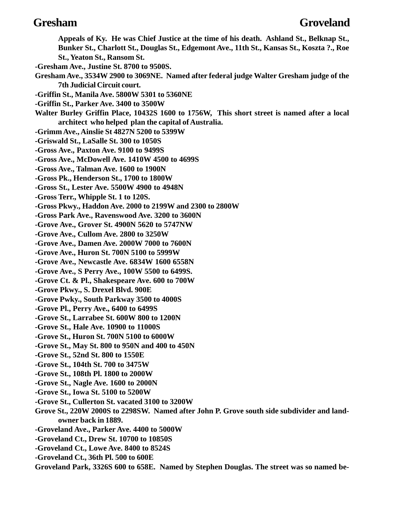**Appeals of Ky. He was Chief Justice at the time of his death. Ashland St., Belknap St., Bunker St., Charlott St., Douglas St., Edgemont Ave., 11th St., Kansas St., Koszta ?., Roe St., Yeaton St., Ransom St. -Gresham Ave., Justine St. 8700 to 9500S. Gresham Ave., 3534W 2900 to 3069NE. Named after federal judge Walter Gresham judge of the 7th Judicial Circuit court. -Griffin St., Manila Ave. 5800W 5301 to 5360NE -Griffin St., Parker Ave. 3400 to 3500W Walter Burley Griffin Place, 10432S 1600 to 1756W, This short street is named after a local architect who helped plan the capital of Australia. -Grimm Ave., Ainslie St 4827N 5200 to 5399W -Griswald St., LaSalle St. 300 to 1050S -Gross Ave., Paxton Ave. 9100 to 9499S -Gross Ave., McDowell Ave. 1410W 4500 to 4699S -Gross Ave., Talman Ave. 1600 to 1900N -Gross Pk., Henderson St., 1700 to 1800W -Gross St., Lester Ave. 5500W 4900 to 4948N -Gross Terr., Whipple St. 1 to 120S. -Gross Pkwy., Haddon Ave. 2000 to 2199W and 2300 to 2800W -Gross Park Ave., Ravenswood Ave. 3200 to 3600N -Grove Ave., Grover St. 4900N 5620 to 5747NW -Grove Ave., Cullom Ave. 2800 to 3250W -Grove Ave., Damen Ave. 2000W 7000 to 7600N -Grove Ave., Huron St. 700N 5100 to 5999W -Grove Ave., Newcastle Ave. 6834W 1600 6558N -Grove Ave., S Perry Ave., 100W 5500 to 6499S. -Grove Ct. & Pl., Shakespeare Ave. 600 to 700W -Grove Pkwy., S. Drexel Blvd. 900E -Grove Pwky., South Parkway 3500 to 4000S -Grove Pl., Perry Ave., 6400 to 6499S -Grove St., Larrabee St. 600W 800 to 1200N -Grove St., Hale Ave. 10900 to 11000S -Grove St., Huron St. 700N 5100 to 6000W -Grove St., May St. 800 to 950N and 400 to 450N -Grove St., 52nd St. 800 to 1550E -Grove St., 104th St. 700 to 3475W -Grove St., 108th Pl. 1800 to 2000W -Grove St., Nagle Ave. 1600 to 2000N -Grove St., Iowa St. 5100 to 5200W -Grove St., Cullerton St. vacated 3100 to 3200W Grove St., 220W 2000S to 2298SW. Named after John P. Grove south side subdivider and landowner back in 1889. -Groveland Ave., Parker Ave. 4400 to 5000W -Groveland Ct., Drew St. 10700 to 10850S -Groveland Ct., Lowe Ave. 8400 to 8524S -Groveland Ct., 36th Pl. 500 to 600E Groveland Park, 3326S 600 to 658E. Named by Stephen Douglas. The street was so named be-**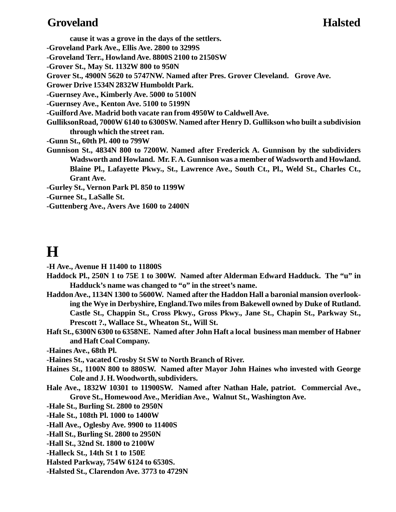# **Groveland Halsted**

**cause it was a grove in the days of the settlers.**

**-Groveland Park Ave., Ellis Ave. 2800 to 3299S**

**-Groveland Terr., Howland Ave. 8800S 2100 to 2150SW**

**-Grover St., May St. 1132W 800 to 950N**

**Grover St., 4900N 5620 to 5747NW. Named after Pres. Grover Cleveland. Grove Ave.**

**Grower Drive 1534N 2832W Humboldt Park.**

**-Guernsey Ave., Kimberly Ave. 5000 to 5100N**

**-Guernsey Ave., Kenton Ave. 5100 to 5199N**

**-Guilford Ave. Madrid both vacate ran from 4950W to Caldwell Ave.**

**GulliksonRoad, 7000W 6140 to 6300SW. Named after Henry D. Gullikson who built a subdivision through which the street ran.**

**-Gunn St., 60th Pl. 400 to 799W**

**Gunnison St., 4834N 800 to 7200W. Named after Frederick A. Gunnison by the subdividers Wadsworth and Howland. Mr. F. A. Gunnison was a member of Wadsworth and Howland. Blaine Pl., Lafayette Pkwy., St., Lawrence Ave., South Ct., Pl., Weld St., Charles Ct., Grant Ave.**

**-Gurley St., Vernon Park Pl. 850 to 1199W**

**-Gurnee St., LaSalle St.**

**-Guttenberg Ave., Avers Ave 1600 to 2400N**

# **H**

**-H Ave., Avenue H 11400 to 11800S**

- **Haddock Pl., 250N 1 to 75E 1 to 300W. Named after Alderman Edward Hadduck. The "u" in Hadduck's name was changed to "o" in the street's name.**
- **Haddon Ave., 1134N 1300 to 5600W. Named after the Haddon Hall a baronial mansion overlooking the Wye in Derbyshire, England.Two miles from Bakewell owned by Duke of Rutland. Castle St., Chappin St., Cross Pkwy., Gross Pkwy., Jane St., Chapin St., Parkway St., Prescott ?., Wallace St., Wheaton St., Will St.**
- **Haft St., 6300N 6300 to 6358NE. Named after John Haft a local business man member of Habner and Haft Coal Company.**

**-Haines Ave., 68th Pl.**

**-Haines St., vacated Crosby St SW to North Branch of River.**

- **Haines St., 1100N 800 to 880SW. Named after Mayor John Haines who invested with George Cole and J. H. Woodworth, subdividers.**
- **Hale Ave., 1832W 10301 to 11900SW. Named after Nathan Hale, patriot. Commercial Ave., Grove St., Homewood Ave., Meridian Ave., Walnut St., Washington Ave.**
- **-Hale St., Burling St. 2800 to 2950N**
- **-Hale St., 108th Pl. 1000 to 1400W**
- **-Hall Ave., Oglesby Ave. 9900 to 11400S**
- **-Hall St., Burling St. 2800 to 2950N**
- **-Hall St., 32nd St. 1800 to 2100W**
- **-Halleck St., 14th St 1 to 150E**
- **Halsted Parkway, 754W 6124 to 6530S.**
- **-Halsted St., Clarendon Ave. 3773 to 4729N**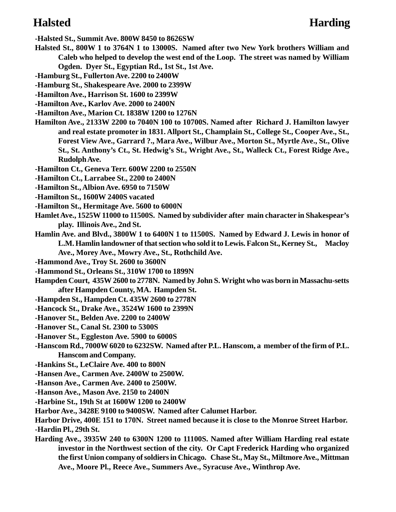**-Halsted St., Summit Ave. 800W 8450 to 8626SW**

- **Halsted St., 800W 1 to 3764N 1 to 13000S. Named after two New York brothers William and Caleb who helped to develop the west end of the Loop. The street was named by William Ogden. Dyer St., Egyptian Rd., 1st St., 1st Ave.**
- **-Hamburg St., Fullerton Ave. 2200 to 2400W**
- **-Hamburg St., Shakespeare Ave. 2000 to 2399W**
- **-Hamilton Ave., Harrison St. 1600 to 2399W**
- **-Hamilton Ave., Karlov Ave. 2000 to 2400N**
- **-Hamilton Ave., Marion Ct. 1838W 1200 to 1276N**
- **Hamilton Ave., 2133W 2200 to 7040N 100 to 10700S. Named after Richard J. Hamilton lawyer and real estate promoter in 1831. Allport St., Champlain St., College St., Cooper Ave., St., Forest View Ave., Garrard ?., Mara Ave., Wilbur Ave., Morton St., Myrtle Ave., St., Olive St., St. Anthony's Ct., St. Hedwig's St., Wright Ave., St., Walleck Ct., Forest Ridge Ave., Rudolph Ave.**
- **-Hamilton Ct., Geneva Terr. 600W 2200 to 2550N**
- **-Hamilton Ct., Larrabee St., 2200 to 2400N**
- **-Hamilton St., Albion Ave. 6950 to 7150W**
- **-Hamilton St., 1600W 2400S vacated**
- **-Hamilton St., Hermitage Ave. 5600 to 6000N**
- **Hamlet Ave., 1525W 11000 to 11500S. Named by subdivider after main character in Shakespear's play. Illinois Ave., 2nd St.**
- **Hamlin Ave. and Blvd., 3800W 1 to 6400N 1 to 11500S. Named by Edward J. Lewis in honor of L.M. Hamlin landowner of that section who sold it to Lewis. Falcon St., Kerney St., Macloy Ave., Morey Ave., Mowry Ave., St., Rothchild Ave.**
- **-Hammond Ave., Troy St. 2600 to 3600N**
- **-Hammond St., Orleans St., 310W 1700 to 1899N**
- **Hampden Court, 435W 2600 to 2778N. Named by John S. Wright who was born in Massachu-setts after Hampden County, MA. Hampden St.**
- **-Hampden St., Hampden Ct. 435W 2600 to 2778N**
- **-Hancock St., Drake Ave., 3524W 1600 to 2399N**
- **-Hanover St., Belden Ave. 2200 to 2400W**
- **-Hanover St., Canal St. 2300 to 5300S**
- **-Hanover St., Eggleston Ave. 5900 to 6000S**
- **-Hanscom Rd., 7000W 6020 to 6232SW. Named after P.L. Hanscom, a member of the firm of P.L. Hanscom and Company.**
- **-Hankins St., LeClaire Ave. 400 to 800N**
- **-Hansen Ave., Carmen Ave. 2400W to 2500W.**
- **-Hanson Ave., Carmen Ave. 2400 to 2500W.**
- **-Hanson Ave., Mason Ave. 2150 to 2400N**
- **-Harbine St., 19th St at 1600W 1200 to 2400W**
- **Harbor Ave., 3428E 9100 to 9400SW. Named after Calumet Harbor.**
- **Harbor Drive, 400E 151 to 170N. Street named because it is close to the Monroe Street Harbor. -Hardin Pl., 29th St.**
- **Harding Ave., 3935W 240 to 6300N 1200 to 11100S. Named after William Harding real estate investor in the Northwest section of the city. Or Capt Frederick Harding who organized the first Union company of soldiers in Chicago. Chase St., May St., Miltmore Ave., Mittman Ave., Moore Pl., Reece Ave., Summers Ave., Syracuse Ave., Winthrop Ave.**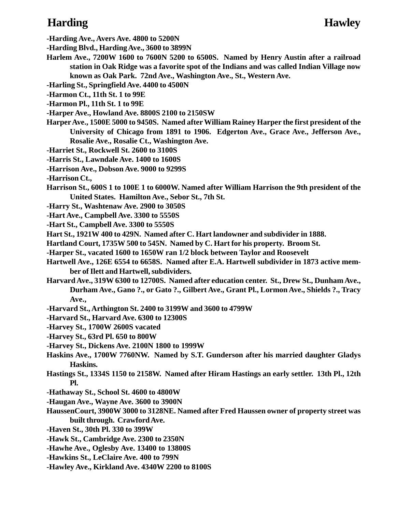# **Harding Hawley**

**-Harding Ave., Avers Ave. 4800 to 5200N**

**-Harding Blvd., Harding Ave., 3600 to 3899N**

- **Harlem Ave., 7200W 1600 to 7600N 5200 to 6500S. Named by Henry Austin after a railroad station in Oak Ridge was a favorite spot of the Indians and was called Indian Village now known as Oak Park. 72nd Ave., Washington Ave., St., Western Ave.**
- **-Harling St., Springfield Ave. 4400 to 4500N**
- **-Harmon Ct., 11th St. 1 to 99E**
- **-Harmon Pl., 11th St. 1 to 99E**
- **-Harper Ave., Howland Ave. 8800S 2100 to 2150SW**
- **Harper Ave., 1500E 5000 to 9450S. Named after William Rainey Harper the first president of the University of Chicago from 1891 to 1906. Edgerton Ave., Grace Ave., Jefferson Ave., Rosalie Ave., Rosalie Ct., Washington Ave.**
- **-Harriet St., Rockwell St. 2600 to 3100S**
- **-Harris St., Lawndale Ave. 1400 to 1600S**
- **-Harrison Ave., Dobson Ave. 9000 to 9299S**
- **-Harrison Ct.,**
- **Harrison St., 600S 1 to 100E 1 to 6000W. Named after William Harrison the 9th president of the United States. Hamilton Ave., Sebor St., 7th St.**
- **-Harry St., Washtenaw Ave. 2900 to 3050S**
- **-Hart Ave., Campbell Ave. 3300 to 5550S**
- **-Hart St., Campbell Ave. 3300 to 5550S**
- **Hart St., 1921W 400 to 429N. Named after C. Hart landowner and subdivider in 1888.**
- **Hartland Court, 1735W 500 to 545N. Named by C. Hart for his property. Broom St.**
- **-Harper St., vacated 1600 to 1650W ran 1/2 block between Taylor and Roosevelt**
- **Hartwell Ave., 126E 6554 to 6658S. Named after E.A. Hartwell subdivider in 1873 active member of Ilett and Hartwell, subdividers.**
- **Harvard Ave., 319W 6300 to 12700S. Named after education center. St., Drew St., Dunham Ave., Durham Ave., Gano ?., or Gato ?., Gilbert Ave., Grant Pl., Lormon Ave., Shields ?., Tracy Ave.,**
- **-Harvard St., Arthington St. 2400 to 3199W and 3600 to 4799W**
- **-Harvard St., Harvard Ave. 6300 to 12300S**
- **-Harvey St., 1700W 2600S vacated**
- **-Harvey St., 63rd Pl. 650 to 800W**
- **-Harvey St., Dickens Ave. 2100N 1800 to 1999W**
- **Haskins Ave., 1700W 7760NW. Named by S.T. Gunderson after his married daughter Gladys Haskins.**
- **Hastings St., 1334S 1150 to 2158W. Named after Hiram Hastings an early settler. 13th Pl., 12th Pl.**
- **-Hathaway St., School St. 4600 to 4800W**
- **-Haugan Ave., Wayne Ave. 3600 to 3900N**
- **HaussenCourt, 3900W 3000 to 3128NE. Named after Fred Haussen owner of property street was built through. Crawford Ave.**
- **-Haven St., 30th Pl. 330 to 399W**
- **-Hawk St., Cambridge Ave. 2300 to 2350N**
- **-Hawhe Ave., Oglesby Ave. 13400 to 13800S**
- **-Hawkins St., LeClaire Ave. 400 to 799N**
- **-Hawley Ave., Kirkland Ave. 4340W 2200 to 8100S**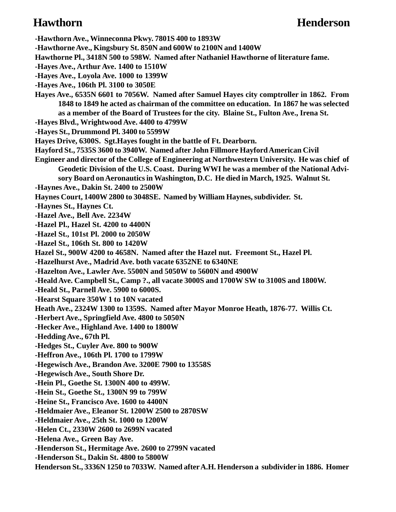**-Hawthorn Ave., Winneconna Pkwy. 7801S 400 to 1893W -Hawthorne Ave., Kingsbury St. 850N and 600W to 2100N and 1400W Hawthorne Pl., 3418N 500 to 598W. Named after Nathaniel Hawthorne of literature fame. -Hayes Ave., Arthur Ave. 1400 to 1510W -Hayes Ave., Loyola Ave. 1000 to 1399W -Hayes Ave., 106th Pl. 3100 to 3050E Hayes Ave., 6535N 6601 to 7056W. Named after Samuel Hayes city comptroller in 1862. From 1848 to 1849 he acted as chairman of the committee on education. In 1867 he was selected as a member of the Board of Trustees for the city. Blaine St., Fulton Ave., Irena St. -Hayes Blvd., Wrightwood Ave. 4400 to 4799W -Hayes St., Drummond Pl. 3400 to 5599W Hayes Drive, 6300S. Sgt.Hayes fought in the battle of Ft. Dearborn. Hayford St., 7535S 3600 to 3940W. Named after John Fillmore Hayford American Civil Engineer and director of the College of Engineering at Northwestern University. He was chief of Geodetic Division of the U.S. Coast. During WWI he was a member of the National Advisory Board on Aeronautics in Washington, D.C. He died in March, 1925. Walnut St. -Haynes Ave., Dakin St. 2400 to 2500W Haynes Court, 1400W 2800 to 3048SE. Named by William Haynes, subdivider. St. -Haynes St., Haynes Ct. -Hazel Ave., Bell Ave. 2234W -Hazel Pl., Hazel St. 4200 to 4400N -Hazel St., 101st Pl. 2000 to 2050W -Hazel St., 106th St. 800 to 1420W Hazel St., 900W 4200 to 4658N. Named after the Hazel nut. Freemont St., Hazel Pl. -Hazelhurst Ave., Madrid Ave. both vacate 6352NE to 6340NE -Hazelton Ave., Lawler Ave. 5500N and 5050W to 5600N and 4900W -Heald Ave. Campbell St., Camp ?., all vacate 3000S and 1700W SW to 3100S and 1800W. -Heald St., Parnell Ave. 5900 to 6000S. -Hearst Square 350W 1 to 10N vacated Heath Ave., 2324W 1300 to 1359S. Named after Mayor Monroe Heath, 1876-77. Willis Ct. -Herbert Ave., Springfield Ave. 4800 to 5050N -Hecker Ave., Highland Ave. 1400 to 1800W -Hedding Ave., 67th Pl. -Hedges St., Cuyler Ave. 800 to 900W -Heffron Ave., 106th Pl. 1700 to 1799W -Hegewisch Ave., Brandon Ave. 3200E 7900 to 13558S -Hegewisch Ave., South Shore Dr. -Hein Pl., Goethe St. 1300N 400 to 499W. -Hein St., Goethe St., 1300N 99 to 799W -Heine St., Francisco Ave. 1600 to 4400N -Heldmaier Ave., Eleanor St. 1200W 2500 to 2870SW -Heldmaier Ave., 25th St. 1000 to 1200W -Helen Ct., 2330W 2600 to 2699N vacated -Helena Ave., Green Bay Ave. -Henderson St., Hermitage Ave. 2600 to 2799N vacated -Henderson St., Dakin St. 4800 to 5800W Henderson St., 3336N 1250 to 7033W. Named after A.H. Henderson a subdivider in 1886. Homer**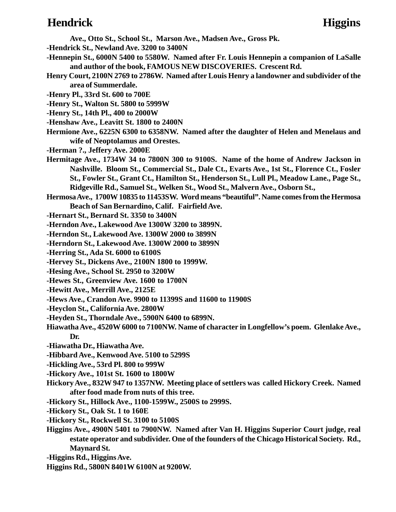### **Hendrick Higgins**

**Ave., Otto St., School St., Marson Ave., Madsen Ave., Gross Pk.**

- **-Hendrick St., Newland Ave. 3200 to 3400N**
- **-Hennepin St., 6000N 5400 to 5580W. Named after Fr. Louis Hennepin a companion of LaSalle and author of the book, FAMOUS NEW DISCOVERIES. Crescent Rd.**
- **Henry Court, 2100N 2769 to 2786W. Named after Louis Henry a landowner and subdivider of the area of Summerdale.**
- **-Henry Pl., 33rd St. 600 to 700E**
- **-Henry St., Walton St. 5800 to 5999W**
- **-Henry St., 14th Pl., 400 to 2000W**
- **-Henshaw Ave., Leavitt St. 1800 to 2400N**
- **Hermione Ave., 6225N 6300 to 6358NW. Named after the daughter of Helen and Menelaus and wife of Neoptolamus and Orestes.**
- **-Herman ?., Jeffery Ave. 2000E**
- **Hermitage Ave., 1734W 34 to 7800N 300 to 9100S. Name of the home of Andrew Jackson in Nashville. Bloom St., Commercial St., Dale Ct., Evarts Ave., 1st St., Florence Ct., Fosler St., Fowler St., Grant Ct., Hamilton St., Henderson St., Lull Pl., Meadow Lane., Page St., Ridgeville Rd., Samuel St., Welken St., Wood St., Malvern Ave., Osborn St.,**
- **Hermosa Ave., 1700W 10835 to 11453SW. Word means "beautiful". Name comes from the Hermosa Beach of San Bernardino, Calif. Fairfield Ave.**
- **-Hernart St., Bernard St. 3350 to 3400N**
- **-Herndon Ave., Lakewood Ave 1300W 3200 to 3899N.**
- **-Herndon St., Lakewood Ave. 1300W 2000 to 3899N**
- **-Herndorn St., Lakewood Ave. 1300W 2000 to 3899N**
- **-Herring St., Ada St. 6000 to 6100S**
- **-Hervey St., Dickens Ave., 2100N 1800 to 1999W.**
- **-Hesing Ave., School St. 2950 to 3200W**
- **-Hewes St., Greenview Ave. 1600 to 1700N**
- **-Hewitt Ave., Merrill Ave., 2125E**
- **-Hews Ave., Crandon Ave. 9900 to 11399S and 11600 to 11900S**
- **-Heyclon St., California Ave. 2800W**
- **-Heyden St., Thorndale Ave., 5900N 6400 to 6899N.**
- **Hiawatha Ave., 4520W 6000 to 7100NW. Name of character in Longfellow's poem. Glenlake Ave., Dr.**
- **-Hiawatha Dr., Hiawatha Ave.**
- **-Hibbard Ave., Kenwood Ave. 5100 to 5299S**
- **-Hickling Ave., 53rd Pl. 800 to 999W**
- **-Hickory Ave., 101st St. 1600 to 1800W**
- **Hickory Ave., 832W 947 to 1357NW. Meeting place of settlers was called Hickory Creek. Named after food made from nuts of this tree.**
- **-Hickory St., Hillock Ave., 1100-1599W., 2500S to 2999S.**
- **-Hickory St., Oak St. 1 to 160E**
- **-Hickory St., Rockwell St. 3100 to 5100S**
- **Higgins Ave., 4900N 5401 to 7900NW. Named after Van H. Higgins Superior Court judge, real estate operator and subdivider. One of the founders of the Chicago Historical Society. Rd., Maynard St.**
- **-Higgins Rd., Higgins Ave.**
- **Higgins Rd., 5800N 8401W 6100N at 9200W.**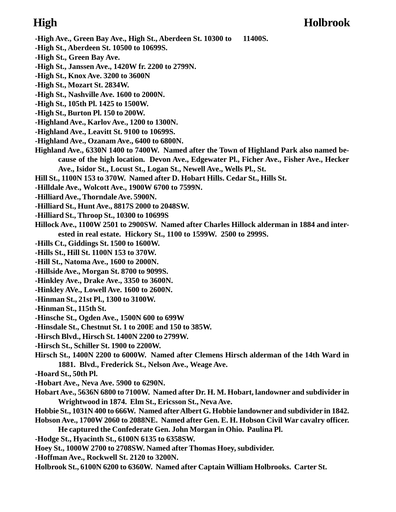### **High Holbrook**

- **-High Ave., Green Bay Ave., High St., Aberdeen St. 10300 to 11400S.**
- **-High St., Aberdeen St. 10500 to 10699S.**
- **-High St., Green Bay Ave.**
- **-High St., Janssen Ave., 1420W fr. 2200 to 2799N.**
- **-High St., Knox Ave. 3200 to 3600N**
- **-High St., Mozart St. 2834W.**
- **-High St., Nashville Ave. 1600 to 2000N.**
- **-High St., 105th Pl. 1425 to 1500W.**
- **-High St., Burton Pl. 150 to 200W.**
- **-Highland Ave., Karlov Ave., 1200 to 1300N.**
- **-Highland Ave., Leavitt St. 9100 to 10699S.**
- **-Highland Ave., Ozanam Ave., 6400 to 6800N.**
- **Highland Ave., 6330N 1400 to 7400W. Named after the Town of Highland Park also named because of the high location. Devon Ave., Edgewater Pl., Ficher Ave., Fisher Ave., Hecker Ave., Isidor St., Locust St., Logan St., Newell Ave., Wells Pl., St.**
- **Hill St., 1100N 153 to 370W. Named after D. Hobart Hills. Cedar St., Hills St.**
- **-Hilldale Ave., Wolcott Ave., 1900W 6700 to 7599N.**
- **-Hilliard Ave., Thorndale Ave. 5900N.**
- **-Hilliard St., Hunt Ave., 8817S 2000 to 2048SW.**
- **-Hilliard St., Throop St., 10300 to 10699S**
- **Hillock Ave., 1100W 2501 to 2900SW. Named after Charles Hillock alderman in 1884 and interested in real estate. Hickory St., 1100 to 1599W. 2500 to 2999S.**
- **-Hills Ct., Giddings St. 1500 to 1600W.**
- **-Hills St., Hill St. 1100N 153 to 370W.**
- **-Hill St., Natoma Ave., 1600 to 2000N.**
- **-Hillside Ave., Morgan St. 8700 to 9099S.**
- **-Hinkley Ave., Drake Ave., 3350 to 3600N.**
- **-Hinkley AVe., Lowell Ave. 1600 to 2600N.**
- **-Hinman St., 21st Pl., 1300 to 3100W.**
- **-Hinman St., 115th St.**
- **-Hinsche St., Ogden Ave., 1500N 600 to 699W**
- **-Hinsdale St., Chestnut St. 1 to 200E and 150 to 385W.**
- **-Hirsch Blvd., Hirsch St. 1400N 2200 to 2799W.**
- **-Hirsch St., Schiller St. 1900 to 2200W.**
- **Hirsch St., 1400N 2200 to 6000W. Named after Clemens Hirsch alderman of the 14th Ward in 1881. Blvd., Frederick St., Nelson Ave., Weage Ave.**
- **-Hoard St., 50th Pl.**
- **-Hobart Ave., Neva Ave. 5900 to 6290N.**
- **Hobart Ave., 5636N 6800 to 7100W. Named after Dr. H. M. Hobart, landowner and subdivider in Wrightwood in 1874. Elm St., Ericsson St., Neva Ave.**
- **Hobbie St., 1031N 400 to 666W. Named after Albert G. Hobbie landowner and subdivider in 1842. Hobson Ave., 1700W 2060 to 2088NE. Named after Gen. E. H. Hobson Civil War cavalry officer.**
	- **He captured the Confederate Gen. John Morgan in Ohio. Paulina Pl.**
- **-Hodge St., Hyacinth St., 6100N 6135 to 6358SW.**
- **Hoey St., 1000W 2700 to 2708SW. Named after Thomas Hoey, subdivider.**
- **-Hoffman Ave., Rockwell St. 2120 to 3200N.**
- **Holbrook St., 6100N 6200 to 6360W. Named after Captain William Holbrooks. Carter St.**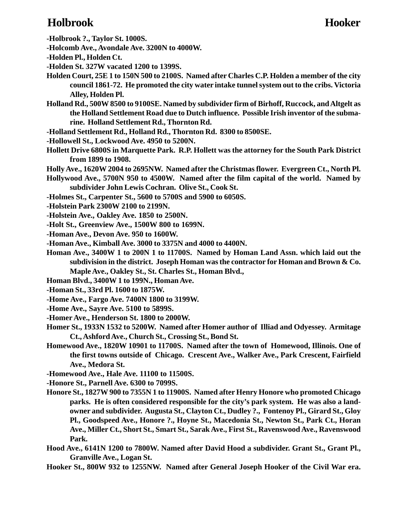# **Holbrook Hooker**

- **-Holbrook ?., Taylor St. 1000S.**
- **-Holcomb Ave., Avondale Ave. 3200N to 4000W.**
- **-Holden Pl., Holden Ct.**
- **-Holden St. 327W vacated 1200 to 1399S.**
- **Holden Court, 25E 1 to 150N 500 to 2100S. Named after Charles C.P. Holden a member of the city council 1861-72. He promoted the city water intake tunnel system out to the cribs. Victoria Alley, Holden Pl.**
- **Holland Rd., 500W 8500 to 9100SE. Named by subdivider firm of Birhoff, Ruccock, and Altgelt as the Holland Settlement Road due to Dutch influence. Possible Irish inventor of the submarine. Holland Settlement Rd., Thornton Rd.**
- **-Holland Settlement Rd., Holland Rd., Thornton Rd. 8300 to 8500SE.**
- **-Hollowell St., Lockwood Ave. 4950 to 5200N.**
- **Hollett Drive 6800S in Marquette Park. R.P. Hollett was the attorney for the South Park District from 1899 to 1908.**
- **Holly Ave., 1620W 2004 to 2695NW. Named after the Christmas flower. Evergreen Ct., North Pl.**
- **Hollywood Ave., 5700N 950 to 4500W. Named after the film capital of the world. Named by subdivider John Lewis Cochran. Olive St., Cook St.**
- **-Holmes St., Carpenter St., 5600 to 5700S and 5900 to 6050S.**
- **-Holstein Park 2300W 2100 to 2199N.**
- **-Holstein Ave., Oakley Ave. 1850 to 2500N.**
- **-Holt St., Greenview Ave., 1500W 800 to 1699N.**
- **-Homan Ave., Devon Ave. 950 to 1600W.**
- **-Homan Ave., Kimball Ave. 3000 to 3375N and 4000 to 4400N.**
- **Homan Ave., 3400W 1 to 200N 1 to 11700S. Named by Homan Land Assn. which laid out the subdivision in the district. Joseph Homan was the contractor for Homan and Brown & Co. Maple Ave., Oakley St., St. Charles St., Homan Blvd.,**
- **Homan Blvd., 3400W 1 to 199N., Homan Ave.**
- **-Homan St., 33rd Pl. 1600 to 1875W.**
- **-Home Ave., Fargo Ave. 7400N 1800 to 3199W.**
- **-Home Ave., Sayre Ave. 5100 to 5899S.**
- **-Homer Ave., Henderson St. 1800 to 2000W.**
- **Homer St., 1933N 1532 to 5200W. Named after Homer author of Illiad and Odyessey. Armitage Ct., Ashford Ave., Church St., Crossing St., Bond St.**
- **Homewood Ave., 1820W 10901 to 11700S. Named after the town of Homewood, Illinois. One of the first towns outside of Chicago. Crescent Ave., Walker Ave., Park Crescent, Fairfield Ave., Medora St.**

**-Homewood Ave., Hale Ave. 11100 to 11500S.**

- **-Honore St., Parnell Ave. 6300 to 7099S.**
- **Honore St., 1827W 900 to 7355N 1 to 11900S. Named after Henry Honore who promoted Chicago parks. He is often considered responsible for the city's park system. He was also a landowner and subdivider. Augusta St., Clayton Ct., Dudley ?., Fontenoy Pl., Girard St., Gloy Pl., Goodspeed Ave., Honore ?., Hoyne St., Macedonia St., Newton St., Park Ct., Horan Ave., Miller Ct., Short St., Smart St., Sarak Ave., First St., Ravenswood Ave., Ravenswood Park.**
- **Hood Ave., 6141N 1200 to 7800W. Named after David Hood a subdivider. Grant St., Grant Pl., Granville Ave., Logan St.**
- **Hooker St., 800W 932 to 1255NW. Named after General Joseph Hooker of the Civil War era.**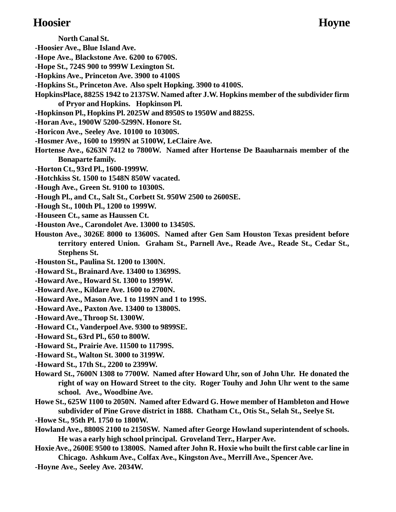### **Hoosier Hoyne**

- **North Canal St.**
- **-Hoosier Ave., Blue Island Ave.**
- **-Hope Ave., Blackstone Ave. 6200 to 6700S.**
- **-Hope St., 724S 900 to 999W Lexington St.**
- **-Hopkins Ave., Princeton Ave. 3900 to 4100S**
- **-Hopkins St., Princeton Ave. Also spelt Hopking. 3900 to 4100S.**
- **HopkinsPlace, 8825S 1942 to 2137SW. Named after J.W. Hopkins member of the subdivider firm of Pryor and Hopkins. Hopkinson Pl.**
- **-Hopkinson Pl., Hopkins Pl. 2025W and 8950S to 1950W and 8825S.**
- **-Horan Ave., 1900W 5200-5299N. Honore St.**
- **-Horicon Ave., Seeley Ave. 10100 to 10300S.**
- **-Hosmer Ave., 1600 to 1999N at 5100W, LeClaire Ave.**
- **Hortense Ave., 6263N 7412 to 7800W. Named after Hortense De Baauharnais member of the Bonaparte family.**
- **-Horton Ct., 93rd Pl., 1600-1999W.**
- **-Hotchkiss St. 1500 to 1548N 850W vacated.**
- **-Hough Ave., Green St. 9100 to 10300S.**
- **-Hough Pl., and Ct., Salt St., Corbett St. 950W 2500 to 2600SE.**
- **-Hough St., 100th Pl., 1200 to 1999W.**
- **-Houseen Ct., same as Haussen Ct.**
- **-Houston Ave., Carondolet Ave. 13000 to 13450S.**
- **Houston Ave., 3026E 8000 to 13600S. Named after Gen Sam Houston Texas president before territory entered Union. Graham St., Parnell Ave., Reade Ave., Reade St., Cedar St., Stephens St.**
- **-Houston St., Paulina St. 1200 to 1300N.**
- **-Howard St., Brainard Ave. 13400 to 13699S.**
- **-Howard Ave., Howard St. 1300 to 1999W.**
- **-Howard Ave., Kildare Ave. 1600 to 2700N.**
- **-Howard Ave., Mason Ave. 1 to 1199N and 1 to 199S.**
- **-Howard Ave., Paxton Ave. 13400 to 13800S.**
- **-Howard Ave., Throop St. 1300W.**
- **-Howard Ct., Vanderpoel Ave. 9300 to 9899SE.**
- **-Howard St., 63rd Pl., 650 to 800W.**
- **-Howard St., Prairie Ave. 11500 to 11799S.**
- **-Howard St., Walton St. 3000 to 3199W.**
- **-Howard St., 17th St., 2200 to 2399W.**
- **Howard St., 7600N 1308 to 7700W. Named after Howard Uhr, son of John Uhr. He donated the right of way on Howard Street to the city. Roger Touhy and John Uhr went to the same school. Ave., Woodbine Ave.**
- **Howe St., 625W 1100 to 2050N. Named after Edward G. Howe member of Hambleton and Howe subdivider of Pine Grove district in 1888. Chatham Ct., Otis St., Selah St., Seelye St.**
- **-Howe St., 95th Pl. 1750 to 1800W.**
- **Howland Ave., 8800S 2100 to 2150SW. Named after George Howland superintendent of schools. He was a early high school principal. Groveland Terr., Harper Ave.**
- **Hoxie Ave., 2600E 9500 to 13800S. Named after John R. Hoxie who built the first cable car line in Chicago. Ashkum Ave., Colfax Ave., Kingston Ave., Merrill Ave., Spencer Ave.**
- **-Hoyne Ave., Seeley Ave. 2034W.**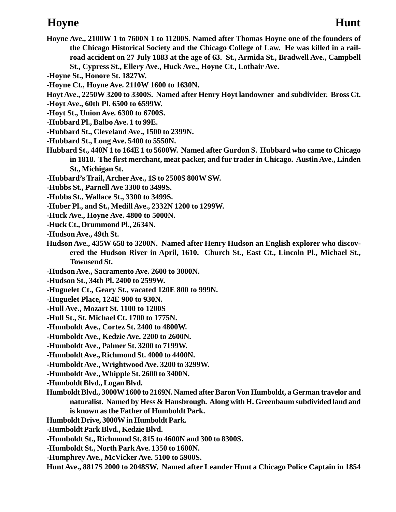# **Hoyne Hunt**

- **Hoyne Ave., 2100W 1 to 7600N 1 to 11200S. Named after Thomas Hoyne one of the founders of the Chicago Historical Society and the Chicago College of Law. He was killed in a railroad accident on 27 July 1883 at the age of 63. St., Armida St., Bradwell Ave., Campbell St., Cypress St., Ellery Ave., Huck Ave., Hoyne Ct., Lothair Ave.**
- **-Hoyne St., Honore St. 1827W.**
- **-Hoyne Ct., Hoyne Ave. 2110W 1600 to 1630N.**
- **Hoyt Ave., 2250W 3200 to 3300S. Named after Henry Hoyt landowner and subdivider. Bross Ct.**
- **-Hoyt Ave., 60th Pl. 6500 to 6599W.**
- **-Hoyt St., Union Ave. 6300 to 6700S.**
- **-Hubbard Pl., Balbo Ave. 1 to 99E.**
- **-Hubbard St., Cleveland Ave., 1500 to 2399N.**
- **-Hubbard St., Long Ave. 5400 to 5550N.**
- **Hubbard St., 440N 1 to 164E 1 to 5600W. Named after Gurdon S. Hubbard who came to Chicago in 1818. The first merchant, meat packer, and fur trader in Chicago. Austin Ave., Linden St., Michigan St.**
- **-Hubbard's Trail, Archer Ave., 1S to 2500S 800W SW.**
- **-Hubbs St., Parnell Ave 3300 to 3499S.**
- **-Hubbs St., Wallace St., 3300 to 3499S.**
- **-Huber Pl., and St., Medill Ave., 2332N 1200 to 1299W.**
- **-Huck Ave., Hoyne Ave. 4800 to 5000N.**
- **-Huck Ct., Drummond Pl., 2634N.**
- **-Hudson Ave., 49th St.**
- **Hudson Ave., 435W 658 to 3200N. Named after Henry Hudson an English explorer who discovered the Hudson River in April, 1610. Church St., East Ct., Lincoln Pl., Michael St., Townsend St.**
- **-Hudson Ave., Sacramento Ave. 2600 to 3000N.**
- **-Hudson St., 34th Pl. 2400 to 2599W.**
- **-Huguelet Ct., Geary St., vacated 120E 800 to 999N.**
- **-Huguelet Place, 124E 900 to 930N.**
- **-Hull Ave., Mozart St. 1100 to 1200S**
- **-Hull St., St. Michael Ct. 1700 to 1775N.**
- **-Humboldt Ave., Cortez St. 2400 to 4800W.**
- **-Humboldt Ave., Kedzie Ave. 2200 to 2600N.**
- **-Humboldt Ave., Palmer St. 3200 to 7199W.**
- **-Humboldt Ave., Richmond St. 4000 to 4400N.**
- **-Humboldt Ave., Wrightwood Ave. 3200 to 3299W.**
- **-Humboldt Ave., Whipple St. 2600 to 3400N.**
- **-Humboldt Blvd., Logan Blvd.**
- **Humboldt Blvd., 3000W 1600 to 2169N. Named after Baron Von Humboldt, a German travelor and naturalist. Named by Hess & Hansbrough. Along with H. Greenbaum subdivided land and is known as the Father of Humboldt Park.**
- **Humboldt Drive, 3000W in Humboldt Park.**
- **-Humboldt Park Blvd., Kedzie Blvd.**
- **-Humboldt St., Richmond St. 815 to 4600N and 300 to 8300S.**
- **-Humboldt St., North Park Ave. 1350 to 1600N.**
- **-Humphrey Ave., McVicker Ave. 5100 to 5900S.**
- **Hunt Ave., 8817S 2000 to 2048SW. Named after Leander Hunt a Chicago Police Captain in 1854**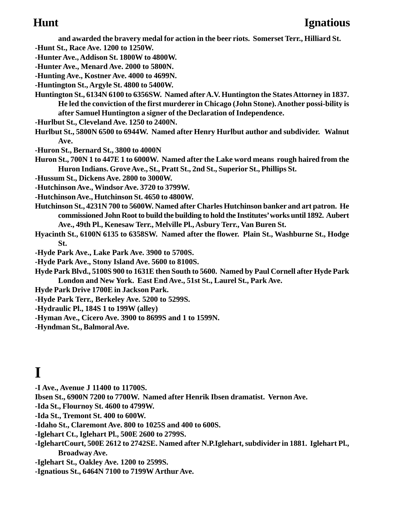**and awarded the bravery medal for action in the beer riots. Somerset Terr., Hilliard St.**

- **-Hunt St., Race Ave. 1200 to 1250W.**
- **-Hunter Ave., Addison St. 1800W to 4800W.**
- **-Hunter Ave., Menard Ave. 2000 to 5800N.**
- **-Hunting Ave., Kostner Ave. 4000 to 4699N.**
- **-Huntington St., Argyle St. 4800 to 5400W.**
- **Huntington St., 6134N 6100 to 6356SW. Named after A.V. Huntington the States Attorney in 1837. He led the conviction of the first murderer in Chicago (John Stone). Another possi-bility is after Samuel Huntington a signer of the Declaration of Independence.**
- **-Hurlbut St., Cleveland Ave. 1250 to 2400N.**
- **Hurlbut St., 5800N 6500 to 6944W. Named after Henry Hurlbut author and subdivider. Walnut Ave.**
- **-Huron St., Bernard St., 3800 to 4000N**
- **Huron St., 700N 1 to 447E 1 to 6000W. Named after the Lake word means rough haired from the Huron Indians. Grove Ave., St., Pratt St., 2nd St., Superior St., Phillips St.**
- **-Hussum St., Dickens Ave. 2800 to 3000W.**
- **-Hutchinson Ave., Windsor Ave. 3720 to 3799W.**
- **-Hutchinson Ave., Hutchinson St. 4650 to 4800W.**
- **Hutchinson St., 4231N 700 to 5600W. Named after Charles Hutchinson banker and art patron. He commissioned John Root to build the building to hold the Institutes' works until 1892. Aubert Ave., 49th Pl., Kenesaw Terr., Melville Pl., Asbury Terr., Van Buren St.**
- **Hyacinth St., 6100N 6135 to 6358SW. Named after the flower. Plain St., Washburne St., Hodge St.**
- **-Hyde Park Ave., Lake Park Ave. 3900 to 5700S.**
- **-Hyde Park Ave., Stony Island Ave. 5600 to 8100S.**
- **Hyde Park Blvd., 5100S 900 to 1631E then South to 5600. Named by Paul Cornell after Hyde Park London and New York. East End Ave., 51st St., Laurel St., Park Ave.**
- **Hyde Park Drive 1700E in Jackson Park.**
- **-Hyde Park Terr., Berkeley Ave. 5200 to 5299S.**
- **-Hydraulic Pl., 184S 1 to 199W (alley)**
- **-Hyman Ave., Cicero Ave. 3900 to 8699S and 1 to 1599N.**
- **-Hyndman St., Balmoral Ave.**

# **I**

- **-I Ave., Avenue J 11400 to 11700S.**
- **Ibsen St., 6900N 7200 to 7700W. Named after Henrik Ibsen dramatist. Vernon Ave.**
- **-Ida St., Flournoy St. 4600 to 4799W.**
- **-Ida St., Tremont St. 400 to 600W.**
- **-Idaho St., Claremont Ave. 800 to 1025S and 400 to 600S.**
- **-Iglehart Ct., Iglehart Pl., 500E 2600 to 2799S.**
- **-IglehartCourt, 500E 2612 to 2742SE. Named after N.P.Iglehart, subdivider in 1881. Iglehart Pl., Broadway Ave.**
- **-Iglehart St., Oakley Ave. 1200 to 2599S.**
- **-Ignatious St., 6464N 7100 to 7199W Arthur Ave.**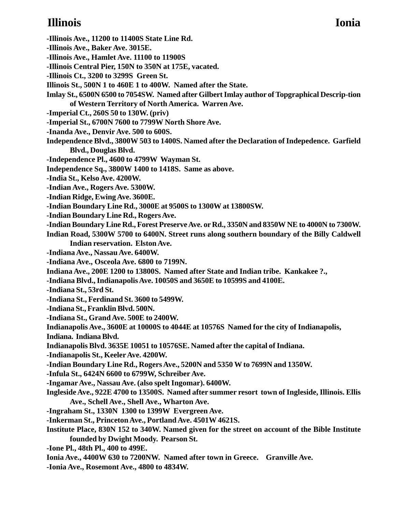# **Illinois Ionia**

- **-Illinois Ave., 11200 to 11400S State Line Rd.**
- **-Illinois Ave., Baker Ave. 3015E.**
- **-Illinois Ave., Hamlet Ave. 11100 to 11900S**
- **-Illinois Central Pier, 150N to 350N at 175E, vacated.**
- **-Illinois Ct., 3200 to 3299S Green St.**
- **Illinois St., 500N 1 to 460E 1 to 400W. Named after the State.**
- **Imlay St., 6500N 6500 to 7054SW. Named after Gilbert Imlay author of Topgraphical Descrip-tion of Western Territory of North America. Warren Ave.**
- **-Imperial Ct., 260S 50 to 130W. (priv)**
- **-Imperial St., 6700N 7600 to 7799W North Shore Ave.**
- **-Inanda Ave., Denvir Ave. 500 to 600S.**
- **Independence Blvd., 3800W 503 to 1400S. Named after the Declaration of Indepedence. Garfield Blvd., Douglas Blvd.**
- **-Independence Pl., 4600 to 4799W Wayman St.**
- **Independence Sq., 3800W 1400 to 1418S. Same as above.**
- **-India St., Kelso Ave. 4200W.**
- **-Indian Ave., Rogers Ave. 5300W.**
- **-Indian Ridge, Ewing Ave. 3600E.**
- **-Indian Boundary Line Rd., 3000E at 9500S to 1300W at 13800SW.**
- **-Indian Boundary Line Rd., Rogers Ave.**
- **-Indian Boundary Line Rd., Forest Preserve Ave. or Rd., 3350N and 8350W NE to 4000N to 7300W.**
- **Indian Road, 5300W 5700 to 6400N. Street runs along southern boundary of the Billy Caldwell Indian reservation. Elston Ave.**
- **-Indiana Ave., Nassau Ave. 6400W.**
- **-Indiana Ave., Osceola Ave. 6800 to 7199N.**
- **Indiana Ave., 200E 1200 to 13800S. Named after State and Indian tribe. Kankakee ?.,**
- **-Indiana Blvd., Indianapolis Ave. 10050S and 3650E to 10599S and 4100E.**
- **-Indiana St., 53rd St.**
- **-Indiana St., Ferdinand St. 3600 to 5499W.**
- **-Indiana St., Franklin Blvd. 500N.**
- **-Indiana St., Grand Ave. 500E to 2400W.**
- **Indianapolis Ave., 3600E at 10000S to 4044E at 10576S Named for the city of Indianapolis,**
- **Indiana. Indiana Blvd.**
- **Indianapolis Blvd. 3635E 10051 to 10576SE. Named after the capital of Indiana.**
- **-Indianapolis St., Keeler Ave. 4200W.**
- **-Indian Boundary Line Rd., Rogers Ave., 5200N and 5350 W to 7699N and 1350W.**
- **-Infula St., 6424N 6600 to 6799W, Schreiber Ave.**
- **-Ingamar Ave., Nassau Ave. (also spelt Ingomar). 6400W.**
- **Ingleside Ave., 922E 4700 to 13500S. Named after summer resort town of Ingleside, Illinois. Ellis Ave., Schell Ave., Shell Ave., Wharton Ave.**
- **-Ingraham St., 1330N 1300 to 1399W Evergreen Ave.**
- **-Inkerman St., Princeton Ave., Portland Ave. 4501W 4621S.**
- **Institute Place, 830N 152 to 340W. Named given for the street on account of the Bible Institute founded by Dwight Moody. Pearson St.**
- **-Ione Pl., 48th Pl., 400 to 499E.**
- **Ionia Ave., 4400W 630 to 7200NW. Named after town in Greece. Granville Ave.**
- **-Ionia Ave., Rosemont Ave., 4800 to 4834W.**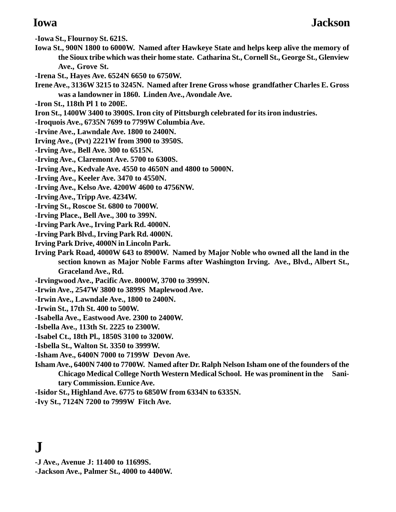**-Iowa St., Flournoy St. 621S.**

- **Iowa St., 900N 1800 to 6000W. Named after Hawkeye State and helps keep alive the memory of the Sioux tribe which was their home state. Catharina St., Cornell St., George St., Glenview Ave., Grove St.**
- **-Irena St., Hayes Ave. 6524N 6650 to 6750W.**
- **Irene Ave., 3136W 3215 to 3245N. Named after Irene Gross whose grandfather Charles E. Gross was a landowner in 1860. Linden Ave., Avondale Ave.**
- **-Iron St., 118th Pl 1 to 200E.**
- **Iron St., 1400W 3400 to 3900S. Iron city of Pittsburgh celebrated for its iron industries.**
- **-Iroquois Ave., 6735N 7699 to 7799W Columbia Ave.**
- **-Irvine Ave., Lawndale Ave. 1800 to 2400N.**
- **Irving Ave., (Pvt) 2221W from 3900 to 3950S.**
- **-Irving Ave., Bell Ave. 300 to 6515N.**
- **-Irving Ave., Claremont Ave. 5700 to 6300S.**
- **-Irving Ave., Kedvale Ave. 4550 to 4650N and 4800 to 5000N.**
- **-Irving Ave., Keeler Ave. 3470 to 4550N.**
- **-Irving Ave., Kelso Ave. 4200W 4600 to 4756NW.**
- **-Irving Ave., Tripp Ave. 4234W.**
- **-Irving St., Roscoe St. 6800 to 7000W.**
- **-Irving Place., Bell Ave., 300 to 399N.**
- **-Irving Park Ave., Irving Park Rd. 4000N.**
- **-Irving Park Blvd., Irving Park Rd. 4000N.**
- **Irving Park Drive, 4000N in Lincoln Park.**
- **Irving Park Road, 4000W 643 to 8900W. Named by Major Noble who owned all the land in the section known as Major Noble Farms after Washington Irving. Ave., Blvd., Albert St., Graceland Ave., Rd.**
- **-Irvingwood Ave., Pacific Ave. 8000W, 3700 to 3999N.**
- **-Irwin Ave., 2547W 3800 to 3899S Maplewood Ave.**
- **-Irwin Ave., Lawndale Ave., 1800 to 2400N.**
- **-Irwin St., 17th St. 400 to 500W.**
- **-Isabella Ave., Eastwood Ave. 2300 to 2400W.**
- **-Isbella Ave., 113th St. 2225 to 2300W.**
- **-Isabel Ct., 18th Pl., 1850S 3100 to 3200W.**
- **-Isbella St., Walton St. 3350 to 3999W.**
- **-Isham Ave., 6400N 7000 to 7199W Devon Ave.**
- **Isham Ave., 6400N 7400 to 7700W. Named after Dr. Ralph Nelson Isham one of the founders of the Chicago Medical College North Western Medical School. He was prominent in the Sanitary Commission. Eunice Ave.**
- **-Isidor St., Highland Ave. 6775 to 6850W from 6334N to 6335N.**
- **-Ivy St., 7124N 7200 to 7999W Fitch Ave.**

# **J**

- **-J Ave., Avenue J: 11400 to 11699S.**
- **-Jackson Ave., Palmer St., 4000 to 4400W.**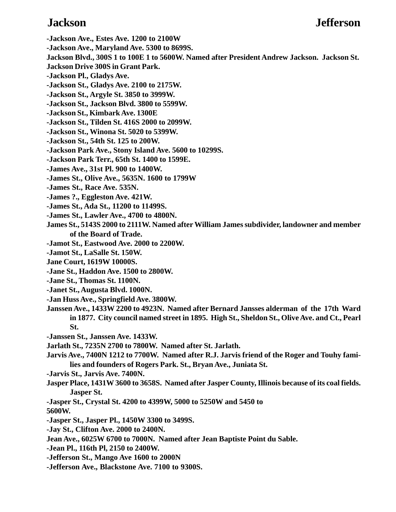### **Jackson Jefferson**

**-Jackson Ave., Estes Ave. 1200 to 2100W -Jackson Ave., Maryland Ave. 5300 to 8699S. Jackson Blvd., 300S 1 to 100E 1 to 5600W. Named after President Andrew Jackson. Jackson St. Jackson Drive 300S in Grant Park. -Jackson Pl., Gladys Ave. -Jackson St., Gladys Ave. 2100 to 2175W. -Jackson St., Argyle St. 3850 to 3999W. -Jackson St., Jackson Blvd. 3800 to 5599W. -Jackson St., Kimbark Ave. 1300E -Jackson St., Tilden St. 416S 2000 to 2099W. -Jackson St., Winona St. 5020 to 5399W. -Jackson St., 54th St. 125 to 200W. -Jackson Park Ave., Stony Island Ave. 5600 to 10299S. -Jackson Park Terr., 65th St. 1400 to 1599E. -James Ave., 31st Pl. 900 to 1400W. -James St., Olive Ave., 5635N. 1600 to 1799W -James St., Race Ave. 535N. -James ?., Eggleston Ave. 421W. -James St., Ada St., 11200 to 11499S. -James St., Lawler Ave., 4700 to 4800N. James St., 5143S 2000 to 2111W. Named after William James subdivider, landowner and member of the Board of Trade. -Jamot St., Eastwood Ave. 2000 to 2200W. -Jamot St., LaSalle St. 150W. Jane Court, 1619W 10000S. -Jane St., Haddon Ave. 1500 to 2800W. -Jane St., Thomas St. 1100N. -Janet St., Augusta Blvd. 1000N. -Jan Huss Ave., Springfield Ave. 3800W. Janssen Ave., 1433W 2200 to 4923N. Named after Bernard Jansses alderman of the 17th Ward in 1877. City council named street in 1895. High St., Sheldon St., Olive Ave. and Ct., Pearl St. -Janssen St., Janssen Ave. 1433W. Jarlath St., 7235N 2700 to 7800W. Named after St. Jarlath. Jarvis Ave., 7400N 1212 to 7700W. Named after R.J. Jarvis friend of the Roger and Touhy families and founders of Rogers Park. St., Bryan Ave., Juniata St. -Jarvis St., Jarvis Ave. 7400N. Jasper Place, 1431W 3600 to 3658S. Named after Jasper County, Illinois because of its coal fields. Jasper St. -Jasper St., Crystal St. 4200 to 4399W, 5000 to 5250W and 5450 to 5600W.**

- **-Jasper St., Jasper Pl., 1450W 3300 to 3499S.**
- **-Jay St., Clifton Ave. 2000 to 2400N.**
- **Jean Ave., 6025W 6700 to 7000N. Named after Jean Baptiste Point du Sable.**
- **-Jean Pl., 116th Pl, 2150 to 2400W.**
- **-Jefferson St., Mango Ave 1600 to 2000N**
- **-Jefferson Ave., Blackstone Ave. 7100 to 9300S.**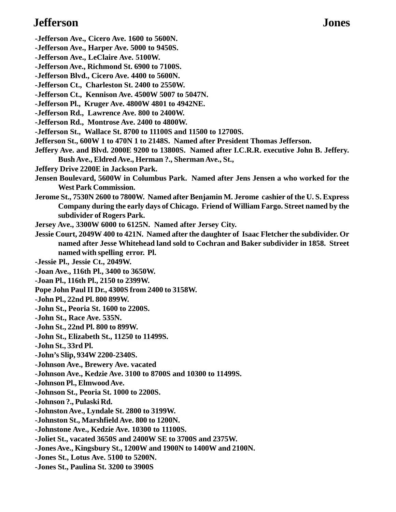## **Jefferson Jones**

- **-Jefferson Ave., Cicero Ave. 1600 to 5600N.**
- **-Jefferson Ave., Harper Ave. 5000 to 9450S.**
- **-Jefferson Ave., LeClaire Ave. 5100W.**
- **-Jefferson Ave., Richmond St. 6900 to 7100S.**
- **-Jefferson Blvd., Cicero Ave. 4400 to 5600N.**
- **-Jefferson Ct., Charleston St. 2400 to 2550W.**
- **-Jefferson Ct., Kennison Ave. 4500W 5007 to 5047N.**
- **-Jefferson Pl., Kruger Ave. 4800W 4801 to 4942NE.**
- **-Jefferson Rd., Lawrence Ave. 800 to 2400W.**
- **-Jefferson Rd., Montrose Ave. 2400 to 4800W.**
- **-Jefferson St., Wallace St. 8700 to 11100S and 11500 to 12700S.**
- **Jefferson St., 600W 1 to 470N 1 to 2148S. Named after President Thomas Jefferson.**
- **Jeffery Ave. and Blvd. 2000E 9200 to 13800S. Named after I.C.R.R. executive John B. Jeffery. Bush Ave., Eldred Ave., Herman ?., Sherman Ave., St.,**
- **Jeffery Drive 2200E in Jackson Park.**
- **Jensen Boulevard, 5600W in Columbus Park. Named after Jens Jensen a who worked for the West Park Commission.**
- **Jerome St., 7530N 2600 to 7800W. Named after Benjamin M. Jerome cashier of the U. S. Express Company during the early days of Chicago. Friend of William Fargo. Street named by the subdivider of Rogers Park.**
- **Jersey Ave., 3300W 6000 to 6125N. Named after Jersey City.**
- **Jessie Court, 2049W 400 to 421N. Named after the daughter of Isaac Fletcher the subdivider. Or named after Jesse Whitehead land sold to Cochran and Baker subdivider in 1858. Street named with spelling error. Pl.**
- **-Jessie Pl., Jessie Ct., 2049W.**
- **-Joan Ave., 116th Pl., 3400 to 3650W.**
- **-Joan Pl., 116th Pl., 2150 to 2399W.**
- **Pope John Paul II Dr., 4300S from 2400 to 3158W.**
- **-John Pl., 22nd Pl. 800 899W.**
- **-John St., Peoria St. 1600 to 2200S.**
- **-John St., Race Ave. 535N.**
- **-John St., 22nd Pl. 800 to 899W.**
- **-John St., Elizabeth St., 11250 to 11499S.**
- **-John St., 33rd Pl.**
- **-John's Slip, 934W 2200-2340S.**
- **-Johnson Ave., Brewery Ave. vacated**
- **-Johnson Ave., Kedzie Ave. 3100 to 8700S and 10300 to 11499S.**
- **-Johnson Pl., Elmwood Ave.**
- **-Johnson St., Peoria St. 1000 to 2200S.**
- **-Johnson ?., Pulaski Rd.**
- **-Johnston Ave., Lyndale St. 2800 to 3199W.**
- **-Johnston St., Marshfield Ave. 800 to 1200N.**
- **-Johnstone Ave., Kedzie Ave. 10300 to 11100S.**
- **-Joliet St., vacated 3650S and 2400W SE to 3700S and 2375W.**
- **-Jones Ave., Kingsbury St., 1200W and 1900N to 1400W and 2100N.**
- **-Jones St., Lotus Ave. 5100 to 5200N.**
- **-Jones St., Paulina St. 3200 to 3900S**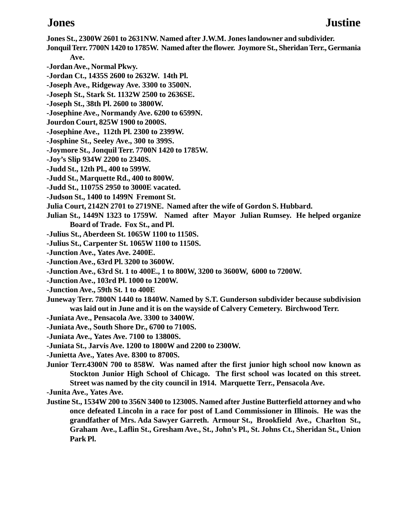- **Jones St., 2300W 2601 to 2631NW. Named after J.W.M. Jones landowner and subdivider.**
- **Jonquil Terr. 7700N 1420 to 1785W. Named after the flower. Joymore St., Sheridan Terr., Germania Ave.**
- **-Jordan Ave., Normal Pkwy.**
- **-Jordan Ct., 1435S 2600 to 2632W. 14th Pl.**
- **-Joseph Ave., Ridgeway Ave. 3300 to 3500N.**
- **-Joseph St., Stark St. 1132W 2500 to 2636SE.**
- **-Joseph St., 38th Pl. 2600 to 3800W.**
- **-Josephine Ave., Normandy Ave. 6200 to 6599N.**
- **Jourdon Court, 825W 1900 to 2000S.**
- **-Josephine Ave., 112th Pl. 2300 to 2399W.**
- **-Josphine St., Seeley Ave., 300 to 399S.**
- **-Joymore St., Jonquil Terr. 7700N 1420 to 1785W.**
- **-Joy's Slip 934W 2200 to 2340S.**
- **-Judd St., 12th Pl., 400 to 599W.**
- **-Judd St., Marquette Rd., 400 to 800W.**
- **-Judd St., 11075S 2950 to 3000E vacated.**
- **-Judson St., 1400 to 1499N Fremont St.**
- **Julia Court, 2142N 2701 to 2719NE. Named after the wife of Gordon S. Hubbard.**
- **Julian St., 1449N 1323 to 1759W. Named after Mayor Julian Rumsey. He helped organize Board of Trade. Fox St., and Pl.**
- **-Julius St., Aberdeen St. 1065W 1100 to 1150S.**
- **-Julius St., Carpenter St. 1065W 1100 to 1150S.**
- **-Junction Ave., Yates Ave. 2400E.**
- **-Junction Ave., 63rd Pl. 3200 to 3600W.**
- **-Junction Ave., 63rd St. 1 to 400E., 1 to 800W, 3200 to 3600W, 6000 to 7200W.**
- **-Junction Ave., 103rd Pl. 1000 to 1200W.**
- **-Junction Ave., 59th St. 1 to 400E**
- **Juneway Terr. 7800N 1440 to 1840W. Named by S.T. Gunderson subdivider because subdivision was laid out in June and it is on the wayside of Calvery Cemetery. Birchwood Terr.**
- **-Juniata Ave., Pensacola Ave. 3300 to 3400W.**
- **-Juniata Ave., South Shore Dr., 6700 to 7100S.**
- **-Juniata Ave., Yates Ave. 7100 to 13800S.**
- **-Juniata St., Jarvis Ave. 1200 to 1800W and 2200 to 2300W.**
- **-Junietta Ave., Yates Ave. 8300 to 8700S.**
- **Junior Terr.4300N 700 to 858W. Was named after the first junior high school now known as Stockton Junior High School of Chicago. The first school was located on this street. Street was named by the city council in 1914. Marquette Terr., Pensacola Ave.**
- **-Junita Ave., Yates Ave.**
- **Justine St., 1534W 200 to 356N 3400 to 12300S. Named after Justine Butterfield attorney and who once defeated Lincoln in a race for post of Land Commissioner in Illinois. He was the grandfather of Mrs. Ada Sawyer Garreth. Armour St., Brookfield Ave., Charlton St., Graham Ave., Laflin St., Gresham Ave., St., John's Pl., St. Johns Ct., Sheridan St., Union Park Pl.**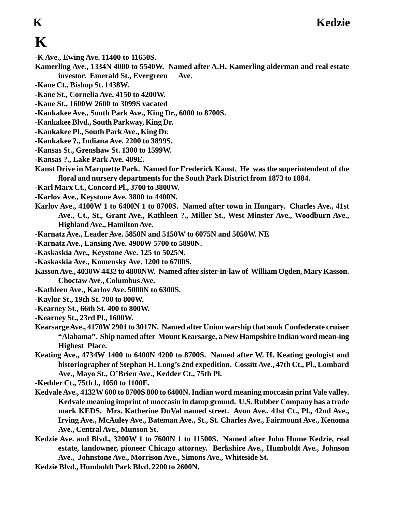# **K**

- **-K Ave., Ewing Ave. 11400 to 11650S.**
- **Kamerling Ave., 1334N 4000 to 5540W. Named after A.H. Kamerling alderman and real estate investor. Emerald St., Evergreen Ave.**
	-
- **-Kane Ct., Bishop St. 1438W.**
- **-Kane St., Cornelia Ave. 4150 to 4200W.**
- **-Kane St., 1600W 2600 to 3099S vacated**
- **-Kankakee Ave., South Park Ave., King Dr., 6000 to 8700S.**
- **-Kankakee Blvd., South Parkway, King Dr.**
- **-Kankakee Pl., South Park Ave., King Dr.**
- **-Kankakee ?., Indiana Ave. 2200 to 3899S.**
- **-Kansas St., Grenshaw St. 1300 to 1599W.**
- **-Kansas ?., Lake Park Ave. 409E.**
- **Kanst Drive in Marquette Park. Named for Frederick Kanst. He was the superintendent of the floral and nursery departments for the South Park District from 1873 to 1884.**
- **-Karl Marx Ct., Concord Pl., 3700 to 3800W.**
- **-Karlov Ave., Keystone Ave. 3800 to 4400N.**
- **Karlov Ave., 4100W 1 to 6400N 1 to 8700S. Named after town in Hungary. Charles Ave., 41st Ave., Ct., St., Grant Ave., Kathleen ?., Miller St., West Minster Ave., Woodburn Ave., Highland Ave., Hamilton Ave.**
- **-Karnatz Ave., Leader Ave. 5850N and 5150W to 6075N and 5050W. NE**
- **-Karnatz Ave., Lansing Ave. 4900W 5700 to 5890N.**
- **-Kaskaskia Ave., Keystone Ave. 125 to 5025N.**
- **-Kaskaskia Ave., Komensky Ave. 1200 to 6700S.**
- **Kasson Ave., 4030W 4432 to 4800NW. Named after sister-in-law of William Ogden, Mary Kasson. Choctaw Ave., Columbus Ave.**
- **-Kathleen Ave., Karlov Ave. 5000N to 6300S.**
- **-Kaylor St., 19th St. 700 to 800W.**
- **-Kearney St., 66th St. 400 to 800W.**
- **-Kearney St., 23rd Pl., 1600W.**
- **Kearsarge Ave., 4170W 2901 to 3017N. Named after Union warship that sunk Confederate cruiser "Alabama". Ship named after Mount Kearsarge, a New Hampshire Indian word mean-ing Highest Place.**
- **Keating Ave., 4734W 1400 to 6400N 4200 to 8700S. Named after W. H. Keating geologist and historiographer of Stephan H. Long's 2nd expedition. Cossitt Ave., 47th Ct., Pl., Lombard Ave., Mayo St., O'Brien Ave., Kedder Ct., 75th Pl.**
- **-Kedder Ct., 75th l., 1050 to 1100E.**
- **Kedvale Ave., 4132W 600 to 8700S 800 to 6400N. Indian word meaning moccasin print Vale valley. Kedvale meaning imprint of moccasin in damp ground. U.S. Rubber Company has a trade mark KEDS. Mrs. Katherine DuVal named street. Avon Ave., 41st Ct., Pl., 42nd Ave., Irving Ave., McAuley Ave., Bateman Ave., St., St. Charles Ave., Fairmount Ave., Kenoma Ave., Central Ave., Munson St.**
- **Kedzie Ave. and Blvd., 3200W 1 to 7600N 1 to 11500S. Named after John Hume Kedzie, real estate, landowner, pioneer Chicago attorney. Berkshire Ave., Humboldt Ave., Johnson Ave., Johnstone Ave., Morrison Ave., Simons Ave., Whiteside St.**
- **Kedzie Blvd., Humboldt Park Blvd. 2200 to 2600N.**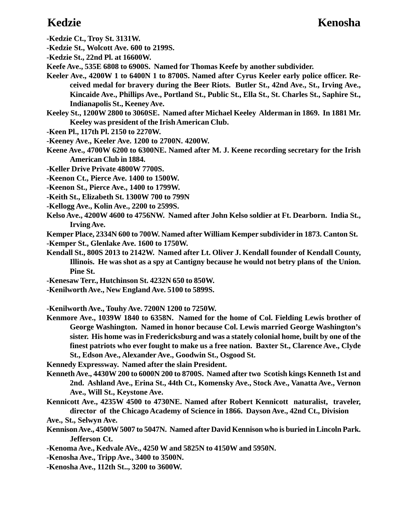### **Kedzie Kenosha**

- **-Kedzie Ct., Troy St. 3131W.**
- **-Kedzie St., Wolcott Ave. 600 to 2199S.**
- **-Kedzie St., 22nd Pl. at 16600W.**
- **Keefe Ave., 535E 6808 to 6900S. Named for Thomas Keefe by another subdivider.**
- **Keeler Ave., 4200W 1 to 6400N 1 to 8700S. Named after Cyrus Keeler early police officer. Received medal for bravery during the Beer Riots. Butler St., 42nd Ave., St., Irving Ave., Kincaide Ave., Phillips Ave., Portland St., Public St., Ella St., St. Charles St., Saphire St., Indianapolis St., Keeney Ave.**
- **Keeley St., 1200W 2800 to 3060SE. Named after Michael Keeley Alderman in 1869. In 1881 Mr. Keeley was president of the Irish American Club.**
- **-Keen Pl., 117th Pl. 2150 to 2270W.**
- **-Keeney Ave., Keeler Ave. 1200 to 2700N. 4200W.**
- **Keene Ave., 4700W 6200 to 6300NE. Named after M. J. Keene recording secretary for the Irish American Club in 1884.**
- **-Keller Drive Private 4800W 7700S.**
- **-Keenon Ct., Pierce Ave. 1400 to 1500W.**
- **-Keenon St., Pierce Ave., 1400 to 1799W.**
- **-Keith St., Elizabeth St. 1300W 700 to 799N**
- **-Kellogg Ave., Kolin Ave., 2200 to 2599S.**
- **Kelso Ave., 4200W 4600 to 4756NW. Named after John Kelso soldier at Ft. Dearborn. India St., Irving Ave.**

**Kemper Place, 2334N 600 to 700W. Named after William Kemper subdivider in 1873. Canton St. -Kemper St., Glenlake Ave. 1600 to 1750W.**

- **Kendall St., 800S 2013 to 2142W. Named after Lt. Oliver J. Kendall founder of Kendall County, Illinois. He was shot as a spy at Cantigny because he would not betry plans of the Union. Pine St.**
- **-Kenesaw Terr., Hutchinson St. 4232N 650 to 850W.**
- **-Kenilworth Ave., New England Ave. 5100 to 5899S.**
- **-Kenilworth Ave., Touhy Ave. 7200N 1200 to 7250W.**
- **Kenmore Ave., 1039W 1840 to 6358N. Named for the home of Col. Fielding Lewis brother of George Washington. Named in honor because Col. Lewis married George Washington's sister. His home was in Fredericksburg and was a stately colonial home, built by one of the finest patriots who ever fought to make us a free nation. Baxter St., Clarence Ave., Clyde St., Edson Ave., Alexander Ave., Goodwin St., Osgood St.**

**Kennedy Expressway. Named after the slain President.**

- **Kenneth Ave., 4430W 200 to 6000N 200 to 8700S. Named after two Scotish kings Kenneth 1st and 2nd. Ashland Ave., Erina St., 44th Ct., Komensky Ave., Stock Ave., Vanatta Ave., Vernon Ave., Will St., Keystone Ave.**
- **Kennicott Ave., 4235W 4500 to 4730NE. Named after Robert Kennicott naturalist, traveler, director of the Chicago Academy of Science in 1866. Dayson Ave., 42nd Ct., Division**
- **Ave., St., Selwyn Ave.**
- **Kennison Ave., 4500W 5007 to 5047N. Named after David Kennison who is buried in Lincoln Park. Jefferson Ct.**
- **-Kenoma Ave., Kedvale AVe., 4250 W and 5825N to 4150W and 5950N.**
- **-Kenosha Ave., Tripp Ave., 3400 to 3500N.**
- **-Kenosha Ave., 112th St.., 3200 to 3600W.**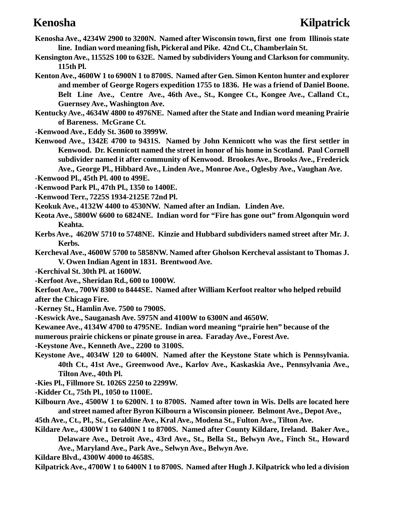- **Kenosha Ave., 4234W 2900 to 3200N. Named after Wisconsin town, first one from Illinois state line. Indian word meaning fish, Pickeral and Pike. 42nd Ct., Chamberlain St.**
- **Kensington Ave., 11552S 100 to 632E. Named by subdividers Young and Clarkson for community. 115th Pl.**
- **Kenton Ave., 4600W 1 to 6900N 1 to 8700S. Named after Gen. Simon Kenton hunter and explorer and member of George Rogers expedition 1755 to 1836. He was a friend of Daniel Boone. Belt Line Ave., Centre Ave., 46th Ave., St., Kongee Ct., Kongee Ave., Calland Ct., Guernsey Ave., Washington Ave.**
- **Kentucky Ave., 4634W 4800 to 4976NE. Named after the State and Indian word meaning Prairie of Bareness. McGrane Ct.**
- **-Kenwood Ave., Eddy St. 3600 to 3999W.**
- **Kenwood Ave., 1342E 4700 to 9431S. Named by John Kennicott who was the first settler in Kenwood. Dr. Kennicott named the street in honor of his home in Scotland. Paul Cornell subdivider named it after community of Kenwood. Brookes Ave., Brooks Ave., Frederick Ave., George Pl., Hibbard Ave., Linden Ave., Monroe Ave., Oglesby Ave., Vaughan Ave.**
- **-Kenwood Pl., 45th Pl. 400 to 499E.**
- **-Kenwood Park Pl., 47th Pl., 1350 to 1400E.**
- **-Kenwood Terr., 7225S 1934-2125E 72nd Pl.**
- **Keokuk Ave., 4132W 4400 to 4530NW. Named after an Indian. Linden Ave.**
- **Keota Ave., 5800W 6600 to 6824NE. Indian word for "Fire has gone out" from Algonquin word Keahta.**
- **Kerbs Ave., 4620W 5710 to 5748NE. Kinzie and Hubbard subdividers named street after Mr. J. Kerbs.**
- **Kercheval Ave., 4600W 5700 to 5858NW. Named after Gholson Kercheval assistant to Thomas J. V. Owen Indian Agent in 1831. Brentwood Ave.**
- **-Kerchival St. 30th Pl. at 1600W.**
- **-Kerfoot Ave., Sheridan Rd., 600 to 1000W.**
- **Kerfoot Ave., 700W 8300 to 8444SE. Named after William Kerfoot realtor who helped rebuild after the Chicago Fire.**
- **-Kerney St., Hamlin Ave. 7500 to 7900S.**
- **-Keswick Ave., Sauganash Ave. 5975N and 4100W to 6300N and 4650W.**
- **Kewanee Ave., 4134W 4700 to 4795NE. Indian word meaning "prairie hen" because of the**
- **numerous prairie chickens or pinate grouse in area. Faraday Ave., Forest Ave.**
- **-Keystone Ave., Kenneth Ave., 2200 to 3100S.**
- **Keystone Ave., 4034W 120 to 6400N. Named after the Keystone State which is Pennsylvania. 40th Ct., 41st Ave., Greenwood Ave., Karlov Ave., Kaskaskia Ave., Pennsylvania Ave., Tilton Ave., 40th Pl.**
- **-Kies Pl., Fillmore St. 1026S 2250 to 2299W.**
- **-Kidder Ct., 75th Pl., 1050 to 1100E.**
- **Kilbourn Ave., 4500W 1 to 6200N. 1 to 8700S. Named after town in Wis. Dells are located here and street named after Byron Kilbourn a Wisconsin pioneer. Belmont Ave., Depot Ave.,**
- **45th Ave., Ct., Pl., St., Geraldine Ave., Kral Ave., Modena St., Fulton Ave., Tilton Ave.**
- **Kildare Ave., 4300W 1 to 6400N 1 to 8700S. Named after County Kildare, Ireland. Baker Ave., Delaware Ave., Detroit Ave., 43rd Ave., St., Bella St., Belwyn Ave., Finch St., Howard**
	- **Ave., Maryland Ave., Park Ave., Selwyn Ave., Belwyn Ave.**
- **Kildare Blvd., 4300W 4000 to 4658S.**
- **Kilpatrick Ave., 4700W 1 to 6400N 1 to 8700S. Named after Hugh J. Kilpatrick who led a division**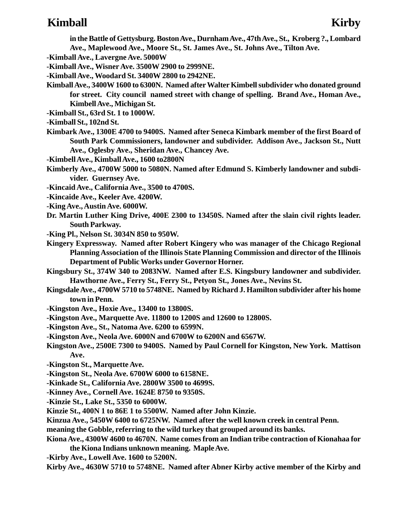### **Kimball Kirby**

**in the Battle of Gettysburg. Boston Ave., Durnham Ave., 47th Ave., St., Kroberg ?., Lombard Ave., Maplewood Ave., Moore St., St. James Ave., St. Johns Ave., Tilton Ave.**

- **-Kimball Ave., Lavergne Ave. 5000W**
- **-Kimball Ave., Wisner Ave. 3500W 2900 to 2999NE.**
- **-Kimball Ave., Woodard St. 3400W 2800 to 2942NE.**
- **Kimball Ave., 3400W 1600 to 6300N. Named after Walter Kimbell subdivider who donated ground for street. City council named street with change of spelling. Brand Ave., Homan Ave., Kimbell Ave., Michigan St.**
- **-Kimball St., 63rd St. 1 to 1000W.**
- **-Kimball St., 102nd St.**
- **Kimbark Ave., 1300E 4700 to 9400S. Named after Seneca Kimbark member of the first Board of South Park Commissioners, landowner and subdivider. Addison Ave., Jackson St., Nutt Ave., Oglesby Ave., Sheridan Ave., Chancey Ave.**
- **-Kimbell Ave., Kimball Ave., 1600 to2800N**
- **Kimberly Ave., 4700W 5000 to 5080N. Named after Edmund S. Kimberly landowner and subdivider. Guernsey Ave.**
- **-Kincaid Ave., California Ave., 3500 to 4700S.**
- **-Kincaide Ave., Keeler Ave. 4200W.**
- **-King Ave., Austin Ave. 6000W.**
- **Dr. Martin Luther King Drive, 400E 2300 to 13450S. Named after the slain civil rights leader. South Parkway.**
- **-King Pl., Nelson St. 3034N 850 to 950W.**
- **Kingery Expressway. Named after Robert Kingery who was manager of the Chicago Regional Planning Association of the Illinois State Planning Commission and director of the Illinois Department of Public Works under Governor Horner.**
- **Kingsbury St., 374W 340 to 2083NW. Named after E.S. Kingsbury landowner and subdivider. Hawthorne Ave., Ferry St., Ferry St., Petyon St., Jones Ave., Nevins St.**
- **Kingsdale Ave., 4700W 5710 to 5748NE. Named by Richard J. Hamilton subdivider after his home town in Penn.**
- **-Kingston Ave., Hoxie Ave., 13400 to 13800S.**
- **-Kingston Ave., Marquette Ave. 11800 to 1200S and 12600 to 12800S.**
- **-Kingston Ave., St., Natoma Ave. 6200 to 6599N.**
- **-Kingston Ave., Neola Ave. 6000N and 6700W to 6200N and 6567W.**
- **Kingston Ave., 2500E 7300 to 9400S. Named by Paul Cornell for Kingston, New York. Mattison Ave.**
- **-Kingston St., Marquette Ave.**
- **-Kingston St., Neola Ave. 6700W 6000 to 6158NE.**
- **-Kinkade St., California Ave. 2800W 3500 to 4699S.**
- **-Kinney Ave., Cornell Ave. 1624E 8750 to 9350S.**
- **-Kinzie St., Lake St., 5350 to 6000W.**
- **Kinzie St., 400N 1 to 86E 1 to 5500W. Named after John Kinzie.**
- **Kinzua Ave., 5450W 6400 to 6725NW. Named after the well known creek in central Penn.**
- **meaning the Gobble, referring to the wild turkey that grouped around its banks.**
- **Kiona Ave., 4300W 4600 to 4670N. Name comes from an Indian tribe contraction of Kionahaa for the Kiona Indians unknown meaning. Maple Ave.**
- **-Kirby Ave., Lowell Ave. 1600 to 5200N.**
- **Kirby Ave., 4630W 5710 to 5748NE. Named after Abner Kirby active member of the Kirby and**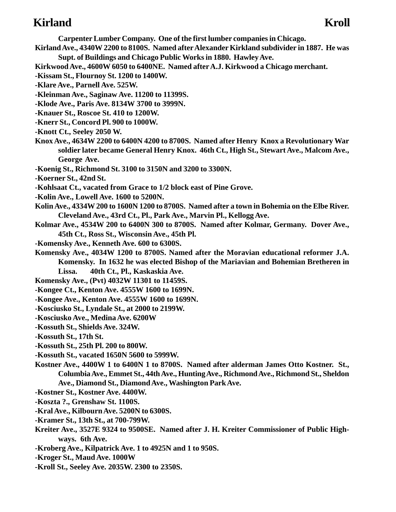### **Kirland** Kroll

**Carpenter Lumber Company. One of the first lumber companies in Chicago.**

- **Kirland Ave., 4340W 2200 to 8100S. Named after Alexander Kirkland subdivider in 1887. He was Supt. of Buildings and Chicago Public Works in 1880. Hawley Ave.**
- **Kirkwood Ave., 4600W 6050 to 6400NE. Named after A.J. Kirkwood a Chicago merchant.**
- **-Kissam St., Flournoy St. 1200 to 1400W.**
- **-Klare Ave., Parnell Ave. 525W.**
- **-Kleinman Ave., Saginaw Ave. 11200 to 11399S.**
- **-Klode Ave., Paris Ave. 8134W 3700 to 3999N.**
- **-Knauer St., Roscoe St. 410 to 1200W.**
- **-Knerr St., Concord Pl. 900 to 1000W.**
- **-Knott Ct., Seeley 2050 W.**
- **Knox Ave., 4634W 2200 to 6400N 4200 to 8700S. Named after Henry Knox a Revolutionary War soldier later became General Henry Knox. 46th Ct., High St., Stewart Ave., Malcom Ave., George Ave.**
- **-Koenig St., Richmond St. 3100 to 3150N and 3200 to 3300N.**
- **-Koerner St., 42nd St.**
- **-Kohlsaat Ct., vacated from Grace to 1/2 block east of Pine Grove.**
- **-Kolin Ave., Lowell Ave. 1600 to 5200N.**
- **Kolin Ave., 4334W 200 to 1600N 1200 to 8700S. Named after a town in Bohemia on the Elbe River. Cleveland Ave., 43rd Ct., Pl., Park Ave., Marvin Pl., Kellogg Ave.**
- **Kolmar Ave., 4534W 200 to 6400N 300 to 8700S. Named after Kolmar, Germany. Dover Ave., 45th Ct., Ross St., Wisconsin Ave., 45th Pl.**
- **-Komensky Ave., Kenneth Ave. 600 to 6300S.**
- **Komensky Ave., 4034W 1200 to 8700S. Named after the Moravian educational reformer J.A. Komensky. In 1632 he was elected Bishop of the Mariavian and Bohemian Bretheren in**
	- **Lissa. 40th Ct., Pl., Kaskaskia Ave.**
- **Komensky Ave., (Pvt) 4032W 11301 to 11459S.**
- **-Kongee Ct., Kenton Ave. 4555W 1600 to 1699N.**
- **-Kongee Ave., Kenton Ave. 4555W 1600 to 1699N.**
- **-Kosciusko St., Lyndale St., at 2000 to 2199W.**
- **-Kosciusko Ave., Medina Ave. 6200W**
- **-Kossuth St., Shields Ave. 324W.**
- **-Kossuth St., 17th St.**
- **-Kossuth St., 25th Pl. 200 to 800W.**
- **-Kossuth St., vacated 1650N 5600 to 5999W.**
- **Kostner Ave., 4400W 1 to 6400N 1 to 8700S. Named after alderman James Otto Kostner. St., Columbia Ave., Emmet St., 44th Ave., Hunting Ave., Richmond Ave., Richmond St., Sheldon Ave., Diamond St., Diamond Ave., Washington Park Ave.**
- **-Kostner St., Kostner Ave. 4400W.**
- **-Koszta ?., Grenshaw St. 1100S.**
- **-Kral Ave., Kilbourn Ave. 5200N to 6300S.**
- **-Kramer St., 13th St., at 700-799W.**
- **Kreiter Ave., 3527E 9324 to 9500SE. Named after J. H. Kreiter Commissioner of Public Highways. 6th Ave.**
- **-Kroberg Ave., Kilpatrick Ave. 1 to 4925N and 1 to 950S.**
- **-Kroger St., Maud Ave. 1000W**
- **-Kroll St., Seeley Ave. 2035W. 2300 to 2350S.**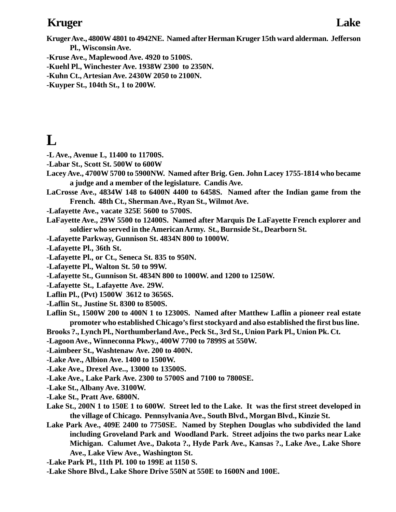## **Kruger Lake**

- **-Kruse Ave., Maplewood Ave. 4920 to 5100S.**
- **-Kuehl Pl., Winchester Ave. 1938W 2300 to 2350N.**
- **-Kuhn Ct., Artesian Ave. 2430W 2050 to 2100N.**
- **-Kuyper St., 104th St., 1 to 200W.**

# $\mathbf{L}$

- **-L Ave., Avenue L, 11400 to 11700S.**
- **-Labar St., Scott St. 500W to 600W**
- **Lacey Ave., 4700W 5700 to 5900NW. Named after Brig. Gen. John Lacey 1755-1814 who became a judge and a member of the legislature. Candis Ave.**
- **LaCrosse Ave., 4834W 148 to 6400N 4400 to 6458S. Named after the Indian game from the French. 48th Ct., Sherman Ave., Ryan St., Wilmot Ave.**
- **-Lafayette Ave., vacate 325E 5600 to 5700S.**
- **LaFayette Ave., 29W 5500 to 12400S. Named after Marquis De LaFayette French explorer and soldier who served in the American Army. St., Burnside St., Dearborn St.**
- **-Lafayette Parkway, Gunnison St. 4834N 800 to 1000W.**
- **-Lafayette Pl., 36th St.**
- **-Lafayette Pl., or Ct., Seneca St. 835 to 950N.**
- **-Lafayette Pl., Walton St. 50 to 99W.**
- **-Lafayette St., Gunnison St. 4834N 800 to 1000W. and 1200 to 1250W.**
- **-Lafayette St., Lafayette Ave. 29W.**
- **Laflin Pl., (Pvt) 1500W 3612 to 3656S.**
- **-Laflin St., Justine St. 8300 to 8500S.**
- **Laflin St., 1500W 200 to 400N 1 to 12300S. Named after Matthew Laflin a pioneer real estate promoter who established Chicago's first stockyard and also established the first bus line.**
- **Brooks ?., Lynch Pl., Northumberland Ave., Peck St., 3rd St., Union Park Pl., Union Pk. Ct.**
- **-Lagoon Ave., Winneconna Pkwy., 400W 7700 to 7899S at 550W.**
- **-Laimbeer St., Washtenaw Ave. 200 to 400N.**
- **-Lake Ave., Albion Ave. 1400 to 1500W.**
- **-Lake Ave., Drexel Ave.., 13000 to 13500S.**
- **-Lake Ave., Lake Park Ave. 2300 to 5700S and 7100 to 7800SE.**
- **-Lake St., Albany Ave. 3100W.**
- **-Lake St., Pratt Ave. 6800N.**
- **Lake St., 200N 1 to 150E 1 to 600W. Street led to the Lake. It was the first street developed in the village of Chicago. Pennsylvania Ave., South Blvd., Morgan Blvd., Kinzie St.**
- **Lake Park Ave., 409E 2400 to 7750SE. Named by Stephen Douglas who subdivided the land including Groveland Park and Woodland Park. Street adjoins the two parks near Lake Michigan. Calumet Ave., Dakota ?., Hyde Park Ave., Kansas ?., Lake Ave., Lake Shore Ave., Lake View Ave., Washington St.**
- **-Lake Park Pl., 11th Pl. 100 to 199E at 1150 S.**
- **-Lake Shore Blvd., Lake Shore Drive 550N at 550E to 1600N and 100E.**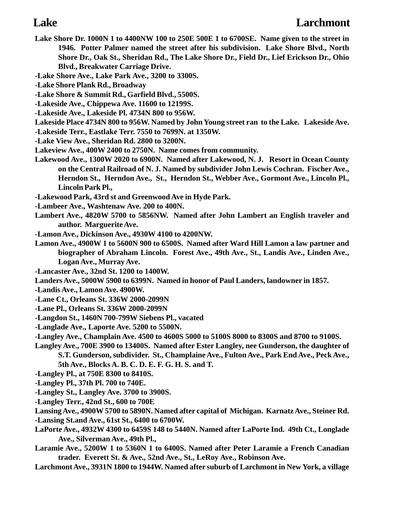- **Lake Shore Dr. 1000N 1 to 4400NW 100 to 250E 500E 1 to 6700SE. Name given to the street in 1946. Potter Palmer named the street after his subdivision. Lake Shore Blvd., North Shore Dr., Oak St., Sheridan Rd., The Lake Shore Dr., Field Dr., Lief Erickson Dr., Ohio Blvd., Breakwater Carriage Drive.**
- **-Lake Shore Ave., Lake Park Ave., 3200 to 3300S.**
- **-Lake Shore Plank Rd., Broadway**
- **-Lake Shore & Summit Rd., Garfield Blvd., 5500S.**
- **-Lakeside Ave., Chippewa Ave. 11600 to 12199S.**
- **-Lakeside Ave., Lakeside Pl. 4734N 800 to 956W.**
- **Lakeside Place 4734N 800 to 956W. Named by John Young street ran to the Lake. Lakeside Ave. -Lakeside Terr., Eastlake Terr. 7550 to 7699N. at 1350W.**
- **-Lake View Ave., Sheridan Rd. 2800 to 3200N.**
- **Lakeview Ave., 400W 2400 to 2750N. Name comes from community.**
- **Lakewood Ave., 1300W 2020 to 6900N. Named after Lakewood, N. J. Resort in Ocean County on the Central Railroad of N. J. Named by subdivider John Lewis Cochran. Fischer Ave., Herndon St., Herndon Ave., St., Herndon St., Webber Ave., Gormont Ave., Lincoln Pl., Lincoln Park Pl.,**
- **-Lakewood Park, 43rd st and Greenwood Ave in Hyde Park.**
- **-Lambeer Ave., Washtenaw Ave. 200 to 400N.**
- **Lambert Ave., 4820W 5700 to 5856NW. Named after John Lambert an English traveler and author. Marguerite Ave.**
- **-Lamon Ave., Dickinson Ave., 4930W 4100 to 4200NW.**
- **Lamon Ave., 4900W 1 to 5600N 900 to 6500S. Named after Ward Hill Lamon a law partner and biographer of Abraham Lincoln. Forest Ave., 49th Ave., St., Landis Ave., Linden Ave., Logan Ave., Murray Ave.**
- **-Lancaster Ave., 32nd St. 1200 to 1400W.**
- **Landers Ave., 5000W 5900 to 6399N. Named in honor of Paul Landers, landowner in 1857.**
- **-Landis Ave., Lamon Ave. 4900W.**
- **-Lane Ct., Orleans St. 336W 2000-2099N**
- **-Lane Pl., Orleans St. 336W 2000-2099N**
- **-Langdon St., 1460N 700-799W Siebens Pl., vacated**
- **-Langlade Ave., Laporte Ave. 5200 to 5500N.**
- **-Langley Ave., Champlain Ave. 4500 to 4600S 5000 to 5100S 8000 to 8300S and 8700 to 9100S.**
- **Langley Ave., 700E 3900 to 13400S. Named after Ester Langley, nee Gunderson, the daughter of S.T. Gunderson, subdivider. St., Champlaine Ave., Fulton Ave., Park End Ave., Peck Ave.,**
	- **5th Ave., Blocks A. B. C. D. E. F. G. H. S. and T.**
- **-Langley Pl., at 750E 8300 to 8410S.**
- **-Langley Pl., 37th Pl. 700 to 740E.**
- **-Langley St., Langley Ave. 3700 to 3900S.**
- **-Langley Terr., 42nd St., 600 to 700E**
- **Lansing Ave., 4900W 5700 to 5890N. Named after capital of Michigan. Karnatz Ave., Steiner Rd. -Lansing St.and Ave., 61st St., 6400 to 6700W.**
- **LaPorte Ave., 4932W 4300 to 6459S 148 to 5440N. Named after LaPorte Ind. 49th Ct., Longlade Ave., Silverman Ave., 49th Pl.,**
- **Laramie Ave., 5200W 1 to 5360N 1 to 6400S. Named after Peter Laramie a French Canadian trader. Everett St. & Ave., 52nd Ave., St., LeRoy Ave., Robinson Ave.**
- **Larchmont Ave., 3931N 1800 to 1944W. Named after suburb of Larchmont in New York, a village**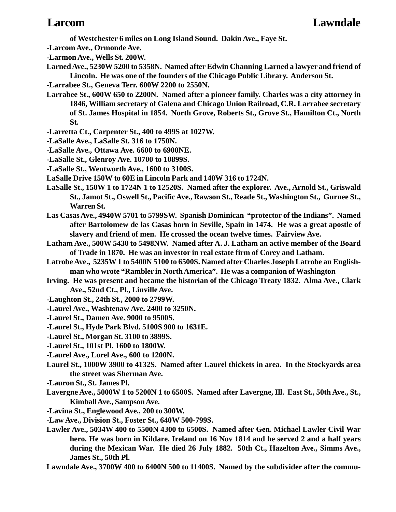**of Westchester 6 miles on Long Island Sound. Dakin Ave., Faye St.**

- **-Larcom Ave., Ormonde Ave.**
- **-Larmon Ave., Wells St. 200W.**
- **Larned Ave., 5230W 5200 to 5358N. Named after Edwin Channing Larned a lawyer and friend of Lincoln. He was one of the founders of the Chicago Public Library. Anderson St.**
- **-Larrabee St., Geneva Terr. 600W 2200 to 2550N.**
- **Larrabee St., 600W 650 to 2200N. Named after a pioneer family. Charles was a city attorney in 1846, William secretary of Galena and Chicago Union Railroad, C.R. Larrabee secretary of St. James Hospital in 1854. North Grove, Roberts St., Grove St., Hamilton Ct., North St.**
- **-Larretta Ct., Carpenter St., 400 to 499S at 1027W.**
- **-LaSalle Ave., LaSalle St. 316 to 1750N.**
- **-LaSalle Ave., Ottawa Ave. 6600 to 6900NE.**
- **-LaSalle St., Glenroy Ave. 10700 to 10899S.**
- **-LaSalle St., Wentworth Ave., 1600 to 3100S.**
- **LaSalle Drive 150W to 60E in Lincoln Park and 140W 316 to 1724N.**
- **LaSalle St., 150W 1 to 1724N 1 to 12520S. Named after the explorer. Ave., Arnold St., Griswald St., Jamot St., Oswell St., Pacific Ave., Rawson St., Reade St., Washington St., Gurnee St., Warren St.**
- **Las Casas Ave., 4940W 5701 to 5799SW. Spanish Dominican "protector of the Indians". Named after Bartolomew de las Casas born in Seville, Spain in 1474. He was a great apostle of slavery and friend of men. He crossed the ocean twelve times. Fairview Ave.**
- **Latham Ave., 500W 5430 to 5498NW. Named after A. J. Latham an active member of the Board of Trade in 1870. He was an investor in real estate firm of Corey and Latham.**
- **Latrobe Ave., 5235W 1 to 5400N 5100 to 6500S. Named after Charles Joseph Latrobe an Englishman who wrote "Rambler in North America". He was a companion of Washington**
- **Irving. He was present and became the historian of the Chicago Treaty 1832. Alma Ave., Clark Ave., 52nd Ct., Pl., Linville Ave.**
- **-Laughton St., 24th St., 2000 to 2799W.**
- **-Laurel Ave., Washtenaw Ave. 2400 to 3250N.**
- **-Laurel St., Damen Ave. 9000 to 9500S.**
- **-Laurel St., Hyde Park Blvd. 5100S 900 to 1631E.**
- **-Laurel St., Morgan St. 3100 to 3899S.**
- **-Laurel St., 101st Pl. 1600 to 1800W.**
- **-Laurel Ave., Lorel Ave., 600 to 1200N.**
- **Laurel St., 1000W 3900 to 4132S. Named after Laurel thickets in area. In the Stockyards area the street was Sherman Ave.**
- **-Lauron St., St. James Pl.**
- **Lavergne Ave., 5000W 1 to 5200N 1 to 6500S. Named after Lavergne, Ill. East St., 50th Ave., St., Kimball Ave., Sampson Ave.**
- **-Lavina St., Englewood Ave., 200 to 300W.**
- **-Law Ave., Division St., Foster St., 640W 500-799S.**
- **Lawler Ave., 5034W 400 to 5500N 4300 to 6500S. Named after Gen. Michael Lawler Civil War hero. He was born in Kildare, Ireland on 16 Nov 1814 and he served 2 and a half years during the Mexican War. He died 26 July 1882. 50th Ct., Hazelton Ave., Simms Ave., James St., 50th Pl.**
- **Lawndale Ave., 3700W 400 to 6400N 500 to 11400S. Named by the subdivider after the commu-**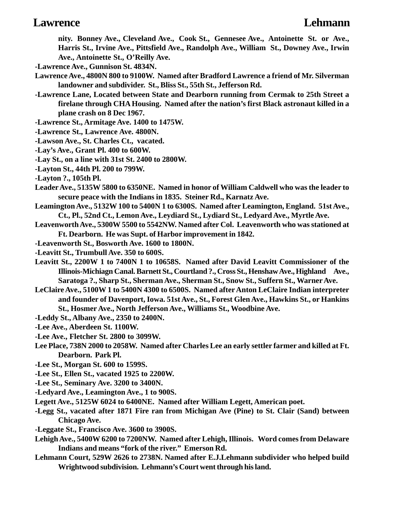### **Lawrence Lehmann**

**nity. Bonney Ave., Cleveland Ave., Cook St., Gennesee Ave., Antoinette St. or Ave., Harris St., Irvine Ave., Pittsfield Ave., Randolph Ave., William St., Downey Ave., Irwin Ave., Antoinette St., O'Reilly Ave.**

- **-Lawrence Ave., Gunnison St. 4834N.**
- **Lawrence Ave., 4800N 800 to 9100W. Named after Bradford Lawrence a friend of Mr. Silverman landowner and subdivider. St., Bliss St., 55th St., Jefferson Rd.**
- **-Lawrence Lane, Located between State and Dearborn running from Cermak to 25th Street a firelane through CHA Housing. Named after the nation's first Black astronaut killed in a plane crash on 8 Dec 1967.**
- **-Lawrence St., Armitage Ave. 1400 to 1475W.**
- **-Lawrence St., Lawrence Ave. 4800N.**
- **-Lawson Ave., St. Charles Ct., vacated.**
- **-Lay's Ave., Grant Pl. 400 to 600W.**
- **-Lay St., on a line with 31st St. 2400 to 2800W.**
- **-Layton St., 44th Pl. 200 to 799W.**
- **-Layton ?., 105th Pl.**
- **Leader Ave., 5135W 5800 to 6350NE. Named in honor of William Caldwell who was the leader to secure peace with the Indians in 1835. Steiner Rd., Karnatz Ave.**
- **Leamington Ave., 5132W 100 to 5400N 1 to 6300S. Named after Leamington, England. 51st Ave., Ct., Pl., 52nd Ct., Lemon Ave., Leydiard St., Lydiard St., Ledyard Ave., Myrtle Ave.**
- **Leavenworth Ave., 5300W 5500 to 5542NW. Named after Col. Leavenworth who was stationed at Ft. Dearborn. He was Supt. of Harbor improvement in 1842.**
- **-Leavenworth St., Bosworth Ave. 1600 to 1800N.**
- **-Leavitt St., Trumbull Ave. 350 to 600S.**
- **Leavitt St., 2200W 1 to 7400N 1 to 10658S. Named after David Leavitt Commissioner of the Illinois-Michiagn Canal. Barnett St., Courtland ?., Cross St., Henshaw Ave., Highland Ave., Saratoga ?., Sharp St., Sherman Ave., Sherman St., Snow St., Suffern St., Warner Ave.**
- **LeClaire Ave., 5100W 1 to 5400N 4300 to 6500S. Named after Anton LeClaire Indian interpreter and founder of Davenport, Iowa. 51st Ave., St., Forest Glen Ave., Hawkins St., or Hankins St., Hosmer Ave., North Jefferson Ave., Williams St., Woodbine Ave.**
- **-Leddy St., Albany Ave., 2350 to 2400N.**
- **-Lee Ave., Aberdeen St. 1100W.**
- **-Lee Ave., Fletcher St. 2800 to 3099W.**
- **Lee Place, 738N 2000 to 2058W. Named after Charles Lee an early settler farmer and killed at Ft. Dearborn. Park Pl.**
- **-Lee St., Morgan St. 600 to 1599S.**
- **-Lee St., Ellen St., vacated 1925 to 2200W.**
- **-Lee St., Seminary Ave. 3200 to 3400N.**
- **-Ledyard Ave., Leamington Ave., 1 to 900S.**
- **Legett Ave., 5125W 6024 to 6400NE. Named after William Legett, American poet.**
- **-Legg St., vacated after 1871 Fire ran from Michigan Ave (Pine) to St. Clair (Sand) between Chicago Ave.**
- **-Leggate St., Francisco Ave. 3600 to 3900S.**
- **Lehigh Ave., 5400W 6200 to 7200NW. Named after Lehigh, Illinois. Word comes from Delaware Indians and means "fork of the river." Emerson Rd.**
- **Lehmann Court, 529W 2626 to 2738N. Named after E.J.Lehmann subdivider who helped build Wrightwood subdivision. Lehmann's Court went through his land.**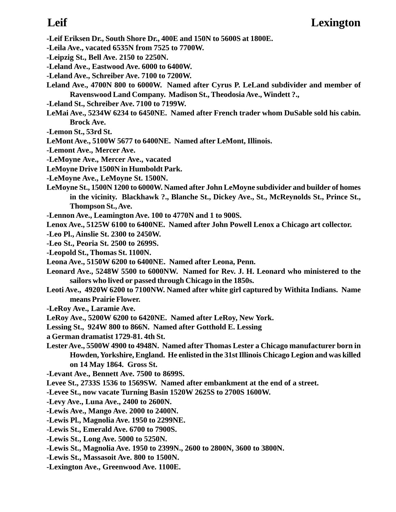- **-Leif Eriksen Dr., South Shore Dr., 400E and 150N to 5600S at 1800E.**
- **-Leila Ave., vacated 6535N from 7525 to 7700W.**
- **-Leipzig St., Bell Ave. 2150 to 2250N.**
- **-Leland Ave., Eastwood Ave. 6000 to 6400W.**
- **-Leland Ave., Schreiber Ave. 7100 to 7200W.**
- **Leland Ave., 4700N 800 to 6000W. Named after Cyrus P. LeLand subdivider and member of Ravenswood Land Company. Madison St., Theodosia Ave., Windett ?.,**
- **-Leland St., Schreiber Ave. 7100 to 7199W.**
- **LeMai Ave., 5234W 6234 to 6450NE. Named after French trader whom DuSable sold his cabin. Brock Ave.**
- **-Lemon St., 53rd St.**
- **LeMont Ave., 5100W 5677 to 6400NE. Named after LeMont, Illinois.**
- **-Lemont Ave., Mercer Ave.**
- **-LeMoyne Ave., Mercer Ave., vacated**
- **LeMoyne Drive 1500N in Humboldt Park.**
- **-LeMoyne Ave., LeMoyne St. 1500N.**
- **LeMoyne St., 1500N 1200 to 6000W. Named after John LeMoyne subdivider and builder of homes in the vicinity. Blackhawk ?., Blanche St., Dickey Ave., St., McReynolds St., Prince St., Thompson St., Ave.**
- **-Lennon Ave., Leamington Ave. 100 to 4770N and 1 to 900S.**
- **Lenox Ave., 5125W 6100 to 6400NE. Named after John Powell Lenox a Chicago art collector.**
- **-Leo Pl., Ainslie St. 2300 to 2450W.**
- **-Leo St., Peoria St. 2500 to 2699S.**
- **-Leopold St., Thomas St. 1100N.**
- **Leona Ave., 5150W 6200 to 6400NE. Named after Leona, Penn.**
- **Leonard Ave., 5248W 5500 to 6000NW. Named for Rev. J. H. Leonard who ministered to the sailors who lived or passed through Chicago in the 1850s.**
- **Leoti Ave., 4920W 6200 to 7100NW. Named after white girl captured by Withita Indians. Name means Prairie Flower.**
- **-LeRoy Ave., Laramie Ave.**
- **LeRoy Ave., 5200W 6200 to 6420NE. Named after LeRoy, New York.**
- **Lessing St., 924W 800 to 866N. Named after Gotthold E. Lessing**
- **a German dramatist 1729-81. 4th St.**
- **Lester Ave., 5500W 4900 to 4948N. Named after Thomas Lester a Chicago manufacturer born in Howden, Yorkshire, England. He enlisted in the 31st Illinois Chicago Legion and was killed on 14 May 1864. Gross St.**
- **-Levant Ave., Bennett Ave. 7500 to 8699S.**
- **Levee St., 2733S 1536 to 1569SW. Named after embankment at the end of a street.**
- **-Levee St., now vacate Turning Basin 1520W 2625S to 2700S 1600W.**
- **-Levy Ave., Luna Ave., 2400 to 2600N.**
- **-Lewis Ave., Mango Ave. 2000 to 2400N.**
- **-Lewis Pl., Magnolia Ave. 1950 to 2299NE.**
- **-Lewis St., Emerald Ave. 6700 to 7900S.**
- **-Lewis St., Long Ave. 5000 to 5250N.**
- **-Lewis St., Magnolia Ave. 1950 to 2399N., 2600 to 2800N, 3600 to 3800N.**
- **-Lewis St., Massasoit Ave. 800 to 1500N.**
- **-Lexington Ave., Greenwood Ave. 1100E.**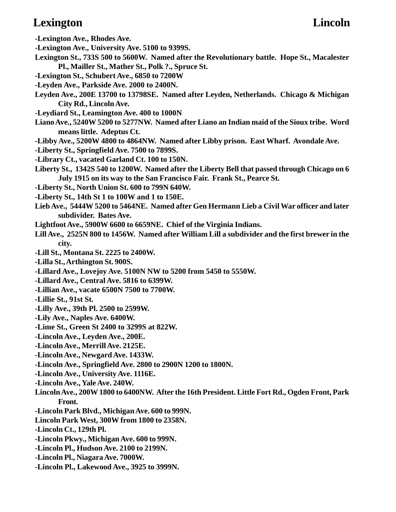# **Lexington** Lincoln

**-Lexington Ave., Rhodes Ave.**

- **-Lexington Ave., University Ave. 5100 to 9399S.**
- **Lexington St., 733S 500 to 5600W. Named after the Revolutionary battle. Hope St., Macalester Pl., Mailler St., Mather St., Polk ?., Spruce St.**
- **-Lexington St., Schubert Ave., 6850 to 7200W**
- **-Leyden Ave., Parkside Ave. 2000 to 2400N.**
- **Leyden Ave., 200E 13700 to 13798SE. Named after Leyden, Netherlands. Chicago & Michigan City Rd., Lincoln Ave.**
- **-Leydiard St., Leamington Ave. 400 to 1000N**
- **Liano Ave., 5240W 5200 to 5277NW. Named after Liano an Indian maid of the Sioux tribe. Word means little. Adeptus Ct.**
- **-Libby Ave., 5200W 4800 to 4864NW. Named after Libby prison. East Wharf. Avondale Ave.**
- **-Liberty St., Springfield Ave. 7500 to 7899S.**
- **-Library Ct., vacated Garland Ct. 100 to 150N.**
- **Liberty St., 1342S 540 to 1200W. Named after the Liberty Bell that passed through Chicago on 6 July 1915 on its way to the San Francisco Fair. Frank St., Pearce St.**
- **-Liberty St., North Union St. 600 to 799N 640W.**
- **-Liberty St., 14th St 1 to 100W and 1 to 150E.**
- **Lieb Ave., 5444W 5200 to 5464NE. Named after Gen Hermann Lieb a Civil War officer and later subdivider. Bates Ave.**
- **Lightfoot Ave., 5900W 6600 to 6659NE. Chief of the Virginia Indians.**
- **Lill Ave., 2525N 800 to 1456W. Named after William Lill a subdivider and the first brewer in the city.**
- **-Lill St., Montana St. 2225 to 2400W.**
- **-Lilla St., Arthington St. 900S.**
- **-Lillard Ave., Lovejoy Ave. 5100N NW to 5200 from 5450 to 5550W.**
- **-Lillard Ave., Central Ave. 5816 to 6399W.**
- **-Lillian Ave., vacate 6500N 7500 to 7700W.**
- **-Lillie St., 91st St.**
- **-Lilly Ave., 39th Pl. 2500 to 2599W.**
- **-Lily Ave., Naples Ave. 6400W.**
- **-Lime St., Green St 2400 to 3299S at 822W.**
- **-Lincoln Ave., Leyden Ave., 200E.**
- **-Lincoln Ave., Merrill Ave. 2125E.**
- **-Lincoln Ave., Newgard Ave. 1433W.**
- **-Lincoln Ave., Springfield Ave. 2800 to 2900N 1200 to 1800N.**
- **-Lincoln Ave., University Ave. 1116E.**
- **-Lincoln Ave., Yale Ave. 240W.**
- **Lincoln Ave., 200W 1800 to 6400NW. After the 16th President. Little Fort Rd., Ogden Front, Park Front.**
- **-Lincoln Park Blvd., Michigan Ave. 600 to 999N.**
- **Lincoln Park West, 300W from 1800 to 2358N.**
- **-Lincoln Ct., 129th Pl.**
- **-Lincoln Pkwy., Michigan Ave. 600 to 999N.**
- **-Lincoln Pl., Hudson Ave. 2100 to 2199N.**
- **-Lincoln Pl., Niagara Ave. 7000W.**
- **-Lincoln Pl., Lakewood Ave., 3925 to 3999N.**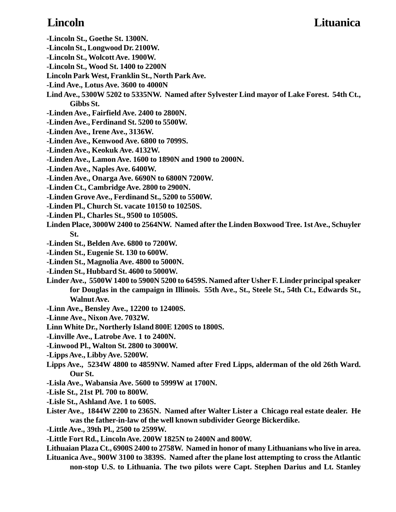## **Lincoln Lituanica**

- **-Lincoln St., Goethe St. 1300N.**
- **-Lincoln St., Longwood Dr. 2100W.**
- **-Lincoln St., Wolcott Ave. 1900W.**
- **-Lincoln St., Wood St. 1400 to 2200N**
- **Lincoln Park West, Franklin St., North Park Ave.**
- **-Lind Ave., Lotus Ave. 3600 to 4000N**
- **Lind Ave., 5300W 5202 to 5335NW. Named after Sylvester Lind mayor of Lake Forest. 54th Ct., Gibbs St.**
- **-Linden Ave., Fairfield Ave. 2400 to 2800N.**
- **-Linden Ave., Ferdinand St. 5200 to 5500W.**
- **-Linden Ave., Irene Ave., 3136W.**
- **-Linden Ave., Kenwood Ave. 6800 to 7099S.**
- **-Linden Ave., Keokuk Ave. 4132W.**
- **-Linden Ave., Lamon Ave. 1600 to 1890N and 1900 to 2000N.**
- **-Linden Ave., Naples Ave. 6400W.**
- **-Linden Ave., Onarga Ave. 6690N to 6800N 7200W.**
- **-Linden Ct., Cambridge Ave. 2800 to 2900N.**
- **-Linden Grove Ave., Ferdinand St., 5200 to 5500W.**
- **-Linden Pl., Church St. vacate 10150 to 10250S.**
- **-Linden Pl., Charles St., 9500 to 10500S.**
- **Linden Place, 3000W 2400 to 2564NW. Named after the Linden Boxwood Tree. 1st Ave., Schuyler St.**
- **-Linden St., Belden Ave. 6800 to 7200W.**
- **-Linden St., Eugenie St. 130 to 600W.**
- **-Linden St., Magnolia Ave. 4800 to 5000N.**
- **-Linden St., Hubbard St. 4600 to 5000W.**
- **Linder Ave., 5500W 1400 to 5900N 5200 to 6459S. Named after Usher F. Linder principal speaker for Douglas in the campaign in Illinois. 55th Ave., St., Steele St., 54th Ct., Edwards St., Walnut Ave.**
- **-Linn Ave., Bensley Ave., 12200 to 12400S.**
- **-Linne Ave., Nixon Ave. 7032W.**
- **Linn White Dr., Northerly Island 800E 1200S to 1800S.**
- **-Linville Ave., Latrobe Ave. 1 to 2400N.**
- **-Linwood Pl., Walton St. 2800 to 3000W.**
- **-Lipps Ave., Libby Ave. 5200W.**
- **Lipps Ave., 5234W 4800 to 4859NW. Named after Fred Lipps, alderman of the old 26th Ward. Our St.**
- **-Lisla Ave., Wabansia Ave. 5600 to 5999W at 1700N.**
- **-Lisle St., 21st Pl. 700 to 800W.**
- **-Lisle St., Ashland Ave. 1 to 600S.**
- **Lister Ave., 1844W 2200 to 2365N. Named after Walter Lister a Chicago real estate dealer. He was the father-in-law of the well known subdivider George Bickerdike.**
- **-Little Ave., 39th Pl., 2500 to 2599W.**
- **-Little Fort Rd., Lincoln Ave. 200W 1825N to 2400N and 800W.**
- **Lithuaian Plaza Ct., 6900S 2400 to 2758W. Named in honor of many Lithuanians who live in area.**
- **Lituanica Ave., 900W 3100 to 3839S. Named after the plane lost attempting to cross the Atlantic non-stop U.S. to Lithuania. The two pilots were Capt. Stephen Darius and Lt. Stanley**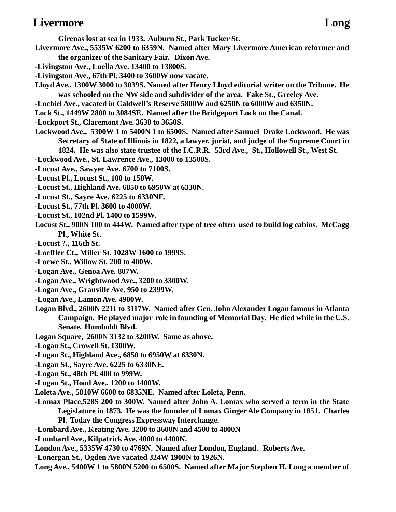### **Livermore Long**

**Girenas lost at sea in 1933. Auburn St., Park Tucker St. Livermore Ave., 5535W 6200 to 6359N. Named after Mary Livermore American reformer and the organizer of the Sanitary Fair. Dixon Ave.**

- **-Livingston Ave., Luella Ave. 13400 to 13800S.**
- **-Livingston Ave., 67th Pl. 3400 to 3600W now vacate.**
- **Lloyd Ave., 1300W 3000 to 3039S. Named after Henry Lloyd editorial writer on the Tribune. He was schooled on the NW side and subdivider of the area. Fake St., Greeley Ave.**
- **-Lochiel Ave., vacated in Caldwell's Reserve 5800W and 6250N to 6000W and 6350N.**
- **Lock St., 1449W 2800 to 3084SE. Named after the Bridgeport Lock on the Canal.**
- **-Lockport St., Claremont Ave. 3630 to 3650S.**
- **Lockwood Ave., 5300W 1 to 5400N 1 to 6500S. Named after Samuel Drake Lockwood. He was Secretary of State of Illinois in 1822, a lawyer, jurist, and judge of the Supreme Court in 1824. He was also state trustee of the I.C.R.R. 53rd Ave., St., Hollowell St., West St.**
- **-Lockwood Ave., St. Lawrence Ave., 13000 to 13500S.**
- **-Locust Ave., Sawyer Ave. 6700 to 7100S.**
- **-Locust Pl., Locust St., 100 to 150W.**
- **-Locust St., Highland Ave. 6850 to 6950W at 6330N.**
- **-Locust St., Sayre Ave. 6225 to 6330NE.**
- **-Locust St., 77th Pl. 3600 to 4000W.**
- **-Locust St., 102nd Pl. 1400 to 1599W.**
- **Locust St., 900N 100 to 444W. Named after type of tree often used to build log cabins. McCagg Pl., White St.**
- **-Locust ?., 116th St.**
- **-Loeffler Ct., Miller St. 1028W 1600 to 1999S.**
- **-Loewe St., Willow St. 200 to 400W.**
- **-Logan Ave., Genoa Ave. 807W.**
- **-Logan Ave., Wrightwood Ave., 3200 to 3300W.**
- **-Logan Ave., Granville Ave. 950 to 2399W.**
- **-Logan Ave., Lamon Ave. 4900W.**
- **Logan Blvd., 2600N 2211 to 3117W. Named after Gen. John Alexander Logan famous in Atlanta Campaign. He played major role in founding of Memorial Day. He died while in the U.S. Senate. Humboldt Blvd.**
- **Logan Square, 2600N 3132 to 3200W. Same as above.**
- **-Logan St., Crowell St. 1300W.**
- **-Logan St., Highland Ave., 6850 to 6950W at 6330N.**
- **-Logan St., Sayre Ave. 6225 to 6330NE.**
- **-Logan St., 48th Pl. 400 to 999W.**
- **-Logan St., Hood Ave., 1200 to 1400W.**
- **Loleta Ave., 5810W 6600 to 6835NE. Named after Loleta, Penn.**
- **-Lomax Place,528S 200 to 300W. Named after John A. Lomax who served a term in the State Legislature in 1873. He was the founder of Lomax Ginger Ale Company in 1851. Charles**
	- **Pl. Today the Congress Expressway Interchange.**
- **-Lombard Ave., Keating Ave. 3200 to 3600N and 4500 to 4800N**
- **-Lombard Ave., Kilpatrick Ave. 4000 to 4400N.**
- **London Ave., 5335W 4730 to 4769N. Named after London, England. Roberts Ave.**
- **-Lonergan St., Ogden Ave vacated 324W 1900N to 1926N.**
- **Long Ave., 5400W 1 to 5800N 5200 to 6500S. Named after Major Stephen H. Long a member of**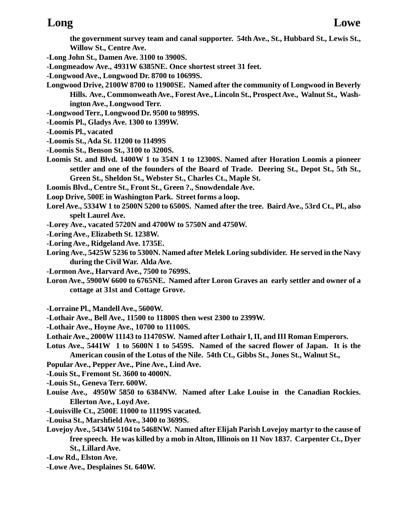### **Long Lowe**

**the government survey team and canal supporter. 54th Ave., St., Hubbard St., Lewis St., Willow St., Centre Ave.**

- **-Long John St., Damen Ave. 3100 to 3900S.**
- **-Longmeadow Ave., 4931W 6385NE. Once shortest street 31 feet.**
- **-Longwood Ave., Longwood Dr. 8700 to 10699S.**
- **Longwood Drive, 2100W 8700 to 11900SE. Named after the community of Longwood in Beverly Hills. Ave., Commonweath Ave., Forest Ave., Lincoln St., Prospect Ave., Walnut St., Washington Ave., Longwood Terr.**
- **-Longwood Terr., Longwood Dr. 9500 to 9899S.**
- **-Loomis Pl., Gladys Ave. 1300 to 1399W.**
- **-Loomis Pl., vacated**
- **-Loomis St., Ada St. 11200 to 11499S**
- **-Loomis St., Benson St., 3100 to 3200S.**
- **Loomis St. and Blvd. 1400W 1 to 354N 1 to 12300S. Named after Horation Loomis a pioneer settler and one of the founders of the Board of Trade. Deering St., Depot St., 5th St., Green St., Sheldon St., Webster St., Charles Ct., Maple St.**
- **Loomis Blvd., Centre St., Front St., Green ?., Snowdendale Ave.**
- **Loop Drive, 500E in Washington Park. Street forms a loop.**
- **Lorel Ave., 5334W 1 to 2500N 5200 to 6500S. Named after the tree. Baird Ave., 53rd Ct., Pl., also spelt Laurel Ave.**
- **-Lorey Ave., vacated 5720N and 4700W to 5750N and 4750W.**
- **-Loring Ave., Elizabeth St. 1238W.**
- **-Loring Ave., Ridgeland Ave. 1735E.**
- **Loring Ave., 5425W 5236 to 5300N. Named after Melek Loring subdivider. He served in the Navy during the Civil War. Alda Ave.**
- **-Lormon Ave., Harvard Ave., 7500 to 7699S.**
- **Loron Ave., 5900W 6600 to 6765NE. Named after Loron Graves an early settler and owner of a cottage at 31st and Cottage Grove.**
- **-Lorraine Pl., Mandell Ave., 5600W.**
- **-Lothair Ave., Bell Ave., 11500 to 11800S then west 2300 to 2399W.**
- **-Lothair Ave., Hoyne Ave., 10700 to 11100S.**
- **Lothair Ave., 2000W 11143 to 11470SW. Named after Lothair I, II, and III Roman Emperors.**
- **Lotus Ave., 5441W 1 to 5600N 1 to 5459S. Named of the sacred flower of Japan. It is the American cousin of the Lotus of the Nile. 54th Ct., Gibbs St., Jones St., Walnut St.,**
- **Popular Ave., Pepper Ave., Pine Ave., Lind Ave.**
- **-Louis St., Fremont St. 3600 to 4000N.**
- **-Louis St., Geneva Terr. 600W.**
- **Louise Ave., 4950W 5850 to 6384NW. Named after Lake Louise in the Canadian Rockies. Ellerton Ave., Loyd Ave.**
- **-Louisville Ct., 2500E 11000 to 11199S vacated.**
- **-Louisa St., Marshfield Ave., 3400 to 3699S.**
- **Lovejoy Ave., 5434W 5104 to 5468NW. Named after Elijah Parish Lovejoy martyr to the cause of free speech. He was killed by a mob in Alton, Illinois on 11 Nov 1837. Carpenter Ct., Dyer St., Lillard Ave.**
- **-Low Rd., Elston Ave.**
- **-Lowe Ave., Desplaines St. 640W.**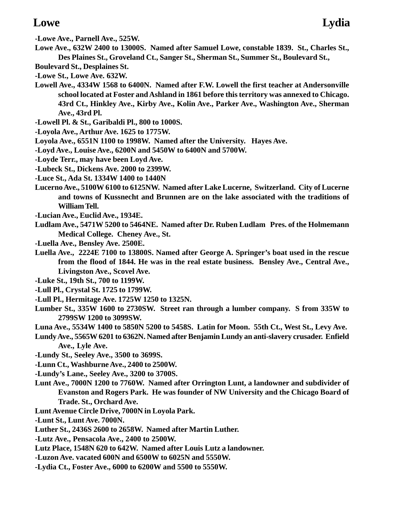- **-Lowe Ave., Parnell Ave., 525W.**
- **Lowe Ave., 632W 2400 to 13000S. Named after Samuel Lowe, constable 1839. St., Charles St., Des Plaines St., Groveland Ct., Sanger St., Sherman St., Summer St., Boulevard St.,**
- **Boulevard St., Desplaines St.**
- **-Lowe St., Lowe Ave. 632W.**
- **Lowell Ave., 4334W 1568 to 6400N. Named after F.W. Lowell the first teacher at Andersonville school located at Foster and Ashland in 1861 before this territory was annexed to Chicago. 43rd Ct., Hinkley Ave., Kirby Ave., Kolin Ave., Parker Ave., Washington Ave., Sherman Ave., 43rd Pl.**
- **-Lowell Pl. & St., Garibaldi Pl., 800 to 1000S.**
- **-Loyola Ave., Arthur Ave. 1625 to 1775W.**
- **Loyola Ave., 6551N 1100 to 1998W. Named after the University. Hayes Ave.**
- **-Loyd Ave., Louise Ave., 6200N and 5450W to 6400N and 5700W.**
- **-Loyde Terr., may have been Loyd Ave.**
- **-Lubeck St., Dickens Ave. 2000 to 2399W.**
- **-Luce St., Ada St. 1334W 1400 to 1440N**
- **Lucerno Ave., 5100W 6100 to 6125NW. Named after Lake Lucerne, Switzerland. City of Lucerne and towns of Kussnecht and Brunnen are on the lake associated with the traditions of William Tell.**
- **-Lucian Ave., Euclid Ave., 1934E.**
- **Ludlam Ave., 5471W 5200 to 5464NE. Named after Dr. Ruben Ludlam Pres. of the Holmemann Medical College. Cheney Ave., St.**
- **-Luella Ave., Bensley Ave. 2500E.**
- **Luella Ave., 2224E 7100 to 13800S. Named after George A. Springer's boat used in the rescue from the flood of 1844. He was in the real estate business. Bensley Ave., Central Ave., Livingston Ave., Scovel Ave.**
- **-Luke St., 19th St., 700 to 1199W.**
- **-Lull Pl., Crystal St. 1725 to 1799W.**
- **-Lull Pl., Hermitage Ave. 1725W 1250 to 1325N.**
- **Lumber St., 335W 1600 to 2730SW. Street ran through a lumber company. S from 335W to 2799SW 1200 to 3099SW.**
- **Luna Ave., 5534W 1400 to 5850N 5200 to 5458S. Latin for Moon. 55th Ct., West St., Levy Ave.**
- **Lundy Ave., 5565W 6201 to 6362N. Named after Benjamin Lundy an anti-slavery crusader. Enfield Ave., Lyle Ave.**
- **-Lundy St., Seeley Ave., 3500 to 3699S.**
- **-Lunn Ct., Washburne Ave., 2400 to 2500W.**
- **-Lundy's Lane., Seeley Ave., 3200 to 3700S.**
- **Lunt Ave., 7000N 1200 to 7760W. Named after Orrington Lunt, a landowner and subdivider of Evanston and Rogers Park. He was founder of NW University and the Chicago Board of Trade. St., Orchard Ave.**
- **Lunt Avenue Circle Drive, 7000N in Loyola Park.**
- **-Lunt St., Lunt Ave. 7000N.**
- **Luther St., 2436S 2600 to 2658W. Named after Martin Luther.**
- **-Lutz Ave., Pensacola Ave., 2400 to 2500W.**
- **Lutz Place, 1548N 620 to 642W. Named after Louis Lutz a landowner.**
- **-Luzon Ave. vacated 600N and 6500W to 6025N and 5550W.**
- **-Lydia Ct., Foster Ave., 6000 to 6200W and 5500 to 5550W.**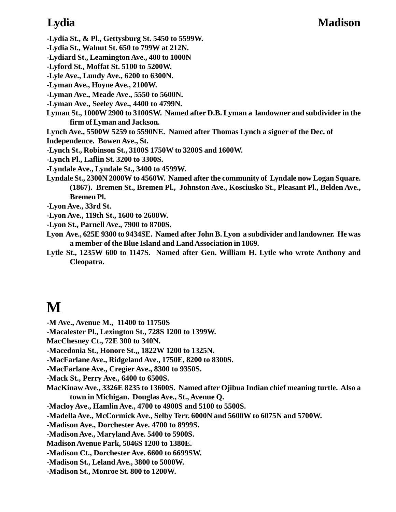## **Lydia Madison**

**-Lydia St., & Pl., Gettysburg St. 5450 to 5599W.**

**-Lydia St., Walnut St. 650 to 799W at 212N.**

**-Lydiard St., Leamington Ave., 400 to 1000N**

**-Lyford St., Moffat St. 5100 to 5200W.**

**-Lyle Ave., Lundy Ave., 6200 to 6300N.**

**-Lyman Ave., Hoyne Ave., 2100W.**

**-Lyman Ave., Meade Ave., 5550 to 5600N.**

**-Lyman Ave., Seeley Ave., 4400 to 4799N.**

**Lyman St., 1000W 2900 to 3100SW. Named after D.B. Lyman a landowner and subdivider in the firm of Lyman and Jackson.**

**Lynch Ave., 5500W 5259 to 5590NE. Named after Thomas Lynch a signer of the Dec. of**

**Independence. Bowen Ave., St.**

**-Lynch St., Robinson St., 3100S 1750W to 3200S and 1600W.**

**-Lynch Pl., Laflin St. 3200 to 3300S.**

**-Lyndale Ave., Lyndale St., 3400 to 4599W.**

**Lyndale St., 2300N 2000W to 4560W. Named after the community of Lyndale now Logan Square. (1867). Bremen St., Bremen Pl., Johnston Ave., Kosciusko St., Pleasant Pl., Belden Ave., Bremen Pl.**

**-Lyon Ave., 33rd St.**

**-Lyon Ave., 119th St., 1600 to 2600W.**

**-Lyon St., Parnell Ave., 7900 to 8700S.**

**Lyon Ave., 625E 9300 to 9434SE. Named after John B. Lyon a subdivider and landowner. He was a member of the Blue Island and Land Association in 1869.**

**Lytle St., 1235W 600 to 1147S. Named after Gen. William H. Lytle who wrote Anthony and Cleopatra.**

# **M**

**-M Ave., Avenue M., 11400 to 11750S**

**-Macalester Pl., Lexington St., 728S 1200 to 1399W.**

**MacChesney Ct., 72E 300 to 340N.**

**-Macedonia St., Honore St.,, 1822W 1200 to 1325N.**

**-MacFarlane Ave., Ridgeland Ave., 1750E, 8200 to 8300S.**

**-MacFarlane Ave., Cregier Ave., 8300 to 9350S.**

**-Mack St., Perry Ave., 6400 to 6500S.**

**MacKinaw Ave., 3326E 8235 to 13600S. Named after Ojibua Indian chief meaning turtle. Also a town in Michigan. Douglas Ave., St., Avenue Q.**

**-Macloy Ave., Hamlin Ave., 4700 to 4900S and 5100 to 5500S.**

**-Madella Ave., McCormick Ave., Selby Terr. 6000N and 5600W to 6075N and 5700W.**

**-Madison Ave., Dorchester Ave. 4700 to 8999S.**

**-Madison Ave., Maryland Ave. 5400 to 5900S.**

**Madison Avenue Park, 5046S 1200 to 1380E.**

**-Madison Ct., Dorchester Ave. 6600 to 6699SW.**

**-Madison St., Leland Ave., 3800 to 5000W.**

**-Madison St., Monroe St. 800 to 1200W.**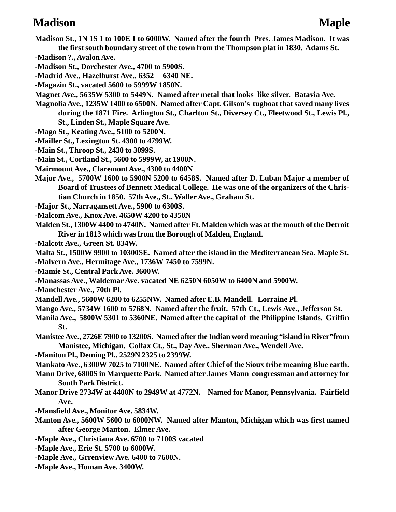### **Madison** Maple

- **Madison St., 1N 1S 1 to 100E 1 to 6000W. Named after the fourth Pres. James Madison. It was the first south boundary street of the town from the Thompson plat in 1830. Adams St.**
- **-Madison ?., Avalon Ave.**
- **-Madison St., Dorchester Ave., 4700 to 5900S.**
- **-Madrid Ave., Hazelhurst Ave., 6352 6340 NE.**
- **-Magazin St., vacated 5600 to 5999W 1850N.**
- **Magnet Ave., 5635W 5300 to 5449N. Named after metal that looks like silver. Batavia Ave.**
- **Magnolia Ave., 1235W 1400 to 6500N. Named after Capt. Gilson's tugboat that saved many lives during the 1871 Fire. Arlington St., Charlton St., Diversey Ct., Fleetwood St., Lewis Pl., St., Linden St., Maple Square Ave.**
- **-Mago St., Keating Ave., 5100 to 5200N.**
- **-Mailler St., Lexington St. 4300 to 4799W.**
- **-Main St., Throop St., 2430 to 3099S.**
- **-Main St., Cortland St., 5600 to 5999W, at 1900N.**
- **Mairmount Ave., Claremont Ave., 4300 to 4400N**
- **Major Ave., 5700W 1600 to 5900N 5200 to 6458S. Named after D. Luban Major a member of Board of Trustees of Bennett Medical College. He was one of the organizers of the Christian Church in 1850. 57th Ave., St., Waller Ave., Graham St.**
- **-Major St., Narragansett Ave., 5900 to 6300S.**
- **-Malcom Ave., Knox Ave. 4650W 4200 to 4350N**
- **Malden St., 1300W 4400 to 4740N. Named after Ft. Malden which was at the mouth of the Detroit River in 1813 which was from the Borough of Malden, England.**
- **-Malcott Ave., Green St. 834W.**
- **Malta St., 1500W 9900 to 10300SE. Named after the island in the Mediterranean Sea. Maple St.**
- **-Malvern Ave., Hermitage Ave., 1736W 7450 to 7599N.**
- **-Mamie St., Central Park Ave. 3600W.**
- **-Manassas Ave., Waldemar Ave. vacated NE 6250N 6050W to 6400N and 5900W.**
- **-Manchester Ave., 70th Pl.**
- **Mandell Ave., 5600W 6200 to 6255NW. Named after E.B. Mandell. Lorraine Pl.**
- **Mango Ave., 5734W 1600 to 5768N. Named after the fruit. 57th Ct., Lewis Ave., Jefferson St.**
- **Manila Ave., 5800W 5301 to 5360NE. Named after the capital of the Philippine Islands. Griffin St.**
- **Manistee Ave., 2726E 7900 to 13200S. Named after the Indian word meaning "island in River"from Manistee, Michigan. Colfax Ct., St., Day Ave., Sherman Ave., Wendell Ave.**
- **-Manitou Pl., Deming Pl., 2529N 2325 to 2399W.**
- **Mankato Ave., 6300W 7025 to 7100NE. Named after Chief of the Sioux tribe meaning Blue earth.**
- **Mann Drive, 6800S in Marquette Park. Named after James Mann congressman and attorney for South Park District.**
- **Manor Drive 2734W at 4400N to 2949W at 4772N. Named for Manor, Pennsylvania. Fairfield Ave.**
- **-Mansfield Ave., Monitor Ave. 5834W.**
- **Manton Ave., 5600W 5600 to 6000NW. Named after Manton, Michigan which was first named after George Manton. Elmer Ave.**
- **-Maple Ave., Christiana Ave. 6700 to 7100S vacated**
- **-Maple Ave., Erie St. 5700 to 6000W.**
- **-Maple Ave., Grrenview Ave. 6400 to 7600N.**
- **-Maple Ave., Homan Ave. 3400W.**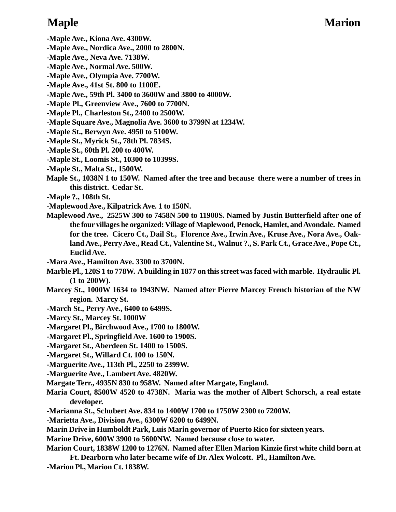- **-Maple Ave., Kiona Ave. 4300W.**
- **-Maple Ave., Nordica Ave., 2000 to 2800N.**
- **-Maple Ave., Neva Ave. 7138W.**
- **-Maple Ave., Normal Ave. 500W.**
- **-Maple Ave., Olympia Ave. 7700W.**
- **-Maple Ave., 41st St. 800 to 1100E.**
- **-Maple Ave., 59th Pl. 3400 to 3600W and 3800 to 4000W.**
- **-Maple Pl., Greenview Ave., 7600 to 7700N.**
- **-Maple Pl., Charleston St., 2400 to 2500W.**
- **-Maple Square Ave., Magnolia Ave. 3600 to 3799N at 1234W.**
- **-Maple St., Berwyn Ave. 4950 to 5100W.**
- **-Maple St., Myrick St., 78th Pl. 7834S.**
- **-Maple St., 60th Pl. 200 to 400W.**
- **-Maple St., Loomis St., 10300 to 10399S.**
- **-Maple St., Malta St., 1500W.**
- **Maple St., 1038N 1 to 150W. Named after the tree and because there were a number of trees in this district. Cedar St.**
- **-Maple ?., 108th St.**
- **-Maplewood Ave., Kilpatrick Ave. 1 to 150N.**
- **Maplewood Ave., 2525W 300 to 7458N 500 to 11900S. Named by Justin Butterfield after one of the four villages he organized: Village of Maplewood, Penock, Hamlet, and Avondale. Named for the tree. Cicero Ct., Dail St., Florence Ave., Irwin Ave., Kruse Ave., Nora Ave., Oakland Ave., Perry Ave., Read Ct., Valentine St., Walnut ?., S. Park Ct., Grace Ave., Pope Ct., Euclid Ave.**
- **-Mara Ave., Hamilton Ave. 3300 to 3700N.**
- **Marble Pl., 120S 1 to 778W. A building in 1877 on this street was faced with marble. Hydraulic Pl. (1 to 200W).**
- **Marcey St., 1000W 1634 to 1943NW. Named after Pierre Marcey French historian of the NW region. Marcy St.**
- **-March St., Perry Ave., 6400 to 6499S.**
- **-Marcy St., Marcey St. 1000W**
- **-Margaret Pl., Birchwood Ave., 1700 to 1800W.**
- **-Margaret Pl., Springfield Ave. 1600 to 1900S.**
- **-Margaret St., Aberdeen St. 1400 to 1500S.**
- **-Margaret St., Willard Ct. 100 to 150N.**
- **-Marguerite Ave., 113th Pl., 2250 to 2399W.**
- **-Marguerite Ave., Lambert Ave. 4820W.**
- **Margate Terr., 4935N 830 to 958W. Named after Margate, England.**
- **Maria Court, 8500W 4520 to 4738N. Maria was the mother of Albert Schorsch, a real estate developer.**
- **-Marianna St., Schubert Ave. 834 to 1400W 1700 to 1750W 2300 to 7200W.**
- **-Marietta Ave., Division Ave., 6300W 6200 to 6499N.**
- **Marin Drive in Humboldt Park, Luis Marin governor of Puerto Rico for sixteen years.**
- **Marine Drive, 600W 3900 to 5600NW. Named because close to water.**
- **Marion Court, 1838W 1200 to 1276N. Named after Ellen Marion Kinzie first white child born at Ft. Dearborn who later became wife of Dr. Alex Wolcott. Pl., Hamilton Ave.**
- **-Marion Pl., Marion Ct. 1838W.**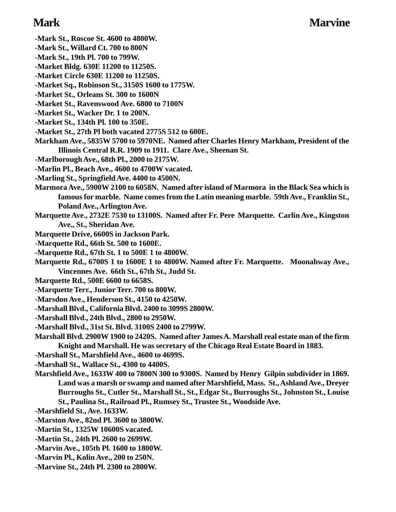## **Mark Marvine**

- **-Mark St., Roscoe St. 4600 to 4800W.**
- **-Mark St., Willard Ct. 700 to 800N**
- **-Mark St., 19th Pl. 700 to 799W.**
- **-Market Bldg. 630E 11200 to 11250S.**
- **-Market Circle 630E 11200 to 11250S.**
- **-Market Sq., Robinson St., 3150S 1600 to 1775W.**
- **-Market St., Orleans St. 300 to 1600N**
- **-Market St., Ravenswood Ave. 6800 to 7100N**
- **-Market St., Wacker Dr. 1 to 200N.**
- **-Market St., 134th Pl. 100 to 350E.**
- **-Market St., 27th Pl both vacated 2775S 512 to 600E.**
- **Markham Ave., 5835W 5700 to 5970NE. Named after Charles Henry Markham, President of the Illinois Central R.R. 1909 to 1911. Clare Ave., Sheenan St.**
- **-Marlborough Ave., 68th Pl., 2000 to 2175W.**
- **-Marlin Pl., Beach Ave., 4600 to 4700W vacated.**
- **-Marling St., Springfield Ave. 4400 to 4500N.**
- **Marmora Ave., 5900W 2100 to 6058N. Named after island of Marmora in the Black Sea which is famous for marble. Name comes from the Latin meaning marble. 59th Ave., Franklin St., Poland Ave., Arlington Ave.**
- **Marquette Ave., 2732E 7530 to 13100S. Named after Fr. Pere Marquette. Carlin Ave., Kingston Ave., St., Sheridan Ave.**
- **Marquette Drive, 6600S in Jackson Park.**
- **-Marquette Rd., 66th St. 500 to 1600E.**
- **-Marquette Rd., 67th St. 1 to 500E 1 to 4800W.**
- **Marquette Rd., 6700S 1 to 1600E 1 to 4800W. Named after Fr. Marquette. Moonahway Ave., Vincennes Ave. 66th St., 67th St., Judd St.**
- **Marquette Rd., 500E 6600 to 6658S.**
- **-Marquette Terr., Junior Terr. 700 to 800W.**
- **-Marsdon Ave., Henderson St., 4150 to 4250W.**
- **-Marshall Blvd., California Blvd. 2400 to 3099S 2800W.**
- **-Marshall Blvd., 24th Blvd., 2800 to 2950W.**
- **-Marshall Blvd., 31st St. Blvd. 3100S 2400 to 2799W.**
- **Marshall Blvd. 2900W 1900 to 2420S. Named after James A. Marshall real estate man of the firm Knight and Marshall. He was secretary of the Chicago Real Estate Board in 1883.**
- **-Marshall St., Marshfield Ave., 4600 to 4699S.**

**-Marshall St., Wallace St., 4300 to 4400S.**

- **Marshfield Ave., 1633W 400 to 7800N 300 to 9300S. Named by Henry Gilpin subdivider in 1869. Land was a marsh or swamp and named after Marshfield, Mass. St., Ashland Ave., Dreyer Burroughs St., Cutler St., Marshall St., St., Edgar St., Burroughs St., Johnston St., Louise St., Paulina St., Railroad Pl., Rumsey St., Trustee St., Woodside Ave.**
- **-Marshfield St., Ave. 1633W.**
- **-Marston Ave., 82nd Pl. 3600 to 3800W.**
- **-Martin St., 1325W 10600S vacated.**
- **-Martin St., 24th Pl. 2600 to 2699W.**
- **-Marvin Ave., 105th Pl. 1600 to 1800W.**
- **-Marvin Pl., Kolin Ave., 200 to 250N.**
- **-Marvine St., 24th Pl. 2300 to 2800W.**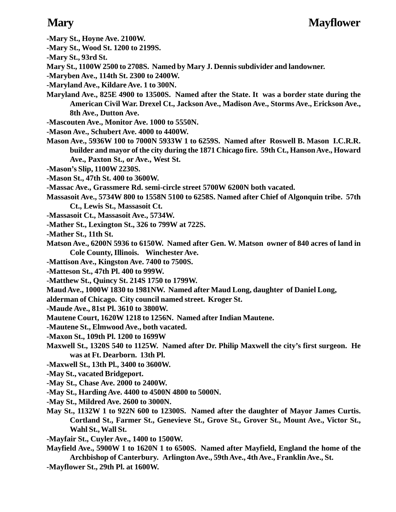- **-Mary St., Hoyne Ave. 2100W.**
- **-Mary St., Wood St. 1200 to 2199S.**
- **-Mary St., 93rd St.**
- **Mary St., 1100W 2500 to 2708S. Named by Mary J. Dennis subdivider and landowner.**
- **-Maryben Ave., 114th St. 2300 to 2400W.**
- **-Maryland Ave., Kildare Ave. 1 to 300N.**
- **Maryland Ave., 825E 4900 to 13500S. Named after the State. It was a border state during the American Civil War. Drexel Ct., Jackson Ave., Madison Ave., Storms Ave., Erickson Ave., 8th Ave., Dutton Ave.**
- **-Mascouten Ave., Monitor Ave. 1000 to 5550N.**
- **-Mason Ave., Schubert Ave. 4000 to 4400W.**
- **Mason Ave., 5936W 100 to 7000N 5933W 1 to 6259S. Named after Roswell B. Mason I.C.R.R. builder and mayor of the city during the 1871 Chicago fire. 59th Ct., Hanson Ave., Howard Ave., Paxton St., or Ave., West St.**
- **-Mason's Slip, 1100W 2230S.**
- **-Mason St., 47th St. 400 to 3600W.**
- **-Massac Ave., Grassmere Rd. semi-circle street 5700W 6200N both vacated.**
- **Massasoit Ave., 5734W 800 to 1558N 5100 to 6258S. Named after Chief of Algonquin tribe. 57th Ct., Lewis St., Massasoit Ct.**
- **-Massasoit Ct., Massasoit Ave., 5734W.**
- **-Mather St., Lexington St., 326 to 799W at 722S.**
- **-Mather St., 11th St.**
- **Matson Ave., 6200N 5936 to 6150W. Named after Gen. W. Matson owner of 840 acres of land in Cole County, Illinois. Winchester Ave.**
- **-Mattison Ave., Kingston Ave. 7400 to 7500S.**
- **-Matteson St., 47th Pl. 400 to 999W.**
- **-Matthew St., Quincy St. 214S 1750 to 1799W.**
- **Maud Ave., 1000W 1830 to 1981NW. Named after Maud Long, daughter of Daniel Long,**
- **alderman of Chicago. City council named street. Kroger St.**
- **-Maude Ave., 81st Pl. 3610 to 3800W.**
- **Mautene Court, 1620W 1218 to 1256N. Named after Indian Mautene.**
- **-Mautene St., Elmwood Ave., both vacated.**
- **-Maxon St., 109th Pl. 1200 to 1699W**
- **Maxwell St., 1320S 540 to 1125W. Named after Dr. Philip Maxwell the city's first surgeon. He was at Ft. Dearborn. 13th Pl.**
- **-Maxwell St., 13th Pl., 3400 to 3600W.**
- **-May St., vacated Bridgeport.**
- **-May St., Chase Ave. 2000 to 2400W.**
- **-May St., Harding Ave. 4400 to 4500N 4800 to 5000N.**
- **-May St., Mildred Ave. 2600 to 3000N.**
- **May St., 1132W 1 to 922N 600 to 12300S. Named after the daughter of Mayor James Curtis. Cortland St., Farmer St., Genevieve St., Grove St., Grover St., Mount Ave., Victor St., Wahl St., Wall St.**
- **-Mayfair St., Cuyler Ave., 1400 to 1500W.**
- **Mayfield Ave., 5900W 1 to 1620N 1 to 6500S. Named after Mayfield, England the home of the Archbishop of Canterbury. Arlington Ave., 59th Ave., 4th Ave., Franklin Ave., St.**
- **-Mayflower St., 29th Pl. at 1600W.**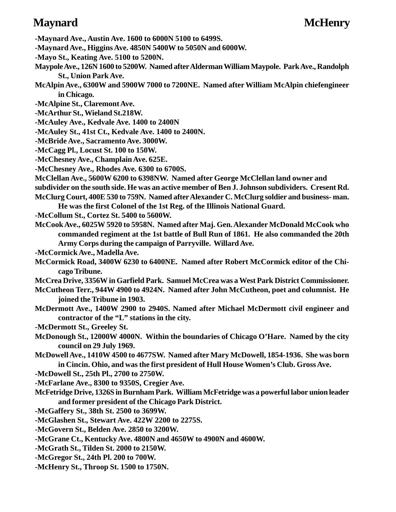- **-Maynard Ave., Austin Ave. 1600 to 6000N 5100 to 6499S.**
- **-Maynard Ave., Higgins Ave. 4850N 5400W to 5050N and 6000W.**
- **-Mayo St., Keating Ave. 5100 to 5200N.**
- **Maypole Ave., 126N 1600 to 5200W. Named after Alderman William Maypole. Park Ave., Randolph St., Union Park Ave.**
- **McAlpin Ave., 6300W and 5900W 7000 to 7200NE. Named after William McAlpin chiefengineer in Chicago.**
- **-McAlpine St., Claremont Ave.**
- **-McArthur St., Wieland St.218W.**
- **-McAuley Ave., Kedvale Ave. 1400 to 2400N**
- **-McAuley St., 41st Ct., Kedvale Ave. 1400 to 2400N.**
- **-McBride Ave., Sacramento Ave. 3000W.**
- **-McCagg Pl., Locust St. 100 to 150W.**
- **-McChesney Ave., Champlain Ave. 625E.**
- **-McChesney Ave., Rhodes Ave. 6300 to 6700S.**
- **McClellan Ave., 5600W 6200 to 6398NW. Named after George McClellan land owner and**
- **subdivider on the south side. He was an active member of Ben J. Johnson subdividers. Cresent Rd.**
- **McClurg Court, 400E 530 to 759N. Named after Alexander C. McClurg soldier and business- man.**
	- **He was the first Colonel of the 1st Reg. of the Illinois National Guard.**
- **-McCollum St., Cortez St. 5400 to 5600W.**
- **McCook Ave., 6025W 5920 to 5958N. Named after Maj. Gen. Alexander McDonald McCook who commanded regiment at the 1st battle of Bull Run of 1861. He also commanded the 20th Army Corps during the campaign of Parryville. Willard Ave.**
- **-McCormick Ave., Madella Ave.**
- **McCormick Road, 3400W 6230 to 6400NE. Named after Robert McCormick editor of the Chicago Tribune.**
- **McCrea Drive, 3356W in Garfield Park. Samuel McCrea was a West Park District Commissioner.**
- **McCutheon Terr., 944W 4900 to 4924N. Named after John McCutheon, poet and columnist. He joined the Tribune in 1903.**
- **McDermott Ave., 1400W 2900 to 2940S. Named after Michael McDermott civil engineer and contractor of the "L" stations in the city.**
- **-McDermott St., Greeley St.**
- **McDonough St., 12000W 4000N. Within the boundaries of Chicago O'Hare. Named by the city council on 29 July 1969.**
- **McDowell Ave., 1410W 4500 to 4677SW. Named after Mary McDowell, 1854-1936. She was born in Cincin. Ohio, and was the first president of Hull House Women's Club. Gross Ave.**

**-McDowell St., 25th Pl., 2700 to 2750W.**

**-McFarlane Ave., 8300 to 9350S, Cregier Ave.**

- **McFetridge Drive, 1326S in Burnham Park. William McFetridge was a powerful labor union leader and former president of the Chicago Park District.**
- **-McGaffery St., 38th St. 2500 to 3699W.**
- **-McGlashen St., Stewart Ave. 422W 2200 to 2275S.**
- **-McGovern St., Belden Ave. 2850 to 3200W.**
- **-McGrane Ct., Kentucky Ave. 4800N and 4650W to 4900N and 4600W.**
- **-McGrath St., Tilden St. 2000 to 2150W.**
- **-McGregor St., 24th Pl. 200 to 700W.**
- **-McHenry St., Throop St. 1500 to 1750N.**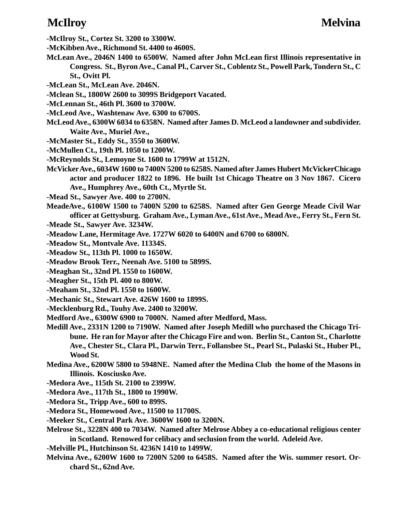- **-McIlroy St., Cortez St. 3200 to 3300W.**
- **-McKibben Ave., Richmond St. 4400 to 4600S.**
- **McLean Ave., 2046N 1400 to 6500W. Named after John McLean first Illinois representative in Congress. St., Byron Ave., Canal Pl., Carver St., Coblentz St., Powell Park, Tondern St., C St., Ovitt Pl.**
- **-McLean St., McLean Ave. 2046N.**
- **-Mclean St., 1800W 2600 to 3099S Bridgeport Vacated.**
- **-McLennan St., 46th Pl. 3600 to 3700W.**
- **-McLeod Ave., Washtenaw Ave. 6300 to 6700S.**
- **McLeod Ave., 6300W 6034 to 6358N. Named after James D. McLeod a landowner and subdivider. Waite Ave., Muriel Ave.,**
- **-McMaster St., Eddy St., 3550 to 3600W.**
- **-McMullen Ct., 19th Pl. 1050 to 1200W.**
- **-McReynolds St., Lemoyne St. 1600 to 1799W at 1512N.**
- **McVicker Ave., 6034W 1600 to 7400N 5200 to 6258S. Named after James Hubert McVickerChicago actor and producer 1822 to 1896. He built 1st Chicago Theatre on 3 Nov 1867. Cicero Ave., Humphrey Ave., 60th Ct., Myrtle St.**
- **-Mead St., Sawyer Ave. 400 to 2700N.**
- **MeadeAve., 6100W 1500 to 7400N 5200 to 6258S. Named after Gen George Meade Civil War officer at Gettysburg. Graham Ave., Lyman Ave., 61st Ave., Mead Ave., Ferry St., Fern St. -Meade St., Sawyer Ave. 3234W.**
- **-Meadow Lane, Hermitage Ave. 1727W 6020 to 6400N and 6700 to 6800N.**
- **-Meadow St., Montvale Ave. 11334S.**
- **-Meadow St., 113th Pl. 1000 to 1650W.**
- **-Meadow Brook Terr., Neenah Ave. 5100 to 5899S.**
- **-Meaghan St., 32nd Pl. 1550 to 1600W.**
- **-Meagher St., 15th Pl. 400 to 800W.**
- **-Meaham St., 32nd Pl. 1550 to 1600W.**
- **-Mechanic St., Stewart Ave. 426W 1600 to 1899S.**
- **-Mecklenburg Rd., Touhy Ave. 2400 to 3200W.**
- **Medford Ave., 6300W 6900 to 7000N. Named after Medford, Mass.**
- **Medill Ave., 2331N 1200 to 7190W. Named after Joseph Medill who purchased the Chicago Tribune. He ran for Mayor after the Chicago Fire and won. Berlin St., Canton St., Charlotte Ave., Chester St., Clara Pl., Darwin Terr., Follansbee St., Pearl St., Pulaski St., Huber Pl., Wood St.**
- **Medina Ave., 6200W 5800 to 5948NE. Named after the Medina Club the home of the Masons in Illinois. Kosciusko Ave.**
- **-Medora Ave., 115th St. 2100 to 2399W.**
- **-Medora Ave., 117th St., 1800 to 1990W.**
- **-Medora St., Tripp Ave., 600 to 899S.**
- **-Medora St., Homewood Ave., 11500 to 11700S.**
- **-Meeker St., Central Park Ave. 3600W 1600 to 3200N.**
- **Melrose St., 3228N 400 to 7034W. Named after Melrose Abbey a co-educational religious center in Scotland. Renowed for celibacy and seclusion from the world. Adeleid Ave.**
- **-Melville Pl., Hutchinson St. 4236N 1410 to 1499W.**
- **Melvina Ave., 6200W 1600 to 7200N 5200 to 6458S. Named after the Wis. summer resort. Orchard St., 62nd Ave.**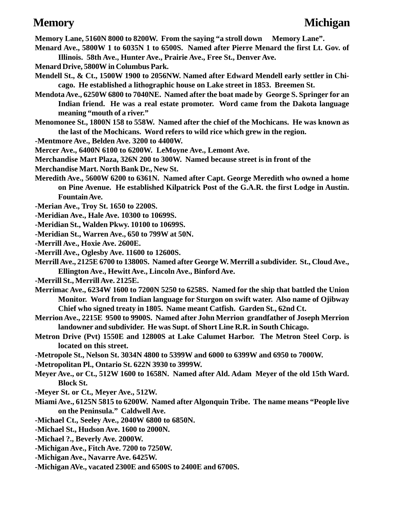**Memory Lane, 5160N 8000 to 8200W. From the saying "a stroll down Memory Lane".**

- **Menard Ave., 5800W 1 to 6035N 1 to 6500S. Named after Pierre Menard the first Lt. Gov. of Illinois. 58th Ave., Hunter Ave., Prairie Ave., Free St., Denver Ave.**
- **Menard Drive, 5800W in Columbus Park.**
- **Mendell St., & Ct., 1500W 1900 to 2056NW. Named after Edward Mendell early settler in Chicago. He established a lithographic house on Lake street in 1853. Breemen St.**
- **Mendota Ave., 6250W 6800 to 7040NE. Named after the boat made by George S. Springer for an Indian friend. He was a real estate promoter. Word came from the Dakota language meaning "mouth of a river."**
- **Menomonee St., 1800N 158 to 558W. Named after the chief of the Mochicans. He was known as the last of the Mochicans. Word refers to wild rice which grew in the region.**
- **-Mentmore Ave., Belden Ave. 3200 to 4400W.**
- **Mercer Ave., 6400N 6100 to 6200W. LeMoyne Ave., Lemont Ave.**
- **Merchandise Mart Plaza, 326N 200 to 300W. Named because street is in front of the**
- **Merchandise Mart. North Bank Dr., New St.**
- **Meredith Ave., 5600W 6200 to 6361N. Named after Capt. George Meredith who owned a home on Pine Avenue. He established Kilpatrick Post of the G.A.R. the first Lodge in Austin. Fountain Ave.**
- **-Merian Ave., Troy St. 1650 to 2200S.**
- **-Meridian Ave., Hale Ave. 10300 to 10699S.**
- **-Meridian St., Walden Pkwy. 10100 to 10699S.**
- **-Meridian St., Warren Ave., 650 to 799W at 50N.**
- **-Merrill Ave., Hoxie Ave. 2600E.**
- **-Merrill Ave., Oglesby Ave. 11600 to 12600S.**
- **Merrill Ave., 2125E 6700 to 13800S. Named after George W. Merrill a subdivider. St., Cloud Ave., Ellington Ave., Hewitt Ave., Lincoln Ave., Binford Ave.**
- **-Merrill St., Merrill Ave. 2125E.**
- **Merrimac Ave., 6234W 1600 to 7200N 5250 to 6258S. Named for the ship that battled the Union Monitor. Word from Indian language for Sturgon on swift water. Also name of Ojibway Chief who signed treaty in 1805. Name meant Catfish. Garden St., 62nd Ct.**
- **Merrion Ave., 2215E 9500 to 9900S. Named after John Merrion grandfather of Joseph Merrion landowner and subdivider. He was Supt. of Short Line R.R. in South Chicago.**
- **Metron Drive (Pvt) 1550E and 12800S at Lake Calumet Harbor. The Metron Steel Corp. is located on this street.**
- **-Metropole St., Nelson St. 3034N 4800 to 5399W and 6000 to 6399W and 6950 to 7000W.**
- **-Metropolitan Pl., Ontario St. 622N 3930 to 3999W.**
- **Meyer Ave., or Ct., 512W 1600 to 1658N. Named after Ald. Adam Meyer of the old 15th Ward. Block St.**
- **-Meyer St. or Ct., Meyer Ave., 512W.**
- **Miami Ave., 6125N 5815 to 6200W. Named after Algonquin Tribe. The name means "People live on the Peninsula." Caldwell Ave.**
- **-Michael Ct., Seeley Ave., 2040W 6800 to 6850N.**
- **-Michael St., Hudson Ave. 1600 to 2000N.**
- **-Michael ?., Beverly Ave. 2000W.**
- **-Michigan Ave., Fitch Ave. 7200 to 7250W.**
- **-Michigan Ave., Navarre Ave. 6425W.**
- **-Michigan AVe., vacated 2300E and 6500S to 2400E and 6700S.**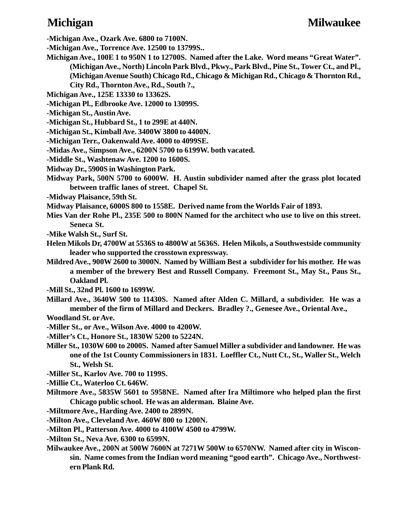**-Michigan Ave., Ozark Ave. 6800 to 7100N.**

**-Michigan Ave., Torrence Ave. 12500 to 13799S..**

**Michigan Ave., 100E 1 to 950N 1 to 12700S. Named after the Lake. Word means "Great Water". (Michigan Ave., North) Lincoln Park Blvd., Pkwy., Park Blvd., Pine St., Tower Ct., and Pl., (Michigan Avenue South) Chicago Rd., Chicago & Michigan Rd., Chicago & Thornton Rd., City Rd., Thornton Ave., Rd., South ?.,**

**Michigan Ave., 125E 13330 to 13362S.**

**-Michigan Pl., Edbrooke Ave. 12000 to 13099S.**

- **-Michigan St., Austin Ave.**
- **-Michigan St., Hubbard St., 1 to 299E at 440N.**
- **-Michigan St., Kimball Ave. 3400W 3800 to 4400N.**
- **-Michigan Terr., Oakenwald Ave. 4000 to 4099SE.**
- **-Midas Ave., Simpson Ave., 6200N 5700 to 6199W. both vacated.**
- **-Middle St., Washtenaw Ave. 1200 to 1600S.**
- **Midway Dr., 5900S in Washington Park.**
- **Midway Park, 500N 5700 to 6000W. H. Austin subdivider named after the grass plot located between traffic lanes of street. Chapel St.**
- **-Midway Plaisance, 59th St.**

**Midway Plaisance, 6000S 800 to 1558E. Derived name from the Worlds Fair of 1893.**

- **Mies Van der Rohe Pl., 235E 500 to 800N Named for the architect who use to live on this street. Seneca St.**
- **-Mike Walsh St., Surf St.**
- **Helen Mikols Dr, 4700W at 5536S to 4800W at 5636S. Helen Mikols, a Southwestside community leader who supported the crosstown expressway.**
- **Mildred Ave., 900W 2600 to 3000N. Named by William Best a subdivider for his mother. He was a member of the brewery Best and Russell Company. Freemont St., May St., Paus St., Oakland Pl.**
- **-Mill St., 32nd Pl. 1600 to 1699W.**
- **Millard Ave., 3640W 500 to 11430S. Named after Alden C. Millard, a subdivider. He was a member of the firm of Millard and Deckers. Bradley ?., Genesee Ave., Oriental Ave., Woodland St. or Ave.**
- **-Miller St., or Ave., Wilson Ave. 4000 to 4200W.**
- **-Miller's Ct., Honore St., 1830W 5200 to 5224N.**
- **Miller St., 1030W 600 to 2000S. Named after Samuel Miller a subdivider and landowner. He was one of the 1st County Commissioners in 1831. Loeffler Ct., Nutt Ct., St., Waller St., Welch St., Welsh St.**
- **-Miller St., Karlov Ave. 700 to 1199S.**
- **-Millie Ct., Waterloo Ct. 646W.**
- **Miltmore Ave., 5835W 5601 to 5958NE. Named after Ira Miltimore who helped plan the first Chicago public school. He was an alderman. Blaine Ave.**
- **-Miltmore Ave., Harding Ave. 2400 to 2899N.**
- **-Milton Ave., Cleveland Ave. 460W 800 to 1200N.**
- **-Milton Pl., Patterson Ave. 4000 to 4100W 4500 to 4799W.**
- **-Milton St., Neva Ave. 6300 to 6599N.**
- **Milwaukee Ave., 200N at 500W 7600N at 7271W 500W to 6570NW. Named after city in Wisconsin. Name comes from the Indian word meaning "good earth". Chicago Ave., Northwestern Plank Rd.**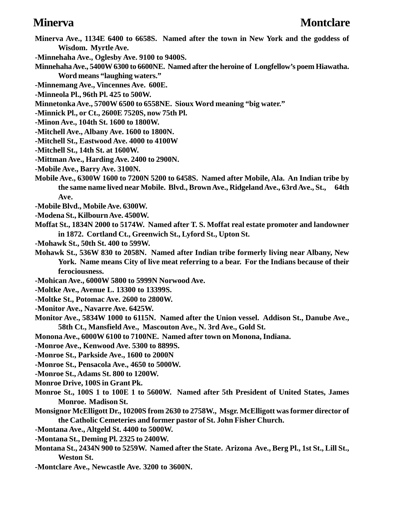- **Minerva Ave., 1134E 6400 to 6658S. Named after the town in New York and the goddess of Wisdom. Myrtle Ave.**
- **-Minnehaha Ave., Oglesby Ave. 9100 to 9400S.**
- **Minnehaha Ave., 5400W 6300 to 6600NE. Named after the heroine of Longfellow's poem Hiawatha. Word means "laughing waters."**
- **-Minnemang Ave., Vincennes Ave. 600E.**
- **-Minneola Pl., 96th Pl. 425 to 500W.**
- **Minnetonka Ave., 5700W 6500 to 6558NE. Sioux Word meaning "big water."**
- **-Minnick Pl., or Ct., 2600E 7520S, now 75th Pl.**
- **-Minon Ave., 104th St. 1600 to 1800W.**
- **-Mitchell Ave., Albany Ave. 1600 to 1800N.**
- **-Mitchell St., Eastwood Ave. 4000 to 4100W**
- **-Mitchell St., 14th St. at 1600W.**
- **-Mittman Ave., Harding Ave. 2400 to 2900N.**
- **-Mobile Ave., Barry Ave. 3100N.**
- **Mobile Ave., 6300W 1600 to 7200N 5200 to 6458S. Named after Mobile, Ala. An Indian tribe by the same name lived near Mobile. Blvd., Brown Ave., Ridgeland Ave., 63rd Ave., St., 64th Ave.**
- **-Mobile Blvd., Mobile Ave. 6300W.**
- **-Modena St., Kilbourn Ave. 4500W.**
- **Moffat St., 1834N 2000 to 5174W. Named after T. S. Moffat real estate promoter and landowner in 1872. Cortland Ct., Greenwich St., Lyford St., Upton St.**
- **-Mohawk St., 50th St. 400 to 599W.**
- **Mohawk St., 536W 830 to 2058N. Named after Indian tribe formerly living near Albany, New York. Name means City of live meat referring to a bear. For the Indians because of their ferociousness.**
- **-Mohican Ave., 6000W 5800 to 5999N Norwood Ave.**
- **-Moltke Ave., Avenue L. 13300 to 13399S.**
- **-Moltke St., Potomac Ave. 2600 to 2800W.**
- **-Monitor Ave., Navarre Ave. 6425W.**
- **Monitor Ave., 5834W 1000 to 6115N. Named after the Union vessel. Addison St., Danube Ave., 58th Ct., Mansfield Ave., Mascouton Ave., N. 3rd Ave., Gold St.**
- **Monona Ave., 6000W 6100 to 7100NE. Named after town on Monona, Indiana.**
- **-Monroe Ave., Kenwood Ave. 5300 to 8899S.**
- **-Monroe St., Parkside Ave., 1600 to 2000N**
- **-Monroe St., Pensacola Ave., 4650 to 5000W.**
- **-Monroe St., Adams St. 800 to 1200W.**
- **Monroe Drive, 100S in Grant Pk.**
- **Monroe St., 100S 1 to 100E 1 to 5600W. Named after 5th President of United States, James Monroe. Madison St.**
- **Monsignor McElligott Dr., 10200S from 2630 to 2758W., Msgr. McElligott was former director of the Catholic Cemeteries and former pastor of St. John Fisher Church.**
- **-Montana Ave., Altgeld St. 4400 to 5000W.**
- **-Montana St., Deming Pl. 2325 to 2400W.**
- **Montana St., 2434N 900 to 5259W. Named after the State. Arizona Ave., Berg Pl., 1st St., Lill St., Weston St.**
- **-Montclare Ave., Newcastle Ave. 3200 to 3600N.**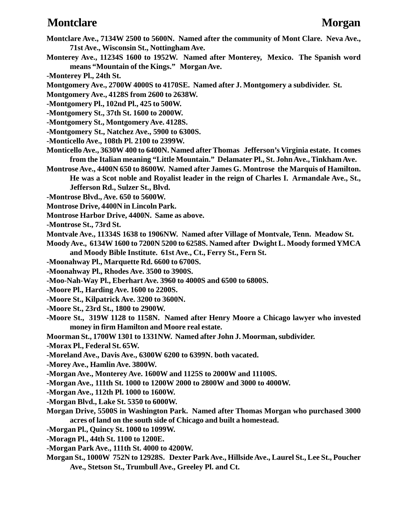### **Montclare Morgan**

- **Montclare Ave., 7134W 2500 to 5600N. Named after the community of Mont Clare. Neva Ave., 71st Ave., Wisconsin St., Nottingham Ave.**
- **Monterey Ave., 11234S 1600 to 1952W. Named after Monterey, Mexico. The Spanish word means "Mountain of the Kings." Morgan Ave.**
- **-Monterey Pl., 24th St.**
- **Montgomery Ave., 2700W 4000S to 4170SE. Named after J. Montgomery a subdivider. St.**
- **Montgomery Ave., 4128S from 2600 to 2638W.**
- **-Montgomery Pl., 102nd Pl., 425 to 500W.**
- **-Montgomery St., 37th St. 1600 to 2000W.**
- **-Montgomery St., Montgomery Ave. 4128S.**
- **-Montgomery St., Natchez Ave., 5900 to 6300S.**
- **-Monticello Ave., 108th Pl. 2100 to 2399W.**
- **Monticello Ave., 3630W 400 to 6400N. Named after Thomas Jefferson's Virginia estate. It comes from the Italian meaning "Little Mountain." Delamater Pl., St. John Ave., Tinkham Ave.**
- **Montrose Ave., 4400N 650 to 8600W. Named after James G. Montrose the Marquis of Hamilton. He was a Scot noble and Royalist leader in the reign of Charles I. Armandale Ave., St., Jefferson Rd., Sulzer St., Blvd.**
- **-Montrose Blvd., Ave. 650 to 5600W.**
- **Montrose Drive, 4400N in Lincoln Park.**
- **Montrose Harbor Drive, 4400N. Same as above.**
- **-Montrose St., 73rd St.**
- **Montvale Ave., 11334S 1638 to 1906NW. Named after Village of Montvale, Tenn. Meadow St.**

**Moody Ave., 6134W 1600 to 7200N 5200 to 6258S. Named after Dwight L. Moody formed YMCA and Moody Bible Institute. 61st Ave., Ct., Ferry St., Fern St.**

- **-Moonahway Pl., Marquette Rd. 6600 to 6700S.**
- **-Moonahway Pl., Rhodes Ave. 3500 to 3900S.**
- **-Moo-Nah-Way Pl., Eberhart Ave. 3960 to 4000S and 6500 to 6800S.**
- **-Moore Pl., Harding Ave. 1600 to 2200S.**
- **-Moore St., Kilpatrick Ave. 3200 to 3600N.**
- **-Moore St., 23rd St., 1800 to 2900W.**
- **-Moore St., 319W 1128 to 1158N. Named after Henry Moore a Chicago lawyer who invested money in firm Hamilton and Moore real estate.**
- **Moorman St., 1700W 1301 to 1331NW. Named after John J. Moorman, subdivider.**
- **-Morax Pl., Federal St. 65W.**
- **-Moreland Ave., Davis Ave., 6300W 6200 to 6399N. both vacated.**
- **-Morey Ave., Hamlin Ave. 3800W.**
- **-Morgan Ave., Monterey Ave. 1600W and 1125S to 2000W and 11100S.**
- **-Morgan Ave., 111th St. 1000 to 1200W 2000 to 2800W and 3000 to 4000W.**
- **-Morgan Ave., 112th Pl. 1000 to 1600W.**
- **-Morgan Blvd., Lake St. 5350 to 6000W.**
- **Morgan Drive, 5500S in Washington Park. Named after Thomas Morgan who purchased 3000 acres of land on the south side of Chicago and built a homestead.**
- **-Morgan Pl., Quincy St. 1000 to 1099W.**
- **-Moragn Pl., 44th St. 1100 to 1200E.**
- **-Morgan Park Ave., 111th St. 4000 to 4200W.**
- **Morgan St., 1000W 752N to 12928S. Dexter Park Ave., Hillside Ave., Laurel St., Lee St., Poucher Ave., Stetson St., Trumbull Ave., Greeley Pl. and Ct.**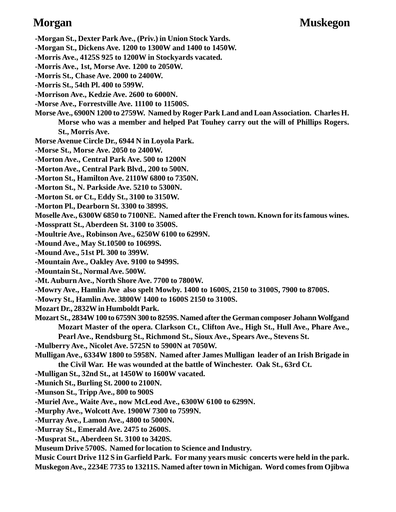**-Morgan St., Dexter Park Ave., (Priv.) in Union Stock Yards. -Morgan St., Dickens Ave. 1200 to 1300W and 1400 to 1450W. -Morris Ave., 4125S 925 to 1200W in Stockyards vacated. -Morris Ave., 1st, Morse Ave. 1200 to 2050W. -Morris St., Chase Ave. 2000 to 2400W. -Morris St., 54th Pl. 400 to 599W. -Morrison Ave., Kedzie Ave. 2600 to 6000N. -Morse Ave., Forrestville Ave. 11100 to 11500S. Morse Ave., 6900N 1200 to 2759W. Named by Roger Park Land and Loan Association. Charles H. Morse who was a member and helped Pat Touhey carry out the will of Phillips Rogers. St., Morris Ave. Morse Avenue Circle Dr., 6944 N in Loyola Park. -Morse St., Morse Ave. 2050 to 2400W. -Morton Ave., Central Park Ave. 500 to 1200N -Morton Ave., Central Park Blvd., 200 to 500N. -Morton St., Hamilton Ave. 2110W 6800 to 7350N. -Morton St., N. Parkside Ave. 5210 to 5300N. -Morton St. or Ct., Eddy St., 3100 to 3150W. -Morton Pl., Dearborn St. 3300 to 3899S. Moselle Ave., 6300W 6850 to 7100NE. Named after the French town. Known for its famous wines. -Mosspratt St., Aberdeen St. 3100 to 3500S. -Moultrie Ave., Robinson Ave., 6250W 6100 to 6299N. -Mound Ave., May St.10500 to 10699S. -Mound Ave., 51st Pl. 300 to 399W. -Mountain Ave., Oakley Ave. 9100 to 9499S. -Mountain St., Normal Ave. 500W. -Mt. Auburn Ave., North Shore Ave. 7700 to 7800W. -Mowry Ave., Hamlin Ave also spelt Mowby. 1400 to 1600S, 2150 to 3100S, 7900 to 8700S. -Mowry St., Hamlin Ave. 3800W 1400 to 1600S 2150 to 3100S. Mozart Dr., 2832W in Humboldt Park. Mozart St., 2834W 100 to 6759N 300 to 8259S. Named after the German composer Johann Wolfgand Mozart Master of the opera. Clarkson Ct., Clifton Ave., High St., Hull Ave., Phare Ave., Pearl Ave., Rendsburg St., Richmond St., Sioux Ave., Spears Ave., Stevens St. -Mulberry Ave., Nicolet Ave. 5725N to 5900N at 7050W. Mulligan Ave., 6334W 1800 to 5958N. Named after James Mulligan leader of an Irish Brigade in the Civil War. He was wounded at the battle of Winchester. Oak St., 63rd Ct. -Mulligan St., 32nd St., at 1450W to 1600W vacated. -Munich St., Burling St. 2000 to 2100N. -Munson St., Tripp Ave., 800 to 900S -Muriel Ave., Waite Ave., now McLeod Ave., 6300W 6100 to 6299N. -Murphy Ave., Wolcott Ave. 1900W 7300 to 7599N. -Murray Ave., Lamon Ave., 4800 to 5000N. -Murray St., Emerald Ave. 2475 to 2600S. -Musprat St., Aberdeen St. 3100 to 3420S.**

**Museum Drive 5700S. Named for location to Science and Industry.**

**Music Court Drive 112 S in Garfield Park. For many years music concerts were held in the park. Muskegon Ave., 2234E 7735 to 13211S. Named after town in Michigan. Word comes from Ojibwa**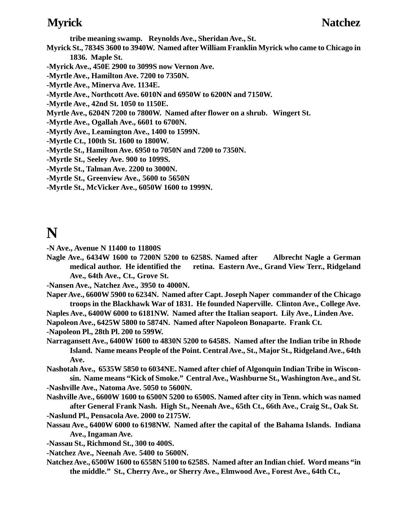- **tribe meaning swamp. Reynolds Ave., Sheridan Ave., St.**
- **Myrick St., 7834S 3600 to 3940W. Named after William Franklin Myrick who came to Chicago in 1836. Maple St.**
- **-Myrick Ave., 450E 2900 to 3099S now Vernon Ave.**
- **-Myrtle Ave., Hamilton Ave. 7200 to 7350N.**
- **-Myrtle Ave., Minerva Ave. 1134E.**
- **-Myrtle Ave., Northcott Ave. 6010N and 6950W to 6200N and 7150W.**
- **-Myrtle Ave., 42nd St. 1050 to 1150E.**
- **Myrtle Ave., 6204N 7200 to 7800W. Named after flower on a shrub. Wingert St.**
- **-Myrtle Ave., Ogallah Ave., 6601 to 6700N.**
- **-Myrtly Ave., Leamington Ave., 1400 to 1599N.**
- **-Myrtle Ct., 100th St. 1600 to 1800W.**
- **-Myrtle St., Hamilton Ave. 6950 to 7050N and 7200 to 7350N.**
- **-Myrtle St., Seeley Ave. 900 to 1099S.**
- **-Myrtle St., Talman Ave. 2200 to 3000N.**
- **-Myrtle St., Greenview Ave., 5600 to 5650N**
- **-Myrtle St., McVicker Ave., 6050W 1600 to 1999N.**

# **N**

- **-N Ave., Avenue N 11400 to 11800S**
- **Nagle Ave., 6434W 1600 to 7200N 5200 to 6258S. Named after Albrecht Nagle a German medical author. He identified the retina. Eastern Ave., Grand View Terr., Ridgeland Ave., 64th Ave., Ct., Grove St.**
- **-Nansen Ave., Natchez Ave., 3950 to 4000N.**
- **Naper Ave., 6600W 5900 to 6234N. Named after Capt. Joseph Naper commander of the Chicago troops in the Blackhawk War of 1831. He founded Naperville. Clinton Ave., College Ave.**

**Naples Ave., 6400W 6000 to 6181NW. Named after the Italian seaport. Lily Ave., Linden Ave.**

**Napoleon Ave., 6425W 5800 to 5874N. Named after Napoleon Bonaparte. Frank Ct.**

**-Napoleon Pl., 28th Pl. 200 to 599W.**

**Narragansett Ave., 6400W 1600 to 4830N 5200 to 6458S. Named after the Indian tribe in Rhode Island. Name means People of the Point. Central Ave., St., Major St., Ridgeland Ave., 64th Ave.**

**Nashotah Ave., 6535W 5850 to 6034NE. Named after chief of Algonquin Indian Tribe in Wisconsin. Name means "Kick of Smoke." Central Ave., Washburne St., Washington Ave., and St. -Nashville Ave., Natoma Ave. 5050 to 5600N.**

- **Nashville Ave., 6600W 1600 to 6500N 5200 to 6500S. Named after city in Tenn. which was named after General Frank Nash. High St., Neenah Ave., 65th Ct., 66th Ave., Craig St., Oak St. -Naslund Pl., Pensacola Ave. 2000 to 2175W.**
- **Nassau Ave., 6400W 6000 to 6198NW. Named after the capital of the Bahama Islands. Indiana Ave., Ingaman Ave.**
- **-Nassau St., Richmond St., 300 to 400S.**
- **-Natchez Ave., Neenah Ave. 5400 to 5600N.**
- **Natchez Ave., 6500W 1600 to 6558N 5100 to 6258S. Named after an Indian chief. Word means "in the middle." St., Cherry Ave., or Sherry Ave., Elmwood Ave., Forest Ave., 64th Ct.,**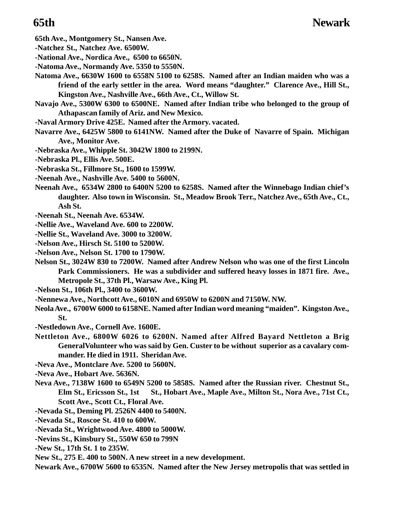**65th Ave., Montgomery St., Nansen Ave.**

- **-Natchez St., Natchez Ave. 6500W.**
- **-National Ave., Nordica Ave., 6500 to 6650N.**
- **-Natoma Ave., Normandy Ave. 5350 to 5550N.**
- **Natoma Ave., 6630W 1600 to 6558N 5100 to 6258S. Named after an Indian maiden who was a friend of the early settler in the area. Word means "daughter." Clarence Ave., Hill St., Kingston Ave., Nashville Ave., 66th Ave., Ct., Willow St.**
- **Navajo Ave., 5300W 6300 to 6500NE. Named after Indian tribe who belonged to the group of Athapascan family of Ariz. and New Mexico.**
- **-Naval Armory Drive 425E. Named after the Armory. vacated.**
- **Navarre Ave., 6425W 5800 to 6141NW. Named after the Duke of Navarre of Spain. Michigan Ave., Monitor Ave.**
- **-Nebraska Ave., Whipple St. 3042W 1800 to 2199N.**
- **-Nebraska Pl., Ellis Ave. 500E.**
- **-Nebraska St., Fillmore St., 1600 to 1599W.**
- **-Neenah Ave., Nashville Ave. 5400 to 5600N.**
- **Neenah Ave., 6534W 2800 to 6400N 5200 to 6258S. Named after the Winnebago Indian chief's daughter. Also town in Wisconsin. St., Meadow Brook Terr., Natchez Ave., 65th Ave., Ct., Ash St.**
- **-Neenah St., Neenah Ave. 6534W.**
- **-Nellie Ave., Waveland Ave. 600 to 2200W.**
- **-Nellie St., Waveland Ave. 3000 to 3200W.**
- **-Nelson Ave., Hirsch St. 5100 to 5200W.**
- **-Nelson Ave., Nelson St. 1700 to 1790W.**
- **Nelson St., 3024W 830 to 7200W. Named after Andrew Nelson who was one of the first Lincoln Park Commissioners. He was a subdivider and suffered heavy losses in 1871 fire. Ave., Metropole St., 37th Pl., Warsaw Ave., King Pl.**
- **-Nelson St., 106th Pl., 3400 to 3600W.**
- **-Nennewa Ave., Northcott Ave., 6010N and 6950W to 6200N and 7150W. NW.**
- **Neola Ave., 6700W 6000 to 6158NE. Named after Indian word meaning "maiden". Kingston Ave., St.**
- **-Nestledown Ave., Cornell Ave. 1600E.**
- **Nettleton Ave., 6800W 6026 to 6200N. Named after Alfred Bayard Nettleton a Brig GeneralVolunteer who was said by Gen. Custer to be without superior as a cavalary commander. He died in 1911. Sheridan Ave.**
- **-Neva Ave., Montclare Ave. 5200 to 5600N.**
- **-Neva Ave., Hobart Ave. 5636N.**
- **Neva Ave., 7138W 1600 to 6549N 5200 to 5858S. Named after the Russian river. Chestnut St., Elm St., Ericsson St., 1st St., Hobart Ave., Maple Ave., Milton St., Nora Ave., 71st Ct., Scott Ave., Scott Ct., Floral Ave.**
- **-Nevada St., Deming Pl. 2526N 4400 to 5400N.**
- **-Nevada St., Roscoe St. 410 to 600W.**
- **-Nevada St., Wrightwood Ave. 4800 to 5000W.**
- **-Nevins St., Kinsbury St., 550W 650 to 799N**
- **-New St., 17th St. 1 to 235W.**
- **New St., 275 E. 400 to 500N. A new street in a new development.**
- **Newark Ave., 6700W 5600 to 6535N. Named after the New Jersey metropolis that was settled in**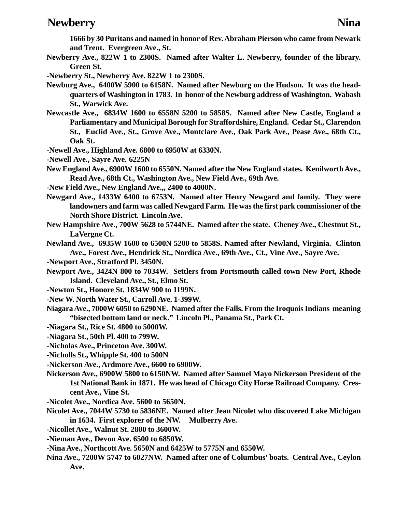### **Newberry** Nina

**1666 by 30 Puritans and named in honor of Rev. Abraham Pierson who came from Newark and Trent. Evergreen Ave., St.**

- **Newberry Ave., 822W 1 to 2300S. Named after Walter L. Newberry, founder of the library. Green St.**
- **-Newberry St., Newberry Ave. 822W 1 to 2300S.**
- **Newburg Ave., 6400W 5900 to 6158N. Named after Newburg on the Hudson. It was the headquarters of Washington in 1783. In honor of the Newburg address of Washington. Wabash St., Warwick Ave.**
- **Newcastle Ave., 6834W 1600 to 6558N 5200 to 5858S. Named after New Castle, England a Parliamentary and Municipal Borough for Straffordshire, England. Cedar St., Clarendon St., Euclid Ave., St., Grove Ave., Montclare Ave., Oak Park Ave., Pease Ave., 68th Ct., Oak St.**
- **-Newell Ave., Highland Ave. 6800 to 6950W at 6330N.**
- **-Newell Ave., Sayre Ave. 6225N**
- **New England Ave., 6900W 1600 to 6550N. Named after the New England states. Kenilworth Ave., Read Ave., 68th Ct., Washington Ave., New Field Ave., 69th Ave.**
- **-New Field Ave., New England Ave.,, 2400 to 4000N.**
- **Newgard Ave., 1433W 6400 to 6753N. Named after Henry Newgard and family. They were landowners and farm was called Newgard Farm. He was the first park commissioner of the North Shore District. Lincoln Ave.**
- **New Hampshire Ave., 700W 5628 to 5744NE. Named after the state. Cheney Ave., Chestnut St., LaVergne Ct.**
- **Newland Ave., 6935W 1600 to 6500N 5200 to 5858S. Named after Newland, Virginia. Clinton Ave., Forest Ave., Hendrick St., Nordica Ave., 69th Ave., Ct., Vine Ave., Sayre Ave.**
- **-Newport Ave., Stratford Pl. 3450N.**
- **Newport Ave., 3424N 800 to 7034W. Settlers from Portsmouth called town New Port, Rhode Island. Cleveland Ave., St., Elmo St.**
- **-Newton St., Honore St. 1834W 900 to 1199N.**
- **-New W. North Water St., Carroll Ave. 1-399W.**
- **Niagara Ave., 7000W 6050 to 6290NE. Named after the Falls. From the Iroquois Indians meaning "bisected bottom land or neck." Lincoln Pl., Panama St., Park Ct.**
- **-Niagara St., Rice St. 4800 to 5000W.**
- **-Niagara St., 50th Pl. 400 to 799W.**
- **-Nicholas Ave., Princeton Ave. 300W.**
- **-Nicholls St., Whipple St. 400 to 500N**
- **-Nickerson Ave., Ardmore Ave., 6600 to 6900W.**
- **Nickerson Ave., 6900W 5800 to 6150NW. Named after Samuel Mayo Nickerson President of the 1st National Bank in 1871. He was head of Chicago City Horse Railroad Company. Crescent Ave., Vine St.**
- **-Nicolet Ave., Nordica Ave. 5600 to 5650N.**
- **Nicolet Ave., 7044W 5730 to 5836NE. Named after Jean Nicolet who discovered Lake Michigan in 1634. First explorer of the NW. Mulberry Ave.**
- **-Nicollet Ave., Walnut St. 2800 to 3600W.**
- **-Nieman Ave., Devon Ave. 6500 to 6850W.**
- **-Nina Ave., Northcott Ave. 5650N and 6425W to 5775N and 6550W.**
- **Nina Ave., 7200W 5747 to 6027NW. Named after one of Columbus' boats. Central Ave., Ceylon Ave.**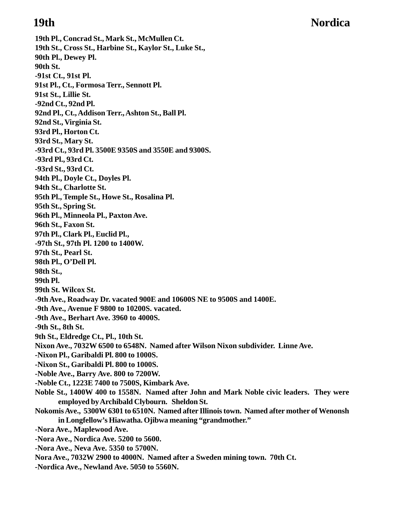# **19th Nordica**

**19th Pl., Concrad St., Mark St., McMullen Ct. 19th St., Cross St., Harbine St., Kaylor St., Luke St., 90th Pl., Dewey Pl. 90th St. -91st Ct., 91st Pl. 91st Pl., Ct., Formosa Terr., Sennott Pl. 91st St., Lillie St. -92nd Ct., 92nd Pl. 92nd Pl., Ct., Addison Terr., Ashton St., Ball Pl. 92nd St., Virginia St. 93rd Pl., Horton Ct. 93rd St., Mary St. -93rd Ct., 93rd Pl. 3500E 9350S and 3550E and 9300S. -93rd Pl., 93rd Ct. -93rd St., 93rd Ct. 94th Pl., Doyle Ct., Doyles Pl. 94th St., Charlotte St. 95th Pl., Temple St., Howe St., Rosalina Pl. 95th St., Spring St. 96th Pl., Minneola Pl., Paxton Ave. 96th St., Faxon St. 97th Pl., Clark Pl., Euclid Pl., -97th St., 97th Pl. 1200 to 1400W. 97th St., Pearl St. 98th Pl., O'Dell Pl. 98th St., 99th Pl. 99th St. Wilcox St. -9th Ave., Roadway Dr. vacated 900E and 10600S NE to 9500S and 1400E. -9th Ave., Avenue F 9800 to 10200S. vacated. -9th Ave., Berhart Ave. 3960 to 4000S. -9th St., 8th St. 9th St., Eldredge Ct., Pl., 10th St. Nixon Ave., 7032W 6500 to 6548N. Named after Wilson Nixon subdivider. Linne Ave. -Nixon Pl., Garibaldi Pl. 800 to 1000S. -Nixon St., Garibaldi Pl. 800 to 1000S. -Noble Ave., Barry Ave. 800 to 7200W. -Noble Ct., 1223E 7400 to 7500S, Kimbark Ave. Noble St., 1400W 400 to 1558N. Named after John and Mark Noble civic leaders. They were employed by Archibald Clybourn. Sheldon St. Nokomis Ave., 5300W 6301 to 6510N. Named after Illinois town. Named after mother of Wenonsh in Longfellow's Hiawatha. Ojibwa meaning "grandmother." -Nora Ave., Maplewood Ave. -Nora Ave., Nordica Ave. 5200 to 5600. -Nora Ave., Neva Ave. 5350 to 5700N. Nora Ave., 7032W 2900 to 4000N. Named after a Sweden mining town. 70th Ct. -Nordica Ave., Newland Ave. 5050 to 5560N.**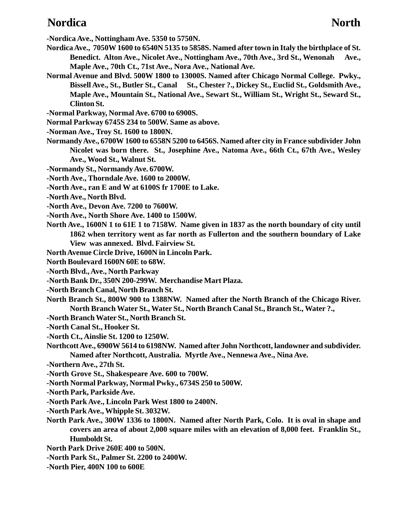### **Nordica** North

**-Nordica Ave., Nottingham Ave. 5350 to 5750N.**

- **Nordica Ave., 7050W 1600 to 6540N 5135 to 5858S. Named after town in Italy the birthplace of St. Benedict. Alton Ave., Nicolet Ave., Nottingham Ave., 70th Ave., 3rd St., Wenonah Ave., Maple Ave., 70th Ct., 71st Ave., Nora Ave., National Ave.**
- **Normal Avenue and Blvd. 500W 1800 to 13000S. Named after Chicago Normal College. Pwky.,** Bissell Ave., St., Butler St., Canal St., Chester ?., Dickey St., Euclid St., Goldsmith Ave., **Maple Ave., Mountain St., National Ave., Sewart St., William St., Wright St., Seward St., Clinton St.**
- **-Normal Parkway, Normal Ave. 6700 to 6900S.**
- **Normal Parkway 6745S 234 to 500W. Same as above.**
- **-Norman Ave., Troy St. 1600 to 1800N.**
- **Normandy Ave., 6700W 1600 to 6558N 5200 to 6456S. Named after city in France subdivider John Nicolet was born there. St., Josephine Ave., Natoma Ave., 66th Ct., 67th Ave., Wesley Ave., Wood St., Walnut St.**
- **-Normandy St., Normandy Ave. 6700W.**
- **-North Ave., Thorndale Ave. 1600 to 2000W.**
- **-North Ave., ran E and W at 6100S fr 1700E to Lake.**
- **-North Ave., North Blvd.**
- **-North Ave., Devon Ave. 7200 to 7600W.**
- **-North Ave., North Shore Ave. 1400 to 1500W.**
- **North Ave., 1600N 1 to 61E 1 to 7158W. Name given in 1837 as the north boundary of city until 1862 when territory went as far north as Fullerton and the southern boundary of Lake View was annexed. Blvd. Fairview St.**
- **North Avenue Circle Drive, 1600N in Lincoln Park.**
- **North Boulevard 1600N 60E to 68W.**
- **-North Blvd., Ave., North Parkway**
- **-North Bank Dr., 350N 200-299W. Merchandise Mart Plaza.**
- **-North Branch Canal, North Branch St.**
- **North Branch St., 800W 900 to 1388NW. Named after the North Branch of the Chicago River. North Branch Water St., Water St., North Branch Canal St., Branch St., Water ?.,**
- **-North Branch Water St., North Branch St.**
- **-North Canal St., Hooker St.**
- **-North Ct., Ainslie St. 1200 to 1250W.**
- **Northcott Ave., 6900W 5614 to 6198NW. Named after John Northcott, landowner and subdivider. Named after Northcott, Australia. Myrtle Ave., Nennewa Ave., Nina Ave.**
- **-Northern Ave., 27th St.**
- **-North Grove St., Shakespeare Ave. 600 to 700W.**
- **-North Normal Parkway, Normal Pwky., 6734S 250 to 500W.**
- **-North Park, Parkside Ave.**
- **-North Park Ave., Lincoln Park West 1800 to 2400N.**
- **-North Park Ave., Whipple St. 3032W.**
- **North Park Ave., 300W 1336 to 1800N. Named after North Park, Colo. It is oval in shape and covers an area of about 2,000 square miles with an elevation of 8,000 feet. Franklin St., Humboldt St.**
- **North Park Drive 260E 400 to 500N.**
- **-North Park St., Palmer St. 2200 to 2400W.**
- **-North Pier, 400N 100 to 600E**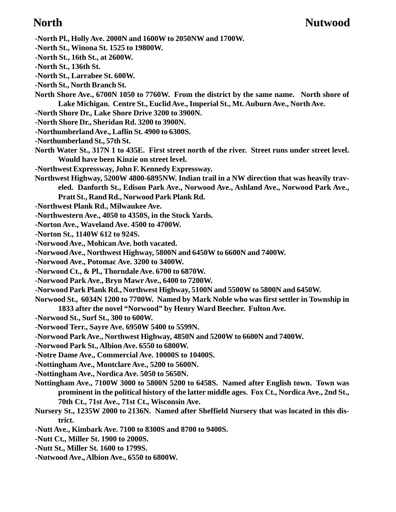- **-North Pl., Holly Ave. 2000N and 1600W to 2050NW and 1700W.**
- **-North St., Winona St. 1525 to 19800W.**
- **-North St., 16th St., at 2600W.**
- **-North St., 136th St.**
- **-North St., Larrabee St. 600W.**
- **-North St., North Branch St.**
- **North Shore Ave., 6700N 1050 to 7760W. From the district by the same name. North shore of Lake Michigan. Centre St., Euclid Ave., Imperial St., Mt. Auburn Ave., North Ave.**
- **-North Shore Dr., Lake Shore Drive 3200 to 3900N.**
- **-North Shore Dr., Sheridan Rd. 3200 to 3900N.**
- **-Northumberland Ave., Laflin St. 4900 to 6300S.**
- **-Northumberland St., 57th St.**
- **North Water St., 317N 1 to 435E. First street north of the river. Street runs under street level. Would have been Kinzie on street level.**
- **-Northwest Expressway, John F. Kennedy Expressway.**
- **Northwest Highway, 5200W 4800-6895NW. Indian trail in a NW direction that was heavily traveled. Danforth St., Edison Park Ave., Norwood Ave., Ashland Ave., Norwood Park Ave., Pratt St., Rand Rd., Norwood Park Plank Rd.**
- **-Northwest Plank Rd., Milwaukee Ave.**
- **-Northwestern Ave., 4050 to 4350S, in the Stock Yards.**
- **-Norton Ave., Waveland Ave. 4500 to 4700W.**
- **-Norton St., 1140W 612 to 924S.**
- **-Norwood Ave., Mohican Ave. both vacated.**
- **-Norwood Ave., Northwest Highway, 5800N and 6450W to 6600N and 7400W.**
- **-Norwood Ave., Potomac Ave. 3200 to 3400W.**
- **-Norwood Ct., & Pl., Thorndale Ave. 6700 to 6870W.**
- **-Norwood Park Ave., Bryn Mawr Ave., 6400 to 7200W.**
- **-Norwood Park Plank Rd., Northwest Highway, 5100N and 5500W to 5800N and 6450W.**
- **Norwood St., 6034N 1200 to 7700W. Named by Mark Noble who was first settler in Township in 1833 after the novel "Norwood" by Henry Ward Beecher. Fulton Ave.**
- **-Norwood St., Surf St., 300 to 600W.**
- **-Norwood Terr., Sayre Ave. 6950W 5400 to 5599N.**
- **-Norwood Park Ave., Northwest Highway, 4850N and 5200W to 6600N and 7400W.**
- **-Norwood Park St., Albion Ave. 6550 to 6800W.**
- **-Notre Dame Ave., Commercial Ave. 10000S to 10400S.**
- **-Nottingham Ave., Montclare Ave., 5200 to 5600N.**
- **-Nottingham Ave., Nordica Ave. 5050 to 5650N.**
- **Nottingham Ave., 7100W 3000 to 5800N 5200 to 6458S. Named after English town. Town was prominent in the political history of the latter middle ages. Fox Ct., Nordica Ave., 2nd St., 70th Ct., 71st Ave., 71st Ct., Wisconsin Ave.**
- **Nursery St., 1235W 2000 to 2136N. Named after Sheffield Nursery that was located in this district.**
- **-Nutt Ave., Kimbark Ave. 7100 to 8300S and 8700 to 9400S.**
- **-Nutt Ct., Miller St. 1900 to 2000S.**
- **-Nutt St., Miller St. 1600 to 1799S.**
- **-Nutwood Ave., Albion Ave., 6550 to 6800W.**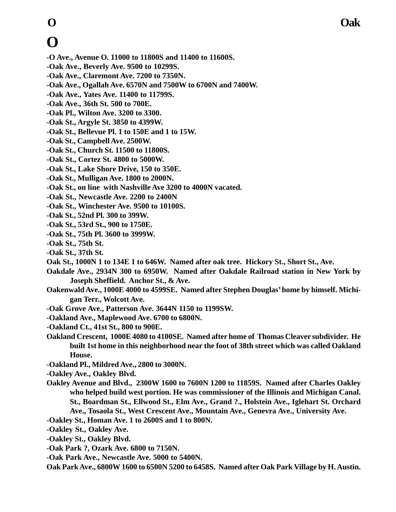### **O Oak**

# **O**

- **-O Ave., Avenue O. 11000 to 11800S and 11400 to 11600S.**
- **-Oak Ave., Beverly Ave. 9500 to 10299S.**
- **-Oak Ave., Claremont Ave. 7200 to 7350N.**
- **-Oak Ave., Ogallah Ave. 6570N and 7500W to 6700N and 7400W.**
- **-Oak Ave., Yates Ave. 11400 to 11799S.**
- **-Oak Ave., 36th St. 500 to 700E.**
- **-Oak Pl., Wilton Ave. 3200 to 3300.**
- **-Oak St., Argyle St. 3850 to 4399W.**
- **-Oak St., Bellevue Pl. 1 to 150E and 1 to 15W.**
- **-Oak St., Campbell Ave. 2500W.**
- **-Oak St., Church St. 11500 to 11800S.**
- **-Oak St., Cortez St. 4800 to 5000W.**
- **-Oak St., Lake Shore Drive, 150 to 350E.**
- **-Oak St., Mulligan Ave. 1800 to 2000N.**
- **-Oak St., on line with Nashville Ave 3200 to 4000N vacated.**
- **-Oak St., Newcastle Ave. 2200 to 2400N**
- **-Oak St., Winchester Ave. 9500 to 10100S.**
- **-Oak St., 52nd Pl. 300 to 399W.**
- **-Oak St., 53rd St., 900 to 1750E.**
- **-Oak St., 75th Pl. 3600 to 3999W.**
- **-Oak St., 75th St.**
- **-Oak St., 37th St.**
- **Oak St., 1000N 1 to 134E 1 to 646W. Named after oak tree. Hickory St., Short St., Ave.**
- **Oakdale Ave., 2934N 300 to 6950W. Named after Oakdale Railroad station in New York by Joseph Sheffield. Anchor St., & Ave.**
- **Oakenwald Ave., 1000E 4000 to 4599SE. Named after Stephen Douglas' home by himself. Michigan Terr., Wolcott Ave.**
- **-Oak Grove Ave., Patterson Ave. 3644N 1150 to 1199SW.**
- **-Oakland Ave., Maplewood Ave. 6700 to 6800N.**
- **-Oakland Ct., 41st St., 800 to 900E.**
- **Oakland Crescent, 1000E 4080 to 4100SE. Named after home of Thomas Cleaver subdivider. He built 1st home in this neighborhood near the foot of 38th street which was called Oakland House.**
- **-Oakland Pl., Mildred Ave., 2800 to 3000N.**
- **-Oakley Ave., Oakley Blvd.**
- **Oakley Avenue and Blvd., 2300W 1600 to 7600N 1200 to 11859S. Named after Charles Oakley who helped build west portion. He was commissioner of the Illinois and Michigan Canal. St., Boardman St., Ellwood St., Elm Ave., Grand ?., Holstein Ave., Iglehart St. Orchard Ave., Tosaola St., West Crescent Ave., Mountain Ave., Genevra Ave., University Ave.**
- **-Oakley St., Homan Ave. 1 to 2600S and 1 to 800N.**
- **-Oakley St., Oakley Ave.**
- **-Oakley St., Oakley Blvd.**
- **-Oak Park ?, Ozark Ave. 6800 to 7150N.**
- **-Oak Park Ave., Newcastle Ave. 5000 to 5400N.**

**Oak Park Ave., 6800W 1600 to 6500N 5200 to 6458S. Named after Oak Park Village by H. Austin.**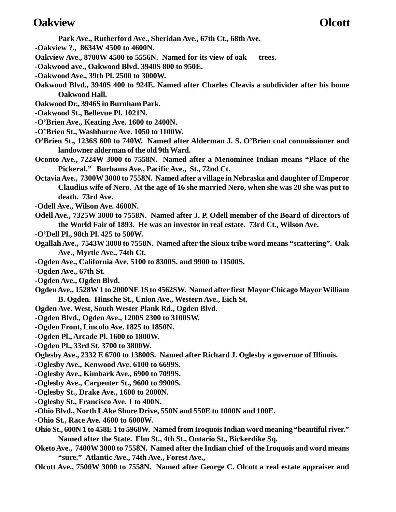### **Oakview Olcott**

- **Park Ave., Rutherford Ave., Sheridan Ave., 67th Ct., 68th Ave.**
- **-Oakview ?., 8634W 4500 to 4600N.**
- **Oakview Ave., 8700W 4500 to 5556N. Named for its view of oak trees.**
- **-Oakwood ave., Oakwood Blvd. 3940S 800 to 950E.**
- **-Oakwood Ave., 39th Pl. 2500 to 3000W.**
- **Oakwood Blvd., 3940S 400 to 924E. Named after Charles Cleavis a subdivider after his home Oakwood Hall.**
- **Oakwood Dr., 3946S in Burnham Park.**
- **-Oakwood St., Bellevue Pl. 1021N.**
- **-O'Brien Ave., Keating Ave. 1600 to 2400N.**
- **-O'Brien St., Washburne Ave. 1050 to 1100W.**
- **O'Brien St., 1236S 600 to 740W. Named after Alderman J. S. O'Brien coal commissioner and landowner alderman of the old 9th Ward.**
- **Oconto Ave., 7224W 3000 to 7558N. Named after a Menominee Indian means "Place of the Pickeral." Burhams Ave., Pacific Ave., St., 72nd Ct.**
- **Octavia Ave., 7300W 3000 to 7558N. Named after a village in Nebraska and daughter of Emperor Claudius wife of Nero. At the age of 16 she married Nero, when she was 20 she was put to death. 73rd Ave.**
- **-Odell Ave., Wilson Ave. 4600N.**
- **Odell Ave., 7325W 3000 to 7558N. Named after J. P. Odell member of the Board of directors of the World Fair of 1893. He was an investor in real estate. 73rd Ct., Wilson Ave.**
- **-O'Dell Pl., 98th Pl. 425 to 500W.**
- **Ogallah Ave., 7543W 3000 to 7558N. Named after the Sioux tribe word means "scattering". Oak Ave., Myrtle Ave., 74th Ct.**
- **-Ogden Ave., California Ave. 5100 to 8300S. and 9900 to 11500S.**
- **-Ogden Ave., 67th St.**
- **-Ogden Ave., Ogden Blvd.**
- **Ogden Ave., 1528W 1 to 2000NE 1S to 4562SW. Named after first Mayor Chicago Mayor William B. Ogden. Hinsche St., Union Ave., Western Ave., Eich St.**
- **Ogden Ave. West, South Wester Plank Rd., Ogden Blvd.**
- **-Ogden Blvd., Ogden Ave., 1200S 2300 to 3100SW.**
- **-Ogden Front, Lincoln Ave. 1825 to 1850N.**
- **-Ogden Pl., Arcade Pl. 1600 to 1800W.**
- **-Ogden Pl., 33rd St. 3700 to 3800W.**
- **Oglesby Ave., 2332 E 6700 to 13800S. Named after Richard J. Oglesby a governor of Illinois.**
- **-Oglesby Ave., Kenwood Ave. 6100 to 6699S.**
- **-Oglesby Ave., Kimbark Ave., 6900 to 7099S.**
- **-Oglesby Ave., Carpenter St., 9600 to 9900S.**
- **-Oglesby St., Drake Ave., 1600 to 2000N.**
- **-Oglesby St., Francisco Ave. 1 to 400N.**
- **-Ohio Blvd., North LAke Shore Drive, 550N and 550E to 1000N and 100E.**
- **-Ohio St., Race Ave. 4600 to 6000W.**
- **Ohio St., 600N 1 to 458E 1 to 5968W. Named from Iroquois Indian word meaning "beautiful river." Named after the State. Elm St., 4th St., Ontario St., Bickerdike Sq.**
- **Oketo Ave., 7400W 3000 to 7558N. Named after the Indian chief of the Iroquois and word means "sure." Atlantic Ave., 74th Ave., Forest Ave.,**
- **Olcott Ave., 7500W 3000 to 7558N. Named after George C. Olcott a real estate appraiser and**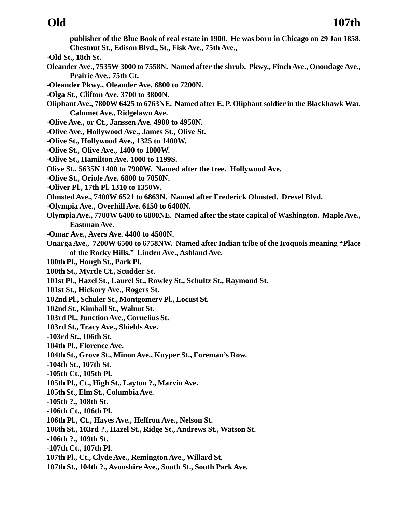**publisher of the Blue Book of real estate in 1900. He was born in Chicago on 29 Jan 1858. Chestnut St., Edison Blvd., St., Fisk Ave., 75th Ave.,**

- **-Old St., 18th St.**
- **Oleander Ave., 7535W 3000 to 7558N. Named after the shrub. Pkwy., Finch Ave., Onondage Ave., Prairie Ave., 75th Ct.**
- **-Oleander Pkwy., Oleander Ave. 6800 to 7200N.**
- **-Olga St., Clifton Ave. 3700 to 3800N.**
- **Oliphant Ave., 7800W 6425 to 6763NE. Named after E. P. Oliphant soldier in the Blackhawk War. Calumet Ave., Ridgelawn Ave.**
- **-Olive Ave., or Ct., Janssen Ave. 4900 to 4950N.**
- **-Olive Ave., Hollywood Ave., James St., Olive St.**
- **-Olive St., Hollywood Ave., 1325 to 1400W.**
- **-Olive St., Olive Ave., 1400 to 1800W.**
- **-Olive St., Hamilton Ave. 1000 to 1199S.**
- **Olive St., 5635N 1400 to 7900W. Named after the tree. Hollywood Ave.**
- **-Olive St., Oriole Ave. 6800 to 7050N.**
- **-Oliver Pl., 17th Pl. 1310 to 1350W.**
- **Olmsted Ave., 7400W 6521 to 6863N. Named after Frederick Olmsted. Drexel Blvd.**
- **-Olympia Ave., Overhill Ave. 6150 to 6400N.**
- **Olympia Ave., 7700W 6400 to 6800NE. Named after the state capital of Washington. Maple Ave., Eastman Ave.**
- **-Omar Ave., Avers Ave. 4400 to 4500N.**
- **Onarga Ave., 7200W 6500 to 6758NW. Named after Indian tribe of the Iroquois meaning "Place of the Rocky Hills." Linden Ave., Ashland Ave.**
- **100th Pl., Hough St., Park Pl.**
- **100th St., Myrtle Ct., Scudder St.**
- **101st Pl., Hazel St., Laurel St., Rowley St., Schultz St., Raymond St.**
- **101st St., Hickory Ave., Rogers St.**
- **102nd Pl., Schuler St., Montgomery Pl., Locust St.**
- **102nd St., Kimball St., Walnut St.**
- **103rd Pl., Junction Ave., Cornelius St.**
- **103rd St., Tracy Ave., Shields Ave.**
- **-103rd St., 106th St.**
- **104th Pl., Florence Ave.**
- **104th St., Grove St., Minon Ave., Kuyper St., Foreman's Row.**
- **-104th St., 107th St.**
- **-105th Ct., 105th Pl.**
- **105th Pl., Ct., High St., Layton ?., Marvin Ave.**
- **105th St., Elm St., Columbia Ave.**
- **-105th ?., 108th St.**
- **-106th Ct., 106th Pl.**
- **106th Pl., Ct., Hayes Ave., Heffron Ave., Nelson St.**
- **106th St., 103rd ?., Hazel St., Ridge St., Andrews St., Watson St.**
- **-106th ?., 109th St.**
- **-107th Ct., 107th Pl.**
- **107th Pl., Ct., Clyde Ave., Remington Ave., Willard St.**
- **107th St., 104th ?., Avonshire Ave., South St., South Park Ave.**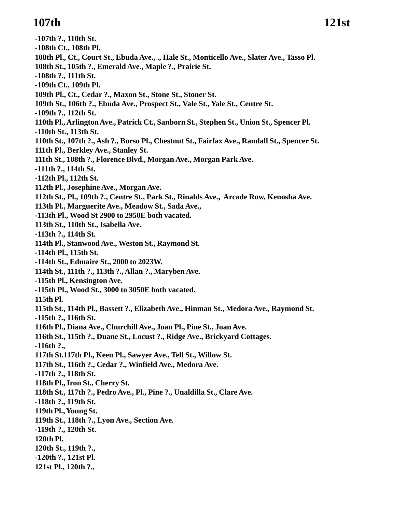### **107th 121st**

**-107th ?., 110th St. -108th Ct., 108th Pl. 108th Pl., Ct., Court St., Ebuda Ave., ., Hale St., Monticello Ave., Slater Ave., Tasso Pl. 108th St., 105th ?., Emerald Ave., Maple ?., Prairie St. -108th ?., 111th St. -109th Ct., 109th Pl. 109th Pl., Ct., Cedar ?., Maxon St., Stone St., Stoner St. 109th St., 106th ?., Ebuda Ave., Prospect St., Vale St., Yale St., Centre St. -109th ?., 112th St. 110th Pl., Arlington Ave., Patrick Ct., Sanborn St., Stephen St., Union St., Spencer Pl. -110th St., 113th St. 110th St., 107th ?., Ash ?., Borso Pl., Chestnut St., Fairfax Ave., Randall St., Spencer St. 111th Pl., Berkley Ave., Stanley St. 111th St., 108th ?., Florence Blvd., Morgan Ave., Morgan Park Ave. -111th ?., 114th St. -112th Pl., 112th St. 112th Pl., Josephine Ave., Morgan Ave. 112th St., Pl., 109th ?., Centre St., Park St., Rinalds Ave., Arcade Row, Kenosha Ave. 113th Pl., Marguerite Ave., Meadow St., Sada Ave., -113th Pl., Wood St 2900 to 2950E both vacated. 113th St., 110th St., Isabella Ave. -113th ?., 114th St. 114th Pl., Stanwood Ave., Weston St., Raymond St. -114th Pl., 115th St. -114th St., Edmaire St., 2000 to 2023W. 114th St., 111th ?., 113th ?., Allan ?., Maryben Ave. -115th Pl., Kensington Ave. -115th Pl., Wood St., 3000 to 3050E both vacated. 115th Pl. 115th St., 114th Pl., Bassett ?., Elizabeth Ave., Hinman St., Medora Ave., Raymond St. -115th ?., 116th St. 116th Pl., Diana Ave., Churchill Ave., Joan Pl., Pine St., Joan Ave. 116th St., 115th ?., Duane St., Locust ?., Ridge Ave., Brickyard Cottages. -116th ?., 117th St.117th Pl., Keen Pl., Sawyer Ave., Tell St., Willow St. 117th St., 116th ?., Cedar ?., Winfield Ave., Medora Ave. -117th ?., 118th St. 118th Pl., Iron St., Cherry St. 118th St., 117th ?., Pedro Ave., Pl., Pine ?., Unaldilla St., Clare Ave. -118th ?., 119th St. 119th Pl., Young St. 119th St., 118th ?., Lyon Ave., Section Ave. -119th ?., 120th St. 120th Pl. 120th St., 119th ?., -120th ?., 121st Pl. 121st Pl., 120th ?.,**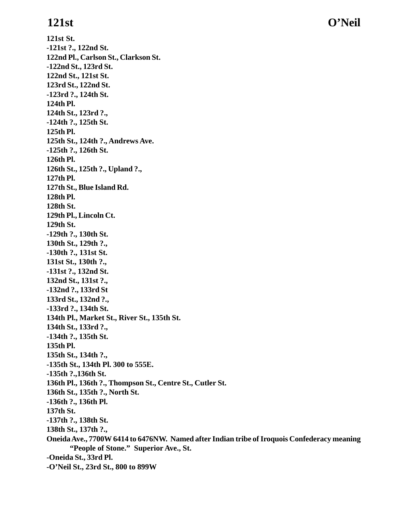**121st St.**

**121st O'Neil**

**-121st ?., 122nd St. 122nd Pl., Carlson St., Clarkson St. -122nd St., 123rd St. 122nd St., 121st St. 123rd St., 122nd St. -123rd ?., 124th St. 124th Pl. 124th St., 123rd ?., -124th ?., 125th St. 125th Pl. 125th St., 124th ?., Andrews Ave. -125th ?., 126th St. 126th Pl. 126th St., 125th ?., Upland ?., 127th Pl. 127th St., Blue Island Rd. 128th Pl. 128th St. 129th Pl., Lincoln Ct. 129th St. -129th ?., 130th St. 130th St., 129th ?., -130th ?., 131st St. 131st St., 130th ?., -131st ?., 132nd St. 132nd St., 131st ?., -132nd ?., 133rd St 133rd St., 132nd ?., -133rd ?., 134th St. 134th Pl., Market St., River St., 135th St. 134th St., 133rd ?., -134th ?., 135th St. 135th Pl. 135th St., 134th ?., -135th St., 134th Pl. 300 to 555E. -135th ?.,136th St. 136th Pl., 136th ?., Thompson St., Centre St., Cutler St. 136th St., 135th ?., North St. -136th ?., 136th Pl. 137th St. -137th ?., 138th St. 138th St., 137th ?., Oneida Ave., 7700W 6414 to 6476NW. Named after Indian tribe of Iroquois Confederacy meaning "People of Stone." Superior Ave., St. -Oneida St., 33rd Pl. -O'Neil St., 23rd St., 800 to 899W**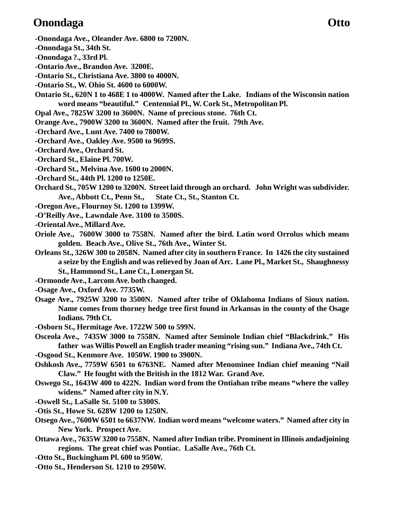### **Onondaga Otto**

- **-Onondaga Ave., Oleander Ave. 6800 to 7200N.**
- **-Onondaga St., 34th St.**
- **-Onondaga ?., 33rd Pl.**
- **-Ontario Ave., Brandon Ave. 3200E.**
- **-Ontario St., Christiana Ave. 3800 to 4000N.**
- **-Ontario St., W. Ohio St. 4600 to 6000W.**
- **Ontario St., 620N 1 to 468E 1 to 4000W. Named after the Lake. Indians of the Wisconsin nation word means "beautiful." Centennial Pl., W. Cork St., Metropolitan Pl.**
- **Opal Ave., 7825W 3200 to 3600N. Name of precious stone. 76th Ct.**
- **Orange Ave., 7900W 3200 to 3600N. Named after the fruit. 79th Ave.**
- **-Orchard Ave., Lunt Ave. 7400 to 7800W.**
- **-Orchard Ave., Oakley Ave. 9500 to 9699S.**
- **-Orchard Ave., Orchard St.**
- **-Orchard St., Elaine Pl. 700W.**
- **-Orchard St., Melvina Ave. 1600 to 2000N.**
- **-Orchard St., 44th Pl. 1200 to 1250E.**
- **Orchard St., 705W 1200 to 3200N. Street laid through an orchard. John Wright was subdivider. Ave., Abbott Ct., Penn St., State Ct., St., Stanton Ct.**
- **-Oregon Ave., Flournoy St. 1200 to 1399W.**
- **-O'Reilly Ave., Lawndale Ave. 3100 to 3500S.**
- **-Oriental Ave., Millard Ave.**
- **Oriole Ave., 7600W 3000 to 7558N. Named after the bird. Latin word Orrolus which means golden. Beach Ave., Olive St., 76th Ave., Winter St.**
- **Orleans St., 326W 300 to 2058N. Named after city in southern France. In 1426 the city sustained a seize by the English and was relieved by Joan of Arc. Lane Pl., Market St., Shaughnessy St., Hammond St., Lane Ct., Lonergan St.**
- **-Ormonde Ave., Larcom Ave. both changed.**
- **-Osage Ave., Oxford Ave. 7735W.**
- **Osage Ave., 7925W 3200 to 3500N. Named after tribe of Oklahoma Indians of Sioux nation. Name comes from thorney hedge tree first found in Arkansas in the county of the Osage Indians. 79th Ct.**
- **-Osborn St., Hermitage Ave. 1722W 500 to 599N.**
- **Osceola Ave., 7435W 3000 to 7558N. Named after Seminole Indian chief "Blackdrink." His father was Willis Powell an English trader meaning "rising sun." Indiana Ave., 74th Ct.**
- **-Osgood St., Kenmore Ave. 1050W. 1900 to 3900N.**
- **Oshkosh Ave., 7759W 6501 to 6763NE. Named after Menominee Indian chief meaning "Nail Claw." He fought with the British in the 1812 War. Grand Ave.**
- **Oswego St., 1643W 400 to 422N. Indian word from the Ontiahan tribe means "where the valley widens." Named after city in N.Y.**
- **-Oswell St., LaSalle St. 5100 to 5300S.**
- **-Otis St., Howe St. 628W 1200 to 1250N.**
- **Otsego Ave., 7600W 6501 to 6637NW. Indian word means "welcome waters." Named after city in New York. Prospect Ave.**
- **Ottawa Ave., 7635W 3200 to 7558N. Named after Indian tribe. Prominent in Illinois andadjoining regions. The great chief was Pontiac. LaSalle Ave., 76th Ct.**
- **-Otto St., Buckingham Pl. 600 to 950W.**
- **-Otto St., Henderson St. 1210 to 2950W.**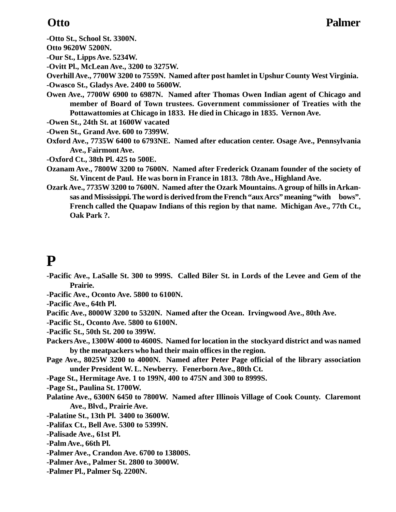**-Otto St., School St. 3300N.**

**Otto 9620W 5200N.**

**-Our St., Lipps Ave. 5234W.**

**-Ovitt Pl., McLean Ave., 3200 to 3275W.**

**Overhill Ave., 7700W 3200 to 7559N. Named after post hamlet in Upshur County West Virginia. -Owasco St., Gladys Ave. 2400 to 5600W.**

**Owen Ave., 7700W 6900 to 6987N. Named after Thomas Owen Indian agent of Chicago and member of Board of Town trustees. Government commissioner of Treaties with the Pottawattomies at Chicago in 1833. He died in Chicago in 1835. Vernon Ave.**

**-Owen St., 24th St. at 1600W vacated**

**-Owen St., Grand Ave. 600 to 7399W.**

**Oxford Ave., 7735W 6400 to 6793NE. Named after education center. Osage Ave., Pennsylvania Ave., Fairmont Ave.**

**-Oxford Ct., 38th Pl. 425 to 500E.**

- **Ozanam Ave., 7800W 3200 to 7600N. Named after Frederick Ozanam founder of the society of St. Vincent de Paul. He was born in France in 1813. 78th Ave., Highland Ave.**
- **Ozark Ave., 7735W 3200 to 7600N. Named after the Ozark Mountains. A group of hills in Arkansas and Mississippi. The word is derived from the French "aux Arcs" meaning "with bows". French called the Quapaw Indians of this region by that name. Michigan Ave., 77th Ct., Oak Park ?.**

# **P**

- **-Pacific Ave., LaSalle St. 300 to 999S. Called Biler St. in Lords of the Levee and Gem of the Prairie.**
- **-Pacific Ave., Oconto Ave. 5800 to 6100N.**

**-Pacific Ave., 64th Pl.**

- **Pacific Ave., 8000W 3200 to 5320N. Named after the Ocean. Irvingwood Ave., 80th Ave.**
- **-Pacific St., Oconto Ave. 5800 to 6100N.**
- **-Pacific St., 50th St. 200 to 399W.**
- **Packers Ave., 1300W 4000 to 4600S. Named for location in the stockyard district and was named by the meatpackers who had their main offices in the region.**
- **Page Ave., 8025W 3200 to 4000N. Named after Peter Page official of the library association under President W. L. Newberry. Fenerborn Ave., 80th Ct.**
- **-Page St., Hermitage Ave. 1 to 199N, 400 to 475N and 300 to 8999S.**
- **-Page St., Paulina St. 1700W.**
- **Palatine Ave., 6300N 6450 to 7800W. Named after Illinois Village of Cook County. Claremont Ave., Blvd., Prairie Ave.**
- **-Palatine St., 13th Pl. 3400 to 3600W.**
- **-Palifax Ct., Bell Ave. 5300 to 5399N.**
- **-Palisade Ave., 61st Pl.**
- **-Palm Ave., 66th Pl.**
- **-Palmer Ave., Crandon Ave. 6700 to 13800S.**
- **-Palmer Ave., Palmer St. 2800 to 3000W.**
- **-Palmer Pl., Palmer Sq. 2200N.**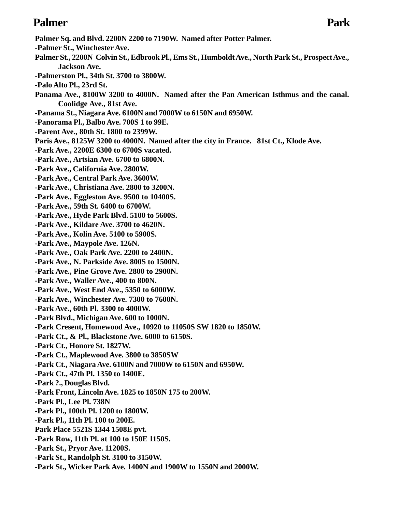### **Palmer Park**

- **Palmer Sq. and Blvd. 2200N 2200 to 7190W. Named after Potter Palmer.**
- **-Palmer St., Winchester Ave.**
- **Palmer St., 2200N Colvin St., Edbrook Pl., Ems St., Humboldt Ave., North Park St., Prospect Ave., Jackson Ave.**
- **-Palmerston Pl., 34th St. 3700 to 3800W.**
- **-Palo Alto Pl., 23rd St.**
- **Panama Ave., 8100W 3200 to 4000N. Named after the Pan American Isthmus and the canal. Coolidge Ave., 81st Ave.**
- **-Panama St., Niagara Ave. 6100N and 7000W to 6150N and 6950W.**
- **-Panorama Pl., Balbo Ave. 700S 1 to 99E.**
- **-Parent Ave., 80th St. 1800 to 2399W.**
- **Paris Ave., 8125W 3200 to 4000N. Named after the city in France. 81st Ct., Klode Ave.**
- **-Park Ave., 2200E 6300 to 6700S vacated.**
- **-Park Ave., Artsian Ave. 6700 to 6800N.**
- **-Park Ave., California Ave. 2800W.**
- **-Park Ave., Central Park Ave. 3600W.**
- **-Park Ave., Christiana Ave. 2800 to 3200N.**
- **-Park Ave., Eggleston Ave. 9500 to 10400S.**
- **-Park Ave., 59th St. 6400 to 6700W.**
- **-Park Ave., Hyde Park Blvd. 5100 to 5600S.**
- **-Park Ave., Kildare Ave. 3700 to 4620N.**
- **-Park Ave., Kolin Ave. 5100 to 5900S.**
- **-Park Ave., Maypole Ave. 126N.**
- **-Park Ave., Oak Park Ave. 2200 to 2400N.**
- **-Park Ave., N. Parkside Ave. 800S to 1500N.**
- **-Park Ave., Pine Grove Ave. 2800 to 2900N.**
- **-Park Ave., Waller Ave., 400 to 800N.**
- **-Park Ave., West End Ave., 5350 to 6000W.**
- **-Park Ave., Winchester Ave. 7300 to 7600N.**
- **-Park Ave., 60th Pl. 3300 to 4000W.**
- **-Park Blvd., Michigan Ave. 600 to 1000N.**
- **-Park Cresent, Homewood Ave., 10920 to 11050S SW 1820 to 1850W.**
- **-Park Ct., & Pl., Blackstone Ave. 6000 to 6150S.**
- **-Park Ct., Honore St. 1827W.**
- **-Park Ct., Maplewood Ave. 3800 to 3850SW**
- **-Park Ct., Niagara Ave. 6100N and 7000W to 6150N and 6950W.**
- **-Park Ct., 47th Pl. 1350 to 1400E.**
- **-Park ?., Douglas Blvd.**
- **-Park Front, Lincoln Ave. 1825 to 1850N 175 to 200W.**
- **-Park Pl., Lee Pl. 738N**
- **-Park Pl., 100th Pl. 1200 to 1800W.**
- **-Park Pl., 11th Pl. 100 to 200E.**
- **Park Place 5521S 1344 1508E pvt.**
- **-Park Row, 11th Pl. at 100 to 150E 1150S.**
- **-Park St., Pryor Ave. 11200S.**
- **-Park St., Randolph St. 3100 to 3150W.**
- **-Park St., Wicker Park Ave. 1400N and 1900W to 1550N and 2000W.**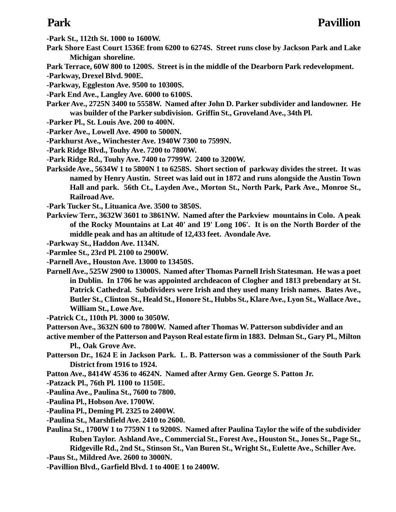- **-Park St., 112th St. 1000 to 1600W.**
- **Park Shore East Court 1536E from 6200 to 6274S. Street runs close by Jackson Park and Lake Michigan shoreline.**
- **Park Terrace, 60W 800 to 1200S. Street is in the middle of the Dearborn Park redevelopment.**
- **-Parkway, Drexel Blvd. 900E.**
- **-Parkway, Eggleston Ave. 9500 to 10300S.**
- **-Park End Ave., Langley Ave. 6000 to 6100S.**
- **Parker Ave., 2725N 3400 to 5558W. Named after John D. Parker subdivider and landowner. He was builder of the Parker subdivision. Griffin St., Groveland Ave., 34th Pl.**
- **-Parker Pl., St. Louis Ave. 200 to 400N.**
- **-Parker Ave., Lowell Ave. 4900 to 5000N.**
- **-Parkhurst Ave., Winchester Ave. 1940W 7300 to 7599N.**
- **-Park Ridge Blvd., Touhy Ave. 7200 to 7800W.**
- **-Park Ridge Rd., Touhy Ave. 7400 to 7799W. 2400 to 3200W.**
- **Parkside Ave., 5634W 1 to 5800N 1 to 6258S. Short section of parkway divides the street. It was named by Henry Austin. Street was laid out in 1872 and runs alongside the Austin Town Hall and park. 56th Ct., Layden Ave., Morton St., North Park, Park Ave., Monroe St., Railroad Ave.**
- **-Park Tucker St., Lituanica Ave. 3500 to 3850S.**
- **Parkview Terr., 3632W 3601 to 3861NW. Named after the Parkview mountains in Colo. A peak of the Rocky Mountains at Lat 40' and 19' Long 106'. It is on the North Border of the middle peak and has an altitude of 12,433 feet. Avondale Ave.**
- **-Parkway St., Haddon Ave. 1134N.**
- **-Parmlee St., 23rd Pl. 2100 to 2900W.**
- **-Parnell Ave., Houston Ave. 13000 to 13450S.**
- **Parnell Ave., 525W 2900 to 13000S. Named after Thomas Parnell Irish Statesman. He was a poet in Dublin. In 1706 he was appointed archdeacon of Clogher and 1813 prebendary at St. Patrick Cathedral. Subdividers were Irish and they used many Irish names. Bates Ave., Butler St., Clinton St., Heald St., Honore St., Hubbs St., Klare Ave., Lyon St., Wallace Ave., William St., Lowe Ave.**
- **-Patrick Ct., 110th Pl. 3000 to 3050W.**
- **Patterson Ave., 3632N 600 to 7800W. Named after Thomas W. Patterson subdivider and an**
- **active member of the Patterson and Payson Real estate firm in 1883. Delman St., Gary Pl., Milton Pl., Oak Grove Ave.**
- **Patterson Dr., 1624 E in Jackson Park. L. B. Patterson was a commissioner of the South Park District from 1916 to 1924.**
- **Patton Ave., 8414W 4536 to 4624N. Named after Army Gen. George S. Patton Jr.**
- **-Patzack Pl., 76th Pl. 1100 to 1150E.**
- **-Paulina Ave., Paulina St., 7600 to 7800.**
- **-Paulina Pl., Hobson Ave. 1700W.**
- **-Paulina Pl., Deming Pl. 2325 to 2400W.**
- **-Paulina St., Marshfield Ave. 2410 to 2600.**
- **Paulina St., 1700W 1 to 7759N 1 to 9200S. Named after Paulina Taylor the wife of the subdivider Ruben Taylor. Ashland Ave., Commercial St., Forest Ave., Houston St., Jones St., Page St., Ridgeville Rd., 2nd St., Stinson St., Van Buren St., Wright St., Eulette Ave., Schiller Ave.**
- **-Paus St., Mildred Ave. 2600 to 3000N.**
- **-Pavillion Blvd., Garfield Blvd. 1 to 400E 1 to 2400W.**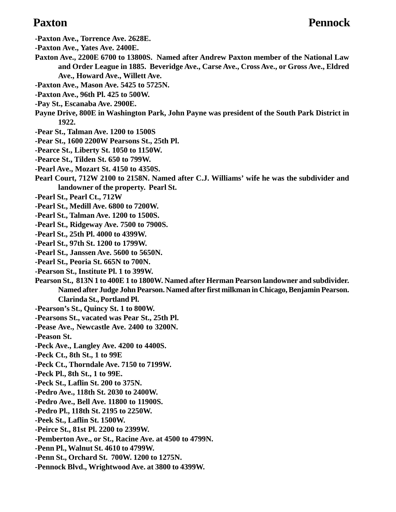- **-Paxton Ave., Torrence Ave. 2628E.**
- **-Paxton Ave., Yates Ave. 2400E.**
- **Paxton Ave., 2200E 6700 to 13800S. Named after Andrew Paxton member of the National Law and Order League in 1885. Beveridge Ave., Carse Ave., Cross Ave., or Gross Ave., Eldred Ave., Howard Ave., Willett Ave.**
- **-Paxton Ave., Mason Ave. 5425 to 5725N.**
- **-Paxton Ave., 96th Pl. 425 to 500W.**
- **-Pay St., Escanaba Ave. 2900E.**
- **Payne Drive, 800E in Washington Park, John Payne was president of the South Park District in 1922.**
- **-Pear St., Talman Ave. 1200 to 1500S**
- **-Pear St., 1600 2200W Pearsons St., 25th Pl.**
- **-Pearce St., Liberty St. 1050 to 1150W.**
- **-Pearce St., Tilden St. 650 to 799W.**
- **-Pearl Ave., Mozart St. 4150 to 4350S.**
- **Pearl Court, 712W 2100 to 2158N. Named after C.J. Williams' wife he was the subdivider and landowner of the property. Pearl St.**
- **-Pearl St., Pearl Ct., 712W**
- **-Pearl St., Medill Ave. 6800 to 7200W.**
- **-Pearl St., Talman Ave. 1200 to 1500S.**
- **-Pearl St., Ridgeway Ave. 7500 to 7900S.**
- **-Pearl St., 25th Pl. 4000 to 4399W.**
- **-Pearl St., 97th St. 1200 to 1799W.**
- **-Pearl St., Janssen Ave. 5600 to 5650N.**
- **-Pearl St., Peoria St. 665N to 700N.**
- **-Pearson St., Institute Pl. 1 to 399W.**
- **Pearson St., 813N 1 to 400E 1 to 1800W. Named after Herman Pearson landowner and subdivider. Named after Judge John Pearson. Named after first milkman in Chicago, Benjamin Pearson. Clarinda St., Portland Pl.**
- **-Pearson's St., Quincy St. 1 to 800W.**
- **-Pearsons St., vacated was Pear St., 25th Pl.**
- **-Pease Ave., Newcastle Ave. 2400 to 3200N.**
- **-Peason St.**
- **-Peck Ave., Langley Ave. 4200 to 4400S.**
- **-Peck Ct., 8th St., 1 to 99E**
- **-Peck Ct., Thorndale Ave. 7150 to 7199W.**
- **-Peck Pl., 8th St., 1 to 99E.**
- **-Peck St., Laflin St. 200 to 375N.**
- **-Pedro Ave., 118th St. 2030 to 2400W.**
- **-Pedro Ave., Bell Ave. 11800 to 11900S.**
- **-Pedro Pl., 118th St. 2195 to 2250W.**
- **-Peek St., Laflin St. 1500W.**
- **-Peirce St., 81st Pl. 2200 to 2399W.**
- **-Pemberton Ave., or St., Racine Ave. at 4500 to 4799N.**
- **-Penn Pl., Walnut St. 4610 to 4799W.**
- **-Penn St., Orchard St. 700W. 1200 to 1275N.**
- **-Pennock Blvd., Wrightwood Ave. at 3800 to 4399W.**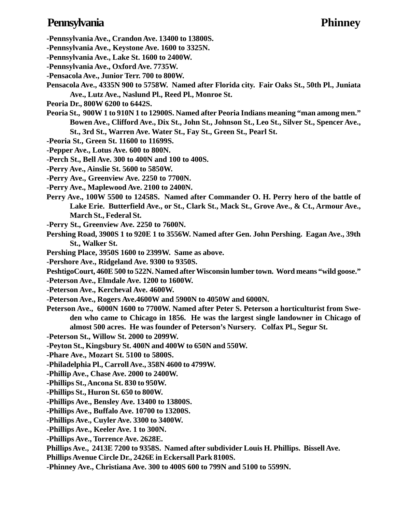### **Pennsylvania Phinney**

- **-Pennsylvania Ave., Crandon Ave. 13400 to 13800S.**
- **-Pennsylvania Ave., Keystone Ave. 1600 to 3325N.**
- **-Pennsylvania Ave., Lake St. 1600 to 2400W.**
- **-Pennsylvania Ave., Oxford Ave. 7735W.**
- **-Pensacola Ave., Junior Terr. 700 to 800W.**
- **Pensacola Ave., 4335N 900 to 5758W. Named after Florida city. Fair Oaks St., 50th Pl., Juniata Ave., Lutz Ave., Naslund Pl., Reed Pl., Monroe St.**
- **Peoria Dr., 800W 6200 to 6442S.**
- **Peoria St., 900W 1 to 910N 1 to 12900S. Named after Peoria Indians meaning "man among men." Bowen Ave., Clifford Ave., Dix St., John St., Johnson St., Leo St., Silver St., Spencer Ave., St., 3rd St., Warren Ave. Water St., Fay St., Green St., Pearl St.**
- **-Peoria St., Green St. 11600 to 11699S.**
- **-Pepper Ave., Lotus Ave. 600 to 800N.**
- **-Perch St., Bell Ave. 300 to 400N and 100 to 400S.**
- **-Perry Ave., Ainslie St. 5600 to 5850W.**
- **-Perry Ave., Greenview Ave. 2250 to 7700N.**
- **-Perry Ave., Maplewood Ave. 2100 to 2400N.**
- **Perry Ave., 100W 5500 to 12458S. Named after Commander O. H. Perry hero of the battle of Lake Erie. Butterfield Ave., or St., Clark St., Mack St., Grove Ave., & Ct., Armour Ave., March St., Federal St.**
- **-Perry St., Greenview Ave. 2250 to 7600N.**
- **Pershing Road, 3900S 1 to 920E 1 to 3556W. Named after Gen. John Pershing. Eagan Ave., 39th St., Walker St.**
- **Pershing Place, 3950S 1600 to 2399W. Same as above.**
- **-Pershore Ave., Ridgeland Ave. 9300 to 9350S.**
- **PeshtigoCourt, 460E 500 to 522N. Named after Wisconsin lumber town. Word means "wild goose."**
- **-Peterson Ave., Elmdale Ave. 1200 to 1600W.**
- **-Peterson Ave., Kercheval Ave. 4600W.**
- **-Peterson Ave., Rogers Ave.4600W and 5900N to 4050W and 6000N.**
- **Peterson Ave., 6000N 1600 to 7700W. Named after Peter S. Peterson a horticulturist from Sweden who came to Chicago in 1856. He was the largest single landowner in Chicago of almost 500 acres. He was founder of Peterson's Nursery. Colfax Pl., Segur St.**
- **-Peterson St., Willow St. 2000 to 2099W.**
- **-Peyton St., Kingsbury St. 400N and 400W to 650N and 550W.**
- **-Phare Ave., Mozart St. 5100 to 5800S.**
- **-Philadelphia Pl., Carroll Ave., 358N 4600 to 4799W.**
- **-Phillip Ave., Chase Ave. 2000 to 2400W.**
- **-Phillips St., Ancona St. 830 to 950W.**
- **-Phillips St., Huron St. 650 to 800W.**
- **-Phillips Ave., Bensley Ave. 13400 to 13800S.**
- **-Phillips Ave., Buffalo Ave. 10700 to 13200S.**
- **-Phillips Ave., Cuyler Ave. 3300 to 3400W.**
- **-Phillips Ave., Keeler Ave. 1 to 300N.**
- **-Phillips Ave., Torrence Ave. 2628E.**
- **Phillips Ave., 2413E 7200 to 9358S. Named after subdivider Louis H. Phillips. Bissell Ave.**
- **Phillips Avenue Circle Dr., 2426E in Eckersall Park 8100S.**
- **-Phinney Ave., Christiana Ave. 300 to 400S 600 to 799N and 5100 to 5599N.**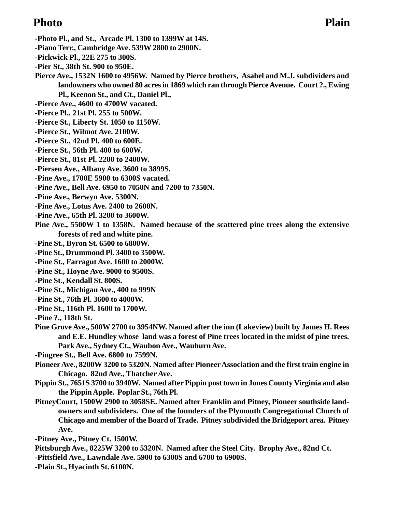### **Photo Plain**

- **-Photo Pl., and St., Arcade Pl. 1300 to 1399W at 14S.**
- **-Piano Terr., Cambridge Ave. 539W 2800 to 2900N.**
- **-Pickwick Pl., 22E 275 to 300S.**
- **-Pier St., 38th St. 900 to 950E.**

**Pierce Ave., 1532N 1600 to 4956W. Named by Pierce brothers, Asahel and M.J. subdividers and landowners who owned 80 acres in 1869 which ran through Pierce Avenue. Court ?., Ewing Pl., Keenon St., and Ct., Daniel Pl.,**

- **-Pierce Ave., 4600 to 4700W vacated.**
- **-Pierce Pl., 21st Pl. 255 to 500W.**
- **-Pierce St., Liberty St. 1050 to 1150W.**
- **-Pierce St., Wilmot Ave. 2100W.**
- **-Pierce St., 42nd Pl. 400 to 600E.**
- **-Pierce St., 56th Pl. 400 to 600W.**
- **-Pierce St., 81st Pl. 2200 to 2400W.**
- **-Piersen Ave., Albany Ave. 3600 to 3899S.**
- **-Pine Ave., 1700E 5900 to 6300S vacated.**
- **-Pine Ave., Bell Ave. 6950 to 7050N and 7200 to 7350N.**
- **-Pine Ave., Berwyn Ave. 5300N.**
- **-Pine Ave., Lotus Ave. 2400 to 2600N.**
- **-Pine Ave., 65th Pl. 3200 to 3600W.**
- **Pine Ave., 5500W 1 to 1358N. Named because of the scattered pine trees along the extensive forests of red and white pine.**
- **-Pine St., Byron St. 6500 to 6800W.**
- **-Pine St., Drummond Pl. 3400 to 3500W.**
- **-Pine St., Farragut Ave. 1600 to 2000W.**
- **-Pine St., Hoyne Ave. 9000 to 9500S.**
- **-Pine St., Kendall St. 800S.**
- **-Pine St., Michigan Ave., 400 to 999N**
- **-Pine St., 76th Pl. 3600 to 4000W.**
- **-Pine St., 116th Pl. 1600 to 1700W.**
- **-Pine ?., 118th St.**
- **Pine Grove Ave., 500W 2700 to 3954NW. Named after the inn (Lakeview) built by James H. Rees and E.E. Hundley whose land was a forest of Pine trees located in the midst of pine trees. Park Ave., Sydney Ct., Waubon Ave., Wauburn Ave.**
- **-Pingree St., Bell Ave. 6800 to 7599N.**
- **Pioneer Ave., 8200W 3200 to 5320N. Named after Pioneer Association and the first train engine in Chicago. 82nd Ave., Thatcher Ave.**
- **Pippin St., 7651S 3700 to 3940W. Named after Pippin post town in Jones County Virginia and also the Pippin Apple. Poplar St., 76th Pl.**
- **PitneyCourt, 1500W 2900 to 3058SE. Named after Franklin and Pitney, Pioneer southside landowners and subdividers. One of the founders of the Plymouth Congregational Church of Chicago and member of the Board of Trade. Pitney subdivided the Bridgeport area. Pitney Ave.**
- **-Pitney Ave., Pitney Ct. 1500W.**
- **Pittsburgh Ave., 8225W 3200 to 5320N. Named after the Steel City. Brophy Ave., 82nd Ct.**
- **-Pittsfield Ave., Lawndale Ave. 5900 to 6300S and 6700 to 6900S.**
- **-Plain St., Hyacinth St. 6100N.**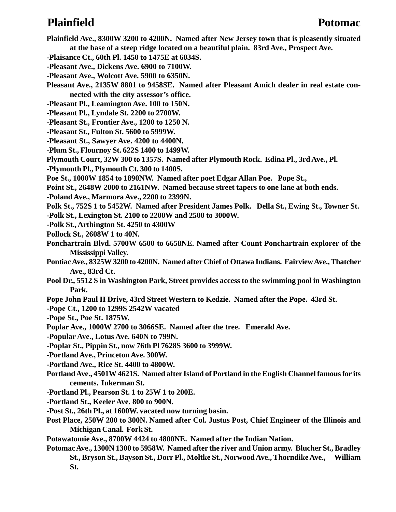### **Plainfield Potomac**

- **Plainfield Ave., 8300W 3200 to 4200N. Named after New Jersey town that is pleasently situated at the base of a steep ridge located on a beautiful plain. 83rd Ave., Prospect Ave.**
- **-Plaisance Ct., 60th Pl. 1450 to 1475E at 6034S.**
- **-Pleasant Ave., Dickens Ave. 6900 to 7100W.**
- **-Pleasant Ave., Wolcott Ave. 5900 to 6350N.**
- **Pleasant Ave., 2135W 8801 to 9458SE. Named after Pleasant Amich dealer in real estate connected with the city assessor's office.**
- **-Pleasant Pl., Leamington Ave. 100 to 150N.**
- **-Pleasant Pl., Lyndale St. 2200 to 2700W.**
- **-Pleasant St., Frontier Ave., 1200 to 1250 N.**
- **-Pleasant St., Fulton St. 5600 to 5999W.**
- **-Pleasant St., Sawyer Ave. 4200 to 4400N.**
- **-Plum St., Flournoy St. 622S 1400 to 1499W.**
- **Plymouth Court, 32W 300 to 1357S. Named after Plymouth Rock. Edina Pl., 3rd Ave., Pl.**
- **-Plymouth Pl., Plymouth Ct. 300 to 1400S.**
- **Poe St., 1000W 1854 to 1890NW. Named after poet Edgar Allan Poe. Pope St.,**
- **Point St., 2648W 2000 to 2161NW. Named because street tapers to one lane at both ends.**
- **-Poland Ave., Marmora Ave., 2200 to 2399N.**
- **Polk St., 752S 1 to 5452W. Named after President James Polk. Della St., Ewing St., Towner St.**
- **-Polk St., Lexington St. 2100 to 2200W and 2500 to 3000W.**
- **-Polk St., Arthington St. 4250 to 4300W**
- **Pollock St., 2608W 1 to 40N.**
- **Ponchartrain Blvd. 5700W 6500 to 6658NE. Named after Count Ponchartrain explorer of the Mississippi Valley.**
- **Pontiac Ave., 8325W 3200 to 4200N. Named after Chief of Ottawa Indians. Fairview Ave., Thatcher Ave., 83rd Ct.**
- **Pool Dr., 5512 S in Washington Park, Street provides access to the swimming pool in Washington Park.**
- **Pope John Paul II Drive, 43rd Street Western to Kedzie. Named after the Pope. 43rd St.**
- **-Pope Ct., 1200 to 1299S 2542W vacated**
- **-Pope St., Poe St. 1875W.**
- **Poplar Ave., 1000W 2700 to 3066SE. Named after the tree. Emerald Ave.**
- **-Popular Ave., Lotus Ave. 640N to 799N.**
- **-Poplar St., Pippin St., now 76th Pl 7628S 3600 to 3999W.**
- **-Portland Ave., Princeton Ave. 300W.**
- **-Portland Ave., Rice St. 4400 to 4800W.**
- **Portland Ave., 4501W 4621S. Named after Island of Portland in the English Channel famous for its cements. Iukerman St.**
- **-Portland Pl., Pearson St. 1 to 25W 1 to 200E.**
- **-Portland St., Keeler Ave. 800 to 900N.**
- **-Post St., 26th Pl., at 1600W. vacated now turning basin.**
- **Post Place, 250W 200 to 300N. Named after Col. Justus Post, Chief Engineer of the Illinois and Michigan Canal. Fork St.**
- **Potawatomie Ave., 8700W 4424 to 4800NE. Named after the Indian Nation.**
- **Potomac Ave., 1300N 1300 to 5958W. Named after the river and Union army. Blucher St., Bradley St., Bryson St., Bayson St., Dorr Pl., Moltke St., Norwood Ave., Thorndike Ave., William St.**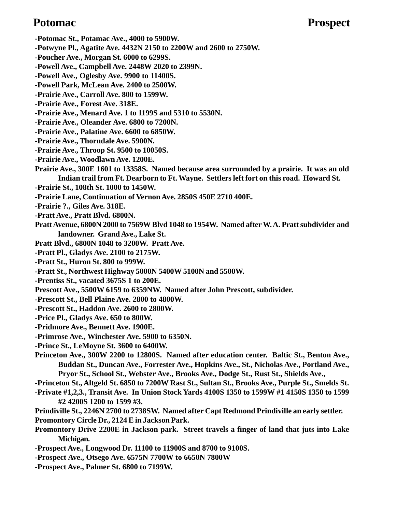### Potomac Prospect

**-Potomac St., Potamac Ave., 4000 to 5900W. -Potwyne Pl., Agatite Ave. 4432N 2150 to 2200W and 2600 to 2750W. -Poucher Ave., Morgan St. 6000 to 6299S. -Powell Ave., Campbell Ave. 2448W 2020 to 2399N. -Powell Ave., Oglesby Ave. 9900 to 11400S. -Powell Park, McLean Ave. 2400 to 2500W. -Prairie Ave., Carroll Ave. 800 to 1599W. -Prairie Ave., Forest Ave. 318E. -Prairie Ave., Menard Ave. 1 to 1199S and 5310 to 5530N. -Prairie Ave., Oleander Ave. 6800 to 7200N. -Prairie Ave., Palatine Ave. 6600 to 6850W. -Prairie Ave., Thorndale Ave. 5900N. -Prairie Ave., Throop St. 9500 to 10050S. -Prairie Ave., Woodlawn Ave. 1200E. Prairie Ave., 300E 1601 to 13358S. Named because area surrounded by a prairie. It was an old Indian trail from Ft. Dearborn to Ft. Wayne. Settlers left fort on this road. Howard St. -Prairie St., 108th St. 1000 to 1450W. -Prairie Lane, Continuation of Vernon Ave. 2850S 450E 2710 400E. -Prairie ?., Giles Ave. 318E. -Pratt Ave., Pratt Blvd. 6800N. Pratt Avenue, 6800N 2000 to 7569W Blvd 1048 to 1954W. Named after W. A. Pratt subdivider and landowner. Grand Ave., Lake St. Pratt Blvd., 6800N 1048 to 3200W. Pratt Ave. -Pratt Pl., Gladys Ave. 2100 to 2175W. -Pratt St., Huron St. 800 to 999W. -Pratt St., Northwest Highway 5000N 5400W 5100N and 5500W. -Prentiss St., vacated 3675S 1 to 200E. Prescott Ave., 5500W 6159 to 6359NW. Named after John Prescott, subdivider. -Prescott St., Bell Plaine Ave. 2800 to 4800W. -Prescott St., Haddon Ave. 2600 to 2800W. -Price Pl., Gladys Ave. 650 to 800W. -Pridmore Ave., Bennett Ave. 1900E. -Primrose Ave., Winchester Ave. 5900 to 6350N. -Prince St., LeMoyne St. 3600 to 6400W. Princeton Ave., 300W 2200 to 12800S. Named after education center. Baltic St., Benton Ave., Buddan St., Duncan Ave., Forrester Ave., Hopkins Ave., St., Nicholas Ave., Portland Ave., Pryor St., School St., Webster Ave., Brooks Ave., Dodge St., Rust St., Shields Ave.,**

**-Princeton St., Altgeld St. 6850 to 7200W Rast St., Sultan St., Brooks Ave., Purple St., Smelds St.**

**-Private #1,2,3., Transit Ave. In Union Stock Yards 4100S 1350 to 1599W #1 4150S 1350 to 1599 #2 4200S 1200 to 1599 #3.**

**Prindiville St., 2246N 2700 to 2738SW. Named after Capt Redmond Prindiville an early settler.**

**Promontory Circle Dr., 2124 E in Jackson Park.**

**Promontory Drive 2200E in Jackson park. Street travels a finger of land that juts into Lake Michigan.**

- **-Prospect Ave., Longwood Dr. 11100 to 11900S and 8700 to 9100S.**
- **-Prospect Ave., Otsego Ave. 6575N 7700W to 6650N 7800W**
- **-Prospect Ave., Palmer St. 6800 to 7199W.**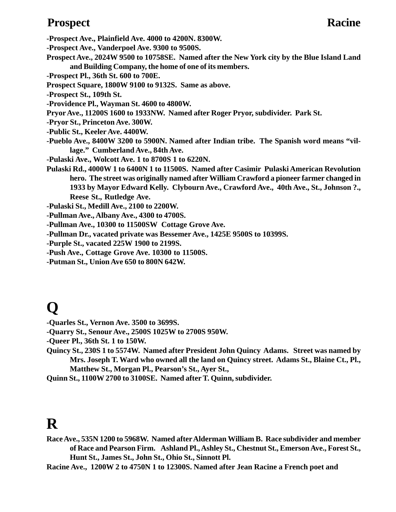### **Prospect Racine**

**-Prospect Ave., Plainfield Ave. 4000 to 4200N. 8300W.**

**-Prospect Ave., Vanderpoel Ave. 9300 to 9500S.**

**Prospect Ave., 2024W 9500 to 10758SE. Named after the New York city by the Blue Island Land and Building Company, the home of one of its members.**

**-Prospect Pl., 36th St. 600 to 700E.**

- **Prospect Square, 1800W 9100 to 9132S. Same as above.**
- **-Prospect St., 109th St.**
- **-Providence Pl., Wayman St. 4600 to 4800W.**
- **Pryor Ave., 11200S 1600 to 1933NW. Named after Roger Pryor, subdivider. Park St.**
- **-Pryor St., Princeton Ave. 300W.**
- **-Public St., Keeler Ave. 4400W.**
- **-Pueblo Ave., 8400W 3200 to 5900N. Named after Indian tribe. The Spanish word means "village." Cumberland Ave., 84th Ave.**
- **-Pulaski Ave., Wolcott Ave. 1 to 8700S 1 to 6220N.**
- **Pulaski Rd., 4000W 1 to 6400N 1 to 11500S. Named after Casimir Pulaski American Revolution hero. The street was originally named after William Crawford a pioneer farmer changed in 1933 by Mayor Edward Kelly. Clybourn Ave., Crawford Ave., 40th Ave., St., Johnson ?., Reese St., Rutledge Ave.**

**-Pulaski St., Medill Ave., 2100 to 2200W.**

- **-Pullman Ave., Albany Ave., 4300 to 4700S.**
- **-Pullman Ave., 10300 to 11500SW Cottage Grove Ave.**
- **-Pullman Dr., vacated private was Bessemer Ave., 1425E 9500S to 10399S.**
- **-Purple St., vacated 225W 1900 to 2199S.**
- **-Push Ave., Cottage Grove Ave. 10300 to 11500S.**
- **-Putman St., Union Ave 650 to 800N 642W.**

# **Q**

- **-Quarles St., Vernon Ave. 3500 to 3699S.**
- **-Quarry St., Senour Ave., 2500S 1025W to 2700S 950W.**

**-Queer Pl., 36th St. 1 to 150W.**

- **Quincy St., 230S 1 to 5574W. Named after President John Quincy Adams. Street was named by Mrs. Joseph T. Ward who owned all the land on Quincy street. Adams St., Blaine Ct., Pl., Matthew St., Morgan Pl., Pearson's St., Ayer St.,**
- **Quinn St., 1100W 2700 to 3100SE. Named after T. Quinn, subdivider.**

# **R**

**Race Ave., 535N 1200 to 5968W. Named after Alderman William B. Race subdivider and member of Race and Pearson Firm. Ashland Pl., Ashley St., Chestnut St., Emerson Ave., Forest St., Hunt St., James St., John St., Ohio St., Sinnott Pl.**

**Racine Ave., 1200W 2 to 4750N 1 to 12300S. Named after Jean Racine a French poet and**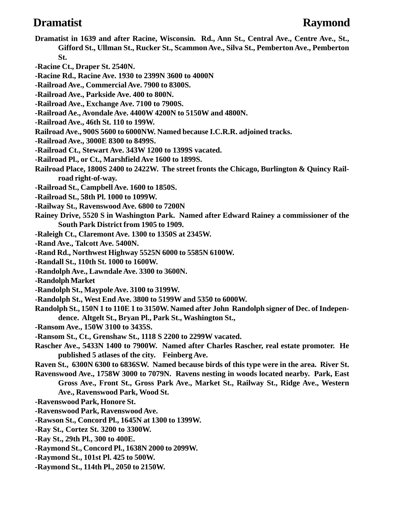### **Dramatist Raymond**

- **Dramatist in 1639 and after Racine, Wisconsin. Rd., Ann St., Central Ave., Centre Ave., St., Gifford St., Ullman St., Rucker St., Scammon Ave., Silva St., Pemberton Ave., Pemberton St.**
- **-Racine Ct., Draper St. 2540N.**
- **-Racine Rd., Racine Ave. 1930 to 2399N 3600 to 4000N**
- **-Railroad Ave., Commercial Ave. 7900 to 8300S.**
- **-Railroad Ave., Parkside Ave. 400 to 800N.**
- **-Railroad Ave., Exchange Ave. 7100 to 7900S.**
- **-Railroad Ae., Avondale Ave. 4400W 4200N to 5150W and 4800N.**
- **-Railroad Ave., 46th St. 110 to 199W.**
- **Railroad Ave., 900S 5600 to 6000NW. Named because I.C.R.R. adjoined tracks.**
- **-Railroad Ave., 3000E 8300 to 8499S.**
- **-Railroad Ct., Stewart Ave. 343W 1200 to 1399S vacated.**
- **-Railroad Pl., or Ct., Marshfield Ave 1600 to 1899S.**
- **Railroad Place, 1800S 2400 to 2422W. The street fronts the Chicago, Burlington & Quincy Railroad right-of-way.**
- **-Railroad St., Campbell Ave. 1600 to 1850S.**
- **-Railroad St., 58th Pl. 1000 to 1099W.**
- **-Railway St., Ravenswood Ave. 6800 to 7200N**
- **Rainey Drive, 5520 S in Washington Park. Named after Edward Rainey a commissioner of the South Park District from 1905 to 1909.**
- **-Raleigh Ct., Claremont Ave. 1300 to 1350S at 2345W.**
- **-Rand Ave., Talcott Ave. 5400N.**
- **-Rand Rd., Northwest Highway 5525N 6000 to 5585N 6100W.**
- **-Randall St., 110th St. 1000 to 1600W.**
- **-Randolph Ave., Lawndale Ave. 3300 to 3600N.**
- **-Randolph Market**
- **-Randolph St., Maypole Ave. 3100 to 3199W.**
- **-Randolph St., West End Ave. 3800 to 5199W and 5350 to 6000W.**
- **Randolph St., 150N 1 to 110E 1 to 3150W. Named after John Randolph signer of Dec. of Independence. Altgelt St., Bryan Pl., Park St., Washington St.,**
- **-Ransom Ave., 150W 3100 to 3435S.**
- **-Ransom St., Ct., Grenshaw St., 1118 S 2200 to 2299W vacated.**
- **Rascher Ave., 5433N 1400 to 7900W. Named after Charles Rascher, real estate promoter. He published 5 atlases of the city. Feinberg Ave.**
- **Raven St., 6300N 6300 to 6836SW. Named because birds of this type were in the area. River St. Ravenswood Ave., 1758W 3000 to 7079N. Ravens nesting in woods located nearby. Park, East**
	- **Gross Ave., Front St., Gross Park Ave., Market St., Railway St., Ridge Ave., Western Ave., Ravenswood Park, Wood St.**
- **-Ravenswood Park, Honore St.**
- **-Ravenswood Park, Ravenswood Ave.**
- **-Rawson St., Concord Pl., 1645N at 1300 to 1399W.**
- **-Ray St., Cortez St. 3200 to 3300W.**
- **-Ray St., 29th Pl., 300 to 400E.**
- **-Raymond St., Concord Pl., 1638N 2000 to 2099W.**
- **-Raymond St., 101st Pl. 425 to 500W.**
- **-Raymond St., 114th Pl., 2050 to 2150W.**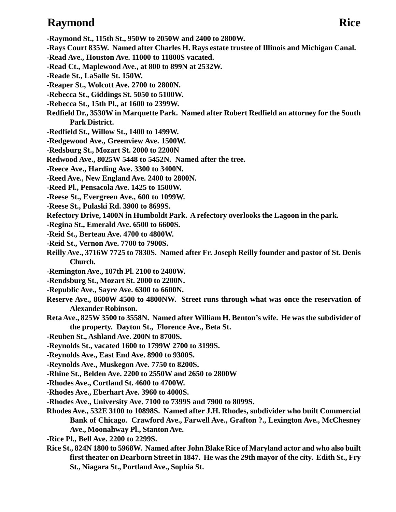### **Raymond Rice**

- **-Raymond St., 115th St., 950W to 2050W and 2400 to 2800W.**
- **-Rays Court 835W. Named after Charles H. Rays estate trustee of Illinois and Michigan Canal.**
- **-Read Ave., Houston Ave. 11000 to 11800S vacated.**
- **-Read Ct., Maplewood Ave., at 800 to 899N at 2532W.**
- **-Reade St., LaSalle St. 150W.**
- **-Reaper St., Wolcott Ave. 2700 to 2800N.**
- **-Rebecca St., Giddings St. 5050 to 5100W.**
- **-Rebecca St., 15th Pl., at 1600 to 2399W.**
- **Redfield Dr., 3530W in Marquette Park. Named after Robert Redfield an attorney for the South Park District.**
- **-Redfield St., Willow St., 1400 to 1499W.**
- **-Redgewood Ave., Greenview Ave. 1500W.**
- **-Redsburg St., Mozart St. 2000 to 2200N**
- **Redwood Ave., 8025W 5448 to 5452N. Named after the tree.**
- **-Reece Ave., Harding Ave. 3300 to 3400N.**
- **-Reed Ave., New England Ave. 2400 to 2800N.**
- **-Reed Pl., Pensacola Ave. 1425 to 1500W.**
- **-Reese St., Evergreen Ave., 600 to 1099W.**
- **-Reese St., Pulaski Rd. 3900 to 8699S.**
- **Refectory Drive, 1400N in Humboldt Park. A refectory overlooks the Lagoon in the park.**
- **-Regina St., Emerald Ave. 6500 to 6600S.**
- **-Reid St., Berteau Ave. 4700 to 4800W.**
- **-Reid St., Vernon Ave. 7700 to 7900S.**
- **Reilly Ave., 3716W 7725 to 7830S. Named after Fr. Joseph Reilly founder and pastor of St. Denis Church.**
- **-Remington Ave., 107th Pl. 2100 to 2400W.**
- **-Rendsburg St., Mozart St. 2000 to 2200N.**
- **-Republic Ave., Sayre Ave. 6300 to 6600N.**
- **Reserve Ave., 8600W 4500 to 4800NW. Street runs through what was once the reservation of Alexander Robinson.**
- **Reta Ave., 825W 3500 to 3558N. Named after William H. Benton's wife. He was the subdivider of the property. Dayton St., Florence Ave., Beta St.**
- **-Reuben St., Ashland Ave. 200N to 8700S.**
- **-Reynolds St., vacated 1600 to 1799W 2700 to 3199S.**
- **-Reynolds Ave., East End Ave. 8900 to 9300S.**
- **-Reynolds Ave., Muskegon Ave. 7750 to 8200S.**
- **-Rhine St., Belden Ave. 2200 to 2550W and 2650 to 2800W**
- **-Rhodes Ave., Cortland St. 4600 to 4700W.**
- **-Rhodes Ave., Eberhart Ave. 3960 to 4000S.**
- **-Rhodes Ave., University Ave. 7100 to 7399S and 7900 to 8099S.**
- **Rhodes Ave., 532E 3100 to 10898S. Named after J.H. Rhodes, subdivider who built Commercial Bank of Chicago. Crawford Ave., Farwell Ave., Grafton ?., Lexington Ave., McChesney Ave., Moonahway Pl., Stanton Ave.**
- **-Rice Pl., Bell Ave. 2200 to 2299S.**
- **Rice St., 824N 1800 to 5968W. Named after John Blake Rice of Maryland actor and who also built first theater on Dearborn Street in 1847. He was the 29th mayor of the city. Edith St., Fry St., Niagara St., Portland Ave., Sophia St.**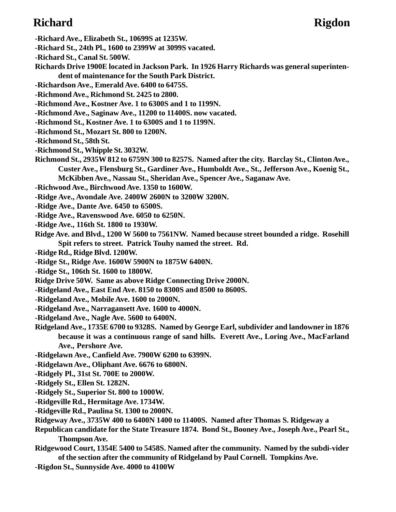### **Richard Rigdon**

- **-Richard Ave., Elizabeth St., 10699S at 1235W.**
- **-Richard St., 24th Pl., 1600 to 2399W at 3099S vacated.**
- **-Richard St., Canal St. 500W.**
- **Richards Drive 1900E located in Jackson Park. In 1926 Harry Richards was general superintendent of maintenance for the South Park District.**
- **-Richardson Ave., Emerald Ave. 6400 to 6475S.**
- **-Richmond Ave., Richmond St. 2425 to 2800.**
- **-Richmond Ave., Kostner Ave. 1 to 6300S and 1 to 1199N.**
- **-Richmond Ave., Saginaw Ave., 11200 to 11400S. now vacated.**
- **-Richmond St., Kostner Ave. 1 to 6300S and 1 to 1199N.**
- **-Richmond St., Mozart St. 800 to 1200N.**
- **-Richmond St., 58th St.**
- **-Richmond St., Whipple St. 3032W.**
- **Richmond St., 2935W 812 to 6759N 300 to 8257S. Named after the city. Barclay St., Clinton Ave., Custer Ave., Flensburg St., Gardiner Ave., Humboldt Ave., St., Jefferson Ave., Koenig St., McKibben Ave., Nassau St., Sheridan Ave., Spencer Ave., Saganaw Ave.**
- **-Richwood Ave., Birchwood Ave. 1350 to 1600W.**
- **-Ridge Ave., Avondale Ave. 2400W 2600N to 3200W 3200N.**
- **-Ridge Ave., Dante Ave. 6450 to 6500S.**
- **-Ridge Ave., Ravenswood Ave. 6050 to 6250N.**
- **-Ridge Ave., 116th St. 1800 to 1930W.**
- **Ridge Ave. and Blvd., 1200 W 5600 to 7561NW. Named because street bounded a ridge. Rosehill Spit refers to street. Patrick Touhy named the street. Rd.**
- **-Ridge Rd., Ridge Blvd. 1200W.**
- **-Ridge St., Ridge Ave. 1600W 5900N to 1875W 6400N.**
- **-Ridge St., 106th St. 1600 to 1800W.**
- **Ridge Drive 50W. Same as above Ridge Connecting Drive 2000N.**
- **-Ridgeland Ave., East End Ave. 8150 to 8300S and 8500 to 8600S.**
- **-Ridgeland Ave., Mobile Ave. 1600 to 2000N.**
- **-Ridgeland Ave., Narragansett Ave. 1600 to 4000N.**
- **-Ridgeland Ave., Nagle Ave. 5600 to 6400N.**
- **Ridgeland Ave., 1735E 6700 to 9328S. Named by George Earl, subdivider and landowner in 1876 because it was a continuous range of sand hills. Everett Ave., Loring Ave., MacFarland Ave., Pershore Ave.**
- **-Ridgelawn Ave., Canfield Ave. 7900W 6200 to 6399N.**
- **-Ridgelawn Ave., Oliphant Ave. 6676 to 6800N.**
- **-Ridgely Pl., 31st St. 700E to 2000W.**
- **-Ridgely St., Ellen St. 1282N.**
- **-Ridgely St., Superior St. 800 to 1000W.**
- **-Ridgeville Rd., Hermitage Ave. 1734W.**
- **-Ridgeville Rd., Paulina St. 1300 to 2000N.**
- **Ridgeway Ave., 3735W 400 to 6400N 1400 to 11400S. Named after Thomas S. Ridgeway a**
- **Republican candidate for the State Treasure 1874. Bond St., Booney Ave., Joseph Ave., Pearl St., Thompson Ave.**
- **Ridgewood Court, 1354E 5400 to 5458S. Named after the community. Named by the subdi-vider of the section after the community of Ridgeland by Paul Cornell. Tompkins Ave.**
- **-Rigdon St., Sunnyside Ave. 4000 to 4100W**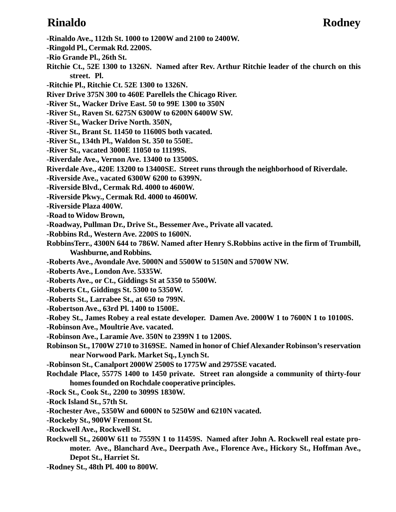### **Rinaldo Rodney**

- **-Ringold Pl., Cermak Rd. 2200S.**
- **-Rio Grande Pl., 26th St.**
- **Ritchie Ct., 52E 1300 to 1326N. Named after Rev. Arthur Ritchie leader of the church on this street. Pl.**
- **-Ritchie Pl., Ritchie Ct. 52E 1300 to 1326N.**
- **River Drive 375N 300 to 460E Parellels the Chicago River.**
- **-River St., Wacker Drive East. 50 to 99E 1300 to 350N**
- **-River St., Raven St. 6275N 6300W to 6200N 6400W SW.**
- **-River St., Wacker Drive North. 350N,**
- **-River St., Brant St. 11450 to 11600S both vacated.**
- **-River St., 134th Pl., Waldon St. 350 to 550E.**
- **-River St., vacated 3000E 11050 to 11199S.**
- **-Riverdale Ave., Vernon Ave. 13400 to 13500S.**
- **Riverdale Ave., 420E 13200 to 13400SE. Street runs through the neighborhood of Riverdale.**
- **-Riverside Ave., vacated 6300W 6200 to 6399N.**
- **-Riverside Blvd., Cermak Rd. 4000 to 4600W.**
- **-Riverside Pkwy., Cermak Rd. 4000 to 4600W.**
- **-Riverside Plaza 400W.**
- **-Road to Widow Brown,**
- **-Roadway, Pullman Dr., Drive St., Bessemer Ave., Private all vacated.**
- **-Robbins Rd., Western Ave. 2200S to 1600N.**
- **RobbinsTerr., 4300N 644 to 786W. Named after Henry S.Robbins active in the firm of Trumbill, Washburne, and Robbins.**
- **-Roberts Ave., Avondale Ave. 5000N and 5500W to 5150N and 5700W NW.**
- **-Roberts Ave., London Ave. 5335W.**
- **-Roberts Ave., or Ct., Giddings St at 5350 to 5500W.**
- **-Roberts Ct., Giddings St. 5300 to 5350W.**
- **-Roberts St., Larrabee St., at 650 to 799N.**
- **-Robertson Ave., 63rd Pl. 1400 to 1500E.**
- **-Robey St., James Robey a real estate developer. Damen Ave. 2000W 1 to 7600N 1 to 10100S.**
- **-Robinson Ave., Moultrie Ave. vacated.**
- **-Robinson Ave., Laramie Ave. 350N to 2399N 1 to 1200S.**
- **Robinson St., 1700W 2710 to 3169SE. Named in honor of Chief Alexander Robinson's reservation near Norwood Park. Market Sq., Lynch St.**
- **-Robinson St., Canalport 2000W 2500S to 1775W and 2975SE vacated.**
- **Rochdale Place, 5577S 1400 to 1450 private. Street ran alongside a community of thirty-four homes founded on Rochdale cooperative principles.**
- **-Rock St., Cook St., 2200 to 3099S 1830W.**
- **-Rock Island St., 57th St.**
- **-Rochester Ave., 5350W and 6000N to 5250W and 6210N vacated.**
- **-Rockeby St., 900W Fremont St.**
- **-Rockwell Ave., Rockwell St.**
- **Rockwell St., 2600W 611 to 7559N 1 to 11459S. Named after John A. Rockwell real estate promoter. Ave., Blanchard Ave., Deerpath Ave., Florence Ave., Hickory St., Hoffman Ave., Depot St., Harriet St.**
- **-Rodney St., 48th Pl. 400 to 800W.**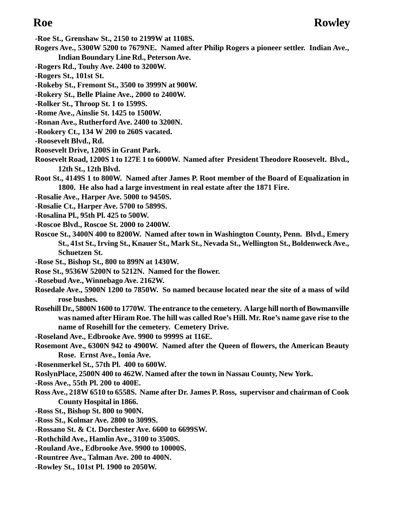- **-Roe St., Grenshaw St., 2150 to 2199W at 1108S.**
- **Rogers Ave., 5300W 5200 to 7679NE. Named after Philip Rogers a pioneer settler. Indian Ave., Indian Boundary Line Rd., Peterson Ave.**
- **-Rogers Rd., Touhy Ave. 2400 to 3200W.**
- **-Rogers St., 101st St.**
- **-Rokeby St., Fremont St., 3500 to 3999N at 900W.**
- **-Rokery St., Belle Plaine Ave., 2000 to 2400W.**
- **-Rolker St., Throop St. 1 to 1599S.**
- **-Rome Ave., Ainslie St. 1425 to 1500W.**
- **-Ronan Ave., Rutherford Ave. 2400 to 3200N.**
- **-Rookery Ct., 134 W 200 to 260S vacated.**
- **-Roosevelt Blvd., Rd.**
- **Roosevelt Drive, 1200S in Grant Park.**
- **Roosevelt Road, 1200S 1 to 127E 1 to 6000W. Named after President Theodore Roosevelt. Blvd., 12th St., 12th Blvd.**
- **Root St., 4149S 1 to 800W. Named after James P. Root member of the Board of Equalization in 1800. He also had a large investment in real estate after the 1871 Fire.**
- **-Rosalie Ave., Harper Ave. 5000 to 9450S.**
- **-Rosalie Ct., Harper Ave. 5700 to 5899S.**
- **-Rosalina Pl., 95th Pl. 425 to 500W.**
- **-Roscoe Blvd., Roscoe St. 2000 to 2400W.**
- **Roscoe St., 3400N 400 to 8200W. Named after town in Washington County, Penn. Blvd., Emery St., 41st St., Irving St., Knauer St., Mark St., Nevada St., Wellington St., Boldenweck Ave., Schuetzen St.**
- **-Rose St., Bishop St., 800 to 899N at 1430W.**
- **Rose St., 9536W 5200N to 5212N. Named for the flower.**
- **-Rosebud Ave., Winnebago Ave. 2162W.**
- **Rosedale Ave., 5900N 1200 to 7850W. So named because located near the site of a mass of wild rose bushes.**
- **Rosehill Dr., 5800N 1600 to 1770W. The entrance to the cemetery. A large hill north of Bowmanville was named after Hiram Roe. The hill was called Roe's Hill. Mr. Roe's name gave rise to the name of Rosehill for the cemetery. Cemetery Drive.**
- **-Roseland Ave., Edbrooke Ave. 9900 to 9999S at 116E.**
- **Rosemont Ave., 6300N 942 to 4900W. Named after the Queen of flowers, the American Beauty Rose. Ernst Ave., Ionia Ave.**
- **-Rosenmerkel St., 57th Pl. 400 to 600W.**
- **RoslynPlace, 2500N 400 to 462W. Named after the town in Nassau County, New York.**
- **-Ross Ave., 55th Pl. 200 to 400E.**
- **Ross Ave., 218W 6510 to 6558S. Name after Dr. James P. Ross, supervisor and chairman of Cook County Hospital in 1866.**
- **-Ross St., Bishop St. 800 to 900N.**
- **-Ross St., Kolmar Ave. 2800 to 3099S.**
- **-Rossano St. & Ct. Dorchester Ave. 6600 to 6699SW.**
- **-Rothchild Ave., Hamlin Ave., 3100 to 3500S.**
- **-Rouland Ave., Edbrooke Ave. 9900 to 10000S.**
- **-Rountree Ave., Talman Ave. 200 to 400N.**
- **-Rowley St., 101st Pl. 1900 to 2050W.**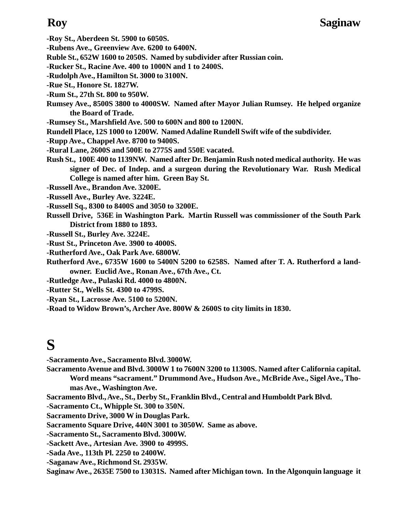**-Roy St., Aberdeen St. 5900 to 6050S.**

- **-Rubens Ave., Greenview Ave. 6200 to 6400N.**
- **Ruble St., 652W 1600 to 2050S. Named by subdivider after Russian coin.**
- **-Rucker St., Racine Ave. 400 to 1000N and 1 to 2400S.**
- **-Rudolph Ave., Hamilton St. 3000 to 3100N.**
- **-Rue St., Honore St. 1827W.**
- **-Rum St., 27th St. 800 to 950W.**
- **Rumsey Ave., 8500S 3800 to 4000SW. Named after Mayor Julian Rumsey. He helped organize the Board of Trade.**
- **-Rumsey St., Marshfield Ave. 500 to 600N and 800 to 1200N.**
- **Rundell Place, 12S 1000 to 1200W. Named Adaline Rundell Swift wife of the subdivider.**
- **-Rupp Ave., Chappel Ave. 8700 to 9400S.**
- **-Rural Lane, 2600S and 500E to 2775S and 550E vacated.**
- **Rush St., 100E 400 to 1139NW. Named after Dr. Benjamin Rush noted medical authority. He was signer of Dec. of Indep. and a surgeon during the Revolutionary War. Rush Medical College is named after him. Green Bay St.**
- **-Russell Ave., Brandon Ave. 3200E.**
- **-Russell Ave., Burley Ave. 3224E.**
- **-Russell Sq., 8300 to 8400S and 3050 to 3200E.**
- **Russell Drive, 536E in Washington Park. Martin Russell was commissioner of the South Park District from 1880 to 1893.**
- **-Russell St., Burley Ave. 3224E.**
- **-Rust St., Princeton Ave. 3900 to 4000S.**
- **-Rutherford Ave., Oak Park Ave. 6800W.**
- **Rutherford Ave., 6735W 1600 to 5400N 5200 to 6258S. Named after T. A. Rutherford a landowner. Euclid Ave., Ronan Ave., 67th Ave., Ct.**
- **-Rutledge Ave., Pulaski Rd. 4000 to 4800N.**
- **-Rutter St., Wells St. 4300 to 4799S.**
- **-Ryan St., Lacrosse Ave. 5100 to 5200N.**
- **-Road to Widow Brown's, Archer Ave. 800W & 2600S to city limits in 1830.**

## **S**

- **-Sacramento Ave., Sacramento Blvd. 3000W.**
- **Sacramento Avenue and Blvd. 3000W 1 to 7600N 3200 to 11300S. Named after California capital.**
	- **Word means "sacrament." Drummond Ave., Hudson Ave., McBride Ave., Sigel Ave., Thomas Ave., Washington Ave.**
- **Sacramento Blvd., Ave., St., Derby St., Franklin Blvd., Central and Humboldt Park Blvd.**
- **-Sacramento Ct., Whipple St. 300 to 350N.**
- **Sacramento Drive, 3000 W in Douglas Park.**
- **Sacramento Square Drive, 440N 3001 to 3050W. Same as above.**
- **-Sacramento St., Sacramento Blvd. 3000W.**
- **-Sackett Ave., Artesian Ave. 3900 to 4999S.**
- **-Sada Ave., 113th Pl. 2250 to 2400W.**
- **-Saganaw Ave., Richmond St. 2935W.**
- **Saginaw Ave., 2635E 7500 to 13031S. Named after Michigan town. In the Algonquin language it**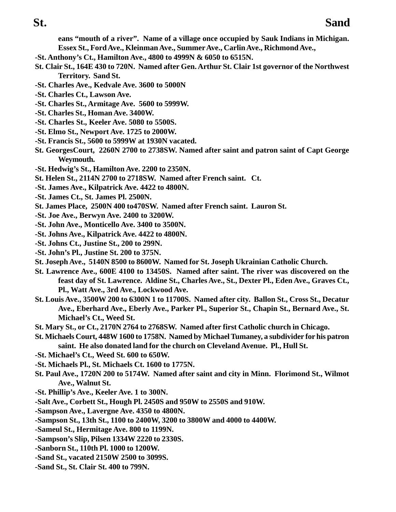**eans "mouth of a river". Name of a village once occupied by Sauk Indians in Michigan. Essex St., Ford Ave., Kleinman Ave., Summer Ave., Carlin Ave., Richmond Ave.,**

- **-St. Anthony's Ct., Hamilton Ave., 4800 to 4999N & 6050 to 6515N.**
- **St. Clair St., 164E 430 to 720N. Named after Gen. Arthur St. Clair 1st governor of the Northwest Territory. Sand St.**
- **-St. Charles Ave., Kedvale Ave. 3600 to 5000N**
- **-St. Charles Ct., Lawson Ave.**
- **-St. Charles St., Armitage Ave. 5600 to 5999W.**
- **-St. Charles St., Homan Ave. 3400W.**
- **-St. Charles St., Keeler Ave. 5080 to 5500S.**
- **-St. Elmo St., Newport Ave. 1725 to 2000W.**
- **-St. Francis St., 5600 to 5999W at 1930N vacated.**
- **St. GeorgesCourt, 2260N 2700 to 2738SW. Named after saint and patron saint of Capt George Weymouth.**
- **-St. Hedwig's St., Hamilton Ave. 2200 to 2350N.**
- **St. Helen St., 2114N 2700 to 2718SW. Named after French saint. Ct.**
- **-St. James Ave., Kilpatrick Ave. 4422 to 4800N.**
- **-St. James Ct., St. James Pl. 2500N.**
- **St. James Place, 2500N 400 to470SW. Named after French saint. Lauron St.**
- **-St. Joe Ave., Berwyn Ave. 2400 to 3200W.**
- **-St. John Ave., Monticello Ave. 3400 to 3500N.**
- **-St. Johns Ave., Kilpatrick Ave. 4422 to 4800N.**
- **-St. Johns Ct., Justine St., 200 to 299N.**
- **-St. John's Pl., Justine St. 200 to 375N.**
- **St. Joseph Ave., 5140N 8500 to 8600W. Named for St. Joseph Ukrainian Catholic Church.**
- **St. Lawrence Ave., 600E 4100 to 13450S. Named after saint. The river was discovered on the feast day of St. Lawrence. Aldine St., Charles Ave., St., Dexter Pl., Eden Ave., Graves Ct., Pl., Watt Ave., 3rd Ave., Lockwood Ave.**
- **St. Louis Ave., 3500W 200 to 6300N 1 to 11700S. Named after city. Ballon St., Cross St., Decatur Ave., Eberhard Ave., Eberly Ave., Parker Pl., Superior St., Chapin St., Bernard Ave., St. Michael's Ct., Weed St.**
- **St. Mary St., or Ct., 2170N 2764 to 2768SW. Named after first Catholic church in Chicago.**
- **St. Michaels Court, 448W 1600 to 1758N. Named by Michael Tumaney, a subdivider for his patron saint. He also donated land for the church on Cleveland Avenue. Pl., Hull St.**
- **-St. Michael's Ct., Weed St. 600 to 650W.**
- **-St. Michaels Pl., St. Michaels Ct. 1600 to 1775N.**
- **St. Paul Ave., 1720N 200 to 5174W. Named after saint and city in Minn. Florimond St., Wilmot Ave., Walnut St.**
- **-St. Phillip's Ave., Keeler Ave. 1 to 300N.**
- **-Salt Ave., Corbett St., Hough Pl. 2450S and 950W to 2550S and 910W.**
- **-Sampson Ave., Lavergne Ave. 4350 to 4800N.**
- **-Sampson St., 13th St., 1100 to 2400W, 3200 to 3800W and 4000 to 4400W.**
- **-Sameul St., Hermitage Ave. 800 to 1199N.**
- **-Sampson's Slip, Pilsen 1334W 2220 to 2330S.**
- **-Sanborn St., 110th Pl. 1000 to 1200W.**
- **-Sand St., vacated 2150W 2500 to 3099S.**
- **-Sand St., St. Clair St. 400 to 799N.**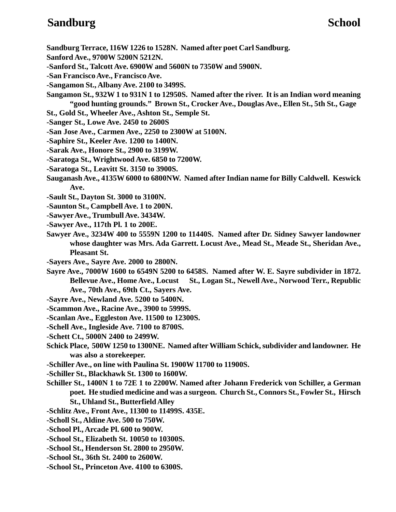### **Sandburg School**

- **Sandburg Terrace, 116W 1226 to 1528N. Named after poet Carl Sandburg.**
- **Sanford Ave., 9700W 5200N 5212N.**
- **-Sanford St., Talcott Ave. 6900W and 5600N to 7350W and 5900N.**
- **-San Francisco Ave., Francisco Ave.**
- **-Sangamon St., Albany Ave. 2100 to 3499S.**
- **Sangamon St., 932W 1 to 931N 1 to 12950S. Named after the river. It is an Indian word meaning "good hunting grounds." Brown St., Crocker Ave., Douglas Ave., Ellen St., 5th St., Gage**
- **St., Gold St., Wheeler Ave., Ashton St., Semple St.**
- **-Sanger St., Lowe Ave. 2450 to 2600S**
- **-San Jose Ave., Carmen Ave., 2250 to 2300W at 5100N.**
- **-Saphire St., Keeler Ave. 1200 to 1400N.**
- **-Sarak Ave., Honore St., 2900 to 3199W.**
- **-Saratoga St., Wrightwood Ave. 6850 to 7200W.**
- **-Saratoga St., Leavitt St. 3150 to 3900S.**
- **Sauganash Ave., 4135W 6000 to 6800NW. Named after Indian name for Billy Caldwell. Keswick Ave.**
- **-Sault St., Dayton St. 3000 to 3100N.**
- **-Saunton St., Campbell Ave. 1 to 200N.**
- **-Sawyer Ave., Trumbull Ave. 3434W.**
- **-Sawyer Ave., 117th Pl. 1 to 200E.**
- **Sawyer Ave., 3234W 400 to 5559N 1200 to 11440S. Named after Dr. Sidney Sawyer landowner whose daughter was Mrs. Ada Garrett. Locust Ave., Mead St., Meade St., Sheridan Ave., Pleasant St.**
- **-Sayers Ave., Sayre Ave. 2000 to 2800N.**
- **Sayre Ave., 7000W 1600 to 6549N 5200 to 6458S. Named after W. E. Sayre subdivider in 1872.** Bellevue Ave., Home Ave., Locust St., Logan St., Newell Ave., Norwood Terr., Republic **Ave., 70th Ave., 69th Ct., Sayers Ave.**
- **-Sayre Ave., Newland Ave. 5200 to 5400N.**
- **-Scammon Ave., Racine Ave., 3900 to 5999S.**
- **-Scanlan Ave., Eggleston Ave. 11500 to 12300S.**
- **-Schell Ave., Ingleside Ave. 7100 to 8700S.**
- **-Schett Ct., 5000N 2400 to 2499W.**
- **Schick Place, 500W 1250 to 1300NE. Named after William Schick, subdivider and landowner. He was also a storekeeper.**
- **-Schiller Ave., on line with Paulina St. 1900W 11700 to 11900S.**
- **-Schiller St., Blackhawk St. 1300 to 1600W.**
- **Schiller St., 1400N 1 to 72E 1 to 2200W. Named after Johann Frederick von Schiller, a German poet. He studied medicine and was a surgeon. Church St., Connors St., Fowler St., Hirsch St., Uhland St., Butterfield Alley**
- **-Schlitz Ave., Front Ave., 11300 to 11499S. 435E.**
- **-Scholl St., Aldine Ave. 500 to 750W.**
- **-School Pl., Arcade Pl. 600 to 900W.**
- **-School St., Elizabeth St. 10050 to 10300S.**
- **-School St., Henderson St. 2800 to 2950W.**
- **-School St., 36th St. 2400 to 2600W.**
- **-School St., Princeton Ave. 4100 to 6300S.**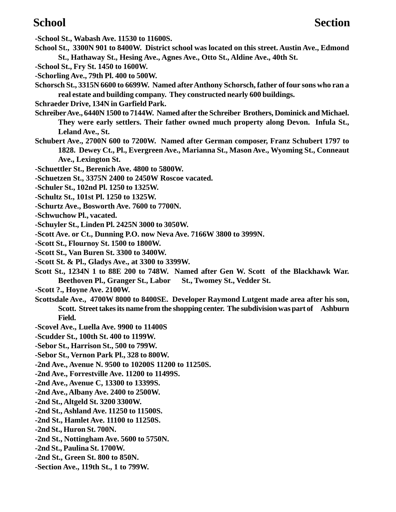**-School St., Wabash Ave. 11530 to 11600S. School St., 3300N 901 to 8400W. District school was located on this street. Austin Ave., Edmond St., Hathaway St., Hesing Ave., Agnes Ave., Otto St., Aldine Ave., 40th St. -School St., Fry St. 1450 to 1600W. -Schorling Ave., 79th Pl. 400 to 500W. Schorsch St., 3315N 6600 to 6699W. Named after Anthony Schorsch, father of four sons who ran a real estate and building company. They constructed nearly 600 buildings. Schraeder Drive, 134N in Garfield Park. Schreiber Ave., 6440N 1500 to 7144W. Named after the Schreiber Brothers, Dominick and Michael. They were early settlers. Their father owned much property along Devon. Infula St., Leland Ave., St. Schubert Ave., 2700N 600 to 7200W. Named after German composer, Franz Schubert 1797 to 1828. Dewey Ct., Pl., Evergreen Ave., Marianna St., Mason Ave., Wyoming St., Conneaut Ave., Lexington St. -Schuettler St., Berenich Ave. 4800 to 5800W. -Schuetzen St., 3375N 2400 to 2450W Roscoe vacated. -Schuler St., 102nd Pl. 1250 to 1325W. -Schultz St., 101st Pl. 1250 to 1325W. -Schurtz Ave., Bosworth Ave. 7600 to 7700N. -Schwuchow Pl., vacated. -Schuyler St., Linden Pl. 2425N 3000 to 3050W. -Scott Ave. or Ct., Dunning P.O. now Neva Ave. 7166W 3800 to 3999N. -Scott St., Flournoy St. 1500 to 1800W. -Scott St., Van Buren St. 3300 to 3400W. -Scott St. & Pl., Gladys Ave., at 3300 to 3399W. Scott St., 1234N 1 to 88E 200 to 748W. Named after Gen W. Scott of the Blackhawk War.** Beethoven Pl., Granger St., Labor St., Twomey St., Vedder St. **-Scott ?., Hoyne Ave. 2100W. Scottsdale Ave., 4700W 8000 to 8400SE. Developer Raymond Lutgent made area after his son, Scott. Street takes its name from the shopping center. The subdivision was part of Ashburn Field. -Scovel Ave., Luella Ave. 9900 to 11400S -Scudder St., 100th St. 400 to 1199W. -Sebor St., Harrison St., 500 to 799W. -Sebor St., Vernon Park Pl., 328 to 800W. -2nd Ave., Avenue N. 9500 to 10200S 11200 to 11250S. -2nd Ave., Forrestville Ave. 11200 to 11499S. -2nd Ave., Avenue C, 13300 to 13399S. -2nd Ave., Albany Ave. 2400 to 2500W. -2nd St., Altgeld St. 3200 3300W.**

- **-2nd St., Ashland Ave. 11250 to 11500S.**
- **-2nd St., Hamlet Ave. 11100 to 11250S.**
- **-2nd St., Huron St. 700N.**
- **-2nd St., Nottingham Ave. 5600 to 5750N.**
- **-2nd St., Paulina St. 1700W.**
- **-2nd St., Green St. 800 to 850N.**
- **-Section Ave., 119th St., 1 to 799W.**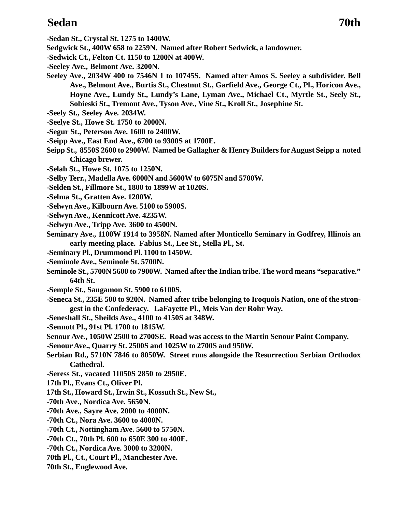### **Sedan 70th**

- **-Sedan St., Crystal St. 1275 to 1400W.**
- **Sedgwick St., 400W 658 to 2259N. Named after Robert Sedwick, a landowner.**
- **-Sedwick Ct., Felton Ct. 1150 to 1200N at 400W.**
- **-Seeley Ave., Belmont Ave. 3200N.**
- **Seeley Ave., 2034W 400 to 7546N 1 to 10745S. Named after Amos S. Seeley a subdivider. Bell Ave., Belmont Ave., Burtis St., Chestnut St., Garfield Ave., George Ct., Pl., Horicon Ave., Hoyne Ave., Lundy St., Lundy's Lane, Lyman Ave., Michael Ct., Myrtle St., Seely St., Sobieski St., Tremont Ave., Tyson Ave., Vine St., Kroll St., Josephine St.**
- **-Seely St., Seeley Ave. 2034W.**
- **-Seelye St., Howe St. 1750 to 2000N.**
- **-Segur St., Peterson Ave. 1600 to 2400W.**
- **-Seipp Ave., East End Ave., 6700 to 9300S at 1700E.**
- **Seipp St., 8550S 2600 to 2900W. Named be Gallagher & Henry Builders for August Seipp a noted Chicago brewer.**
- **-Selah St., Howe St. 1075 to 1250N.**
- **-Selby Terr., Madella Ave. 6000N and 5600W to 6075N and 5700W.**
- **-Selden St., Fillmore St., 1800 to 1899W at 1020S.**
- **-Selma St., Gratten Ave. 1200W.**
- **-Selwyn Ave., Kilbourn Ave. 5100 to 5900S.**
- **-Selwyn Ave., Kennicott Ave. 4235W.**
- **-Selwyn Ave., Tripp Ave. 3600 to 4500N.**
- **Seminary Ave., 1100W 1914 to 3958N. Named after Monticello Seminary in Godfrey, Illinois an early meeting place. Fabius St., Lee St., Stella Pl., St.**
- **-Seminary Pl., Drummond Pl. 1100 to 1450W.**
- **-Seminole Ave., Seminole St. 5700N.**
- **Seminole St., 5700N 5600 to 7900W. Named after the Indian tribe. The word means "separative." 64th St.**
- **-Semple St., Sangamon St. 5900 to 6100S.**
- **-Seneca St., 235E 500 to 920N. Named after tribe belonging to Iroquois Nation, one of the strongest in the Confederacy. LaFayette Pl., Meis Van der Rohr Way.**
- **-Seneshall St., Sheilds Ave., 4100 to 4150S at 348W.**
- **-Sennott Pl., 91st Pl. 1700 to 1815W.**
- **Senour Ave., 1050W 2500 to 2700SE. Road was access to the Martin Senour Paint Company.**
- **-Senour Ave., Quarry St. 2500S and 1025W to 2700S and 950W.**
- **Serbian Rd., 5710N 7846 to 8050W. Street runs alongside the Resurrection Serbian Orthodox Cathedral.**
- **-Seress St., vacated 11050S 2850 to 2950E.**
- **17th Pl., Evans Ct., Oliver Pl.**
- **17th St., Howard St., Irwin St., Kossuth St., New St.,**
- **-70th Ave., Nordica Ave. 5650N.**
- **-70th Ave., Sayre Ave. 2000 to 4000N.**
- **-70th Ct., Nora Ave. 3600 to 4000N.**
- **-70th Ct., Nottingham Ave. 5600 to 5750N.**
- **-70th Ct., 70th Pl. 600 to 650E 300 to 400E.**
- **-70th Ct., Nordica Ave. 3000 to 3200N.**
- **70th Pl., Ct., Court Pl., Manchester Ave.**
- **70th St., Englewood Ave.**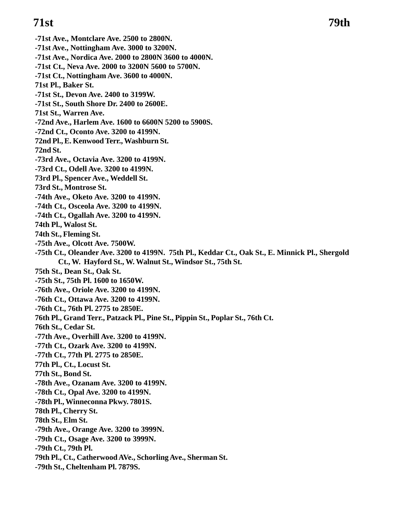**-71st Ave., Montclare Ave. 2500 to 2800N. -71st Ave., Nottingham Ave. 3000 to 3200N. -71st Ave., Nordica Ave. 2000 to 2800N 3600 to 4000N. -71st Ct., Neva Ave. 2000 to 3200N 5600 to 5700N. -71st Ct., Nottingham Ave. 3600 to 4000N. 71st Pl., Baker St. -71st St., Devon Ave. 2400 to 3199W. -71st St., South Shore Dr. 2400 to 2600E. 71st St., Warren Ave. -72nd Ave., Harlem Ave. 1600 to 6600N 5200 to 5900S. -72nd Ct., Oconto Ave. 3200 to 4199N. 72nd Pl., E. Kenwood Terr., Washburn St. 72nd St. -73rd Ave., Octavia Ave. 3200 to 4199N. -73rd Ct., Odell Ave. 3200 to 4199N. 73rd Pl., Spencer Ave., Weddell St. 73rd St., Montrose St. -74th Ave., Oketo Ave. 3200 to 4199N. -74th Ct., Osceola Ave. 3200 to 4199N. -74th Ct., Ogallah Ave. 3200 to 4199N. 74th Pl., Walost St. 74th St., Fleming St. -75th Ave., Olcott Ave. 7500W. -75th Ct., Oleander Ave. 3200 to 4199N. 75th Pl., Keddar Ct., Oak St., E. Minnick Pl., Shergold Ct., W. Hayford St., W. Walnut St., Windsor St., 75th St. 75th St., Dean St., Oak St. -75th St., 75th Pl. 1600 to 1650W. -76th Ave., Oriole Ave. 3200 to 4199N. -76th Ct., Ottawa Ave. 3200 to 4199N. -76th Ct., 76th Pl. 2775 to 2850E. 76th Pl., Grand Terr., Patzack Pl., Pine St., Pippin St., Poplar St., 76th Ct. 76th St., Cedar St. -77th Ave., Overhill Ave. 3200 to 4199N. -77th Ct., Ozark Ave. 3200 to 4199N. -77th Ct., 77th Pl. 2775 to 2850E. 77th Pl., Ct., Locust St. 77th St., Bond St. -78th Ave., Ozanam Ave. 3200 to 4199N. -78th Ct., Opal Ave. 3200 to 4199N. -78th Pl., Winneconna Pkwy. 7801S. 78th Pl., Cherry St. 78th St., Elm St. -79th Ave., Orange Ave. 3200 to 3999N. -79th Ct., Osage Ave. 3200 to 3999N. -79th Ct., 79th Pl. 79th Pl., Ct., Catherwood AVe., Schorling Ave., Sherman St. -79th St., Cheltenham Pl. 7879S.**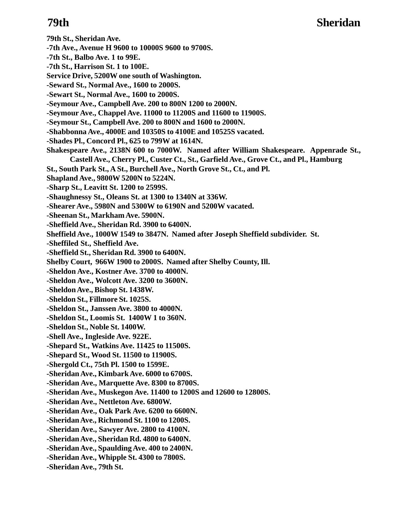- **79th St., Sheridan Ave. -7th Ave., Avenue H 9600 to 10000S 9600 to 9700S. -7th St., Balbo Ave. 1 to 99E.**
- **-7th St., Harrison St. 1 to 100E.**
- **Service Drive, 5200W one south of Washington.**
- **-Seward St., Normal Ave., 1600 to 2000S.**
- **-Sewart St., Normal Ave., 1600 to 2000S.**
- **-Seymour Ave., Campbell Ave. 200 to 800N 1200 to 2000N.**
- **-Seymour Ave., Chappel Ave. 11000 to 11200S and 11600 to 11900S.**
- **-Seymour St., Campbell Ave. 200 to 800N and 1600 to 2000N.**
- **-Shabbonna Ave., 4000E and 10350S to 4100E and 10525S vacated.**
- **-Shades Pl., Concord Pl., 625 to 799W at 1614N.**
- **Shakespeare Ave., 2138N 600 to 7000W. Named after William Shakespeare. Appenrade St., Castell Ave., Cherry Pl., Custer Ct., St., Garfield Ave., Grove Ct., and Pl., Hamburg**
- **St., South Park St., A St., Burchell Ave., North Grove St., Ct., and Pl.**
- **Shapland Ave., 9800W 5200N to 5224N.**
- **-Sharp St., Leavitt St. 1200 to 2599S.**
- **-Shaughnessy St., Oleans St. at 1300 to 1340N at 336W.**
- **-Shearer Ave., 5980N and 5300W to 6190N and 5200W vacated.**
- **-Sheenan St., Markham Ave. 5900N.**
- **-Sheffield Ave., Sheridan Rd. 3900 to 6400N.**
- **Sheffield Ave., 1000W 1549 to 3847N. Named after Joseph Sheffield subdivider. St.**
- **-Sheffiled St., Sheffield Ave.**
- **-Sheffield St., Sheridan Rd. 3900 to 6400N.**
- **Shelby Court, 966W 1900 to 2000S. Named after Shelby County, Ill.**
- **-Sheldon Ave., Kostner Ave. 3700 to 4000N.**
- **-Sheldon Ave., Wolcott Ave. 3200 to 3600N.**
- **-Sheldon Ave., Bishop St. 1438W.**
- **-Sheldon St., Fillmore St. 1025S.**
- **-Sheldon St., Janssen Ave. 3800 to 4000N.**
- **-Sheldon St., Loomis St. 1400W 1 to 360N.**
- **-Sheldon St., Noble St. 1400W.**
- **-Shell Ave., Ingleside Ave. 922E.**
- **-Shepard St., Watkins Ave. 11425 to 11500S.**
- **-Shepard St., Wood St. 11500 to 11900S.**
- **-Shergold Ct., 75th Pl. 1500 to 1599E.**
- **-Sheridan Ave., Kimbark Ave. 6000 to 6700S.**
- **-Sheridan Ave., Marquette Ave. 8300 to 8700S.**
- **-Sheridan Ave., Muskegon Ave. 11400 to 1200S and 12600 to 12800S.**
- **-Sheridan Ave., Nettleton Ave. 6800W.**
- **-Sheridan Ave., Oak Park Ave. 6200 to 6600N.**
- **-Sheridan Ave., Richmond St. 1100 to 1200S.**
- **-Sheridan Ave., Sawyer Ave. 2800 to 4100N.**
- **-Sheridan Ave., Sheridan Rd. 4800 to 6400N.**
- **-Sheridan Ave., Spaulding Ave. 400 to 2400N.**
- **-Sheridan Ave., Whipple St. 4300 to 7800S.**
- **-Sheridan Ave., 79th St.**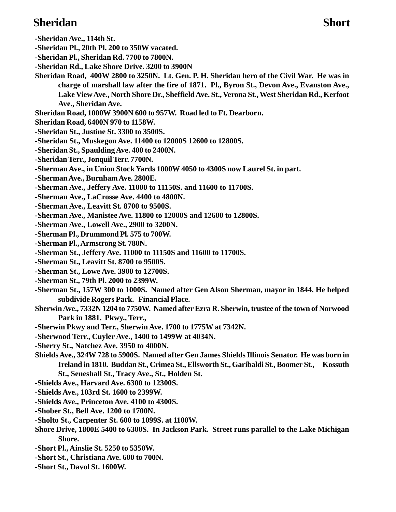### **Sheridan Short**

- **-Sheridan Ave., 114th St.**
- **-Sheridan Pl., 20th Pl. 200 to 350W vacated.**
- **-Sheridan Pl., Sheridan Rd. 7700 to 7800N.**
- **-Sheridan Rd., Lake Shore Drive. 3200 to 3900N**
- **Sheridan Road, 400W 2800 to 3250N. Lt. Gen. P. H. Sheridan hero of the Civil War. He was in charge of marshall law after the fire of 1871. Pl., Byron St., Devon Ave., Evanston Ave., Lake View Ave., North Shore Dr., Sheffield Ave. St., Verona St., West Sheridan Rd., Kerfoot Ave., Sheridan Ave.**
- **Sheridan Road, 1000W 3900N 600 to 957W. Road led to Ft. Dearborn.**
- **Sheridan Road, 6400N 970 to 1158W.**
- **-Sheridan St., Justine St. 3300 to 3500S.**
- **-Sheridan St., Muskegon Ave. 11400 to 12000S 12600 to 12800S.**
- **-Sheridan St., Spaulding Ave. 400 to 2400N.**
- **-Sheridan Terr., Jonquil Terr. 7700N.**
- **-Sherman Ave., in Union Stock Yards 1000W 4050 to 4300S now Laurel St. in part.**
- **-Sherman Ave., Burnham Ave. 2800E.**
- **-Sherman Ave., Jeffery Ave. 11000 to 11150S. and 11600 to 11700S.**
- **-Sherman Ave., LaCrosse Ave. 4400 to 4800N.**
- **-Sherman Ave., Leavitt St. 8700 to 9500S.**
- **-Sherman Ave., Manistee Ave. 11800 to 12000S and 12600 to 12800S.**
- **-Sherman Ave., Lowell Ave., 2900 to 3200N.**
- **-Sherman Pl., Drummond Pl. 575 to 700W.**
- **-Sherman Pl., Armstrong St. 780N.**
- **-Sherman St., Jeffery Ave. 11000 to 11150S and 11600 to 11700S.**
- **-Sherman St., Leavitt St. 8700 to 9500S.**
- **-Sherman St., Lowe Ave. 3900 to 12700S.**
- **-Sherman St., 79th Pl. 2000 to 2399W.**
- **-Sherman St., 157W 300 to 1000S. Named after Gen Alson Sherman, mayor in 1844. He helped subdivide Rogers Park. Financial Place.**
- **Sherwin Ave., 7332N 1204 to 7750W. Named after Ezra R. Sherwin, trustee of the town of Norwood Park in 1881. Pkwy., Terr.,**
- **-Sherwin Pkwy and Terr., Sherwin Ave. 1700 to 1775W at 7342N.**
- **-Sherwood Terr., Cuyler Ave., 1400 to 1499W at 4034N.**
- **-Sherry St., Natchez Ave. 3950 to 4000N.**
- **Shields Ave., 324W 728 to 5900S. Named after Gen James Shields Illinois Senator. He was born in Ireland in 1810. Buddan St., Crimea St., Ellsworth St., Garibaldi St., Boomer St., Kossuth St., Seneshall St., Tracy Ave., St., Holden St.**
- **-Shields Ave., Harvard Ave. 6300 to 12300S.**
- **-Shields Ave., 103rd St. 1600 to 2399W.**
- **-Shields Ave., Princeton Ave. 4100 to 4300S.**
- **-Shober St., Bell Ave. 1200 to 1700N.**
- **-Sholto St., Carpenter St. 600 to 1099S. at 1100W.**
- **Shore Drive, 1800E 5400 to 6300S. In Jackson Park. Street runs parallel to the Lake Michigan Shore.**
- **-Short Pl., Ainslie St. 5250 to 5350W.**
- **-Short St., Christiana Ave. 600 to 700N.**
- **-Short St., Davol St. 1600W.**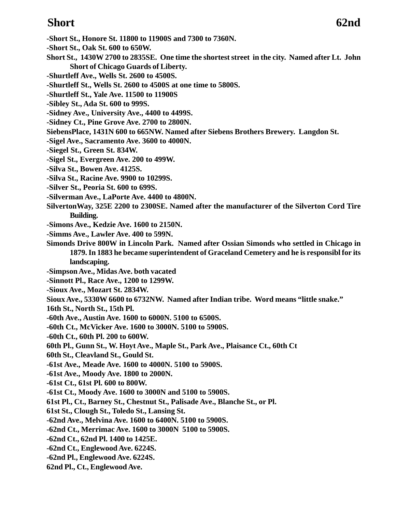### **Short 62nd**

- **-Short St., Honore St. 11800 to 11900S and 7300 to 7360N.**
- **-Short St., Oak St. 600 to 650W.**
- **Short St., 1430W 2700 to 2835SE. One time the shortest street in the city. Named after Lt. John Short of Chicago Guards of Liberty.**
- **-Shurtleff Ave., Wells St. 2600 to 4500S.**
- **-Shurtleff St., Wells St. 2600 to 4500S at one time to 5800S.**
- **-Shurtleff St., Yale Ave. 11500 to 11900S**
- **-Sibley St., Ada St. 600 to 999S.**
- **-Sidney Ave., University Ave., 4400 to 4499S.**
- **-Sidney Ct., Pine Grove Ave. 2700 to 2800N.**
- **SiebensPlace, 1431N 600 to 665NW. Named after Siebens Brothers Brewery. Langdon St.**
- **-Sigel Ave., Sacramento Ave. 3600 to 4000N.**
- **-Siegel St., Green St. 834W.**
- **-Sigel St., Evergreen Ave. 200 to 499W.**
- **-Silva St., Bowen Ave. 4125S.**
- **-Silva St., Racine Ave. 9900 to 10299S.**
- **-Silver St., Peoria St. 600 to 699S.**
- **-Silverman Ave., LaPorte Ave. 4400 to 4800N.**
- **SilvertonWay, 325E 2200 to 2300SE. Named after the manufacturer of the Silverton Cord Tire Building.**
- **-Simons Ave., Kedzie Ave. 1600 to 2150N.**
- **-Simms Ave., Lawler Ave. 400 to 599N.**
- **Simonds Drive 800W in Lincoln Park. Named after Ossian Simonds who settled in Chicago in 1879. In 1883 he became superintendent of Graceland Cemetery and he is responsibl for its landscaping.**
- **-Simpson Ave., Midas Ave. both vacated**
- **-Sinnott Pl., Race Ave., 1200 to 1299W.**
- **-Sioux Ave., Mozart St. 2834W.**
- **Sioux Ave., 5330W 6600 to 6732NW. Named after Indian tribe. Word means "little snake."**
- **16th St., North St., 15th Pl.**
- **-60th Ave., Austin Ave. 1600 to 6000N. 5100 to 6500S.**
- **-60th Ct., McVicker Ave. 1600 to 3000N. 5100 to 5900S.**
- **-60th Ct., 60th Pl. 200 to 600W.**
- **60th Pl., Gunn St., W. Hoyt Ave., Maple St., Park Ave., Plaisance Ct., 60th Ct**
- **60th St., Cleavland St., Gould St.**
- **-61st Ave., Meade Ave. 1600 to 4000N. 5100 to 5900S.**
- **-61st Ave., Moody Ave. 1800 to 2000N.**
- **-61st Ct., 61st Pl. 600 to 800W.**
- **-61st Ct., Moody Ave. 1600 to 3000N and 5100 to 5900S.**
- **61st Pl., Ct., Barney St., Chestnut St., Palisade Ave., Blanche St., or Pl.**
- **61st St., Clough St., Toledo St., Lansing St.**
- **-62nd Ave., Melvina Ave. 1600 to 6400N. 5100 to 5900S.**
- **-62nd Ct., Merrimac Ave. 1600 to 3000N 5100 to 5900S.**
- **-62nd Ct., 62nd Pl. 1400 to 1425E.**
- **-62nd Ct., Englewood Ave. 6224S.**
- **-62nd Pl., Englewood Ave. 6224S.**
- **62nd Pl., Ct., Englewood Ave.**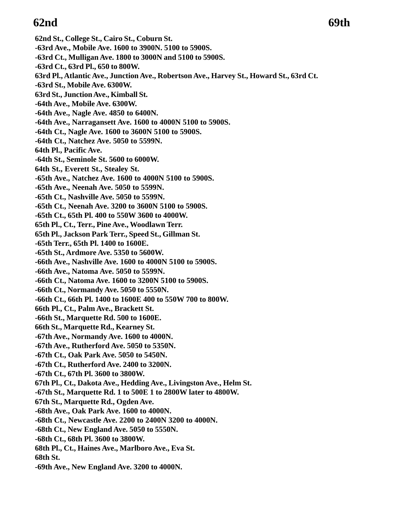### **62nd** 69th

**62nd St., College St., Cairo St., Coburn St. -63rd Ave., Mobile Ave. 1600 to 3900N. 5100 to 5900S. -63rd Ct., Mulligan Ave. 1800 to 3000N and 5100 to 5900S. -63rd Ct., 63rd Pl., 650 to 800W. 63rd Pl., Atlantic Ave., Junction Ave., Robertson Ave., Harvey St., Howard St., 63rd Ct. -63rd St., Mobile Ave. 6300W. 63rd St., Junction Ave., Kimball St. -64th Ave., Mobile Ave. 6300W. -64th Ave., Nagle Ave. 4850 to 6400N. -64th Ave., Narragansett Ave. 1600 to 4000N 5100 to 5900S. -64th Ct., Nagle Ave. 1600 to 3600N 5100 to 5900S. -64th Ct., Natchez Ave. 5050 to 5599N. 64th Pl., Pacific Ave. -64th St., Seminole St. 5600 to 6000W. 64th St., Everett St., Stealey St. -65th Ave., Natchez Ave. 1600 to 4000N 5100 to 5900S. -65th Ave., Neenah Ave. 5050 to 5599N. -65th Ct., Nashville Ave. 5050 to 5599N. -65th Ct., Neenah Ave. 3200 to 3600N 5100 to 5900S. -65th Ct., 65th Pl. 400 to 550W 3600 to 4000W. 65th Pl., Ct., Terr., Pine Ave., Woodlawn Terr. 65th Pl., Jackson Park Terr., Speed St., Gillman St. -65th Terr., 65th Pl. 1400 to 1600E. -65th St., Ardmore Ave. 5350 to 5600W. -66th Ave., Nashville Ave. 1600 to 4000N 5100 to 5900S. -66th Ave., Natoma Ave. 5050 to 5599N. -66th Ct., Natoma Ave. 1600 to 3200N 5100 to 5900S. -66th Ct., Normandy Ave. 5050 to 5550N. -66th Ct., 66th Pl. 1400 to 1600E 400 to 550W 700 to 800W. 66th Pl., Ct., Palm Ave., Brackett St. -66th St., Marquette Rd. 500 to 1600E. 66th St., Marquette Rd., Kearney St. -67th Ave., Normandy Ave. 1600 to 4000N. -67th Ave., Rutherford Ave. 5050 to 5350N. -67th Ct., Oak Park Ave. 5050 to 5450N. -67th Ct., Rutherford Ave. 2400 to 3200N. -67th Ct., 67th Pl. 3600 to 3800W. 67th Pl., Ct., Dakota Ave., Hedding Ave., Livingston Ave., Helm St. -67th St., Marquette Rd. 1 to 500E 1 to 2800W later to 4800W. 67th St., Marquette Rd., Ogden Ave. -68th Ave., Oak Park Ave. 1600 to 4000N. -68th Ct., Newcastle Ave. 2200 to 2400N 3200 to 4000N. -68th Ct., New England Ave. 5050 to 5550N. -68th Ct., 68th Pl. 3600 to 3800W. 68th Pl., Ct., Haines Ave., Marlboro Ave., Eva St. 68th St. -69th Ave., New England Ave. 3200 to 4000N.**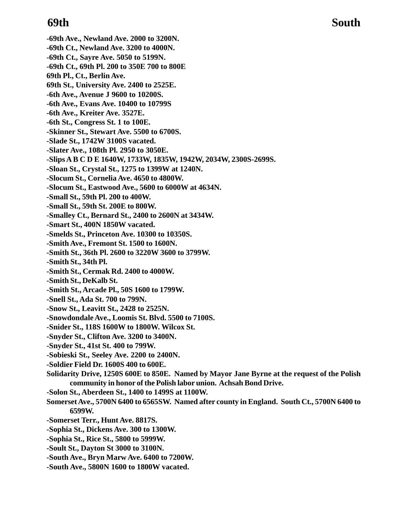**-69th Ave., Newland Ave. 2000 to 3200N. -69th Ct., Newland Ave. 3200 to 4000N. -69th Ct., Sayre Ave. 5050 to 5199N. -69th Ct., 69th Pl. 200 to 350E 700 to 800E 69th Pl., Ct., Berlin Ave. 69th St., University Ave. 2400 to 2525E. -6th Ave., Avenue J 9600 to 10200S. -6th Ave., Evans Ave. 10400 to 10799S -6th Ave., Kreiter Ave. 3527E. -6th St., Congress St. 1 to 100E. -Skinner St., Stewart Ave. 5500 to 6700S. -Slade St., 1742W 3100S vacated. -Slater Ave., 108th Pl. 2950 to 3050E. -Slips A B C D E 1640W, 1733W, 1835W, 1942W, 2034W, 2300S-2699S. -Sloan St., Crystal St., 1275 to 1399W at 1240N. -Slocum St., Cornelia Ave. 4650 to 4800W. -Slocum St., Eastwood Ave., 5600 to 6000W at 4634N. -Small St., 59th Pl. 200 to 400W. -Small St., 59th St. 200E to 800W. -Smalley Ct., Bernard St., 2400 to 2600N at 3434W. -Smart St., 400N 1850W vacated. -Smelds St., Princeton Ave. 10300 to 10350S. -Smith Ave., Fremont St. 1500 to 1600N. -Smith St., 36th Pl. 2600 to 3220W 3600 to 3799W. -Smith St., 34th Pl. -Smith St., Cermak Rd. 2400 to 4000W. -Smith St., DeKalb St. -Smith St., Arcade Pl., 50S 1600 to 1799W. -Snell St., Ada St. 700 to 799N. -Snow St., Leavitt St., 2428 to 2525N. -Snowdondale Ave., Loomis St. Blvd. 5500 to 7100S. -Snider St., 118S 1600W to 1800W. Wilcox St. -Snyder St., Clifton Ave. 3200 to 3400N. -Snyder St., 41st St. 400 to 799W. -Sobieski St., Seeley Ave. 2200 to 2400N. -Soldier Field Dr. 1600S 400 to 600E. Solidarity Drive, 1250S 600E to 850E. Named by Mayor Jane Byrne at the request of the Polish community in honor of the Polish labor union. Achsah Bond Drive. -Solon St., Aberdeen St., 1400 to 1499S at 1100W. Somerset Ave., 5700N 6400 to 6565SW. Named after county in England. South Ct., 5700N 6400 to 6599W. -Somerset Terr., Hunt Ave. 8817S. -Sophia St., Dickens Ave. 300 to 1300W. -Sophia St., Rice St., 5800 to 5999W. -Soult St., Dayton St 3000 to 3100N.**

- **-South Ave., Bryn Marw Ave. 6400 to 7200W.**
- **-South Ave., 5800N 1600 to 1800W vacated.**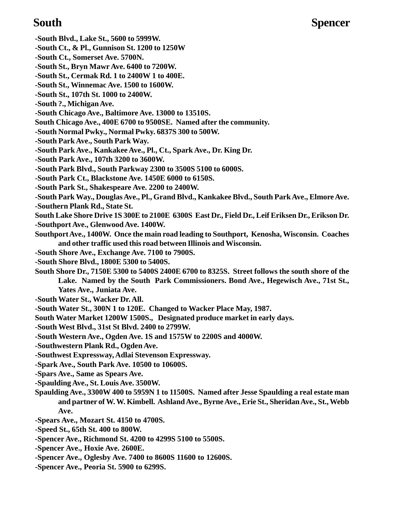**-South Blvd., Lake St., 5600 to 5999W.**

- **-South Ct., & Pl., Gunnison St. 1200 to 1250W**
- **-South Ct., Somerset Ave. 5700N.**
- **-South St., Bryn Mawr Ave. 6400 to 7200W.**
- **-South St., Cermak Rd. 1 to 2400W 1 to 400E.**
- **-South St., Winnemac Ave. 1500 to 1600W.**
- **-South St., 107th St. 1000 to 2400W.**
- **-South ?., Michigan Ave.**
- **-South Chicago Ave., Baltimore Ave. 13000 to 13510S.**
- **South Chicago Ave., 400E 6700 to 9500SE. Named after the community.**
- **-South Normal Pwky., Normal Pwky. 6837S 300 to 500W.**
- **-South Park Ave., South Park Way.**
- **-South Park Ave., Kankakee Ave., Pl., Ct., Spark Ave., Dr. King Dr.**
- **-South Park Ave., 107th 3200 to 3600W.**
- **-South Park Blvd., South Parkway 2300 to 3500S 5100 to 6000S.**
- **-South Park Ct., Blackstone Ave. 1450E 6000 to 6150S.**
- **-South Park St., Shakespeare Ave. 2200 to 2400W.**
- **-South Park Way., Douglas Ave., Pl., Grand Blvd., Kankakee Blvd., South Park Ave., Elmore Ave.**
- **-Southern Plank Rd., State St.**
- **South Lake Shore Drive 1S 300E to 2100E 6300S East Dr., Field Dr., Leif Eriksen Dr., Erikson Dr. -Southport Ave., Glenwood Ave. 1400W.**
- **Southport Ave., 1400W. Once the main road leading to Southport, Kenosha, Wisconsin. Coaches**
- **and other traffic used this road between Illinois and Wisconsin.**
- **-South Shore Ave., Exchange Ave. 7100 to 7900S.**
- **-South Shore Blvd., 1800E 5300 to 5400S.**
- **South Shore Dr., 7150E 5300 to 5400S 2400E 6700 to 8325S. Street follows the south shore of the Lake. Named by the South Park Commissioners. Bond Ave., Hegewisch Ave., 71st St., Yates Ave., Juniata Ave.**
- **-South Water St., Wacker Dr. All.**
- **-South Water St., 300N 1 to 120E. Changed to Wacker Place May, 1987.**
- **South Water Market 1200W 1500S., Designated produce market in early days.**
- **-South West Blvd., 31st St Blvd. 2400 to 2799W.**
- **-South Western Ave., Ogden Ave. 1S and 1575W to 2200S and 4000W.**
- **-Southwestern Plank Rd., Ogden Ave.**
- **-Southwest Expressway, Adlai Stevenson Expressway.**
- **-Spark Ave., South Park Ave. 10500 to 10600S.**
- **-Spars Ave., Same as Spears Ave.**
- **-Spaulding Ave., St. Louis Ave. 3500W.**
- **Spaulding Ave., 3300W 400 to 5959N 1 to 11500S. Named after Jesse Spaulding a real estate man and partner of W. W. Kimbell. Ashland Ave., Byrne Ave., Erie St., Sheridan Ave., St., Webb Ave.**
- **-Spears Ave., Mozart St. 4150 to 4700S.**
- **-Speed St., 65th St. 400 to 800W.**
- **-Spencer Ave., Richmond St. 4200 to 4299S 5100 to 5500S.**
- **-Spencer Ave., Hoxie Ave. 2600E.**
- **-Spencer Ave., Oglesby Ave. 7400 to 8600S 11600 to 12600S.**
- **-Spencer Ave., Peoria St. 5900 to 6299S.**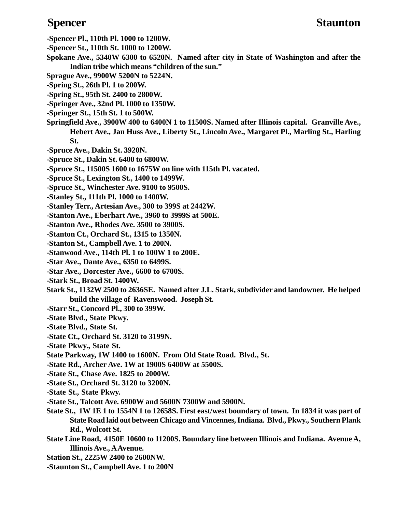- **-Spencer Pl., 110th Pl. 1000 to 1200W.**
- **-Spencer St., 110th St. 1000 to 1200W.**
- **Spokane Ave., 5340W 6300 to 6520N. Named after city in State of Washington and after the Indian tribe which means "children of the sun."**
- **Sprague Ave., 9900W 5200N to 5224N.**
- **-Spring St., 26th Pl. 1 to 200W.**
- **-Spring St., 95th St. 2400 to 2800W.**
- **-Springer Ave., 32nd Pl. 1000 to 1350W.**
- **-Springer St., 15th St. 1 to 500W.**
- **Springfield Ave., 3900W 400 to 6400N 1 to 11500S. Named after Illinois capital. Granville Ave., Hebert Ave., Jan Huss Ave., Liberty St., Lincoln Ave., Margaret Pl., Marling St., Harling St.**
- **-Spruce Ave., Dakin St. 3920N.**
- **-Spruce St., Dakin St. 6400 to 6800W.**
- **-Spruce St., 11500S 1600 to 1675W on line with 115th Pl. vacated.**
- **-Spruce St., Lexington St., 1400 to 1499W.**
- **-Spruce St., Winchester Ave. 9100 to 9500S.**
- **-Stanley St., 111th Pl. 1000 to 1400W.**
- **-Stanley Terr., Artesian Ave., 300 to 399S at 2442W.**
- **-Stanton Ave., Eberhart Ave., 3960 to 3999S at 500E.**
- **-Stanton Ave., Rhodes Ave. 3500 to 3900S.**
- **-Stanton Ct., Orchard St., 1315 to 1350N.**
- **-Stanton St., Campbell Ave. 1 to 200N.**
- **-Stanwood Ave., 114th Pl. 1 to 100W 1 to 200E.**
- **-Star Ave., Dante Ave., 6350 to 6499S.**
- **-Star Ave., Dorcester Ave., 6600 to 6700S.**
- **-Stark St., Broad St. 1400W.**
- **Stark St., 1132W 2500 to 2636SE. Named after J.L. Stark, subdivider and landowner. He helped build the village of Ravenswood. Joseph St.**
- **-Starr St., Concord Pl., 300 to 399W.**
- **-State Blvd., State Pkwy.**
- **-State Blvd., State St.**
- **-State Ct., Orchard St. 3120 to 3199N.**
- **-State Pkwy., State St.**
- **State Parkway, 1W 1400 to 1600N. From Old State Road. Blvd., St.**
- **-State Rd., Archer Ave. 1W at 1900S 6400W at 5500S.**
- **-State St., Chase Ave. 1825 to 2000W.**
- **-State St., Orchard St. 3120 to 3200N.**
- **-State St., State Pkwy.**
- **-State St., Talcott Ave. 6900W and 5600N 7300W and 5900N.**
- **State St., 1W 1E 1 to 1554N 1 to 12658S. First east/west boundary of town. In 1834 it was part of State Road laid out between Chicago and Vincennes, Indiana. Blvd., Pkwy., Southern Plank Rd., Wolcott St.**
- **State Line Road, 4150E 10600 to 11200S. Boundary line between Illinois and Indiana. Avenue A, Illinois Ave., A Avenue.**
- **Station St., 2225W 2400 to 2600NW.**
- **-Staunton St., Campbell Ave. 1 to 200N**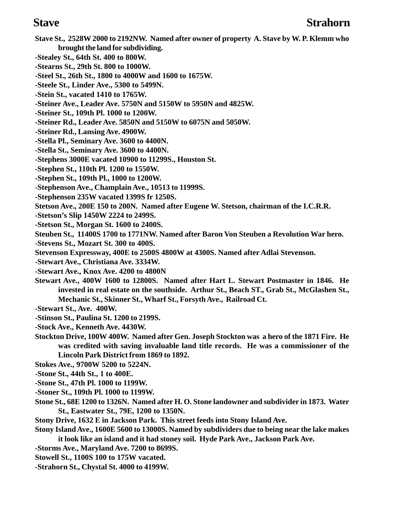- **Stave St., 2528W 2000 to 2192NW. Named after owner of property A. Stave by W. P. Klemm who brought the land for subdividing.**
- **-Stealey St., 64th St. 400 to 800W.**
- **-Stearns St., 29th St. 800 to 1000W.**
- **-Steel St., 26th St., 1800 to 4000W and 1600 to 1675W.**
- **-Steele St., Linder Ave., 5300 to 5499N.**
- **-Stein St., vacated 1410 to 1765W.**
- **-Steiner Ave., Leader Ave. 5750N and 5150W to 5950N and 4825W.**
- **-Steiner St., 109th Pl. 1000 to 1200W.**
- **-Steiner Rd., Leader Ave. 5850N and 5150W to 6075N and 5050W.**
- **-Steiner Rd., Lansing Ave. 4900W.**
- **-Stella Pl., Seminary Ave. 3600 to 4400N.**
- **-Stella St., Seminary Ave. 3600 to 4400N.**
- **-Stephens 3000E vacated 10900 to 11299S., Houston St.**
- **-Stephen St., 110th Pl. 1200 to 1550W.**
- **-Stephen St., 109th Pl., 1000 to 1200W.**
- **-Stephenson Ave., Champlain Ave., 10513 to 11999S.**
- **-Stephenson 235W vacated 1399S fr 1250S.**
- **Stetson Ave., 200E 150 to 200N. Named after Eugene W. Stetson, chairman of the I.C.R.R.**
- **-Stetson's Slip 1450W 2224 to 2499S.**
- **-Stetson St., Morgan St. 1600 to 2400S.**
- **Steuben St., 11400S 1700 to 1771NW. Named after Baron Von Steuben a Revolution War hero.**
- **-Stevens St., Mozart St. 300 to 400S.**
- **Stevenson Expressway, 400E to 2500S 4800W at 4300S. Named after Adlai Stevenson.**
- **-Stewart Ave., Christiana Ave. 3334W.**
- **-Stewart Ave., Knox Ave. 4200 to 4800N**
- **Stewart Ave., 400W 1600 to 12800S. Named after Hart L. Stewart Postmaster in 1846. He invested in real estate on the southside. Arthur St., Beach ST., Grab St., McGlashen St., Mechanic St., Skinner St., Wharf St., Forsyth Ave., Railroad Ct.**
- **-Stewart St., Ave. 400W.**
- **-Stinson St., Paulina St. 1200 to 2199S.**
- **-Stock Ave., Kenneth Ave. 4430W.**
- **Stockton Drive, 100W 400W. Named after Gen. Joseph Stockton was a hero of the 1871 Fire. He was credited with saving invaluable land title records. He was a commissioner of the Lincoln Park District from 1869 to 1892.**
- **Stokes Ave., 9700W 5200 to 5224N.**
- **-Stone St., 44th St., 1 to 400E.**
- **-Stone St., 47th Pl. 1000 to 1199W.**
- **-Stoner St., 109th Pl. 1000 to 1199W.**
- **Stone St., 68E 1200 to 1326N. Named after H. O. Stone landowner and subdivider in 1873. Water St., Eastwater St., 79E, 1200 to 1350N.**
- **Stony Drive, 1632 E in Jackson Park. This street feeds into Stony Island Ave.**
- **Stony Island Ave., 1600E 5600 to 13000S. Named by subdividers due to being near the lake makes it look like an island and it had stoney soil. Hyde Park Ave., Jackson Park Ave.**
- **-Storms Ave., Maryland Ave. 7200 to 8699S.**
- **Stowell St., 1100S 100 to 175W vacated.**
- **-Strahorn St., Chystal St. 4000 to 4199W.**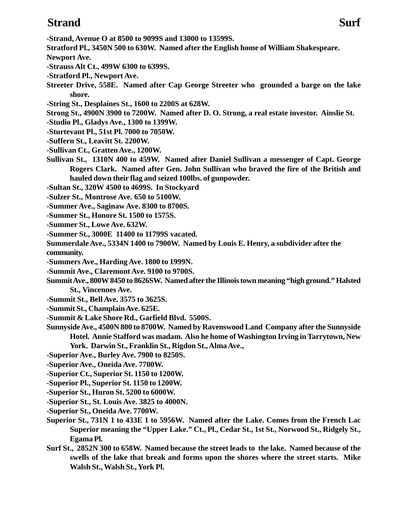### **Strand Surf**

**-Strand, Avenue O at 8500 to 9099S and 13000 to 13599S.**

- **Stratford Pl., 3450N 500 to 630W. Named after the English home of William Shakespeare.**
- **Newport Ave.**
- **-Strauss Alt Ct., 499W 6300 to 6399S.**
- **-Stratford Pl., Newport Ave.**
- **Streeter Drive, 558E. Named after Cap George Streeter who grounded a barge on the lake shore.**
- **-String St., Desplaines St., 1600 to 2200S at 628W.**
- **Strong St., 4900N 3900 to 7200W. Named after D. O. Strong, a real estate investor. Ainslie St.**
- **-Studio Pl., Gladys Ave., 1300 to 1399W.**
- **-Sturtevant Pl., 51st Pl. 7000 to 7050W.**
- **-Suffern St., Leavitt St. 2200W.**
- **-Sullivan Ct., Gratten Ave., 1200W.**
- **Sullivan St., 1310N 400 to 459W. Named after Daniel Sullivan a messenger of Capt. George Rogers Clark. Named after Gen. John Sullivan who braved the fire of the British and hauled down their flag and seized 100lbs. of gunpowder.**
- **-Sultan St., 320W 4500 to 4699S. In Stockyard**
- **-Sulzer St., Montrose Ave. 650 to 5100W.**
- **-Summer Ave., Saginaw Ave. 8300 to 8700S.**
- **-Summer St., Honore St. 1500 to 1575S.**
- **-Summer St., Lowe Ave. 632W.**
- **-Summer St., 3000E 11400 to 11799S vacated.**

**Summerdale Ave., 5334N 1400 to 7900W. Named by Louis E. Henry, a subdivider after the community.**

- **-Summers Ave., Harding Ave. 1800 to 1999N.**
- **-Summit Ave., Claremont Ave. 9100 to 9700S.**
- **Summit Ave., 800W 8450 to 8626SW. Named after the Illinois town meaning "high ground." Halsted St., Vincennes Ave.**
- **-Summit St., Bell Ave. 3575 to 3625S.**
- **-Summit St., Champlain Ave. 625E.**
- **-Summit & Lake Shore Rd., Garfield Blvd. 5500S.**
- **Sunnyside Ave., 4500N 800 to 8700W. Named by Ravenswood Land Company after the Sunnyside Hotel. Annie Stafford was madam. Also he home of Washington Irving in Tarrytown, New York. Darwin St., Franklin St., Rigdon St., Alma Ave.,**
- **-Superior Ave., Burley Ave. 7900 to 8250S.**
- **-Superior Ave., Oneida Ave. 7700W.**
- **-Superior Ct., Superior St. 1150 to 1200W.**
- **-Superior Pl., Superior St. 1150 to 1200W.**
- **-Superior St., Huron St. 5200 to 6000W.**
- **-Superior St., St. Louis Ave. 3825 to 4000N.**
- **-Superior St., Oneida Ave. 7700W.**
- **Superior St., 731N 1 to 433E 1 to 5956W. Named after the Lake. Comes from the French Lac Superior meaning the "Upper Lake." Ct., Pl., Cedar St., 1st St., Norwood St., Ridgely St., Egama Pl.**
- **Surf St., 2852N 300 to 658W. Named because the street leads to the lake. Named because of the swells of the lake that break and forms upon the shores where the street starts. Mike Walsh St., Walsh St., York Pl.**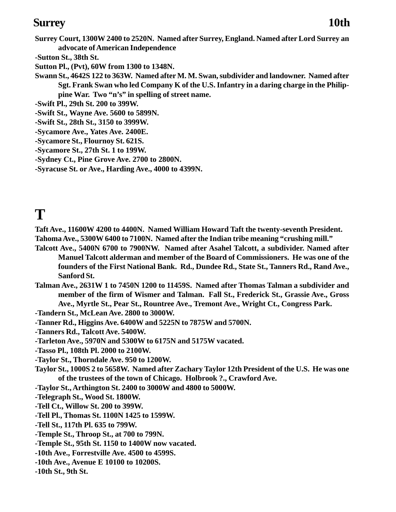### **Surrey 10th**

- **Surrey Court, 1300W 2400 to 2520N. Named after Surrey, England. Named after Lord Surrey an advocate of American Independence**
- **-Sutton St., 38th St.**
- **Sutton Pl., (Pvt), 60W from 1300 to 1348N.**
- **Swann St., 4642S 122 to 363W. Named after M. M. Swan, subdivider and landowner. Named after Sgt. Frank Swan who led Company K of the U.S. Infantry in a daring charge in the Philippine War. Two "n's" in spelling of street name.**
- **-Swift Pl., 29th St. 200 to 399W.**
- **-Swift St., Wayne Ave. 5600 to 5899N.**
- **-Swift St., 28th St., 3150 to 3999W.**
- **-Sycamore Ave., Yates Ave. 2400E.**
- **-Sycamore St., Flournoy St. 621S.**
- **-Sycamore St., 27th St. 1 to 199W.**
- **-Sydney Ct., Pine Grove Ave. 2700 to 2800N.**
- **-Syracuse St. or Ave., Harding Ave., 4000 to 4399N.**

## **T**

**Taft Ave., 11600W 4200 to 4400N. Named William Howard Taft the twenty-seventh President. Tahoma Ave., 5300W 6400 to 7100N. Named after the Indian tribe meaning "crushing mill."**

- **Talcott Ave., 5400N 6700 to 7900NW. Named after Asahel Talcott, a subdivider. Named after Manuel Talcott alderman and member of the Board of Commissioners. He was one of the founders of the First National Bank. Rd., Dundee Rd., State St., Tanners Rd., Rand Ave., Sanford St.**
- **Talman Ave., 2631W 1 to 7450N 1200 to 11459S. Named after Thomas Talman a subdivider and member of the firm of Wismer and Talman. Fall St., Frederick St., Grassie Ave., Gross Ave., Myrtle St., Pear St., Rountree Ave., Tremont Ave., Wright Ct., Congress Park.**

**-Tandern St., McLean Ave. 2800 to 3000W.**

- **-Tanner Rd., Higgins Ave. 6400W and 5225N to 7875W and 5700N.**
- **-Tanners Rd., Talcott Ave. 5400W.**
- **-Tarleton Ave., 5970N and 5300W to 6175N and 5175W vacated.**
- **-Tasso Pl., 108th Pl. 2000 to 2100W.**
- **-Taylor St., Thorndale Ave. 950 to 1200W.**
- **Taylor St., 1000S 2 to 5658W. Named after Zachary Taylor 12th President of the U.S. He was one of the trustees of the town of Chicago. Holbrook ?., Crawford Ave.**
- **-Taylor St., Arthington St. 2400 to 3000W and 4800 to 5000W.**
- **-Telegraph St., Wood St. 1800W.**
- **-Tell Ct., Willow St. 200 to 399W.**
- **-Tell Pl., Thomas St. 1100N 1425 to 1599W.**
- **-Tell St., 117th Pl. 635 to 799W.**
- **-Temple St., Throop St., at 700 to 799N.**
- **-Temple St., 95th St. 1150 to 1400W now vacated.**
- **-10th Ave., Forrestville Ave. 4500 to 4599S.**
- **-10th Ave., Avenue E 10100 to 10200S.**
- **-10th St., 9th St.**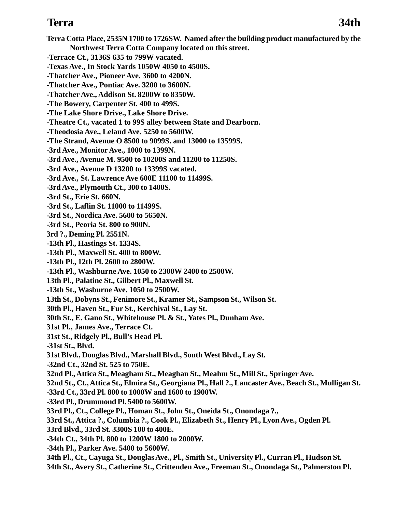**Terra Cotta Place, 2535N 1700 to 1726SW. Named after the building product manufactured by the Northwest Terra Cotta Company located on this street. -Terrace Ct., 3136S 635 to 799W vacated. -Texas Ave., In Stock Yards 1050W 4050 to 4500S. -Thatcher Ave., Pioneer Ave. 3600 to 4200N. -Thatcher Ave., Pontiac Ave. 3200 to 3600N. -Thatcher Ave., Addison St. 8200W to 8350W. -The Bowery, Carpenter St. 400 to 499S. -The Lake Shore Drive., Lake Shore Drive. -Theatre Ct., vacated 1 to 99S alley between State and Dearborn. -Theodosia Ave., Leland Ave. 5250 to 5600W. -The Strand, Avenue O 8500 to 9099S. and 13000 to 13599S. -3rd Ave., Monitor Ave., 1000 to 1399N. -3rd Ave., Avenue M. 9500 to 10200S and 11200 to 11250S. -3rd Ave., Avenue D 13200 to 13399S vacated. -3rd Ave., St. Lawrence Ave 600E 11100 to 11499S. -3rd Ave., Plymouth Ct., 300 to 1400S. -3rd St., Erie St. 660N. -3rd St., Laflin St. 11000 to 11499S. -3rd St., Nordica Ave. 5600 to 5650N. -3rd St., Peoria St. 800 to 900N. 3rd ?., Deming Pl. 2551N. -13th Pl., Hastings St. 1334S. -13th Pl., Maxwell St. 400 to 800W. -13th Pl., 12th Pl. 2600 to 2800W. -13th Pl., Washburne Ave. 1050 to 2300W 2400 to 2500W. 13th Pl., Palatine St., Gilbert Pl., Maxwell St. -13th St., Wasburne Ave. 1050 to 2500W. 13th St., Dobyns St., Fenimore St., Kramer St., Sampson St., Wilson St. Terra 34th**

**30th Pl., Haven St., Fur St., Kerchival St., Lay St.**

**30th St., E. Gano St., Whitehouse Pl. & St., Yates Pl., Dunham Ave.**

**31st Pl., James Ave., Terrace Ct.**

**31st St., Ridgely Pl., Bull's Head Pl.**

**-31st St., Blvd.**

**31st Blvd., Douglas Blvd., Marshall Blvd., South West Blvd., Lay St.**

**-32nd Ct., 32nd St. 525 to 750E.**

**32nd Pl., Attica St., Meagham St., Meaghan St., Meahm St., Mill St., Springer Ave.**

**32nd St., Ct., Attica St., Elmira St., Georgiana Pl., Hall ?., Lancaster Ave., Beach St., Mulligan St.**

**-33rd Ct., 33rd Pl. 800 to 1000W and 1600 to 1900W.**

**-33rd Pl., Drummond Pl. 5400 to 5600W.**

**33rd Pl., Ct., College Pl., Homan St., John St., Oneida St., Onondaga ?.,**

**33rd St., Attica ?., Columbia ?., Cook Pl., Elizabeth St., Henry Pl., Lyon Ave., Ogden Pl.**

**33rd Blvd., 33rd St. 3300S 100 to 400E.**

**-34th Ct., 34th Pl. 800 to 1200W 1800 to 2000W.**

**-34th Pl., Parker Ave. 5400 to 5600W.**

**34th Pl., Ct., Cayuga St., Douglas Ave., Pl., Smith St., University Pl., Curran Pl., Hudson St. 34th St., Avery St., Catherine St., Crittenden Ave., Freeman St., Onondaga St., Palmerston Pl.**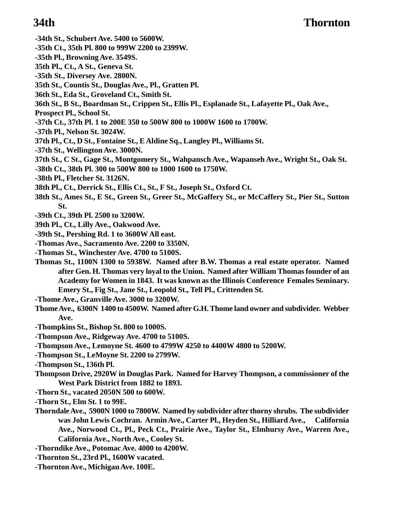- **-34th St., Schubert Ave. 5400 to 5600W.**
- **-35th Ct., 35th Pl. 800 to 999W 2200 to 2399W.**
- **-35th Pl., Browning Ave. 3549S.**
- **35th Pl., Ct., A St., Geneva St.**
- **-35th St., Diversey Ave. 2800N.**
- **35th St., Countis St., Douglas Ave., Pl., Gratten Pl.**
- **36th St., Eda St., Groveland Ct., Smith St.**
- **36th St., B St., Boardman St., Crippen St., Ellis Pl., Esplanade St., Lafayette Pl., Oak Ave.,**
- **Prospect Pl., School St.**
- **-37th Ct., 37th Pl. 1 to 200E 350 to 500W 800 to 1000W 1600 to 1700W.**
- **-37th Pl., Nelson St. 3024W.**
- **37th Pl., Ct., D St., Fontaine St., E Aldine Sq., Langley Pl., Williams St.**
- **-37th St., Wellington Ave. 3000N.**
- **37th St., C St., Gage St., Montgomery St., Wahpansch Ave., Wapanseh Ave., Wright St., Oak St.**
- **-38th Ct., 38th Pl. 300 to 500W 800 to 1000 1600 to 1750W.**
- **-38th Pl., Fletcher St. 3126N.**
- **38th Pl., Ct., Derrick St., Ellis Ct., St., F St., Joseph St., Oxford Ct.**
- **38th St., Ames St., E St., Green St., Greer St., McGaffery St., or McCaffery St., Pier St., Sutton St.**
- **-39th Ct., 39th Pl. 2500 to 3200W.**
- **39th Pl., Ct., Lilly Ave., Oakwood Ave.**
- **-39th St., Pershing Rd. 1 to 3600W All east.**
- **-Thomas Ave., Sacramento Ave. 2200 to 3350N.**
- **-Thomas St., Winchester Ave. 4700 to 5100S.**
- **Thomas St., 1100N 1300 to 5938W. Named after B.W. Thomas a real estate operator. Named after Gen. H. Thomas very loyal to the Union. Named after William Thomas founder of an Academy for Women in 1843. It was known as the Illinois Conference Females Seminary. Emery St., Fig St., Jane St., Leopold St., Tell Pl., Crittenden St.**
- **-Thome Ave., Granville Ave. 3000 to 3200W.**
- **Thome Ave., 6300N 1400 to 4500W. Named after G.H. Thome land owner and subdivider. Webber Ave.**
- **-Thompkins St., Bishop St. 800 to 1000S.**
- **-Thompson Ave., Ridgeway Ave. 4700 to 5100S.**
- **-Thompson Ave., Lemoyne St. 4600 to 4799W 4250 to 4400W 4800 to 5200W.**
- **-Thompson St., LeMoyne St. 2200 to 2799W.**
- **-Thompson St., 136th Pl.**
- **Thompson Drive, 2920W in Douglas Park. Named for Harvey Thompson, a commissioner of the West Park District from 1882 to 1893.**
- **-Thorn St., vacated 2050N 500 to 600W.**
- **-Thorn St., Elm St. 1 to 99E.**
- **Thorndale Ave., 5900N 1000 to 7800W. Named by subdivider after thorny shrubs. The subdivider was John Lewis Cochran. Armin Ave., Carter Pl., Heyden St., Hilliard Ave., California Ave., Norwood Ct., Pl., Peck Ct., Prairie Ave., Taylor St., Elmhursy Ave., Warren Ave., California Ave., North Ave., Cooley St.**
- **-Thorndike Ave., Potomac Ave. 4000 to 4200W.**
- **-Thornton St., 23rd Pl., 1600W vacated.**
- **-Thornton Ave., Michigan Ave. 100E.**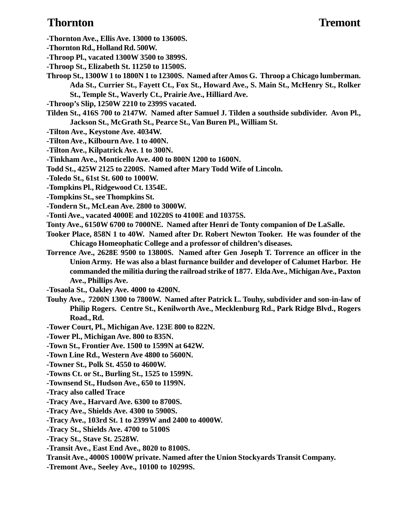### **Thornton Tremont**

- **-Thornton Ave., Ellis Ave. 13000 to 13600S.**
- **-Thornton Rd., Holland Rd. 500W.**
- **-Throop Pl., vacated 1300W 3500 to 3899S.**
- **-Throop St., Elizabeth St. 11250 to 11500S.**
- **Throop St., 1300W 1 to 1800N 1 to 12300S. Named after Amos G. Throop a Chicago lumberman. Ada St., Currier St., Fayett Ct., Fox St., Howard Ave., S. Main St., McHenry St., Rolker St., Temple St., Waverly Ct., Prairie Ave., Hilliard Ave.**
- **-Throop's Slip, 1250W 2210 to 2399S vacated.**
- **Tilden St., 416S 700 to 2147W. Named after Samuel J. Tilden a southside subdivider. Avon Pl., Jackson St., McGrath St., Pearce St., Van Buren Pl., William St.**
- **-Tilton Ave., Keystone Ave. 4034W.**
- **-Tilton Ave., Kilbourn Ave. 1 to 400N.**
- **-Tilton Ave., Kilpatrick Ave. 1 to 300N.**
- **-Tinkham Ave., Monticello Ave. 400 to 800N 1200 to 1600N.**
- **Todd St., 425W 2125 to 2200S. Named after Mary Todd Wife of Lincoln.**
- **-Toledo St., 61st St. 600 to 1000W.**
- **-Tompkins Pl., Ridgewood Ct. 1354E.**
- **-Tompkins St., see Thompkins St.**
- **-Tondern St., McLean Ave. 2800 to 3000W.**
- **-Tonti Ave., vacated 4000E and 10220S to 4100E and 10375S.**
- **Tonty Ave., 6150W 6700 to 7000NE. Named after Henri de Tonty companion of De LaSalle.**
- **Tooker Place, 858N 1 to 40W. Named after Dr. Robert Newton Tooker. He was founder of the Chicago Homeophatic College and a professor of children's diseases.**
- **Torrence Ave., 2628E 9500 to 13800S. Named after Gen Joseph T. Torrence an officer in the Union Army. He was also a blast furnance builder and developer of Calumet Harbor. He commanded the militia during the railroad strike of 1877. Elda Ave., Michigan Ave., Paxton Ave., Phillips Ave.**
- **-Tosaola St., Oakley Ave. 4000 to 4200N.**
- **Touhy Ave., 7200N 1300 to 7800W. Named after Patrick L. Touhy, subdivider and son-in-law of Philip Rogers. Centre St., Kenilworth Ave., Mecklenburg Rd., Park Ridge Blvd., Rogers Road., Rd.**
- **-Tower Court, Pl., Michigan Ave. 123E 800 to 822N.**
- **-Tower Pl., Michigan Ave. 800 to 835N.**
- **-Town St., Frontier Ave. 1500 to 1599N at 642W.**
- **-Town Line Rd., Western Ave 4800 to 5600N.**
- **-Towner St., Polk St. 4550 to 4600W.**
- **-Towns Ct. or St., Burling St., 1525 to 1599N.**
- **-Townsend St., Hudson Ave., 650 to 1199N.**
- **-Tracy also called Trace**
- **-Tracy Ave., Harvard Ave. 6300 to 8700S.**
- **-Tracy Ave., Shields Ave. 4300 to 5900S.**
- **-Tracy Ave., 103rd St. 1 to 2399W and 2400 to 4000W.**
- **-Tracy St., Shields Ave. 4700 to 5100S**
- **-Tracy St., Stave St. 2528W.**
- **-Transit Ave., East End Ave., 8020 to 8100S.**
- **Transit Ave., 4000S 1000W private. Named after the Union Stockyards Transit Company.**
- **-Tremont Ave., Seeley Ave., 10100 to 10299S.**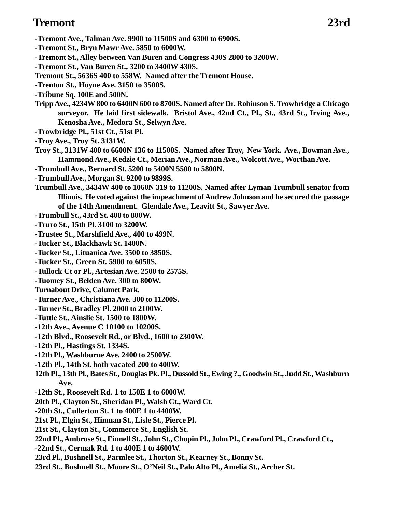### **Tremont 23rd**

- **-Tremont Ave., Talman Ave. 9900 to 11500S and 6300 to 6900S.**
- **-Tremont St., Bryn Mawr Ave. 5850 to 6000W.**
- **-Tremont St., Alley between Van Buren and Congress 430S 2800 to 3200W.**
- **-Tremont St., Van Buren St., 3200 to 3400W 430S.**
- **Tremont St., 5636S 400 to 558W. Named after the Tremont House.**
- **-Trenton St., Hoyne Ave. 3150 to 3500S.**
- **-Tribune Sq. 100E and 500N.**
- **Tripp Ave., 4234W 800 to 6400N 600 to 8700S. Named after Dr. Robinson S. Trowbridge a Chicago surveyor. He laid first sidewalk. Bristol Ave., 42nd Ct., Pl., St., 43rd St., Irving Ave., Kenosha Ave., Medora St., Selwyn Ave.**
- **-Trowbridge Pl., 51st Ct., 51st Pl.**
- **-Troy Ave., Troy St. 3131W.**
- **Troy St., 3131W 400 to 6600N 136 to 11500S. Named after Troy, New York. Ave., Bowman Ave., Hammond Ave., Kedzie Ct., Merian Ave., Norman Ave., Wolcott Ave., Worthan Ave.**
- **-Trumbull Ave., Bernard St. 5200 to 5400N 5500 to 5800N.**
- **-Trumbull Ave., Morgan St. 9200 to 9899S.**
- **Trumbull Ave., 3434W 400 to 1060N 319 to 11200S. Named after Lyman Trumbull senator from Illinois. He voted against the impeachment of Andrew Johnson and he secured the passage of the 14th Amendment. Glendale Ave., Leavitt St., Sawyer Ave.**
- **-Trumbull St., 43rd St. 400 to 800W.**
- **-Truro St., 15th Pl. 3100 to 3200W.**
- **-Trustee St., Marshfield Ave., 400 to 499N.**
- **-Tucker St., Blackhawk St. 1400N.**
- **-Tucker St., Lituanica Ave. 3500 to 3850S.**
- **-Tucker St., Green St. 5900 to 6050S.**
- **-Tullock Ct or Pl., Artesian Ave. 2500 to 2575S.**
- **-Tuomey St., Belden Ave. 300 to 800W.**
- **Turnabout Drive, Calumet Park.**
- **-Turner Ave., Christiana Ave. 300 to 11200S.**
- **-Turner St., Bradley Pl. 2000 to 2100W.**
- **-Tuttle St., Ainslie St. 1500 to 1800W.**
- **-12th Ave., Avenue C 10100 to 10200S.**
- **-12th Blvd., Roosevelt Rd., or Blvd., 1600 to 2300W.**
- **-12th Pl., Hastings St. 1334S.**
- **-12th Pl., Washburne Ave. 2400 to 2500W.**
- **-12th Pl., 14th St. both vacated 200 to 400W.**
- **12th Pl., 13th Pl., Bates St., Douglas Pk. Pl., Dussold St., Ewing ?., Goodwin St., Judd St., Washburn Ave.**
- **-12th St., Roosevelt Rd. 1 to 150E 1 to 6000W.**
- **20th Pl., Clayton St., Sheridan Pl., Walsh Ct., Ward Ct.**
- **-20th St., Cullerton St. 1 to 400E 1 to 4400W.**
- **21st Pl., Elgin St., Hinman St., Lisle St., Pierce Pl.**
- **21st St., Clayton St., Commerce St., English St.**
- **22nd Pl., Ambrose St., Finnell St., John St., Chopin Pl., John Pl., Crawford Pl., Crawford Ct.,**
- **-22nd St., Cermak Rd. 1 to 400E 1 to 4600W.**
- **23rd Pl., Bushnell St., Parmlee St., Thorton St., Kearney St., Bonny St.**
- **23rd St., Bushnell St., Moore St., O'Neil St., Palo Alto Pl., Amelia St., Archer St.**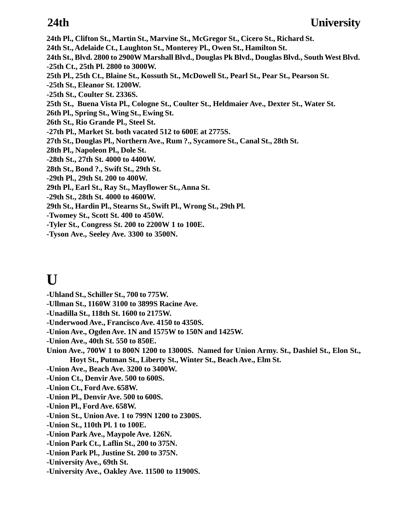**24th Pl., Clifton St., Martin St., Marvine St., McGregor St., Cicero St., Richard St. 24th St., Adelaide Ct., Laughton St., Monterey Pl., Owen St., Hamilton St. 24th St., Blvd. 2800 to 2900W Marshall Blvd., Douglas Pk Blvd., Douglas Blvd., South West Blvd. -25th Ct., 25th Pl. 2800 to 3000W. 25th Pl., 25th Ct., Blaine St., Kossuth St., McDowell St., Pearl St., Pear St., Pearson St. -25th St., Eleanor St. 1200W. -25th St., Coulter St. 2336S. 25th St., Buena Vista Pl., Cologne St., Coulter St., Heldmaier Ave., Dexter St., Water St. 26th Pl., Spring St., Wing St., Ewing St. 26th St., Rio Grande Pl., Steel St. -27th Pl., Market St. both vacated 512 to 600E at 2775S. 27th St., Douglas Pl., Northern Ave., Rum ?., Sycamore St., Canal St., 28th St. 28th Pl., Napoleon Pl., Dole St. -28th St., 27th St. 4000 to 4400W. 28th St., Bond ?., Swift St., 29th St. -29th Pl., 29th St. 200 to 400W. 29th Pl., Earl St., Ray St., Mayflower St., Anna St. -29th St., 28th St. 4000 to 4600W. 29th St., Hardin Pl., Stearns St., Swift Pl., Wrong St., 29th Pl. -Twomey St., Scott St. 400 to 450W. -Tyler St., Congress St. 200 to 2200W 1 to 100E. -Tyson Ave., Seeley Ave. 3300 to 3500N.**

## **U**

- **-Uhland St., Schiller St., 700 to 775W.**
- **-Ullman St., 1160W 3100 to 3899S Racine Ave.**
- **-Unadilla St., 118th St. 1600 to 2175W.**
- **-Underwood Ave., Francisco Ave. 4150 to 4350S.**
- **-Union Ave., Ogden Ave. 1N and 1575W to 150N and 1425W.**
- **-Union Ave., 40th St. 550 to 850E.**
- **Union Ave., 700W 1 to 800N 1200 to 13000S. Named for Union Army. St., Dashiel St., Elon St., Hoyt St., Putman St., Liberty St., Winter St., Beach Ave., Elm St.**
- **-Union Ave., Beach Ave. 3200 to 3400W.**
- **-Union Ct., Denvir Ave. 500 to 600S.**
- **-Union Ct., Ford Ave. 658W.**
- **-Union Pl., Denvir Ave. 500 to 600S.**
- **-Union Pl., Ford Ave. 658W.**
- **-Union St., Union Ave. 1 to 799N 1200 to 2300S.**
- **-Union St., 110th Pl. 1 to 100E.**
- **-Union Park Ave., Maypole Ave. 126N.**
- **-Union Park Ct., Laflin St., 200 to 375N.**
- **-Union Park Pl., Justine St. 200 to 375N.**
- **-University Ave., 69th St.**
- **-University Ave., Oakley Ave. 11500 to 11900S.**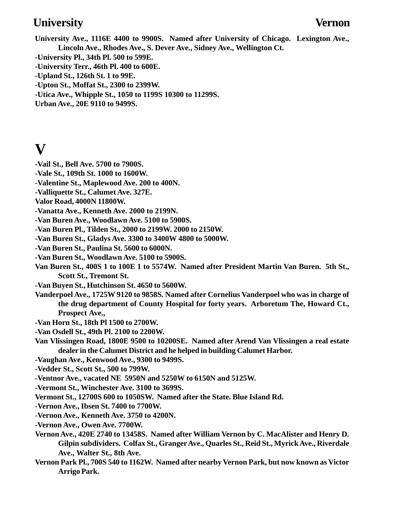### **University Vernon**

**University Ave., 1116E 4400 to 9900S. Named after University of Chicago. Lexington Ave., Lincoln Ave., Rhodes Ave., S. Dever Ave., Sidney Ave., Wellington Ct.**

- **-University Pl., 34th Pl. 500 to 599E.**
- **-University Terr., 46th Pl. 400 to 600E.**
- **-Upland St., 126th St. 1 to 99E.**
- **-Upton St., Moffat St., 2300 to 2399W.**
- **-Utica Ave., Whipple St., 1050 to 1199S 10300 to 11299S.**
- **Urban Ave., 20E 9110 to 9499S.**

## **V**

- **-Vail St., Bell Ave. 5700 to 7900S.**
- **-Vale St., 109th St. 1000 to 1600W.**
- **-Valentine St., Maplewood Ave. 200 to 400N.**
- **-Valliquette St., Calumet Ave. 327E.**
- **Valor Road, 4000N 11800W.**
- **-Vanatta Ave., Kenneth Ave. 2000 to 2199N.**
- **-Van Buren Ave., Woodlawn Ave. 5100 to 5900S.**
- **-Van Buren Pl., Tilden St., 2000 to 2199W. 2000 to 2150W.**
- **-Van Buren St., Gladys Ave. 3300 to 3400W 4800 to 5000W.**
- **-Van Buren St., Paulina St. 5600 to 6000N.**
- **-Van Buren St., Woodlawn Ave. 5100 to 5900S.**
- **Van Buren St., 400S 1 to 100E 1 to 5574W. Named after President Martin Van Buren. 5th St., Scott St., Tremont St.**
- **-Van Buyen St., Hutchinson St. 4650 to 5600W.**
- **Vanderpoel Ave., 1725W 9120 to 9858S. Named after Cornelius Vanderpoel who was in charge of the drug department of County Hospital for forty years. Arboretum The, Howard Ct., Prospect Ave.,**
- **-Van Horn St., 18th Pl 1500 to 2700W.**
- **-Van Osdell St., 49th Pl. 2100 to 2200W.**
- **Van Vlissingen Road, 1800E 9500 to 10200SE. Named after Arend Van Vlissingen a real estate dealer in the Calumet District and he helped in building Calumet Harbor.**
- **-Vaughan Ave., Kenwood Ave., 9300 to 9499S.**
- **-Vedder St., Scott St., 500 to 799W.**
- **-Ventnor Ave., vacated NE 5950N and 5250W to 6150N and 5125W.**
- **-Vermont St., Winchester Ave. 3100 to 3699S.**
- **Vermont St., 12700S 600 to 1050SW. Named after the State. Blue Island Rd.**
- **-Vernon Ave., Ibsen St. 7400 to 7700W.**
- **-Vernon Ave., Kenneth Ave. 3750 to 4200N.**
- **-Vernon Ave., Owen Ave. 7700W.**
- **Vernon Ave., 420E 2740 to 13458S. Named after William Vernon by C. MacAlister and Henry D. Gilpin subdividers. Colfax St., Granger Ave., Quarles St., Reid St., Myrick Ave., Riverdale Ave., Walter St., 8th Ave.**
- **Vernon Park Pl., 700S 540 to 1162W. Named after nearby Vernon Park, but now known as Victor Arrigo Park.**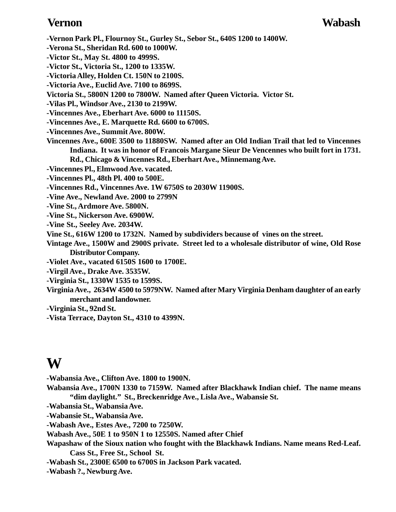### **Vernon Wabash**

- **-Vernon Park Pl., Flournoy St., Gurley St., Sebor St., 640S 1200 to 1400W.**
- **-Verona St., Sheridan Rd. 600 to 1000W.**
- **-Victor St., May St. 4800 to 4999S.**
- **-Victor St., Victoria St., 1200 to 1335W.**
- **-Victoria Alley, Holden Ct. 150N to 2100S.**
- **-Victoria Ave., Euclid Ave. 7100 to 8699S.**
- **Victoria St., 5800N 1200 to 7800W. Named after Queen Victoria. Victor St.**
- **-Vilas Pl., Windsor Ave., 2130 to 2199W.**
- **-Vincennes Ave., Eberhart Ave. 6000 to 11150S.**
- **-Vincennes Ave., E. Marquette Rd. 6600 to 6700S.**
- **-Vincennes Ave., Summit Ave. 800W.**
- **Vincennes Ave., 600E 3500 to 11880SW. Named after an Old Indian Trail that led to Vincennes Indiana. It was in honor of Francois Margane Sieur De Vencennes who built fort in 1731. Rd., Chicago & Vincennes Rd., Eberhart Ave., Minnemang Ave.**
- **-Vincennes Pl., Elmwood Ave. vacated.**
- **-Vincennes Pl., 48th Pl. 400 to 500E.**
- **-Vincennes Rd., Vincennes Ave. 1W 6750S to 2030W 11900S.**
- **-Vine Ave., Newland Ave. 2000 to 2799N**
- **-Vine St., Ardmore Ave. 5800N.**
- **-Vine St., Nickerson Ave. 6900W.**
- **-Vine St., Seeley Ave. 2034W.**
- **Vine St., 616W 1200 to 1732N. Named by subdividers because of vines on the street.**
- **Vintage Ave., 1500W and 2900S private. Street led to a wholesale distributor of wine, Old Rose Distributor Company.**
- **-Violet Ave., vacated 6150S 1600 to 1700E.**
- **-Virgil Ave., Drake Ave. 3535W.**
- **-Virginia St., 1330W 1535 to 1599S.**
- **Virginia Ave., 2634W 4500 to 5979NW. Named after Mary Virginia Denham daughter of an early merchant and landowner.**
- **-Virginia St., 92nd St.**
- **-Vista Terrace, Dayton St., 4310 to 4399N.**

## **W**

- **-Wabansia Ave., Clifton Ave. 1800 to 1900N.**
- **Wabansia Ave., 1700N 1330 to 7159W. Named after Blackhawk Indian chief. The name means "dim daylight." St., Breckenridge Ave., Lisla Ave., Wabansie St.**
- **-Wabansia St., Wabansia Ave.**
- **-Wabansie St., Wabansia Ave.**
- **-Wabash Ave., Estes Ave., 7200 to 7250W.**
- **Wabash Ave., 50E 1 to 950N 1 to 12550S. Named after Chief**
- **Wapashaw of the Sioux nation who fought with the Blackhawk Indians. Name means Red-Leaf. Cass St., Free St., School St.**
- **-Wabash St., 2300E 6500 to 6700S in Jackson Park vacated.**
- **-Wabash ?., Newburg Ave.**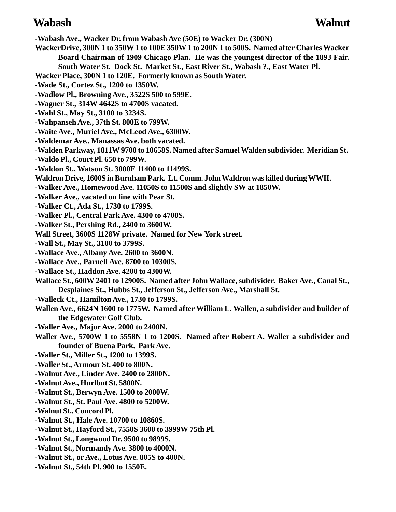### **Wabash Walnut**

**-Wabash Ave., Wacker Dr. from Wabash Ave (50E) to Wacker Dr. (300N) WackerDrive, 300N 1 to 350W 1 to 100E 350W 1 to 200N 1 to 500S. Named after Charles Wacker Board Chairman of 1909 Chicago Plan. He was the youngest director of the 1893 Fair. South Water St. Dock St. Market St., East River St., Wabash ?., East Water Pl. Wacker Place, 300N 1 to 120E. Formerly known as South Water. -Wade St., Cortez St., 1200 to 1350W. -Wadlow Pl., Browning Ave., 3522S 500 to 599E. -Wagner St., 314W 4642S to 4700S vacated. -Wahl St., May St., 3100 to 3234S. -Wahpanseh Ave., 37th St. 800E to 799W. -Waite Ave., Muriel Ave., McLeod Ave., 6300W. -Waldemar Ave., Manassas Ave. both vacated. -Walden Parkway, 1811W 9700 to 10658S. Named after Samuel Walden subdivider. Meridian St. -Waldo Pl., Court Pl. 650 to 799W. -Waldon St., Watson St. 3000E 11400 to 11499S. Waldron Drive, 1600S in Burnham Park. Lt. Comm. John Waldron was killed during WWII. -Walker Ave., Homewood Ave. 11050S to 11500S and slightly SW at 1850W. -Walker Ave., vacated on line with Pear St. -Walker Ct., Ada St., 1730 to 1799S. -Walker Pl., Central Park Ave. 4300 to 4700S. -Walker St., Pershing Rd., 2400 to 3600W. Wall Street, 3600S 1128W private. Named for New York street. -Wall St., May St., 3100 to 3799S. -Wallace Ave., Albany Ave. 2600 to 3600N. -Wallace Ave., Parnell Ave. 8700 to 10300S. -Wallace St., Haddon Ave. 4200 to 4300W. Wallace St., 600W 2401 to 12900S. Named after John Wallace, subdivider. Baker Ave., Canal St., Desplaines St., Hubbs St., Jefferson St., Jefferson Ave., Marshall St. -Walleck Ct., Hamilton Ave., 1730 to 1799S. Wallen Ave., 6624N 1600 to 1775W. Named after William L. Wallen, a subdivider and builder of the Edgewater Golf Club. -Waller Ave., Major Ave. 2000 to 2400N. Waller Ave., 5700W 1 to 5558N 1 to 1200S. Named after Robert A. Waller a subdivider and founder of Buena Park. Park Ave. -Waller St., Miller St., 1200 to 1399S. -Waller St., Armour St. 400 to 800N. -Walnut Ave., Linder Ave. 2400 to 2800N. -Walnut Ave., Hurlbut St. 5800N. -Walnut St., Berwyn Ave. 1500 to 2000W. -Walnut St., St. Paul Ave. 4800 to 5200W. -Walnut St., Concord Pl.**

- **-Walnut St., Hale Ave. 10700 to 10860S.**
- **-Walnut St., Hayford St., 7550S 3600 to 3999W 75th Pl.**
- **-Walnut St., Longwood Dr. 9500 to 9899S.**
- **-Walnut St., Normandy Ave. 3800 to 4000N.**
- **-Walnut St., or Ave., Lotus Ave. 805S to 400N.**
- **-Walnut St., 54th Pl. 900 to 1550E.**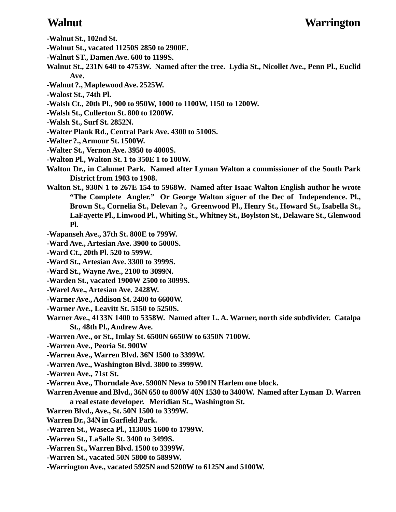- **-Walnut St., 102nd St.**
- **-Walnut St., vacated 11250S 2850 to 2900E.**
- **-Walnut ST., Damen Ave. 600 to 1199S.**
- **Walnut St., 231N 640 to 4753W. Named after the tree. Lydia St., Nicollet Ave., Penn Pl., Euclid Ave.**
- **-Walnut ?., Maplewood Ave. 2525W.**
- **-Walost St., 74th Pl.**
- **-Walsh Ct., 20th Pl., 900 to 950W, 1000 to 1100W, 1150 to 1200W.**
- **-Walsh St., Cullerton St. 800 to 1200W.**
- **-Walsh St., Surf St. 2852N.**
- **-Walter Plank Rd., Central Park Ave. 4300 to 5100S.**
- **-Walter ?., Armour St. 1500W.**
- **-Walter St., Vernon Ave. 3950 to 4000S.**
- **-Walton Pl., Walton St. 1 to 350E 1 to 100W.**
- **Walton Dr., in Calumet Park. Named after Lyman Walton a commissioner of the South Park District from 1903 to 1908.**
- **Walton St., 930N 1 to 267E 154 to 5968W. Named after Isaac Walton English author he wrote "The Complete Angler." Or George Walton signer of the Dec of Independence. Pl., Brown St., Cornelia St., Delevan ?., Greenwood Pl., Henry St., Howard St., Isabella St., LaFayette Pl., Linwood Pl., Whiting St., Whitney St., Boylston St., Delaware St., Glenwood Pl.**
- **-Wapanseh Ave., 37th St. 800E to 799W.**
- **-Ward Ave., Artesian Ave. 3900 to 5000S.**
- **-Ward Ct., 20th Pl. 520 to 599W.**
- **-Ward St., Artesian Ave. 3300 to 3999S.**
- **-Ward St., Wayne Ave., 2100 to 3099N.**
- **-Warden St., vacated 1900W 2500 to 3099S.**
- **-Warel Ave., Artesian Ave. 2428W.**
- **-Warner Ave., Addison St. 2400 to 6600W.**
- **-Warner Ave., Leavitt St. 5150 to 5250S.**
- **Warner Ave., 4133N 1400 to 5358W. Named after L. A. Warner, north side subdivider. Catalpa St., 48th Pl., Andrew Ave.**
- **-Warren Ave., or St., Imlay St. 6500N 6650W to 6350N 7100W.**
- **-Warren Ave., Peoria St. 900W**
- **-Warren Ave., Warren Blvd. 36N 1500 to 3399W.**
- **-Warren Ave., Washington Blvd. 3800 to 3999W.**
- **-Warren Ave., 71st St.**
- **-Warren Ave., Thorndale Ave. 5900N Neva to 5901N Harlem one block.**
- **Warren Avenue and Blvd., 36N 650 to 800W 40N 1530 to 3400W. Named after Lyman D. Warren a real estate developer. Meridian St., Washington St.**
- **Warren Blvd., Ave., St. 50N 1500 to 3399W.**
- **Warren Dr., 34N in Garfield Park.**
- **-Warren St., Waseca Pl., 11300S 1600 to 1799W.**
- **-Warren St., LaSalle St. 3400 to 3499S.**
- **-Warren St., Warren Blvd. 1500 to 3399W.**
- **-Warren St., vacated 50N 5800 to 5899W.**
- **-Warrington Ave., vacated 5925N and 5200W to 6125N and 5100W.**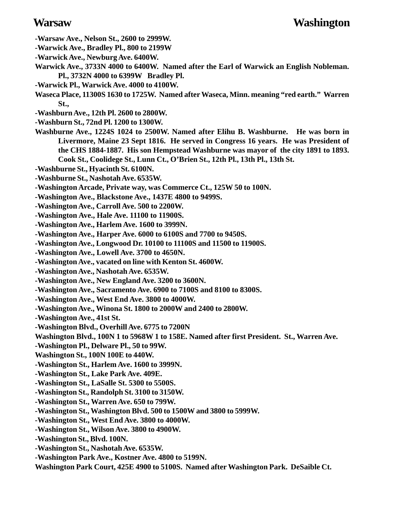- **-Warsaw Ave., Nelson St., 2600 to 2999W.**
- **-Warwick Ave., Bradley Pl., 800 to 2199W**
- **-Warwick Ave., Newburg Ave. 6400W.**
- **Warwick Ave., 3733N 4000 to 6400W. Named after the Earl of Warwick an English Nobleman. Pl., 3732N 4000 to 6399W Bradley Pl.**
- **-Warwick Pl., Warwick Ave. 4000 to 4100W.**
- **Waseca Place, 11300S 1630 to 1725W. Named after Waseca, Minn. meaning "red earth." Warren St.,**
- **-Washburn Ave., 12th Pl. 2600 to 2800W.**
- **-Washburn St., 72nd Pl. 1200 to 1300W.**
- **Washburne Ave., 1224S 1024 to 2500W. Named after Elihu B. Washburne. He was born in Livermore, Maine 23 Sept 1816. He served in Congress 16 years. He was President of the CHS 1884-1887. His son Hempstead Washburne was mayor of the city 1891 to 1893. Cook St., Coolidege St., Lunn Ct., O'Brien St., 12th Pl., 13th Pl., 13th St.**
- **-Washburne St., Hyacinth St. 6100N.**
- **-Washburne St., Nashotah Ave. 6535W.**
- **-Washington Arcade, Private way, was Commerce Ct., 125W 50 to 100N.**
- **-Washington Ave., Blackstone Ave., 1437E 4800 to 9499S.**
- **-Washington Ave., Carroll Ave. 500 to 2200W.**
- **-Washington Ave., Hale Ave. 11100 to 11900S.**
- **-Washington Ave., Harlem Ave. 1600 to 3999N.**
- **-Washington Ave., Harper Ave. 6000 to 6100S and 7700 to 9450S.**
- **-Washington Ave., Longwood Dr. 10100 to 11100S and 11500 to 11900S.**
- **-Washington Ave., Lowell Ave. 3700 to 4650N.**
- **-Washington Ave., vacated on line with Kenton St. 4600W.**
- **-Washington Ave., Nashotah Ave. 6535W.**
- **-Washington Ave., New England Ave. 3200 to 3600N.**
- **-Washington Ave., Sacramento Ave. 6900 to 7100S and 8100 to 8300S.**
- **-Washington Ave., West End Ave. 3800 to 4000W.**
- **-Washington Ave., Winona St. 1800 to 2000W and 2400 to 2800W.**
- **-Washington Ave., 41st St.**
- **-Washington Blvd., Overhill Ave. 6775 to 7200N**
- **Washington Blvd., 100N 1 to 5968W 1 to 158E. Named after first President. St., Warren Ave.**
- **-Washington Pl., Delware Pl., 50 to 99W.**
- **Washington St., 100N 100E to 440W.**
- **-Washington St., Harlem Ave. 1600 to 3999N.**
- **-Washington St., Lake Park Ave. 409E.**
- **-Washington St., LaSalle St. 5300 to 5500S.**
- **-Washington St., Randolph St. 3100 to 3150W.**
- **-Washington St., Warren Ave. 650 to 799W.**
- **-Washington St., Washington Blvd. 500 to 1500W and 3800 to 5999W.**
- **-Washington St., West End Ave. 3800 to 4000W.**
- **-Washington St., Wilson Ave. 3800 to 4900W.**
- **-Washington St., Blvd. 100N.**
- **-Washington St., Nashotah Ave. 6535W.**
- **-Washington Park Ave., Kostner Ave. 4800 to 5199N.**
- **Washington Park Court, 425E 4900 to 5100S. Named after Washington Park. DeSaible Ct.**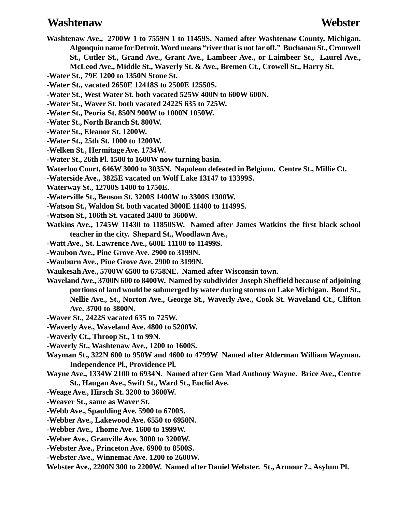### **Washtenaw Webster**

- **Washtenaw Ave., 2700W 1 to 7559N 1 to 11459S. Named after Washtenaw County, Michigan. Algonquin name for Detroit. Word means "river that is not far off." Buchanan St., Cromwell St., Cutler St., Grand Ave., Grant Ave., Lambeer Ave., or Laimbeer St., Laurel Ave., McLeod Ave., Middle St., Waverly St. & Ave., Bremen Ct., Crowell St., Harry St.**
- **-Water St., 79E 1200 to 1350N Stone St.**
- **-Water St., vacated 2650E 12418S to 2500E 12550S.**
- **-Water St., West Water St. both vacated 525W 400N to 600W 600N.**
- **-Water St., Waver St. both vacated 2422S 635 to 725W.**
- **-Water St., Peoria St. 850N 900W to 1000N 1050W.**
- **-Water St., North Branch St. 800W.**
- **-Water St., Eleanor St. 1200W.**
- **-Water St., 25th St. 1000 to 1200W.**
- **-Welken St., Hermitage Ave. 1734W.**
- **-Water St., 26th Pl. 1500 to 1600W now turning basin.**
- **Waterloo Court, 646W 3000 to 3035N. Napoleon defeated in Belgium. Centre St., Millie Ct.**
- **-Waterside Ave., 3825E vacated on Wolf Lake 13147 to 13399S.**
- **Waterway St., 12700S 1400 to 1750E.**
- **-Waterville St., Benson St. 3200S 1400W to 3300S 1300W.**
- **-Watson St., Waldon St. both vacated 3000E 11400 to 11499S.**
- **-Watson St., 106th St. vacated 3400 to 3600W.**
- **Watkins Ave., 1745W 11430 to 11850SW. Named after James Watkins the first black school teacher in the city. Shepard St., Woodlawn Ave.,**
- **-Watt Ave., St. Lawrence Ave., 600E 11100 to 11499S.**
- **-Waubon Ave., Pine Grove Ave. 2900 to 3199N.**
- **-Wauburn Ave., Pine Grove Ave. 2900 to 3199N.**
- **Waukesah Ave., 5700W 6500 to 6758NE. Named after Wisconsin town.**
- **Waveland Ave., 3700N 600 to 8400W. Named by subdivider Joseph Sheffield because of adjoining portions of land would be submerged by water during storms on Lake Michigan. Bond St., Nellie Ave., St., Norton Ave., George St., Waverly Ave., Cook St. Waveland Ct., Clifton Ave. 3700 to 3800N.**
- **-Waver St., 2422S vacated 635 to 725W.**
- **-Waverly Ave., Waveland Ave. 4800 to 5200W.**
- **-Waverly Ct., Throop St., 1 to 99N.**
- **-Waverly St., Washtenaw Ave., 1200 to 1600S.**
- **Wayman St., 322N 600 to 950W and 4600 to 4799W Named after Alderman William Wayman. Independence Pl., Providence Pl.**
- **Wayne Ave., 1334W 2100 to 6934N. Named after Gen Mad Anthony Wayne. Brice Ave., Centre St., Haugan Ave., Swift St., Ward St., Euclid Ave.**
- **-Weage Ave., Hirsch St. 3200 to 3600W.**
- **-Weaver St., same as Waver St.**
- **-Webb Ave., Spaulding Ave. 5900 to 6700S.**
- **-Webber Ave., Lakewood Ave. 6550 to 6950N.**
- **-Webber Ave., Thome Ave. 1600 to 1999W.**
- **-Weber Ave., Granville Ave. 3000 to 3200W.**
- **-Webster Ave., Princeton Ave. 6900 to 8500S.**
- **-Webster Ave., Winnemac Ave. 1200 to 2600W.**
- **Webster Ave., 2200N 300 to 2200W. Named after Daniel Webster. St., Armour ?., Asylum Pl.**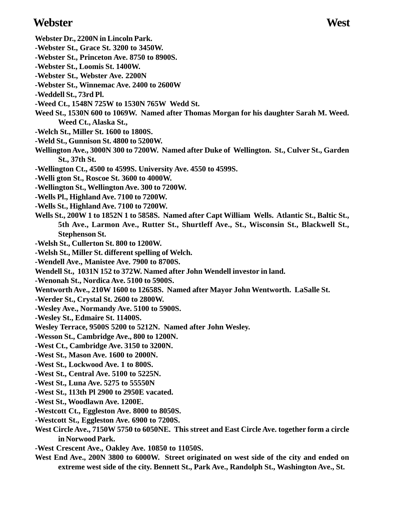### **Webster West**

- **Webster Dr., 2200N in Lincoln Park.**
- **-Webster St., Grace St. 3200 to 3450W.**
- **-Webster St., Princeton Ave. 8750 to 8900S.**
- **-Webster St., Loomis St. 1400W.**
- **-Webster St., Webster Ave. 2200N**
- **-Webster St., Winnemac Ave. 2400 to 2600W**
- **-Weddell St., 73rd Pl.**
- **-Weed Ct., 1548N 725W to 1530N 765W Wedd St.**
- **Weed St., 1530N 600 to 1069W. Named after Thomas Morgan for his daughter Sarah M. Weed. Weed Ct., Alaska St.,**
- **-Welch St., Miller St. 1600 to 1800S.**
- **-Weld St., Gunnison St. 4800 to 5200W.**
- **Wellington Ave., 3000N 300 to 7200W. Named after Duke of Wellington. St., Culver St., Garden St., 37th St.**
- **-Wellington Ct., 4500 to 4599S. University Ave. 4550 to 4599S.**
- **-Welli gton St., Roscoe St. 3600 to 4000W.**
- **-Wellington St., Wellington Ave. 300 to 7200W.**
- **-Wells Pl., Highland Ave. 7100 to 7200W.**
- **-Wells St., Highland Ave. 7100 to 7200W.**
- **Wells St., 200W 1 to 1852N 1 to 5858S. Named after Capt William Wells. Atlantic St., Baltic St., 5th Ave., Larmon Ave., Rutter St., Shurtleff Ave., St., Wisconsin St., Blackwell St., Stephenson St.**
- **-Welsh St., Cullerton St. 800 to 1200W.**
- **-Welsh St., Miller St. different spelling of Welch.**
- **-Wendell Ave., Manistee Ave. 7900 to 8700S.**
- **Wendell St., 1031N 152 to 372W. Named after John Wendell investor in land.**
- **-Wenonah St., Nordica Ave. 5100 to 5900S.**
- **Wentworth Ave., 210W 1600 to 12658S. Named after Mayor John Wentworth. LaSalle St.**
- **-Werder St., Crystal St. 2600 to 2800W.**
- **-Wesley Ave., Normandy Ave. 5100 to 5900S.**
- **-Wesley St., Edmaire St. 11400S.**
- **Wesley Terrace, 9500S 5200 to 5212N. Named after John Wesley.**
- **-Wesson St., Cambridge Ave., 800 to 1200N.**
- **-West Ct., Cambridge Ave. 3150 to 3200N.**
- **-West St., Mason Ave. 1600 to 2000N.**
- **-West St., Lockwood Ave. 1 to 800S.**
- **-West St., Central Ave. 5100 to 5225N.**
- **-West St., Luna Ave. 5275 to 55550N**
- **-West St., 113th Pl 2900 to 2950E vacated.**
- **-West St., Woodlawn Ave. 1200E.**
- **-Westcott Ct., Eggleston Ave. 8000 to 8050S.**
- **-Westcott St., Eggleston Ave. 6900 to 7200S.**
- **West Circle Ave., 7150W 5750 to 6050NE. This street and East Circle Ave. together form a circle in Norwood Park.**
- **-West Crescent Ave., Oakley Ave. 10850 to 11050S.**
- **West End Ave., 200N 3800 to 6000W. Street originated on west side of the city and ended on extreme west side of the city. Bennett St., Park Ave., Randolph St., Washington Ave., St.**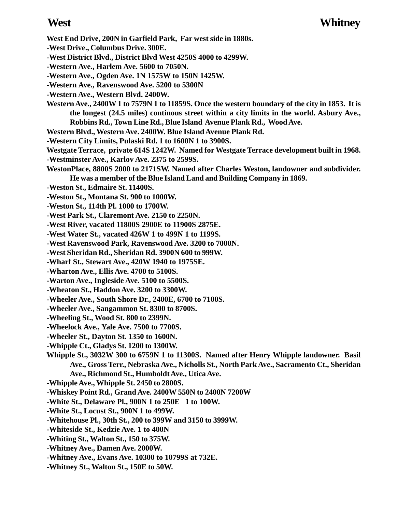**West End Drive, 200N in Garfield Park, Far west side in 1880s.**

- **-West Drive., Columbus Drive. 300E.**
- **-West District Blvd., District Blvd West 4250S 4000 to 4299W.**
- **-Western Ave., Harlem Ave. 5600 to 7050N.**
- **-Western Ave., Ogden Ave. 1N 1575W to 150N 1425W.**
- **-Western Ave., Ravenswood Ave. 5200 to 5300N**
- **-Western Ave., Western Blvd. 2400W.**
- **Western Ave., 2400W 1 to 7579N 1 to 11859S. Once the western boundary of the city in 1853. It is the longest (24.5 miles) continous street within a city limits in the world. Asbury Ave., Robbins Rd., Town Line Rd., Blue Island Avenue Plank Rd., Wood Ave.**
- **Western Blvd., Western Ave. 2400W. Blue Island Avenue Plank Rd.**
- **-Western City Limits, Pulaski Rd. 1 to 1600N 1 to 3900S.**
- **Westgate Terrace, private 614S 1242W. Named for Westgate Terrace development built in 1968.**
- **-Westminster Ave., Karlov Ave. 2375 to 2599S.**
- **WestonPlace, 8800S 2000 to 2171SW. Named after Charles Weston, landowner and subdivider. He was a member of the Blue Island Land and Building Company in 1869.**
- **-Weston St., Edmaire St. 11400S.**
- **-Weston St., Montana St. 900 to 1000W.**
- **-Weston St., 114th Pl. 1000 to 1700W.**
- **-West Park St., Claremont Ave. 2150 to 2250N.**
- **-West River, vacated 11800S 2900E to 11900S 2875E.**
- **-West Water St., vacated 426W 1 to 499N 1 to 1199S.**
- **-West Ravenswood Park, Ravenswood Ave. 3200 to 7000N.**
- **-West Sheridan Rd., Sheridan Rd. 3900N 600 to 999W.**
- **-Wharf St., Stewart Ave., 420W 1940 to 1975SE.**
- **-Wharton Ave., Ellis Ave. 4700 to 5100S.**
- **-Warton Ave., Ingleside Ave. 5100 to 5500S.**
- **-Wheaton St., Haddon Ave. 3200 to 3300W.**
- **-Wheeler Ave., South Shore Dr., 2400E, 6700 to 7100S.**
- **-Wheeler Ave., Sangammon St. 8300 to 8700S.**
- **-Wheeling St., Wood St. 800 to 2399N.**
- **-Wheelock Ave., Yale Ave. 7500 to 7700S.**
- **-Wheeler St., Dayton St. 1350 to 1600N.**
- **-Whipple Ct., Gladys St. 1200 to 1300W.**
- **Whipple St., 3032W 300 to 6759N 1 to 11300S. Named after Henry Whipple landowner. Basil Ave., Gross Terr., Nebraska Ave., Nicholls St., North Park Ave., Sacramento Ct., Sheridan Ave., Richmond St., Humboldt Ave., Utica Ave.**
- **-Whipple Ave., Whipple St. 2450 to 2800S.**
- **-Whiskey Point Rd., Grand Ave. 2400W 550N to 2400N 7200W**
- **-White St., Delaware Pl., 900N 1 to 250E 1 to 100W.**
- **-White St., Locust St., 900N 1 to 499W.**
- **-Whitehouse Pl., 30th St., 200 to 399W and 3150 to 3999W.**
- **-Whiteside St., Kedzie Ave. 1 to 400N**
- **-Whiting St., Walton St., 150 to 375W.**
- **-Whitney Ave., Damen Ave. 2000W.**
- **-Whitney Ave., Evans Ave. 10300 to 10799S at 732E.**
- **-Whitney St., Walton St., 150E to 50W.**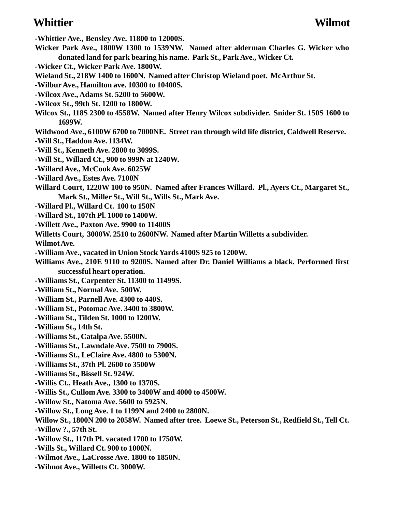### **Whittier Wilmot**

**-Whittier Ave., Bensley Ave. 11800 to 12000S. Wicker Park Ave., 1800W 1300 to 1539NW. Named after alderman Charles G. Wicker who donated land for park bearing his name. Park St., Park Ave., Wicker Ct. -Wicker Ct., Wicker Park Ave. 1800W. Wieland St., 218W 1400 to 1600N. Named after Christop Wieland poet. McArthur St. -Wilbur Ave., Hamilton ave. 10300 to 10400S. -Wilcox Ave., Adams St. 5200 to 5600W. -Wilcox St., 99th St. 1200 to 1800W.**

**Wilcox St., 118S 2300 to 4558W. Named after Henry Wilcox subdivider. Snider St. 150S 1600 to 1699W.**

**Wildwood Ave., 6100W 6700 to 7000NE. Street ran through wild life district, Caldwell Reserve.**

**-Will St., Haddon Ave. 1134W.**

**-Will St., Kenneth Ave. 2800 to 3099S.**

**-Will St., Willard Ct., 900 to 999N at 1240W.**

**-Willard Ave., McCook Ave. 6025W**

**-Willard Ave., Estes Ave. 7100N**

**Willard Court, 1220W 100 to 950N. Named after Frances Willard. Pl., Ayers Ct., Margaret St., Mark St., Miller St., Will St., Wills St., Mark Ave.**

**-Willard Pl., Willard Ct. 100 to 150N**

**-Willard St., 107th Pl. 1000 to 1400W.**

**-Willett Ave., Paxton Ave. 9900 to 11400S**

**Willetts Court, 3000W. 2510 to 2600NW. Named after Martin Willetts a subdivider.**

**Wilmot Ave.**

**-William Ave., vacated in Union Stock Yards 4100S 925 to 1200W.**

**Williams Ave., 210E 9110 to 9200S. Named after Dr. Daniel Williams a black. Performed first successful heart operation.**

**-Williams St., Carpenter St. 11300 to 11499S.**

**-William St., Normal Ave. 500W.**

**-William St., Parnell Ave. 4300 to 440S.**

**-William St., Potomac Ave. 3400 to 3800W.**

**-William St., Tilden St. 1000 to 1200W.**

**-William St., 14th St.**

**-Williams St., Catalpa Ave. 5500N.**

**-Williams St., Lawndale Ave. 7500 to 7900S.**

**-Williams St., LeClaire Ave. 4800 to 5300N.**

**-Williams St., 37th Pl. 2600 to 3500W**

**-Williams St., Bissell St. 924W.**

**-Willis Ct., Heath Ave., 1300 to 1370S.**

**-Willis St., Cullom Ave. 3300 to 3400W and 4000 to 4500W.**

**-Willow St., Natoma Ave. 5600 to 5925N.**

**-Willow St., Long Ave. 1 to 1199N and 2400 to 2800N.**

**Willow St., 1800N 200 to 2058W. Named after tree. Loewe St., Peterson St., Redfield St., Tell Ct. -Willow ?., 57th St.**

**-Willow St., 117th Pl. vacated 1700 to 1750W.**

**-Wills St., Willard Ct. 900 to 1000N.**

**-Wilmot Ave., LaCrosse Ave. 1800 to 1850N.**

**-Wilmot Ave., Willetts Ct. 3000W.**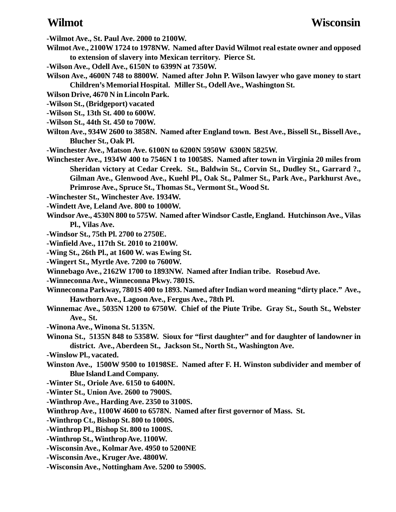**-Wilmot Ave., St. Paul Ave. 2000 to 2100W.**

- **Wilmot Ave., 2100W 1724 to 1978NW. Named after David Wilmot real estate owner and opposed to extension of slavery into Mexican territory. Pierce St.**
- **-Wilson Ave., Odell Ave., 6150N to 6399N at 7350W.**
- **Wilson Ave., 4600N 748 to 8800W. Named after John P. Wilson lawyer who gave money to start Children's Memorial Hospital. Miller St., Odell Ave., Washington St.**
- **Wilson Drive, 4670 N in Lincoln Park.**
- **-Wilson St., (Bridgeport) vacated**
- **-Wilson St., 13th St. 400 to 600W.**
- **-Wilson St., 44th St. 450 to 700W.**
- **Wilton Ave., 934W 2600 to 3858N. Named after England town. Best Ave., Bissell St., Bissell Ave., Blucher St., Oak Pl.**
- **-Winchester Ave., Matson Ave. 6100N to 6200N 5950W 6300N 5825W.**
- **Winchester Ave., 1934W 400 to 7546N 1 to 10058S. Named after town in Virginia 20 miles from Sheridan victory at Cedar Creek. St., Baldwin St., Corvin St., Dudley St., Garrard ?., Gilman Ave., Glenwood Ave., Kuehl Pl., Oak St., Palmer St., Park Ave., Parkhurst Ave., Primrose Ave., Spruce St., Thomas St., Vermont St., Wood St.**

**-Winchester St., Winchester Ave. 1934W.**

- **-Windett Ave, Leland Ave. 800 to 1000W.**
- **Windsor Ave., 4530N 800 to 575W. Named after Windsor Castle, England. Hutchinson Ave., Vilas Pl., Vilas Ave.**
- **-Windsor St., 75th Pl. 2700 to 2750E.**
- **-Winfield Ave., 117th St. 2010 to 2100W.**
- **-Wing St., 26th Pl., at 1600 W. was Ewing St.**
- **-Wingert St., Myrtle Ave. 7200 to 7600W.**
- **Winnebago Ave., 2162W 1700 to 1893NW. Named after Indian tribe. Rosebud Ave.**
- **-Winneconna Ave., Winneconna Pkwy. 7801S.**
- **Winneconna Parkway, 7801S 400 to 1893. Named after Indian word meaning "dirty place." Ave., Hawthorn Ave., Lagoon Ave., Fergus Ave., 78th Pl.**
- **Winnemac Ave., 5035N 1200 to 6750W. Chief of the Piute Tribe. Gray St., South St., Webster Ave., St.**
- **-Winona Ave., Winona St. 5135N.**
- **Winona St., 5135N 848 to 5358W. Sioux for "first daughter" and for daughter of landowner in district. Ave., Aberdeen St., Jackson St., North St., Washington Ave.**
- **-Winslow Pl., vacated.**
- **Winston Ave., 1500W 9500 to 10198SE. Named after F. H. Winston subdivider and member of Blue Island Land Company.**
- **-Winter St., Oriole Ave. 6150 to 6400N.**
- **-Winter St., Union Ave. 2600 to 7900S.**
- **-Winthrop Ave., Harding Ave. 2350 to 3100S.**
- **Winthrop Ave., 1100W 4600 to 6578N. Named after first governor of Mass. St.**
- **-Winthrop Ct., Bishop St. 800 to 1000S.**
- **-Winthrop Pl., Bishop St. 800 to 1000S.**
- **-Winthrop St., Winthrop Ave. 1100W.**
- **-Wisconsin Ave., Kolmar Ave. 4950 to 5200NE**
- **-Wisconsin Ave., Kruger Ave. 4800W.**
- **-Wisconsin Ave., Nottingham Ave. 5200 to 5900S.**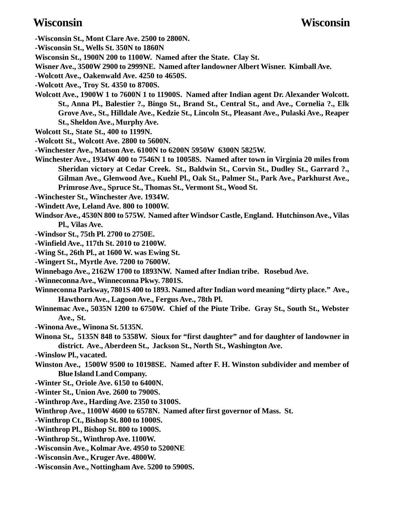- **-Wisconsin St., Mont Clare Ave. 2500 to 2800N.**
- **-Wisconsin St., Wells St. 350N to 1860N**
- **Wisconsin St., 1900N 200 to 1100W. Named after the State. Clay St.**
- **Wisner Ave., 3500W 2900 to 2999NE. Named after landowner Albert Wisner. Kimball Ave.**
- **-Wolcott Ave., Oakenwald Ave. 4250 to 4650S.**
- **-Wolcott Ave., Troy St. 4350 to 8700S.**
- **Wolcott Ave., 1900W 1 to 7600N 1 to 11900S. Named after Indian agent Dr. Alexander Wolcott. St., Anna Pl., Balestier ?., Bingo St., Brand St., Central St., and Ave., Cornelia ?., Elk Grove Ave., St., Hilldale Ave., Kedzie St., Lincoln St., Pleasant Ave., Pulaski Ave., Reaper St., Sheldon Ave., Murphy Ave.**
- **Wolcott St., State St., 400 to 1199N.**
- **-Wolcott St., Wolcott Ave. 2800 to 5600N.**
- **-Winchester Ave., Matson Ave. 6100N to 6200N 5950W 6300N 5825W.**
- **Winchester Ave., 1934W 400 to 7546N 1 to 10058S. Named after town in Virginia 20 miles from Sheridan victory at Cedar Creek. St., Baldwin St., Corvin St., Dudley St., Garrard ?., Gilman Ave., Glenwood Ave., Kuehl Pl., Oak St., Palmer St., Park Ave., Parkhurst Ave., Primrose Ave., Spruce St., Thomas St., Vermont St., Wood St.**
- **-Winchester St., Winchester Ave. 1934W.**
- **-Windett Ave, Leland Ave. 800 to 1000W.**
- **Windsor Ave., 4530N 800 to 575W. Named after Windsor Castle, England. Hutchinson Ave., Vilas Pl., Vilas Ave.**
- **-Windsor St., 75th Pl. 2700 to 2750E.**
- **-Winfield Ave., 117th St. 2010 to 2100W.**
- **-Wing St., 26th Pl., at 1600 W. was Ewing St.**
- **-Wingert St., Myrtle Ave. 7200 to 7600W.**
- **Winnebago Ave., 2162W 1700 to 1893NW. Named after Indian tribe. Rosebud Ave.**
- **-Winneconna Ave., Winneconna Pkwy. 7801S.**
- **Winneconna Parkway, 7801S 400 to 1893. Named after Indian word meaning "dirty place." Ave., Hawthorn Ave., Lagoon Ave., Fergus Ave., 78th Pl.**
- **Winnemac Ave., 5035N 1200 to 6750W. Chief of the Piute Tribe. Gray St., South St., Webster Ave., St.**
- **-Winona Ave., Winona St. 5135N.**
- **Winona St., 5135N 848 to 5358W. Sioux for "first daughter" and for daughter of landowner in district. Ave., Aberdeen St., Jackson St., North St., Washington Ave.**
- **-Winslow Pl., vacated.**
- **Winston Ave., 1500W 9500 to 10198SE. Named after F. H. Winston subdivider and member of Blue Island Land Company.**
- **-Winter St., Oriole Ave. 6150 to 6400N.**
- **-Winter St., Union Ave. 2600 to 7900S.**
- **-Winthrop Ave., Harding Ave. 2350 to 3100S.**
- **Winthrop Ave., 1100W 4600 to 6578N. Named after first governor of Mass. St.**
- **-Winthrop Ct., Bishop St. 800 to 1000S.**
- **-Winthrop Pl., Bishop St. 800 to 1000S.**
- **-Winthrop St., Winthrop Ave. 1100W.**
- **-Wisconsin Ave., Kolmar Ave. 4950 to 5200NE**
- **-Wisconsin Ave., Kruger Ave. 4800W.**
- **-Wisconsin Ave., Nottingham Ave. 5200 to 5900S.**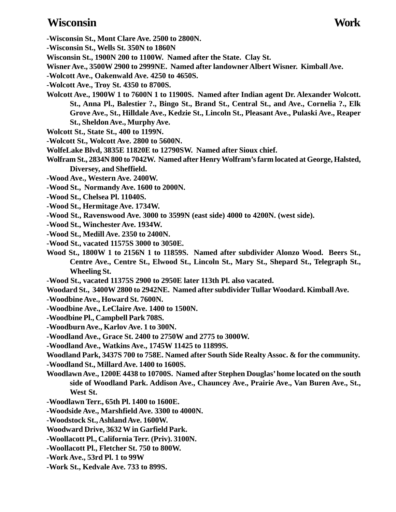### **Wisconsin Work**

- **-Wisconsin St., Mont Clare Ave. 2500 to 2800N.**
- **-Wisconsin St., Wells St. 350N to 1860N**
- **Wisconsin St., 1900N 200 to 1100W. Named after the State. Clay St.**
- **Wisner Ave., 3500W 2900 to 2999NE. Named after landowner Albert Wisner. Kimball Ave.**
- **-Wolcott Ave., Oakenwald Ave. 4250 to 4650S.**
- **-Wolcott Ave., Troy St. 4350 to 8700S.**
- **Wolcott Ave., 1900W 1 to 7600N 1 to 11900S. Named after Indian agent Dr. Alexander Wolcott. St., Anna Pl., Balestier ?., Bingo St., Brand St., Central St., and Ave., Cornelia ?., Elk Grove Ave., St., Hilldale Ave., Kedzie St., Lincoln St., Pleasant Ave., Pulaski Ave., Reaper St., Sheldon Ave., Murphy Ave.**
- **Wolcott St., State St., 400 to 1199N.**
- **-Wolcott St., Wolcott Ave. 2800 to 5600N.**
- **WolfeLake Blvd, 3835E 11820E to 12790SW. Named after Sioux chief.**
- **Wolfram St., 2834N 800 to 7042W. Named after Henry Wolfram's farm located at George, Halsted, Diversey, and Sheffield.**
- **-Wood Ave., Western Ave. 2400W.**
- **-Wood St., Normandy Ave. 1600 to 2000N.**
- **-Wood St., Chelsea Pl. 11040S.**
- **-Wood St., Hermitage Ave. 1734W.**
- **-Wood St., Ravenswood Ave. 3000 to 3599N (east side) 4000 to 4200N. (west side).**
- **-Wood St., Winchester Ave. 1934W.**
- **-Wood St., Medill Ave. 2350 to 2400N.**
- **-Wood St., vacated 11575S 3000 to 3050E.**
- **Wood St., 1800W 1 to 2156N 1 to 11859S. Named after subdivider Alonzo Wood. Beers St., Centre Ave., Centre St., Elwood St., Lincoln St., Mary St., Shepard St., Telegraph St., Wheeling St.**
- **-Wood St., vacated 11375S 2900 to 2950E later 113th Pl. also vacated.**
- **Woodard St., 3400W 2800 to 2942NE. Named after subdivider Tullar Woodard. Kimball Ave.**
- **-Woodbine Ave., Howard St. 7600N.**
- **-Woodbine Ave., LeClaire Ave. 1400 to 1500N.**
- **-Woodbine Pl., Campbell Park 708S.**
- **-Woodburn Ave., Karlov Ave. 1 to 300N.**
- **-Woodland Ave., Grace St. 2400 to 2750W and 2775 to 3000W.**
- **-Woodland Ave., Watkins Ave., 1745W 11425 to 11899S.**
- **Woodland Park, 3437S 700 to 758E. Named after South Side Realty Assoc. & for the community.**
- **-Woodland St., Millard Ave. 1400 to 1600S.**
- **Woodlawn Ave., 1200E 4438 to 10700S. Named after Stephen Douglas' home located on the south side of Woodland Park. Addison Ave., Chauncey Ave., Prairie Ave., Van Buren Ave., St., West St.**
- **-Woodlawn Terr., 65th Pl. 1400 to 1600E.**
- **-Woodside Ave., Marshfield Ave. 3300 to 4000N.**
- **-Woodstock St., Ashland Ave. 1600W.**
- **Woodward Drive, 3632 W in Garfield Park.**
- **-Woollacott Pl., California Terr. (Priv). 3100N.**
- **-Woollacott Pl., Fletcher St. 750 to 800W.**
- **-Work Ave., 53rd Pl. 1 to 99W**
- **-Work St., Kedvale Ave. 733 to 899S.**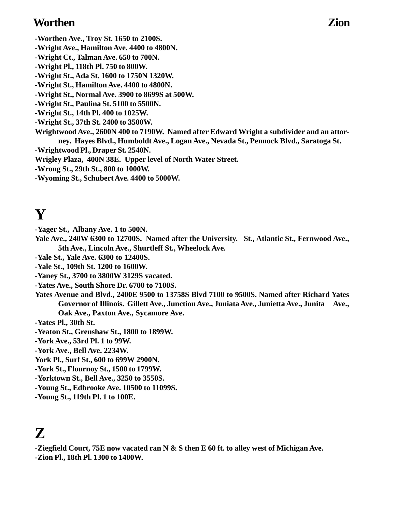### **Worthen Zion**

- **-Worthen Ave., Troy St. 1650 to 2100S.**
- **-Wright Ave., Hamilton Ave. 4400 to 4800N.**
- **-Wright Ct., Talman Ave. 650 to 700N.**
- **-Wright Pl., 118th Pl. 750 to 800W.**
- **-Wright St., Ada St. 1600 to 1750N 1320W.**
- **-Wright St., Hamilton Ave. 4400 to 4800N.**
- **-Wright St., Normal Ave. 3900 to 8699S at 500W.**
- **-Wright St., Paulina St. 5100 to 5500N.**
- **-Wright St., 14th Pl. 400 to 1025W.**
- **-Wright St., 37th St. 2400 to 3500W.**
- **Wrightwood Ave., 2600N 400 to 7190W. Named after Edward Wright a subdivider and an attorney. Hayes Blvd., Humboldt Ave., Logan Ave., Nevada St., Pennock Blvd., Saratoga St.**
- **-Wrightwood Pl., Draper St. 2540N.**
- **Wrigley Plaza, 400N 38E. Upper level of North Water Street.**
- **-Wrong St., 29th St., 800 to 1000W.**
- **-Wyoming St., Schubert Ave. 4400 to 5000W.**

# **Y**

- **-Yager St., Albany Ave. 1 to 500N.**
- **Yale Ave., 240W 6300 to 12700S. Named after the University. St., Atlantic St., Fernwood Ave., 5th Ave., Lincoln Ave., Shurtleff St., Wheelock Ave.**
- **-Yale St., Yale Ave. 6300 to 12400S.**
- **-Yale St., 109th St. 1200 to 1600W.**
- **-Yaney St., 3700 to 3800W 3129S vacated.**
- **-Yates Ave., South Shore Dr. 6700 to 7100S.**
- **Yates Avenue and Blvd., 2400E 9500 to 13758S Blvd 7100 to 9500S. Named after Richard Yates Governor of Illinois. Gillett Ave., Junction Ave., Juniata Ave., Junietta Ave., Junita Ave., Oak Ave., Paxton Ave., Sycamore Ave.**
- **-Yates Pl., 30th St.**
- **-Yeaton St., Grenshaw St., 1800 to 1899W.**
- **-York Ave., 53rd Pl. 1 to 99W.**
- **-York Ave., Bell Ave. 2234W.**
- **York Pl., Surf St., 600 to 699W 2900N.**
- **-York St., Flournoy St., 1500 to 1799W.**
- **-Yorktown St., Bell Ave., 3250 to 3550S.**
- **-Young St., Edbrooke Ave. 10500 to 11099S.**
- **-Young St., 119th Pl. 1 to 100E.**

## **Z**

**-Ziegfield Court, 75E now vacated ran N & S then E 60 ft. to alley west of Michigan Ave. -Zion Pl., 18th Pl. 1300 to 1400W.**